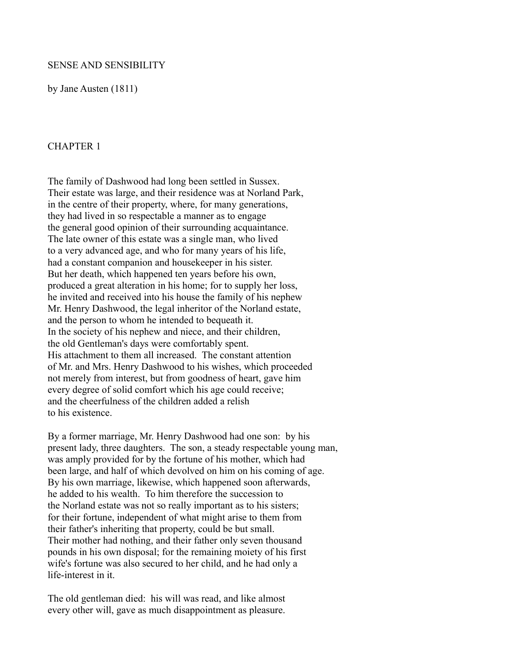### SENSE AND SENSIBILITY

by Jane Austen (1811)

### CHAPTER 1

The family of Dashwood had long been settled in Sussex. Their estate was large, and their residence was at Norland Park, in the centre of their property, where, for many generations, they had lived in so respectable a manner as to engage the general good opinion of their surrounding acquaintance. The late owner of this estate was a single man, who lived to a very advanced age, and who for many years of his life, had a constant companion and housekeeper in his sister. But her death, which happened ten years before his own, produced a great alteration in his home; for to supply her loss, he invited and received into his house the family of his nephew Mr. Henry Dashwood, the legal inheritor of the Norland estate, and the person to whom he intended to bequeath it. In the society of his nephew and niece, and their children, the old Gentleman's days were comfortably spent. His attachment to them all increased. The constant attention of Mr. and Mrs. Henry Dashwood to his wishes, which proceeded not merely from interest, but from goodness of heart, gave him every degree of solid comfort which his age could receive; and the cheerfulness of the children added a relish to his existence.

By a former marriage, Mr. Henry Dashwood had one son: by his present lady, three daughters. The son, a steady respectable young man, was amply provided for by the fortune of his mother, which had been large, and half of which devolved on him on his coming of age. By his own marriage, likewise, which happened soon afterwards, he added to his wealth. To him therefore the succession to the Norland estate was not so really important as to his sisters; for their fortune, independent of what might arise to them from their father's inheriting that property, could be but small. Their mother had nothing, and their father only seven thousand pounds in his own disposal; for the remaining moiety of his first wife's fortune was also secured to her child, and he had only a life-interest in it.

The old gentleman died: his will was read, and like almost every other will, gave as much disappointment as pleasure.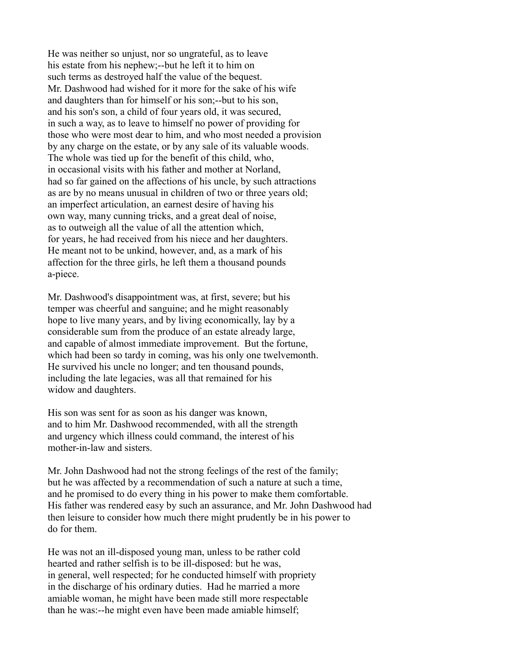He was neither so unjust, nor so ungrateful, as to leave his estate from his nephew;--but he left it to him on such terms as destroyed half the value of the bequest. Mr. Dashwood had wished for it more for the sake of his wife and daughters than for himself or his son;--but to his son, and his son's son, a child of four years old, it was secured, in such a way, as to leave to himself no power of providing for those who were most dear to him, and who most needed a provision by any charge on the estate, or by any sale of its valuable woods. The whole was tied up for the benefit of this child, who, in occasional visits with his father and mother at Norland, had so far gained on the affections of his uncle, by such attractions as are by no means unusual in children of two or three years old; an imperfect articulation, an earnest desire of having his own way, many cunning tricks, and a great deal of noise, as to outweigh all the value of all the attention which, for years, he had received from his niece and her daughters. He meant not to be unkind, however, and, as a mark of his affection for the three girls, he left them a thousand pounds a-piece.

Mr. Dashwood's disappointment was, at first, severe; but his temper was cheerful and sanguine; and he might reasonably hope to live many years, and by living economically, lay by a considerable sum from the produce of an estate already large, and capable of almost immediate improvement. But the fortune, which had been so tardy in coming, was his only one twelvemonth. He survived his uncle no longer; and ten thousand pounds, including the late legacies, was all that remained for his widow and daughters.

His son was sent for as soon as his danger was known, and to him Mr. Dashwood recommended, with all the strength and urgency which illness could command, the interest of his mother-in-law and sisters.

Mr. John Dashwood had not the strong feelings of the rest of the family; but he was affected by a recommendation of such a nature at such a time, and he promised to do every thing in his power to make them comfortable. His father was rendered easy by such an assurance, and Mr. John Dashwood had then leisure to consider how much there might prudently be in his power to do for them.

He was not an ill-disposed young man, unless to be rather cold hearted and rather selfish is to be ill-disposed: but he was, in general, well respected; for he conducted himself with propriety in the discharge of his ordinary duties. Had he married a more amiable woman, he might have been made still more respectable than he was:--he might even have been made amiable himself;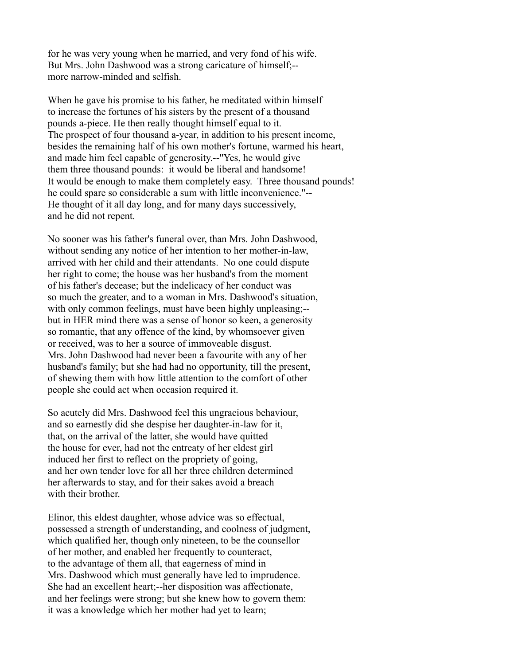for he was very young when he married, and very fond of his wife. But Mrs. John Dashwood was a strong caricature of himself;- more narrow-minded and selfish.

When he gave his promise to his father, he meditated within himself to increase the fortunes of his sisters by the present of a thousand pounds a-piece. He then really thought himself equal to it. The prospect of four thousand a-year, in addition to his present income, besides the remaining half of his own mother's fortune, warmed his heart, and made him feel capable of generosity.--"Yes, he would give them three thousand pounds: it would be liberal and handsome! It would be enough to make them completely easy. Three thousand pounds! he could spare so considerable a sum with little inconvenience."-- He thought of it all day long, and for many days successively, and he did not repent.

No sooner was his father's funeral over, than Mrs. John Dashwood, without sending any notice of her intention to her mother-in-law, arrived with her child and their attendants. No one could dispute her right to come; the house was her husband's from the moment of his father's decease; but the indelicacy of her conduct was so much the greater, and to a woman in Mrs. Dashwood's situation, with only common feelings, must have been highly unpleasing;-but in HER mind there was a sense of honor so keen, a generosity so romantic, that any offence of the kind, by whomsoever given or received, was to her a source of immoveable disgust. Mrs. John Dashwood had never been a favourite with any of her husband's family; but she had had no opportunity, till the present, of shewing them with how little attention to the comfort of other people she could act when occasion required it.

So acutely did Mrs. Dashwood feel this ungracious behaviour, and so earnestly did she despise her daughter-in-law for it, that, on the arrival of the latter, she would have quitted the house for ever, had not the entreaty of her eldest girl induced her first to reflect on the propriety of going, and her own tender love for all her three children determined her afterwards to stay, and for their sakes avoid a breach with their brother.

Elinor, this eldest daughter, whose advice was so effectual, possessed a strength of understanding, and coolness of judgment, which qualified her, though only nineteen, to be the counsellor of her mother, and enabled her frequently to counteract, to the advantage of them all, that eagerness of mind in Mrs. Dashwood which must generally have led to imprudence. She had an excellent heart;--her disposition was affectionate, and her feelings were strong; but she knew how to govern them: it was a knowledge which her mother had yet to learn;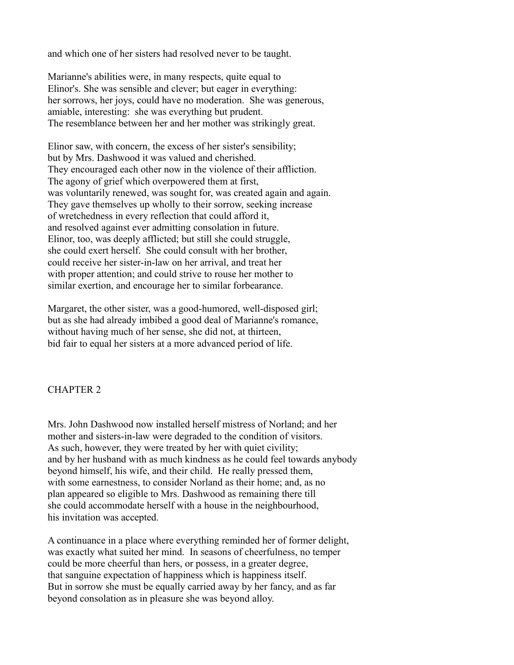and which one of her sisters had resolved never to be taught.

Marianne's abilities were, in many respects, quite equal to Elinor's. She was sensible and clever; but eager in everything: her sorrows, her joys, could have no moderation. She was generous, amiable, interesting: she was everything but prudent. The resemblance between her and her mother was strikingly great.

Elinor saw, with concern, the excess of her sister's sensibility; but by Mrs. Dashwood it was valued and cherished. They encouraged each other now in the violence of their affliction. The agony of grief which overpowered them at first, was voluntarily renewed, was sought for, was created again and again. They gave themselves up wholly to their sorrow, seeking increase of wretchedness in every reflection that could afford it, and resolved against ever admitting consolation in future. Elinor, too, was deeply afflicted; but still she could struggle, she could exert herself. She could consult with her brother, could receive her sister-in-law on her arrival, and treat her with proper attention; and could strive to rouse her mother to similar exertion, and encourage her to similar forbearance.

Margaret, the other sister, was a good-humored, well-disposed girl; but as she had already imbibed a good deal of Marianne's romance, without having much of her sense, she did not, at thirteen, bid fair to equal her sisters at a more advanced period of life.

## CHAPTER 2

Mrs. John Dashwood now installed herself mistress of Norland; and her mother and sisters-in-law were degraded to the condition of visitors. As such, however, they were treated by her with quiet civility; and by her husband with as much kindness as he could feel towards anybody beyond himself, his wife, and their child. He really pressed them, with some earnestness, to consider Norland as their home; and, as no plan appeared so eligible to Mrs. Dashwood as remaining there till she could accommodate herself with a house in the neighbourhood, his invitation was accepted.

A continuance in a place where everything reminded her of former delight, was exactly what suited her mind. In seasons of cheerfulness, no temper could be more cheerful than hers, or possess, in a greater degree, that sanguine expectation of happiness which is happiness itself. But in sorrow she must be equally carried away by her fancy, and as far beyond consolation as in pleasure she was beyond alloy.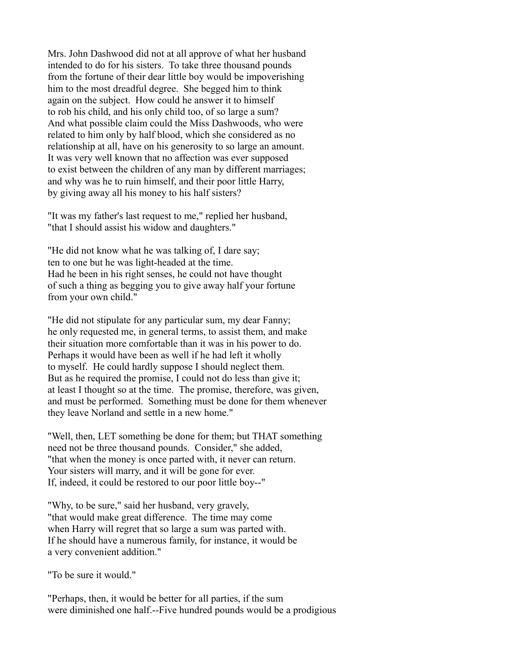Mrs. John Dashwood did not at all approve of what her husband intended to do for his sisters. To take three thousand pounds from the fortune of their dear little boy would be impoverishing him to the most dreadful degree. She begged him to think again on the subject. How could he answer it to himself to rob his child, and his only child too, of so large a sum? And what possible claim could the Miss Dashwoods, who were related to him only by half blood, which she considered as no relationship at all, have on his generosity to so large an amount. It was very well known that no affection was ever supposed to exist between the children of any man by different marriages; and why was he to ruin himself, and their poor little Harry, by giving away all his money to his half sisters?

"It was my father's last request to me," replied her husband, "that I should assist his widow and daughters."

"He did not know what he was talking of, I dare say; ten to one but he was light-headed at the time. Had he been in his right senses, he could not have thought of such a thing as begging you to give away half your fortune from your own child."

"He did not stipulate for any particular sum, my dear Fanny; he only requested me, in general terms, to assist them, and make their situation more comfortable than it was in his power to do. Perhaps it would have been as well if he had left it wholly to myself. He could hardly suppose I should neglect them. But as he required the promise, I could not do less than give it; at least I thought so at the time. The promise, therefore, was given, and must be performed. Something must be done for them whenever they leave Norland and settle in a new home."

"Well, then, LET something be done for them; but THAT something need not be three thousand pounds. Consider," she added, "that when the money is once parted with, it never can return. Your sisters will marry, and it will be gone for ever. If, indeed, it could be restored to our poor little boy--"

"Why, to be sure," said her husband, very gravely, "that would make great difference. The time may come when Harry will regret that so large a sum was parted with. If he should have a numerous family, for instance, it would be a very convenient addition."

"To be sure it would."

"Perhaps, then, it would be better for all parties, if the sum were diminished one half.--Five hundred pounds would be a prodigious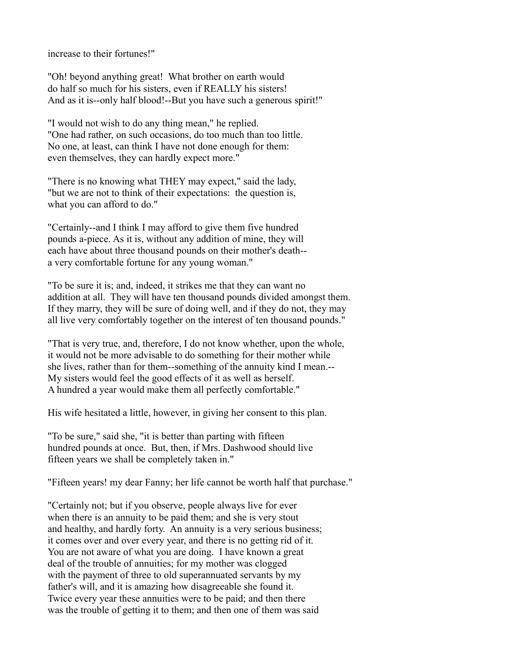increase to their fortunes!"

"Oh! beyond anything great! What brother on earth would do half so much for his sisters, even if REALLY his sisters! And as it is--only half blood!--But you have such a generous spirit!"

"I would not wish to do any thing mean," he replied. "One had rather, on such occasions, do too much than too little. No one, at least, can think I have not done enough for them: even themselves, they can hardly expect more."

"There is no knowing what THEY may expect," said the lady, "but we are not to think of their expectations: the question is, what you can afford to do."

"Certainly--and I think I may afford to give them five hundred pounds a-piece. As it is, without any addition of mine, they will each have about three thousand pounds on their mother's death- a very comfortable fortune for any young woman."

"To be sure it is; and, indeed, it strikes me that they can want no addition at all. They will have ten thousand pounds divided amongst them. If they marry, they will be sure of doing well, and if they do not, they may all live very comfortably together on the interest of ten thousand pounds."

"That is very true, and, therefore, I do not know whether, upon the whole, it would not be more advisable to do something for their mother while she lives, rather than for them--something of the annuity kind I mean.-- My sisters would feel the good effects of it as well as herself. A hundred a year would make them all perfectly comfortable."

His wife hesitated a little, however, in giving her consent to this plan.

"To be sure," said she, "it is better than parting with fifteen hundred pounds at once. But, then, if Mrs. Dashwood should live fifteen years we shall be completely taken in."

"Fifteen years! my dear Fanny; her life cannot be worth half that purchase."

"Certainly not; but if you observe, people always live for ever when there is an annuity to be paid them; and she is very stout and healthy, and hardly forty. An annuity is a very serious business; it comes over and over every year, and there is no getting rid of it. You are not aware of what you are doing. I have known a great deal of the trouble of annuities; for my mother was clogged with the payment of three to old superannuated servants by my father's will, and it is amazing how disagreeable she found it. Twice every year these annuities were to be paid; and then there was the trouble of getting it to them; and then one of them was said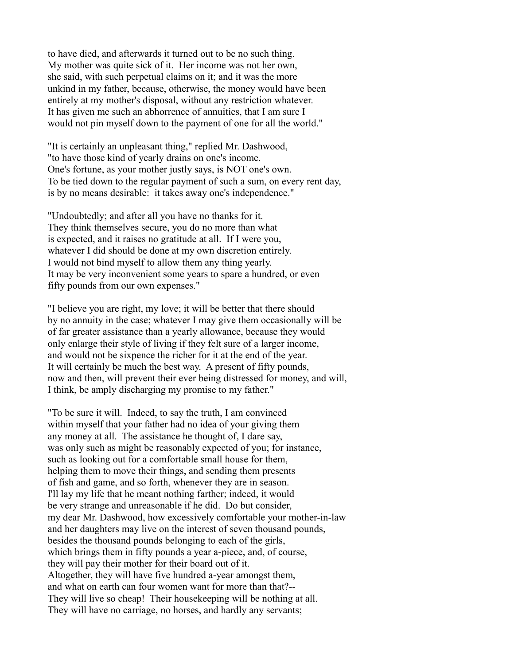to have died, and afterwards it turned out to be no such thing. My mother was quite sick of it. Her income was not her own, she said, with such perpetual claims on it; and it was the more unkind in my father, because, otherwise, the money would have been entirely at my mother's disposal, without any restriction whatever. It has given me such an abhorrence of annuities, that I am sure I would not pin myself down to the payment of one for all the world."

"It is certainly an unpleasant thing," replied Mr. Dashwood, "to have those kind of yearly drains on one's income. One's fortune, as your mother justly says, is NOT one's own. To be tied down to the regular payment of such a sum, on every rent day, is by no means desirable: it takes away one's independence."

"Undoubtedly; and after all you have no thanks for it. They think themselves secure, you do no more than what is expected, and it raises no gratitude at all. If I were you, whatever I did should be done at my own discretion entirely. I would not bind myself to allow them any thing yearly. It may be very inconvenient some years to spare a hundred, or even fifty pounds from our own expenses."

"I believe you are right, my love; it will be better that there should by no annuity in the case; whatever I may give them occasionally will be of far greater assistance than a yearly allowance, because they would only enlarge their style of living if they felt sure of a larger income, and would not be sixpence the richer for it at the end of the year. It will certainly be much the best way. A present of fifty pounds, now and then, will prevent their ever being distressed for money, and will, I think, be amply discharging my promise to my father."

"To be sure it will. Indeed, to say the truth, I am convinced within myself that your father had no idea of your giving them any money at all. The assistance he thought of, I dare say, was only such as might be reasonably expected of you; for instance, such as looking out for a comfortable small house for them, helping them to move their things, and sending them presents of fish and game, and so forth, whenever they are in season. I'll lay my life that he meant nothing farther; indeed, it would be very strange and unreasonable if he did. Do but consider, my dear Mr. Dashwood, how excessively comfortable your mother-in-law and her daughters may live on the interest of seven thousand pounds, besides the thousand pounds belonging to each of the girls, which brings them in fifty pounds a year a-piece, and, of course, they will pay their mother for their board out of it. Altogether, they will have five hundred a-year amongst them, and what on earth can four women want for more than that?-- They will live so cheap! Their housekeeping will be nothing at all. They will have no carriage, no horses, and hardly any servants;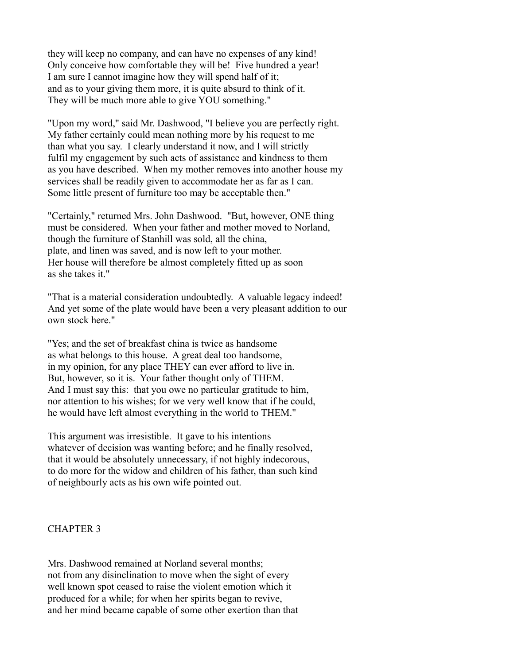they will keep no company, and can have no expenses of any kind! Only conceive how comfortable they will be! Five hundred a year! I am sure I cannot imagine how they will spend half of it; and as to your giving them more, it is quite absurd to think of it. They will be much more able to give YOU something."

"Upon my word," said Mr. Dashwood, "I believe you are perfectly right. My father certainly could mean nothing more by his request to me than what you say. I clearly understand it now, and I will strictly fulfil my engagement by such acts of assistance and kindness to them as you have described. When my mother removes into another house my services shall be readily given to accommodate her as far as I can. Some little present of furniture too may be acceptable then."

"Certainly," returned Mrs. John Dashwood. "But, however, ONE thing must be considered. When your father and mother moved to Norland, though the furniture of Stanhill was sold, all the china, plate, and linen was saved, and is now left to your mother. Her house will therefore be almost completely fitted up as soon as she takes it."

"That is a material consideration undoubtedly. A valuable legacy indeed! And yet some of the plate would have been a very pleasant addition to our own stock here."

"Yes; and the set of breakfast china is twice as handsome as what belongs to this house. A great deal too handsome, in my opinion, for any place THEY can ever afford to live in. But, however, so it is. Your father thought only of THEM. And I must say this: that you owe no particular gratitude to him, nor attention to his wishes; for we very well know that if he could, he would have left almost everything in the world to THEM."

This argument was irresistible. It gave to his intentions whatever of decision was wanting before; and he finally resolved, that it would be absolutely unnecessary, if not highly indecorous, to do more for the widow and children of his father, than such kind of neighbourly acts as his own wife pointed out.

### CHAPTER 3

Mrs. Dashwood remained at Norland several months; not from any disinclination to move when the sight of every well known spot ceased to raise the violent emotion which it produced for a while; for when her spirits began to revive, and her mind became capable of some other exertion than that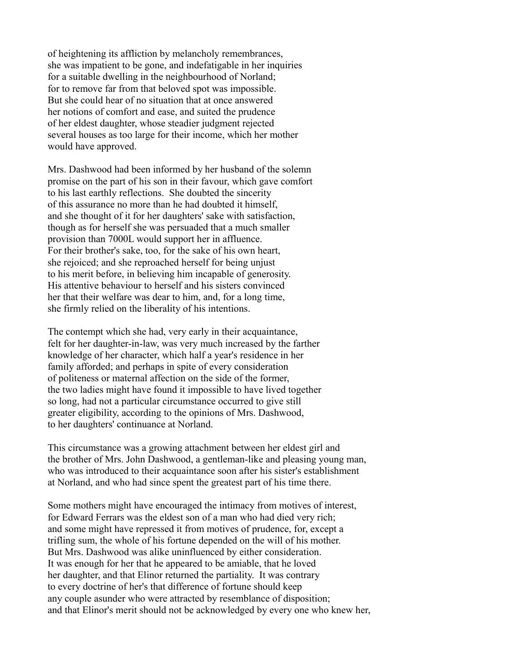of heightening its affliction by melancholy remembrances, she was impatient to be gone, and indefatigable in her inquiries for a suitable dwelling in the neighbourhood of Norland; for to remove far from that beloved spot was impossible. But she could hear of no situation that at once answered her notions of comfort and ease, and suited the prudence of her eldest daughter, whose steadier judgment rejected several houses as too large for their income, which her mother would have approved.

Mrs. Dashwood had been informed by her husband of the solemn promise on the part of his son in their favour, which gave comfort to his last earthly reflections. She doubted the sincerity of this assurance no more than he had doubted it himself, and she thought of it for her daughters' sake with satisfaction, though as for herself she was persuaded that a much smaller provision than 7000L would support her in affluence. For their brother's sake, too, for the sake of his own heart, she rejoiced; and she reproached herself for being unjust to his merit before, in believing him incapable of generosity. His attentive behaviour to herself and his sisters convinced her that their welfare was dear to him, and, for a long time, she firmly relied on the liberality of his intentions.

The contempt which she had, very early in their acquaintance, felt for her daughter-in-law, was very much increased by the farther knowledge of her character, which half a year's residence in her family afforded; and perhaps in spite of every consideration of politeness or maternal affection on the side of the former, the two ladies might have found it impossible to have lived together so long, had not a particular circumstance occurred to give still greater eligibility, according to the opinions of Mrs. Dashwood, to her daughters' continuance at Norland.

This circumstance was a growing attachment between her eldest girl and the brother of Mrs. John Dashwood, a gentleman-like and pleasing young man, who was introduced to their acquaintance soon after his sister's establishment at Norland, and who had since spent the greatest part of his time there.

Some mothers might have encouraged the intimacy from motives of interest, for Edward Ferrars was the eldest son of a man who had died very rich; and some might have repressed it from motives of prudence, for, except a trifling sum, the whole of his fortune depended on the will of his mother. But Mrs. Dashwood was alike uninfluenced by either consideration. It was enough for her that he appeared to be amiable, that he loved her daughter, and that Elinor returned the partiality. It was contrary to every doctrine of her's that difference of fortune should keep any couple asunder who were attracted by resemblance of disposition; and that Elinor's merit should not be acknowledged by every one who knew her,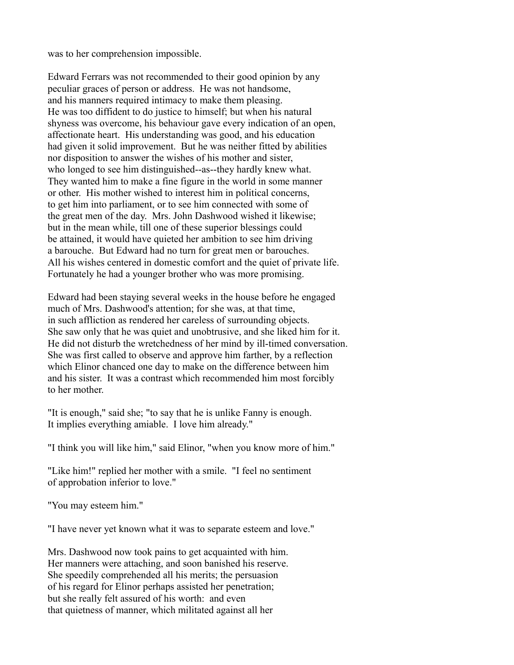was to her comprehension impossible.

Edward Ferrars was not recommended to their good opinion by any peculiar graces of person or address. He was not handsome, and his manners required intimacy to make them pleasing. He was too diffident to do justice to himself; but when his natural shyness was overcome, his behaviour gave every indication of an open, affectionate heart. His understanding was good, and his education had given it solid improvement. But he was neither fitted by abilities nor disposition to answer the wishes of his mother and sister, who longed to see him distinguished--as--they hardly knew what. They wanted him to make a fine figure in the world in some manner or other. His mother wished to interest him in political concerns, to get him into parliament, or to see him connected with some of the great men of the day. Mrs. John Dashwood wished it likewise; but in the mean while, till one of these superior blessings could be attained, it would have quieted her ambition to see him driving a barouche. But Edward had no turn for great men or barouches. All his wishes centered in domestic comfort and the quiet of private life. Fortunately he had a younger brother who was more promising.

Edward had been staying several weeks in the house before he engaged much of Mrs. Dashwood's attention; for she was, at that time, in such affliction as rendered her careless of surrounding objects. She saw only that he was quiet and unobtrusive, and she liked him for it. He did not disturb the wretchedness of her mind by ill-timed conversation. She was first called to observe and approve him farther, by a reflection which Elinor chanced one day to make on the difference between him and his sister. It was a contrast which recommended him most forcibly to her mother.

"It is enough," said she; "to say that he is unlike Fanny is enough. It implies everything amiable. I love him already."

"I think you will like him," said Elinor, "when you know more of him."

"Like him!" replied her mother with a smile. "I feel no sentiment of approbation inferior to love."

"You may esteem him."

"I have never yet known what it was to separate esteem and love."

Mrs. Dashwood now took pains to get acquainted with him. Her manners were attaching, and soon banished his reserve. She speedily comprehended all his merits; the persuasion of his regard for Elinor perhaps assisted her penetration; but she really felt assured of his worth: and even that quietness of manner, which militated against all her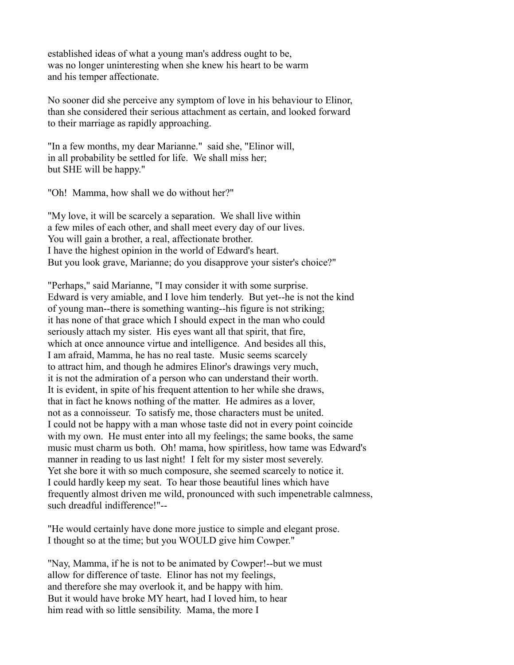established ideas of what a young man's address ought to be, was no longer uninteresting when she knew his heart to be warm and his temper affectionate.

No sooner did she perceive any symptom of love in his behaviour to Elinor, than she considered their serious attachment as certain, and looked forward to their marriage as rapidly approaching.

"In a few months, my dear Marianne." said she, "Elinor will, in all probability be settled for life. We shall miss her; but SHE will be happy."

"Oh! Mamma, how shall we do without her?"

"My love, it will be scarcely a separation. We shall live within a few miles of each other, and shall meet every day of our lives. You will gain a brother, a real, affectionate brother. I have the highest opinion in the world of Edward's heart. But you look grave, Marianne; do you disapprove your sister's choice?"

"Perhaps," said Marianne, "I may consider it with some surprise. Edward is very amiable, and I love him tenderly. But yet--he is not the kind of young man--there is something wanting--his figure is not striking; it has none of that grace which I should expect in the man who could seriously attach my sister. His eyes want all that spirit, that fire, which at once announce virtue and intelligence. And besides all this, I am afraid, Mamma, he has no real taste. Music seems scarcely to attract him, and though he admires Elinor's drawings very much, it is not the admiration of a person who can understand their worth. It is evident, in spite of his frequent attention to her while she draws, that in fact he knows nothing of the matter. He admires as a lover, not as a connoisseur. To satisfy me, those characters must be united. I could not be happy with a man whose taste did not in every point coincide with my own. He must enter into all my feelings; the same books, the same music must charm us both. Oh! mama, how spiritless, how tame was Edward's manner in reading to us last night! I felt for my sister most severely. Yet she bore it with so much composure, she seemed scarcely to notice it. I could hardly keep my seat. To hear those beautiful lines which have frequently almost driven me wild, pronounced with such impenetrable calmness, such dreadful indifference!"--

"He would certainly have done more justice to simple and elegant prose. I thought so at the time; but you WOULD give him Cowper."

"Nay, Mamma, if he is not to be animated by Cowper!--but we must allow for difference of taste. Elinor has not my feelings, and therefore she may overlook it, and be happy with him. But it would have broke MY heart, had I loved him, to hear him read with so little sensibility. Mama, the more I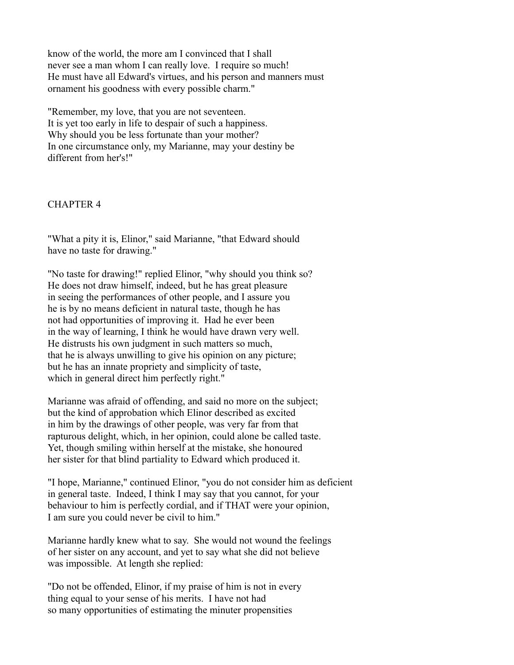know of the world, the more am I convinced that I shall never see a man whom I can really love. I require so much! He must have all Edward's virtues, and his person and manners must ornament his goodness with every possible charm."

"Remember, my love, that you are not seventeen. It is yet too early in life to despair of such a happiness. Why should you be less fortunate than your mother? In one circumstance only, my Marianne, may your destiny be different from her's!"

#### CHAPTER 4

"What a pity it is, Elinor," said Marianne, "that Edward should have no taste for drawing."

"No taste for drawing!" replied Elinor, "why should you think so? He does not draw himself, indeed, but he has great pleasure in seeing the performances of other people, and I assure you he is by no means deficient in natural taste, though he has not had opportunities of improving it. Had he ever been in the way of learning, I think he would have drawn very well. He distrusts his own judgment in such matters so much, that he is always unwilling to give his opinion on any picture; but he has an innate propriety and simplicity of taste, which in general direct him perfectly right."

Marianne was afraid of offending, and said no more on the subject; but the kind of approbation which Elinor described as excited in him by the drawings of other people, was very far from that rapturous delight, which, in her opinion, could alone be called taste. Yet, though smiling within herself at the mistake, she honoured her sister for that blind partiality to Edward which produced it.

"I hope, Marianne," continued Elinor, "you do not consider him as deficient in general taste. Indeed, I think I may say that you cannot, for your behaviour to him is perfectly cordial, and if THAT were your opinion, I am sure you could never be civil to him."

Marianne hardly knew what to say. She would not wound the feelings of her sister on any account, and yet to say what she did not believe was impossible. At length she replied:

"Do not be offended, Elinor, if my praise of him is not in every thing equal to your sense of his merits. I have not had so many opportunities of estimating the minuter propensities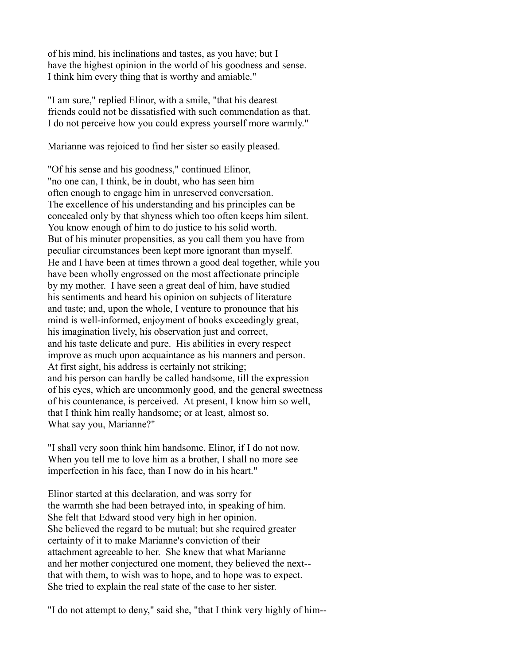of his mind, his inclinations and tastes, as you have; but I have the highest opinion in the world of his goodness and sense. I think him every thing that is worthy and amiable."

"I am sure," replied Elinor, with a smile, "that his dearest friends could not be dissatisfied with such commendation as that. I do not perceive how you could express yourself more warmly."

Marianne was rejoiced to find her sister so easily pleased.

"Of his sense and his goodness," continued Elinor, "no one can, I think, be in doubt, who has seen him often enough to engage him in unreserved conversation. The excellence of his understanding and his principles can be concealed only by that shyness which too often keeps him silent. You know enough of him to do justice to his solid worth. But of his minuter propensities, as you call them you have from peculiar circumstances been kept more ignorant than myself. He and I have been at times thrown a good deal together, while you have been wholly engrossed on the most affectionate principle by my mother. I have seen a great deal of him, have studied his sentiments and heard his opinion on subjects of literature and taste; and, upon the whole, I venture to pronounce that his mind is well-informed, enjoyment of books exceedingly great, his imagination lively, his observation just and correct, and his taste delicate and pure. His abilities in every respect improve as much upon acquaintance as his manners and person. At first sight, his address is certainly not striking; and his person can hardly be called handsome, till the expression of his eyes, which are uncommonly good, and the general sweetness of his countenance, is perceived. At present, I know him so well, that I think him really handsome; or at least, almost so. What say you, Marianne?"

"I shall very soon think him handsome, Elinor, if I do not now. When you tell me to love him as a brother, I shall no more see imperfection in his face, than I now do in his heart."

Elinor started at this declaration, and was sorry for the warmth she had been betrayed into, in speaking of him. She felt that Edward stood very high in her opinion. She believed the regard to be mutual; but she required greater certainty of it to make Marianne's conviction of their attachment agreeable to her. She knew that what Marianne and her mother conjectured one moment, they believed the next- that with them, to wish was to hope, and to hope was to expect. She tried to explain the real state of the case to her sister.

"I do not attempt to deny," said she, "that I think very highly of him--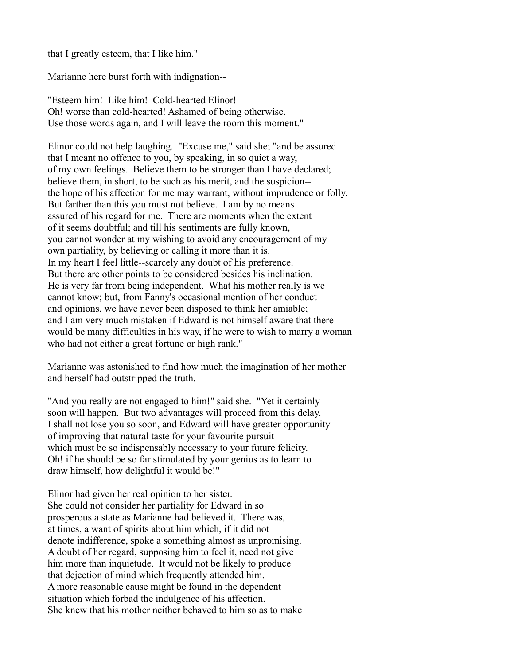that I greatly esteem, that I like him."

Marianne here burst forth with indignation--

"Esteem him! Like him! Cold-hearted Elinor! Oh! worse than cold-hearted! Ashamed of being otherwise. Use those words again, and I will leave the room this moment."

Elinor could not help laughing. "Excuse me," said she; "and be assured that I meant no offence to you, by speaking, in so quiet a way, of my own feelings. Believe them to be stronger than I have declared; believe them, in short, to be such as his merit, and the suspicion- the hope of his affection for me may warrant, without imprudence or folly. But farther than this you must not believe. I am by no means assured of his regard for me. There are moments when the extent of it seems doubtful; and till his sentiments are fully known, you cannot wonder at my wishing to avoid any encouragement of my own partiality, by believing or calling it more than it is. In my heart I feel little--scarcely any doubt of his preference. But there are other points to be considered besides his inclination. He is very far from being independent. What his mother really is we cannot know; but, from Fanny's occasional mention of her conduct and opinions, we have never been disposed to think her amiable; and I am very much mistaken if Edward is not himself aware that there would be many difficulties in his way, if he were to wish to marry a woman who had not either a great fortune or high rank."

Marianne was astonished to find how much the imagination of her mother and herself had outstripped the truth.

"And you really are not engaged to him!" said she. "Yet it certainly soon will happen. But two advantages will proceed from this delay. I shall not lose you so soon, and Edward will have greater opportunity of improving that natural taste for your favourite pursuit which must be so indispensably necessary to your future felicity. Oh! if he should be so far stimulated by your genius as to learn to draw himself, how delightful it would be!"

Elinor had given her real opinion to her sister. She could not consider her partiality for Edward in so prosperous a state as Marianne had believed it. There was, at times, a want of spirits about him which, if it did not denote indifference, spoke a something almost as unpromising. A doubt of her regard, supposing him to feel it, need not give him more than inquietude. It would not be likely to produce that dejection of mind which frequently attended him. A more reasonable cause might be found in the dependent situation which forbad the indulgence of his affection. She knew that his mother neither behaved to him so as to make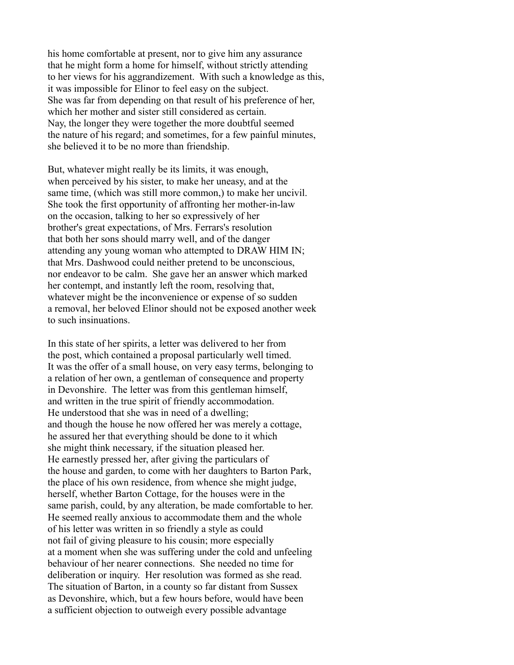his home comfortable at present, nor to give him any assurance that he might form a home for himself, without strictly attending to her views for his aggrandizement. With such a knowledge as this, it was impossible for Elinor to feel easy on the subject. She was far from depending on that result of his preference of her, which her mother and sister still considered as certain. Nay, the longer they were together the more doubtful seemed the nature of his regard; and sometimes, for a few painful minutes, she believed it to be no more than friendship.

But, whatever might really be its limits, it was enough, when perceived by his sister, to make her uneasy, and at the same time, (which was still more common,) to make her uncivil. She took the first opportunity of affronting her mother-in-law on the occasion, talking to her so expressively of her brother's great expectations, of Mrs. Ferrars's resolution that both her sons should marry well, and of the danger attending any young woman who attempted to DRAW HIM IN; that Mrs. Dashwood could neither pretend to be unconscious, nor endeavor to be calm. She gave her an answer which marked her contempt, and instantly left the room, resolving that, whatever might be the inconvenience or expense of so sudden a removal, her beloved Elinor should not be exposed another week to such insinuations.

In this state of her spirits, a letter was delivered to her from the post, which contained a proposal particularly well timed. It was the offer of a small house, on very easy terms, belonging to a relation of her own, a gentleman of consequence and property in Devonshire. The letter was from this gentleman himself, and written in the true spirit of friendly accommodation. He understood that she was in need of a dwelling; and though the house he now offered her was merely a cottage, he assured her that everything should be done to it which she might think necessary, if the situation pleased her. He earnestly pressed her, after giving the particulars of the house and garden, to come with her daughters to Barton Park, the place of his own residence, from whence she might judge, herself, whether Barton Cottage, for the houses were in the same parish, could, by any alteration, be made comfortable to her. He seemed really anxious to accommodate them and the whole of his letter was written in so friendly a style as could not fail of giving pleasure to his cousin; more especially at a moment when she was suffering under the cold and unfeeling behaviour of her nearer connections. She needed no time for deliberation or inquiry. Her resolution was formed as she read. The situation of Barton, in a county so far distant from Sussex as Devonshire, which, but a few hours before, would have been a sufficient objection to outweigh every possible advantage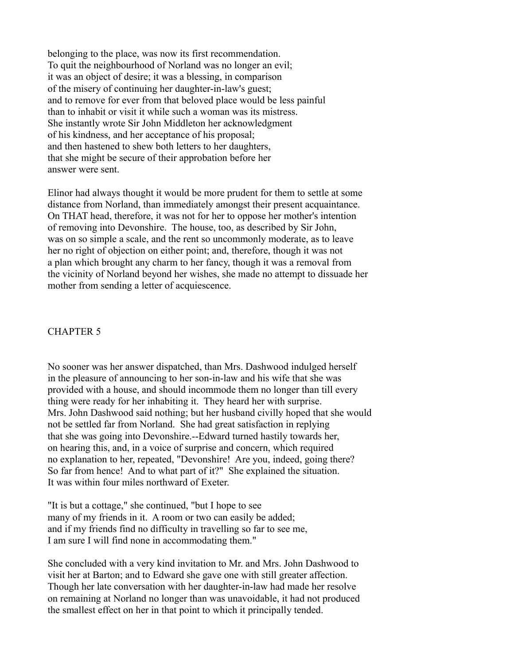belonging to the place, was now its first recommendation. To quit the neighbourhood of Norland was no longer an evil; it was an object of desire; it was a blessing, in comparison of the misery of continuing her daughter-in-law's guest; and to remove for ever from that beloved place would be less painful than to inhabit or visit it while such a woman was its mistress. She instantly wrote Sir John Middleton her acknowledgment of his kindness, and her acceptance of his proposal; and then hastened to shew both letters to her daughters, that she might be secure of their approbation before her answer were sent.

Elinor had always thought it would be more prudent for them to settle at some distance from Norland, than immediately amongst their present acquaintance. On THAT head, therefore, it was not for her to oppose her mother's intention of removing into Devonshire. The house, too, as described by Sir John, was on so simple a scale, and the rent so uncommonly moderate, as to leave her no right of objection on either point; and, therefore, though it was not a plan which brought any charm to her fancy, though it was a removal from the vicinity of Norland beyond her wishes, she made no attempt to dissuade her mother from sending a letter of acquiescence.

### CHAPTER 5

No sooner was her answer dispatched, than Mrs. Dashwood indulged herself in the pleasure of announcing to her son-in-law and his wife that she was provided with a house, and should incommode them no longer than till every thing were ready for her inhabiting it. They heard her with surprise. Mrs. John Dashwood said nothing; but her husband civilly hoped that she would not be settled far from Norland. She had great satisfaction in replying that she was going into Devonshire.--Edward turned hastily towards her, on hearing this, and, in a voice of surprise and concern, which required no explanation to her, repeated, "Devonshire! Are you, indeed, going there? So far from hence! And to what part of it?" She explained the situation. It was within four miles northward of Exeter.

"It is but a cottage," she continued, "but I hope to see many of my friends in it. A room or two can easily be added; and if my friends find no difficulty in travelling so far to see me, I am sure I will find none in accommodating them."

She concluded with a very kind invitation to Mr. and Mrs. John Dashwood to visit her at Barton; and to Edward she gave one with still greater affection. Though her late conversation with her daughter-in-law had made her resolve on remaining at Norland no longer than was unavoidable, it had not produced the smallest effect on her in that point to which it principally tended.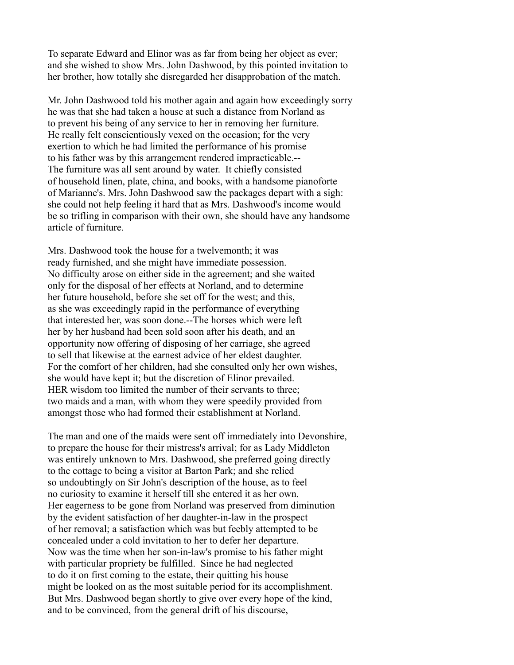To separate Edward and Elinor was as far from being her object as ever; and she wished to show Mrs. John Dashwood, by this pointed invitation to her brother, how totally she disregarded her disapprobation of the match.

Mr. John Dashwood told his mother again and again how exceedingly sorry he was that she had taken a house at such a distance from Norland as to prevent his being of any service to her in removing her furniture. He really felt conscientiously vexed on the occasion; for the very exertion to which he had limited the performance of his promise to his father was by this arrangement rendered impracticable.-- The furniture was all sent around by water. It chiefly consisted of household linen, plate, china, and books, with a handsome pianoforte of Marianne's. Mrs. John Dashwood saw the packages depart with a sigh: she could not help feeling it hard that as Mrs. Dashwood's income would be so trifling in comparison with their own, she should have any handsome article of furniture.

Mrs. Dashwood took the house for a twelvemonth; it was ready furnished, and she might have immediate possession. No difficulty arose on either side in the agreement; and she waited only for the disposal of her effects at Norland, and to determine her future household, before she set off for the west; and this, as she was exceedingly rapid in the performance of everything that interested her, was soon done.--The horses which were left her by her husband had been sold soon after his death, and an opportunity now offering of disposing of her carriage, she agreed to sell that likewise at the earnest advice of her eldest daughter. For the comfort of her children, had she consulted only her own wishes, she would have kept it; but the discretion of Elinor prevailed. HER wisdom too limited the number of their servants to three; two maids and a man, with whom they were speedily provided from amongst those who had formed their establishment at Norland.

The man and one of the maids were sent off immediately into Devonshire, to prepare the house for their mistress's arrival; for as Lady Middleton was entirely unknown to Mrs. Dashwood, she preferred going directly to the cottage to being a visitor at Barton Park; and she relied so undoubtingly on Sir John's description of the house, as to feel no curiosity to examine it herself till she entered it as her own. Her eagerness to be gone from Norland was preserved from diminution by the evident satisfaction of her daughter-in-law in the prospect of her removal; a satisfaction which was but feebly attempted to be concealed under a cold invitation to her to defer her departure. Now was the time when her son-in-law's promise to his father might with particular propriety be fulfilled. Since he had neglected to do it on first coming to the estate, their quitting his house might be looked on as the most suitable period for its accomplishment. But Mrs. Dashwood began shortly to give over every hope of the kind, and to be convinced, from the general drift of his discourse,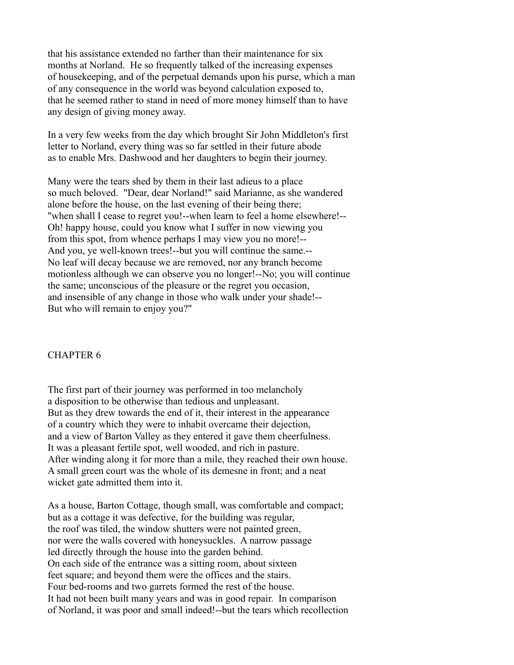that his assistance extended no farther than their maintenance for six months at Norland. He so frequently talked of the increasing expenses of housekeeping, and of the perpetual demands upon his purse, which a man of any consequence in the world was beyond calculation exposed to, that he seemed rather to stand in need of more money himself than to have any design of giving money away.

In a very few weeks from the day which brought Sir John Middleton's first letter to Norland, every thing was so far settled in their future abode as to enable Mrs. Dashwood and her daughters to begin their journey.

Many were the tears shed by them in their last adieus to a place so much beloved. "Dear, dear Norland!" said Marianne, as she wandered alone before the house, on the last evening of their being there; "when shall I cease to regret you!--when learn to feel a home elsewhere!-- Oh! happy house, could you know what I suffer in now viewing you from this spot, from whence perhaps I may view you no more!-- And you, ye well-known trees!--but you will continue the same.-- No leaf will decay because we are removed, nor any branch become motionless although we can observe you no longer!--No; you will continue the same; unconscious of the pleasure or the regret you occasion, and insensible of any change in those who walk under your shade!-- But who will remain to enjoy you?"

### CHAPTER 6

The first part of their journey was performed in too melancholy a disposition to be otherwise than tedious and unpleasant. But as they drew towards the end of it, their interest in the appearance of a country which they were to inhabit overcame their dejection, and a view of Barton Valley as they entered it gave them cheerfulness. It was a pleasant fertile spot, well wooded, and rich in pasture. After winding along it for more than a mile, they reached their own house. A small green court was the whole of its demesne in front; and a neat wicket gate admitted them into it.

As a house, Barton Cottage, though small, was comfortable and compact; but as a cottage it was defective, for the building was regular, the roof was tiled, the window shutters were not painted green, nor were the walls covered with honeysuckles. A narrow passage led directly through the house into the garden behind. On each side of the entrance was a sitting room, about sixteen feet square; and beyond them were the offices and the stairs. Four bed-rooms and two garrets formed the rest of the house. It had not been built many years and was in good repair. In comparison of Norland, it was poor and small indeed!--but the tears which recollection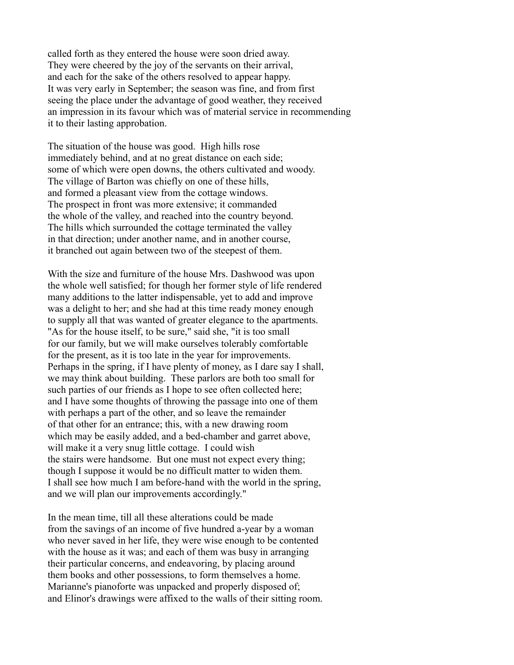called forth as they entered the house were soon dried away. They were cheered by the joy of the servants on their arrival, and each for the sake of the others resolved to appear happy. It was very early in September; the season was fine, and from first seeing the place under the advantage of good weather, they received an impression in its favour which was of material service in recommending it to their lasting approbation.

The situation of the house was good. High hills rose immediately behind, and at no great distance on each side; some of which were open downs, the others cultivated and woody. The village of Barton was chiefly on one of these hills, and formed a pleasant view from the cottage windows. The prospect in front was more extensive; it commanded the whole of the valley, and reached into the country beyond. The hills which surrounded the cottage terminated the valley in that direction; under another name, and in another course, it branched out again between two of the steepest of them.

With the size and furniture of the house Mrs. Dashwood was upon the whole well satisfied; for though her former style of life rendered many additions to the latter indispensable, yet to add and improve was a delight to her; and she had at this time ready money enough to supply all that was wanted of greater elegance to the apartments. "As for the house itself, to be sure," said she, "it is too small for our family, but we will make ourselves tolerably comfortable for the present, as it is too late in the year for improvements. Perhaps in the spring, if I have plenty of money, as I dare say I shall, we may think about building. These parlors are both too small for such parties of our friends as I hope to see often collected here; and I have some thoughts of throwing the passage into one of them with perhaps a part of the other, and so leave the remainder of that other for an entrance; this, with a new drawing room which may be easily added, and a bed-chamber and garret above, will make it a very snug little cottage. I could wish the stairs were handsome. But one must not expect every thing; though I suppose it would be no difficult matter to widen them. I shall see how much I am before-hand with the world in the spring, and we will plan our improvements accordingly."

In the mean time, till all these alterations could be made from the savings of an income of five hundred a-year by a woman who never saved in her life, they were wise enough to be contented with the house as it was; and each of them was busy in arranging their particular concerns, and endeavoring, by placing around them books and other possessions, to form themselves a home. Marianne's pianoforte was unpacked and properly disposed of; and Elinor's drawings were affixed to the walls of their sitting room.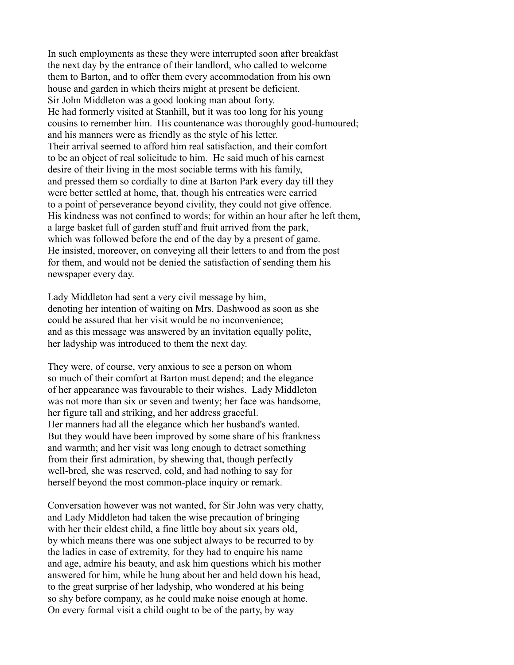In such employments as these they were interrupted soon after breakfast the next day by the entrance of their landlord, who called to welcome them to Barton, and to offer them every accommodation from his own house and garden in which theirs might at present be deficient. Sir John Middleton was a good looking man about forty. He had formerly visited at Stanhill, but it was too long for his young cousins to remember him. His countenance was thoroughly good-humoured; and his manners were as friendly as the style of his letter. Their arrival seemed to afford him real satisfaction, and their comfort to be an object of real solicitude to him. He said much of his earnest desire of their living in the most sociable terms with his family, and pressed them so cordially to dine at Barton Park every day till they were better settled at home, that, though his entreaties were carried to a point of perseverance beyond civility, they could not give offence. His kindness was not confined to words; for within an hour after he left them, a large basket full of garden stuff and fruit arrived from the park, which was followed before the end of the day by a present of game. He insisted, moreover, on conveying all their letters to and from the post for them, and would not be denied the satisfaction of sending them his newspaper every day.

Lady Middleton had sent a very civil message by him, denoting her intention of waiting on Mrs. Dashwood as soon as she could be assured that her visit would be no inconvenience; and as this message was answered by an invitation equally polite, her ladyship was introduced to them the next day.

They were, of course, very anxious to see a person on whom so much of their comfort at Barton must depend; and the elegance of her appearance was favourable to their wishes. Lady Middleton was not more than six or seven and twenty; her face was handsome, her figure tall and striking, and her address graceful. Her manners had all the elegance which her husband's wanted. But they would have been improved by some share of his frankness and warmth; and her visit was long enough to detract something from their first admiration, by shewing that, though perfectly well-bred, she was reserved, cold, and had nothing to say for herself beyond the most common-place inquiry or remark.

Conversation however was not wanted, for Sir John was very chatty, and Lady Middleton had taken the wise precaution of bringing with her their eldest child, a fine little boy about six years old, by which means there was one subject always to be recurred to by the ladies in case of extremity, for they had to enquire his name and age, admire his beauty, and ask him questions which his mother answered for him, while he hung about her and held down his head, to the great surprise of her ladyship, who wondered at his being so shy before company, as he could make noise enough at home. On every formal visit a child ought to be of the party, by way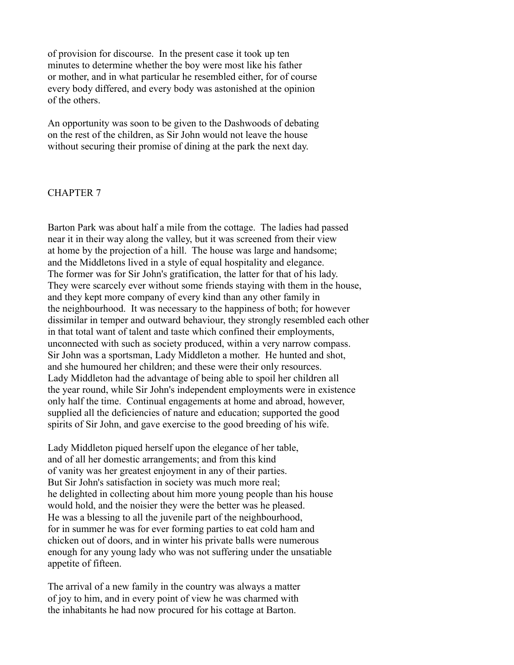of provision for discourse. In the present case it took up ten minutes to determine whether the boy were most like his father or mother, and in what particular he resembled either, for of course every body differed, and every body was astonished at the opinion of the others.

An opportunity was soon to be given to the Dashwoods of debating on the rest of the children, as Sir John would not leave the house without securing their promise of dining at the park the next day.

#### CHAPTER 7

Barton Park was about half a mile from the cottage. The ladies had passed near it in their way along the valley, but it was screened from their view at home by the projection of a hill. The house was large and handsome; and the Middletons lived in a style of equal hospitality and elegance. The former was for Sir John's gratification, the latter for that of his lady. They were scarcely ever without some friends staying with them in the house, and they kept more company of every kind than any other family in the neighbourhood. It was necessary to the happiness of both; for however dissimilar in temper and outward behaviour, they strongly resembled each other in that total want of talent and taste which confined their employments, unconnected with such as society produced, within a very narrow compass. Sir John was a sportsman, Lady Middleton a mother. He hunted and shot, and she humoured her children; and these were their only resources. Lady Middleton had the advantage of being able to spoil her children all the year round, while Sir John's independent employments were in existence only half the time. Continual engagements at home and abroad, however, supplied all the deficiencies of nature and education; supported the good spirits of Sir John, and gave exercise to the good breeding of his wife.

Lady Middleton piqued herself upon the elegance of her table, and of all her domestic arrangements; and from this kind of vanity was her greatest enjoyment in any of their parties. But Sir John's satisfaction in society was much more real; he delighted in collecting about him more young people than his house would hold, and the noisier they were the better was he pleased. He was a blessing to all the juvenile part of the neighbourhood, for in summer he was for ever forming parties to eat cold ham and chicken out of doors, and in winter his private balls were numerous enough for any young lady who was not suffering under the unsatiable appetite of fifteen.

The arrival of a new family in the country was always a matter of joy to him, and in every point of view he was charmed with the inhabitants he had now procured for his cottage at Barton.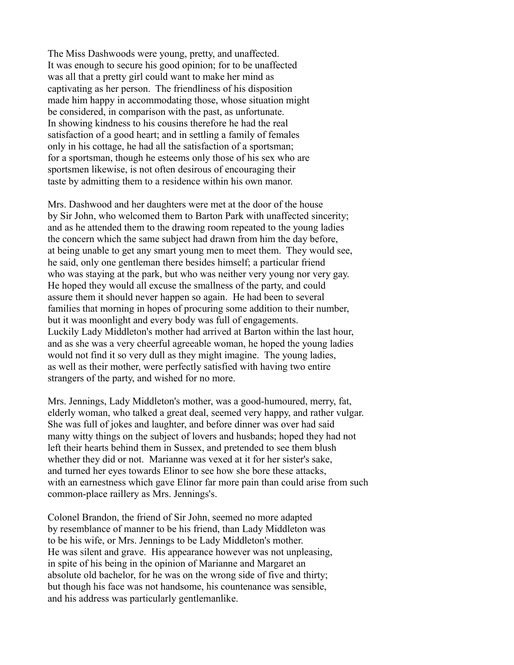The Miss Dashwoods were young, pretty, and unaffected. It was enough to secure his good opinion; for to be unaffected was all that a pretty girl could want to make her mind as captivating as her person. The friendliness of his disposition made him happy in accommodating those, whose situation might be considered, in comparison with the past, as unfortunate. In showing kindness to his cousins therefore he had the real satisfaction of a good heart; and in settling a family of females only in his cottage, he had all the satisfaction of a sportsman; for a sportsman, though he esteems only those of his sex who are sportsmen likewise, is not often desirous of encouraging their taste by admitting them to a residence within his own manor.

Mrs. Dashwood and her daughters were met at the door of the house by Sir John, who welcomed them to Barton Park with unaffected sincerity; and as he attended them to the drawing room repeated to the young ladies the concern which the same subject had drawn from him the day before, at being unable to get any smart young men to meet them. They would see, he said, only one gentleman there besides himself; a particular friend who was staying at the park, but who was neither very young nor very gay. He hoped they would all excuse the smallness of the party, and could assure them it should never happen so again. He had been to several families that morning in hopes of procuring some addition to their number, but it was moonlight and every body was full of engagements. Luckily Lady Middleton's mother had arrived at Barton within the last hour, and as she was a very cheerful agreeable woman, he hoped the young ladies would not find it so very dull as they might imagine. The young ladies, as well as their mother, were perfectly satisfied with having two entire strangers of the party, and wished for no more.

Mrs. Jennings, Lady Middleton's mother, was a good-humoured, merry, fat, elderly woman, who talked a great deal, seemed very happy, and rather vulgar. She was full of jokes and laughter, and before dinner was over had said many witty things on the subject of lovers and husbands; hoped they had not left their hearts behind them in Sussex, and pretended to see them blush whether they did or not. Marianne was vexed at it for her sister's sake, and turned her eyes towards Elinor to see how she bore these attacks, with an earnestness which gave Elinor far more pain than could arise from such common-place raillery as Mrs. Jennings's.

Colonel Brandon, the friend of Sir John, seemed no more adapted by resemblance of manner to be his friend, than Lady Middleton was to be his wife, or Mrs. Jennings to be Lady Middleton's mother. He was silent and grave. His appearance however was not unpleasing, in spite of his being in the opinion of Marianne and Margaret an absolute old bachelor, for he was on the wrong side of five and thirty; but though his face was not handsome, his countenance was sensible, and his address was particularly gentlemanlike.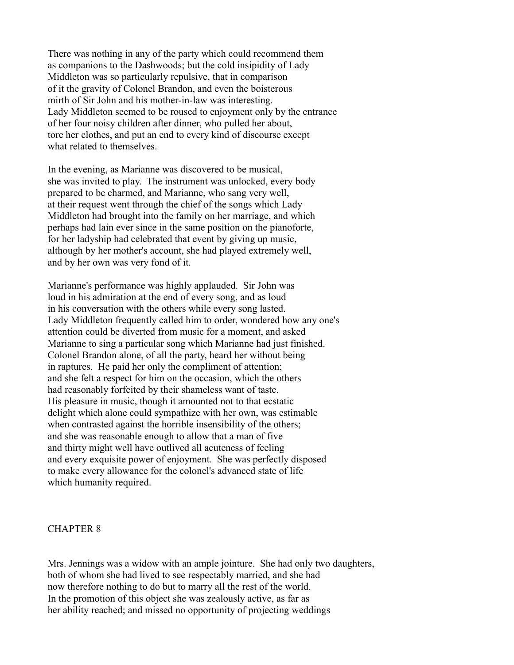There was nothing in any of the party which could recommend them as companions to the Dashwoods; but the cold insipidity of Lady Middleton was so particularly repulsive, that in comparison of it the gravity of Colonel Brandon, and even the boisterous mirth of Sir John and his mother-in-law was interesting. Lady Middleton seemed to be roused to enjoyment only by the entrance of her four noisy children after dinner, who pulled her about, tore her clothes, and put an end to every kind of discourse except what related to themselves.

In the evening, as Marianne was discovered to be musical, she was invited to play. The instrument was unlocked, every body prepared to be charmed, and Marianne, who sang very well, at their request went through the chief of the songs which Lady Middleton had brought into the family on her marriage, and which perhaps had lain ever since in the same position on the pianoforte, for her ladyship had celebrated that event by giving up music, although by her mother's account, she had played extremely well, and by her own was very fond of it.

Marianne's performance was highly applauded. Sir John was loud in his admiration at the end of every song, and as loud in his conversation with the others while every song lasted. Lady Middleton frequently called him to order, wondered how any one's attention could be diverted from music for a moment, and asked Marianne to sing a particular song which Marianne had just finished. Colonel Brandon alone, of all the party, heard her without being in raptures. He paid her only the compliment of attention; and she felt a respect for him on the occasion, which the others had reasonably forfeited by their shameless want of taste. His pleasure in music, though it amounted not to that ecstatic delight which alone could sympathize with her own, was estimable when contrasted against the horrible insensibility of the others; and she was reasonable enough to allow that a man of five and thirty might well have outlived all acuteness of feeling and every exquisite power of enjoyment. She was perfectly disposed to make every allowance for the colonel's advanced state of life which humanity required.

#### CHAPTER 8

Mrs. Jennings was a widow with an ample jointure. She had only two daughters, both of whom she had lived to see respectably married, and she had now therefore nothing to do but to marry all the rest of the world. In the promotion of this object she was zealously active, as far as her ability reached; and missed no opportunity of projecting weddings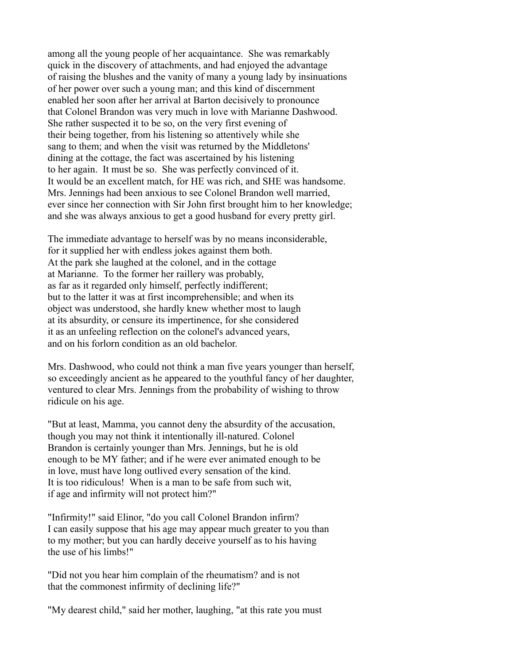among all the young people of her acquaintance. She was remarkably quick in the discovery of attachments, and had enjoyed the advantage of raising the blushes and the vanity of many a young lady by insinuations of her power over such a young man; and this kind of discernment enabled her soon after her arrival at Barton decisively to pronounce that Colonel Brandon was very much in love with Marianne Dashwood. She rather suspected it to be so, on the very first evening of their being together, from his listening so attentively while she sang to them; and when the visit was returned by the Middletons' dining at the cottage, the fact was ascertained by his listening to her again. It must be so. She was perfectly convinced of it. It would be an excellent match, for HE was rich, and SHE was handsome. Mrs. Jennings had been anxious to see Colonel Brandon well married, ever since her connection with Sir John first brought him to her knowledge; and she was always anxious to get a good husband for every pretty girl.

The immediate advantage to herself was by no means inconsiderable, for it supplied her with endless jokes against them both. At the park she laughed at the colonel, and in the cottage at Marianne. To the former her raillery was probably, as far as it regarded only himself, perfectly indifferent; but to the latter it was at first incomprehensible; and when its object was understood, she hardly knew whether most to laugh at its absurdity, or censure its impertinence, for she considered it as an unfeeling reflection on the colonel's advanced years, and on his forlorn condition as an old bachelor.

Mrs. Dashwood, who could not think a man five years younger than herself, so exceedingly ancient as he appeared to the youthful fancy of her daughter, ventured to clear Mrs. Jennings from the probability of wishing to throw ridicule on his age.

"But at least, Mamma, you cannot deny the absurdity of the accusation, though you may not think it intentionally ill-natured. Colonel Brandon is certainly younger than Mrs. Jennings, but he is old enough to be MY father; and if he were ever animated enough to be in love, must have long outlived every sensation of the kind. It is too ridiculous! When is a man to be safe from such wit, if age and infirmity will not protect him?"

"Infirmity!" said Elinor, "do you call Colonel Brandon infirm? I can easily suppose that his age may appear much greater to you than to my mother; but you can hardly deceive yourself as to his having the use of his limbs!"

"Did not you hear him complain of the rheumatism? and is not that the commonest infirmity of declining life?"

"My dearest child," said her mother, laughing, "at this rate you must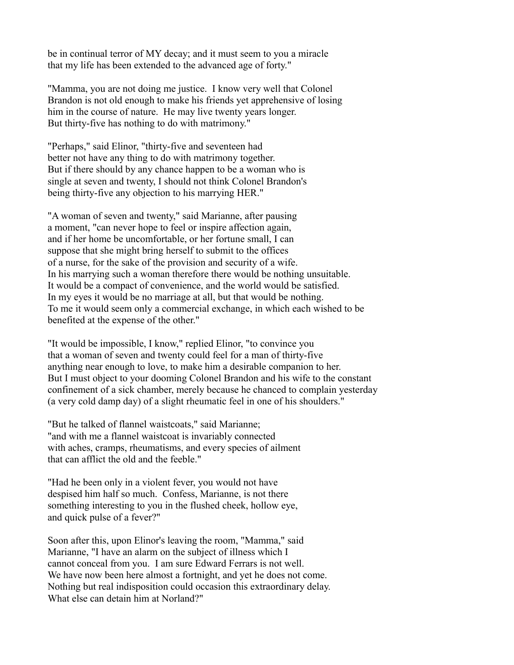be in continual terror of MY decay; and it must seem to you a miracle that my life has been extended to the advanced age of forty."

"Mamma, you are not doing me justice. I know very well that Colonel Brandon is not old enough to make his friends yet apprehensive of losing him in the course of nature. He may live twenty years longer. But thirty-five has nothing to do with matrimony."

"Perhaps," said Elinor, "thirty-five and seventeen had better not have any thing to do with matrimony together. But if there should by any chance happen to be a woman who is single at seven and twenty, I should not think Colonel Brandon's being thirty-five any objection to his marrying HER."

"A woman of seven and twenty," said Marianne, after pausing a moment, "can never hope to feel or inspire affection again, and if her home be uncomfortable, or her fortune small, I can suppose that she might bring herself to submit to the offices of a nurse, for the sake of the provision and security of a wife. In his marrying such a woman therefore there would be nothing unsuitable. It would be a compact of convenience, and the world would be satisfied. In my eyes it would be no marriage at all, but that would be nothing. To me it would seem only a commercial exchange, in which each wished to be benefited at the expense of the other."

"It would be impossible, I know," replied Elinor, "to convince you that a woman of seven and twenty could feel for a man of thirty-five anything near enough to love, to make him a desirable companion to her. But I must object to your dooming Colonel Brandon and his wife to the constant confinement of a sick chamber, merely because he chanced to complain yesterday (a very cold damp day) of a slight rheumatic feel in one of his shoulders."

"But he talked of flannel waistcoats," said Marianne; "and with me a flannel waistcoat is invariably connected with aches, cramps, rheumatisms, and every species of ailment that can afflict the old and the feeble."

"Had he been only in a violent fever, you would not have despised him half so much. Confess, Marianne, is not there something interesting to you in the flushed cheek, hollow eye, and quick pulse of a fever?"

Soon after this, upon Elinor's leaving the room, "Mamma," said Marianne, "I have an alarm on the subject of illness which I cannot conceal from you. I am sure Edward Ferrars is not well. We have now been here almost a fortnight, and yet he does not come. Nothing but real indisposition could occasion this extraordinary delay. What else can detain him at Norland?"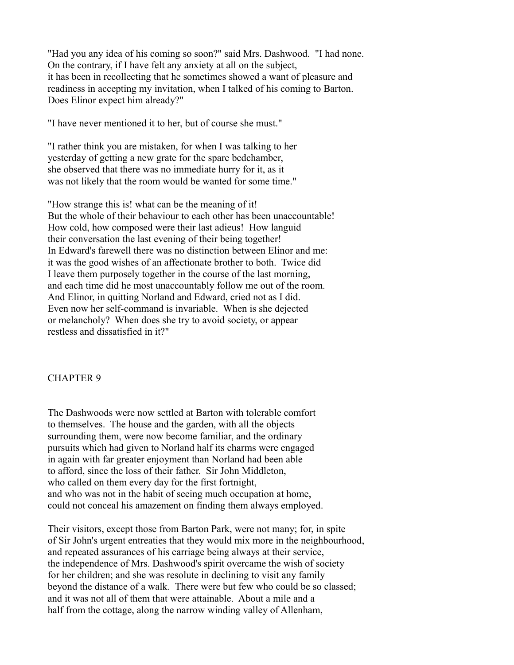"Had you any idea of his coming so soon?" said Mrs. Dashwood. "I had none. On the contrary, if I have felt any anxiety at all on the subject, it has been in recollecting that he sometimes showed a want of pleasure and readiness in accepting my invitation, when I talked of his coming to Barton. Does Elinor expect him already?"

"I have never mentioned it to her, but of course she must."

"I rather think you are mistaken, for when I was talking to her yesterday of getting a new grate for the spare bedchamber, she observed that there was no immediate hurry for it, as it was not likely that the room would be wanted for some time."

"How strange this is! what can be the meaning of it! But the whole of their behaviour to each other has been unaccountable! How cold, how composed were their last adieus! How languid their conversation the last evening of their being together! In Edward's farewell there was no distinction between Elinor and me: it was the good wishes of an affectionate brother to both. Twice did I leave them purposely together in the course of the last morning, and each time did he most unaccountably follow me out of the room. And Elinor, in quitting Norland and Edward, cried not as I did. Even now her self-command is invariable. When is she dejected or melancholy? When does she try to avoid society, or appear restless and dissatisfied in it?"

#### CHAPTER 9

The Dashwoods were now settled at Barton with tolerable comfort to themselves. The house and the garden, with all the objects surrounding them, were now become familiar, and the ordinary pursuits which had given to Norland half its charms were engaged in again with far greater enjoyment than Norland had been able to afford, since the loss of their father. Sir John Middleton, who called on them every day for the first fortnight, and who was not in the habit of seeing much occupation at home, could not conceal his amazement on finding them always employed.

Their visitors, except those from Barton Park, were not many; for, in spite of Sir John's urgent entreaties that they would mix more in the neighbourhood, and repeated assurances of his carriage being always at their service, the independence of Mrs. Dashwood's spirit overcame the wish of society for her children; and she was resolute in declining to visit any family beyond the distance of a walk. There were but few who could be so classed; and it was not all of them that were attainable. About a mile and a half from the cottage, along the narrow winding valley of Allenham,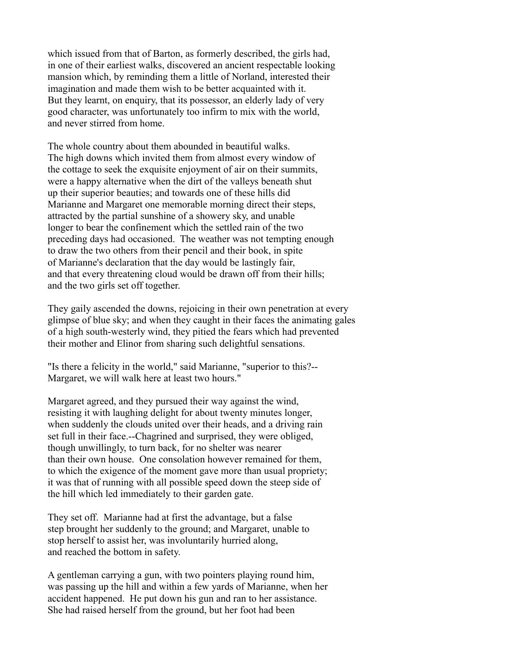which issued from that of Barton, as formerly described, the girls had, in one of their earliest walks, discovered an ancient respectable looking mansion which, by reminding them a little of Norland, interested their imagination and made them wish to be better acquainted with it. But they learnt, on enquiry, that its possessor, an elderly lady of very good character, was unfortunately too infirm to mix with the world, and never stirred from home.

The whole country about them abounded in beautiful walks. The high downs which invited them from almost every window of the cottage to seek the exquisite enjoyment of air on their summits, were a happy alternative when the dirt of the valleys beneath shut up their superior beauties; and towards one of these hills did Marianne and Margaret one memorable morning direct their steps, attracted by the partial sunshine of a showery sky, and unable longer to bear the confinement which the settled rain of the two preceding days had occasioned. The weather was not tempting enough to draw the two others from their pencil and their book, in spite of Marianne's declaration that the day would be lastingly fair, and that every threatening cloud would be drawn off from their hills; and the two girls set off together.

They gaily ascended the downs, rejoicing in their own penetration at every glimpse of blue sky; and when they caught in their faces the animating gales of a high south-westerly wind, they pitied the fears which had prevented their mother and Elinor from sharing such delightful sensations.

"Is there a felicity in the world," said Marianne, "superior to this?-- Margaret, we will walk here at least two hours."

Margaret agreed, and they pursued their way against the wind, resisting it with laughing delight for about twenty minutes longer, when suddenly the clouds united over their heads, and a driving rain set full in their face.--Chagrined and surprised, they were obliged, though unwillingly, to turn back, for no shelter was nearer than their own house. One consolation however remained for them, to which the exigence of the moment gave more than usual propriety; it was that of running with all possible speed down the steep side of the hill which led immediately to their garden gate.

They set off. Marianne had at first the advantage, but a false step brought her suddenly to the ground; and Margaret, unable to stop herself to assist her, was involuntarily hurried along, and reached the bottom in safety.

A gentleman carrying a gun, with two pointers playing round him, was passing up the hill and within a few yards of Marianne, when her accident happened. He put down his gun and ran to her assistance. She had raised herself from the ground, but her foot had been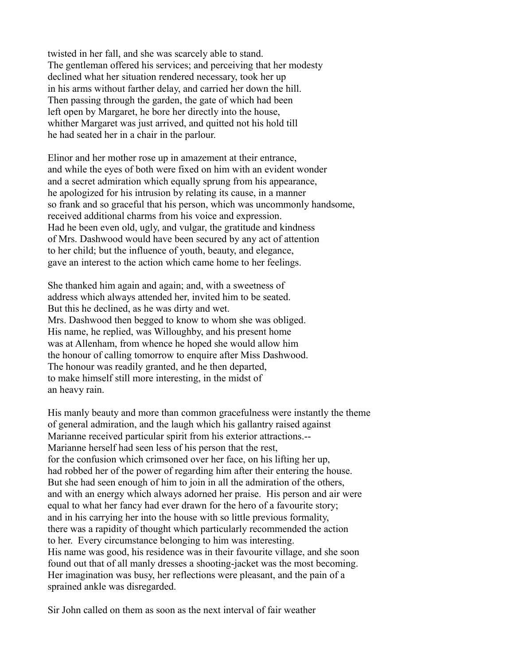twisted in her fall, and she was scarcely able to stand. The gentleman offered his services; and perceiving that her modesty declined what her situation rendered necessary, took her up in his arms without farther delay, and carried her down the hill. Then passing through the garden, the gate of which had been left open by Margaret, he bore her directly into the house, whither Margaret was just arrived, and quitted not his hold till he had seated her in a chair in the parlour.

Elinor and her mother rose up in amazement at their entrance, and while the eyes of both were fixed on him with an evident wonder and a secret admiration which equally sprung from his appearance, he apologized for his intrusion by relating its cause, in a manner so frank and so graceful that his person, which was uncommonly handsome, received additional charms from his voice and expression. Had he been even old, ugly, and vulgar, the gratitude and kindness of Mrs. Dashwood would have been secured by any act of attention to her child; but the influence of youth, beauty, and elegance, gave an interest to the action which came home to her feelings.

She thanked him again and again; and, with a sweetness of address which always attended her, invited him to be seated. But this he declined, as he was dirty and wet. Mrs. Dashwood then begged to know to whom she was obliged. His name, he replied, was Willoughby, and his present home was at Allenham, from whence he hoped she would allow him the honour of calling tomorrow to enquire after Miss Dashwood. The honour was readily granted, and he then departed, to make himself still more interesting, in the midst of an heavy rain.

His manly beauty and more than common gracefulness were instantly the theme of general admiration, and the laugh which his gallantry raised against Marianne received particular spirit from his exterior attractions.-- Marianne herself had seen less of his person that the rest, for the confusion which crimsoned over her face, on his lifting her up, had robbed her of the power of regarding him after their entering the house. But she had seen enough of him to join in all the admiration of the others, and with an energy which always adorned her praise. His person and air were equal to what her fancy had ever drawn for the hero of a favourite story; and in his carrying her into the house with so little previous formality, there was a rapidity of thought which particularly recommended the action to her. Every circumstance belonging to him was interesting. His name was good, his residence was in their favourite village, and she soon found out that of all manly dresses a shooting-jacket was the most becoming. Her imagination was busy, her reflections were pleasant, and the pain of a sprained ankle was disregarded.

Sir John called on them as soon as the next interval of fair weather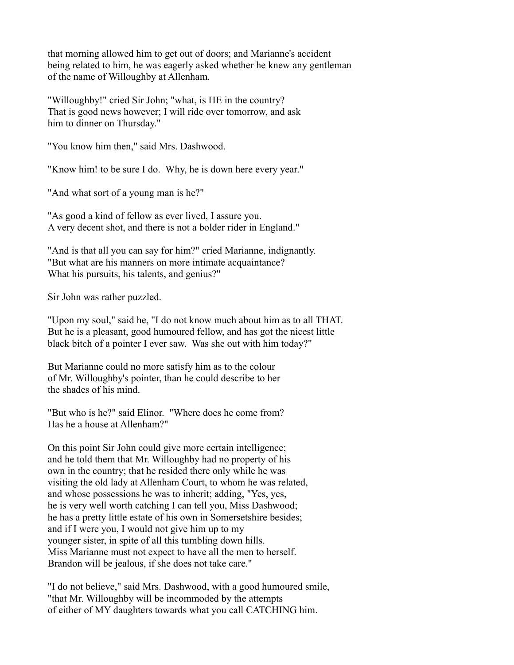that morning allowed him to get out of doors; and Marianne's accident being related to him, he was eagerly asked whether he knew any gentleman of the name of Willoughby at Allenham.

"Willoughby!" cried Sir John; "what, is HE in the country? That is good news however; I will ride over tomorrow, and ask him to dinner on Thursday."

"You know him then," said Mrs. Dashwood.

"Know him! to be sure I do. Why, he is down here every year."

"And what sort of a young man is he?"

"As good a kind of fellow as ever lived, I assure you. A very decent shot, and there is not a bolder rider in England."

"And is that all you can say for him?" cried Marianne, indignantly. "But what are his manners on more intimate acquaintance? What his pursuits, his talents, and genius?"

Sir John was rather puzzled.

"Upon my soul," said he, "I do not know much about him as to all THAT. But he is a pleasant, good humoured fellow, and has got the nicest little black bitch of a pointer I ever saw. Was she out with him today?"

But Marianne could no more satisfy him as to the colour of Mr. Willoughby's pointer, than he could describe to her the shades of his mind.

"But who is he?" said Elinor. "Where does he come from? Has he a house at Allenham?"

On this point Sir John could give more certain intelligence; and he told them that Mr. Willoughby had no property of his own in the country; that he resided there only while he was visiting the old lady at Allenham Court, to whom he was related, and whose possessions he was to inherit; adding, "Yes, yes, he is very well worth catching I can tell you, Miss Dashwood; he has a pretty little estate of his own in Somersetshire besides; and if I were you, I would not give him up to my younger sister, in spite of all this tumbling down hills. Miss Marianne must not expect to have all the men to herself. Brandon will be jealous, if she does not take care."

"I do not believe," said Mrs. Dashwood, with a good humoured smile, "that Mr. Willoughby will be incommoded by the attempts of either of MY daughters towards what you call CATCHING him.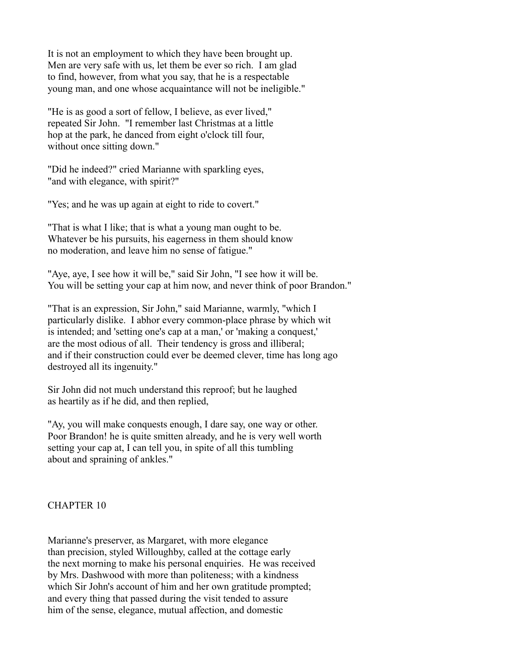It is not an employment to which they have been brought up. Men are very safe with us, let them be ever so rich. I am glad to find, however, from what you say, that he is a respectable young man, and one whose acquaintance will not be ineligible."

"He is as good a sort of fellow, I believe, as ever lived," repeated Sir John. "I remember last Christmas at a little hop at the park, he danced from eight o'clock till four, without once sitting down."

"Did he indeed?" cried Marianne with sparkling eyes, "and with elegance, with spirit?"

"Yes; and he was up again at eight to ride to covert."

"That is what I like; that is what a young man ought to be. Whatever be his pursuits, his eagerness in them should know no moderation, and leave him no sense of fatigue."

"Aye, aye, I see how it will be," said Sir John, "I see how it will be. You will be setting your cap at him now, and never think of poor Brandon."

"That is an expression, Sir John," said Marianne, warmly, "which I particularly dislike. I abhor every common-place phrase by which wit is intended; and 'setting one's cap at a man,' or 'making a conquest,' are the most odious of all. Their tendency is gross and illiberal; and if their construction could ever be deemed clever, time has long ago destroyed all its ingenuity."

Sir John did not much understand this reproof; but he laughed as heartily as if he did, and then replied,

"Ay, you will make conquests enough, I dare say, one way or other. Poor Brandon! he is quite smitten already, and he is very well worth setting your cap at, I can tell you, in spite of all this tumbling about and spraining of ankles."

# CHAPTER 10

Marianne's preserver, as Margaret, with more elegance than precision, styled Willoughby, called at the cottage early the next morning to make his personal enquiries. He was received by Mrs. Dashwood with more than politeness; with a kindness which Sir John's account of him and her own gratitude prompted; and every thing that passed during the visit tended to assure him of the sense, elegance, mutual affection, and domestic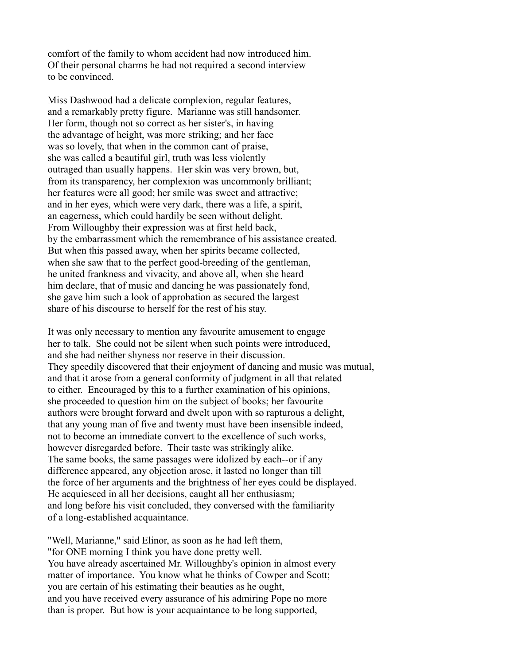comfort of the family to whom accident had now introduced him. Of their personal charms he had not required a second interview to be convinced.

Miss Dashwood had a delicate complexion, regular features, and a remarkably pretty figure. Marianne was still handsomer. Her form, though not so correct as her sister's, in having the advantage of height, was more striking; and her face was so lovely, that when in the common cant of praise, she was called a beautiful girl, truth was less violently outraged than usually happens. Her skin was very brown, but, from its transparency, her complexion was uncommonly brilliant; her features were all good; her smile was sweet and attractive; and in her eyes, which were very dark, there was a life, a spirit, an eagerness, which could hardily be seen without delight. From Willoughby their expression was at first held back, by the embarrassment which the remembrance of his assistance created. But when this passed away, when her spirits became collected, when she saw that to the perfect good-breeding of the gentleman, he united frankness and vivacity, and above all, when she heard him declare, that of music and dancing he was passionately fond, she gave him such a look of approbation as secured the largest share of his discourse to herself for the rest of his stay.

It was only necessary to mention any favourite amusement to engage her to talk. She could not be silent when such points were introduced, and she had neither shyness nor reserve in their discussion. They speedily discovered that their enjoyment of dancing and music was mutual, and that it arose from a general conformity of judgment in all that related to either. Encouraged by this to a further examination of his opinions, she proceeded to question him on the subject of books; her favourite authors were brought forward and dwelt upon with so rapturous a delight, that any young man of five and twenty must have been insensible indeed, not to become an immediate convert to the excellence of such works, however disregarded before. Their taste was strikingly alike. The same books, the same passages were idolized by each--or if any difference appeared, any objection arose, it lasted no longer than till the force of her arguments and the brightness of her eyes could be displayed. He acquiesced in all her decisions, caught all her enthusiasm; and long before his visit concluded, they conversed with the familiarity of a long-established acquaintance.

"Well, Marianne," said Elinor, as soon as he had left them, "for ONE morning I think you have done pretty well. You have already ascertained Mr. Willoughby's opinion in almost every matter of importance. You know what he thinks of Cowper and Scott; you are certain of his estimating their beauties as he ought, and you have received every assurance of his admiring Pope no more than is proper. But how is your acquaintance to be long supported,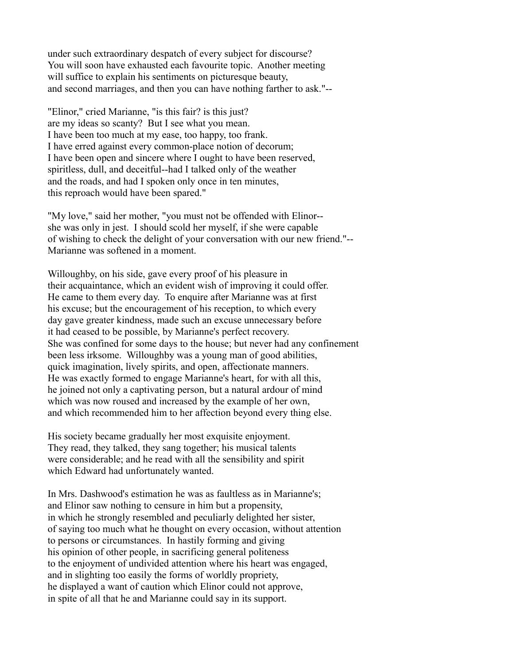under such extraordinary despatch of every subject for discourse? You will soon have exhausted each favourite topic. Another meeting will suffice to explain his sentiments on picturesque beauty, and second marriages, and then you can have nothing farther to ask."--

"Elinor," cried Marianne, "is this fair? is this just? are my ideas so scanty? But I see what you mean. I have been too much at my ease, too happy, too frank. I have erred against every common-place notion of decorum; I have been open and sincere where I ought to have been reserved, spiritless, dull, and deceitful--had I talked only of the weather and the roads, and had I spoken only once in ten minutes, this reproach would have been spared."

"My love," said her mother, "you must not be offended with Elinor- she was only in jest. I should scold her myself, if she were capable of wishing to check the delight of your conversation with our new friend."-- Marianne was softened in a moment.

Willoughby, on his side, gave every proof of his pleasure in their acquaintance, which an evident wish of improving it could offer. He came to them every day. To enquire after Marianne was at first his excuse; but the encouragement of his reception, to which every day gave greater kindness, made such an excuse unnecessary before it had ceased to be possible, by Marianne's perfect recovery. She was confined for some days to the house; but never had any confinement been less irksome. Willoughby was a young man of good abilities, quick imagination, lively spirits, and open, affectionate manners. He was exactly formed to engage Marianne's heart, for with all this, he joined not only a captivating person, but a natural ardour of mind which was now roused and increased by the example of her own, and which recommended him to her affection beyond every thing else.

His society became gradually her most exquisite enjoyment. They read, they talked, they sang together; his musical talents were considerable; and he read with all the sensibility and spirit which Edward had unfortunately wanted.

In Mrs. Dashwood's estimation he was as faultless as in Marianne's; and Elinor saw nothing to censure in him but a propensity, in which he strongly resembled and peculiarly delighted her sister, of saying too much what he thought on every occasion, without attention to persons or circumstances. In hastily forming and giving his opinion of other people, in sacrificing general politeness to the enjoyment of undivided attention where his heart was engaged, and in slighting too easily the forms of worldly propriety, he displayed a want of caution which Elinor could not approve, in spite of all that he and Marianne could say in its support.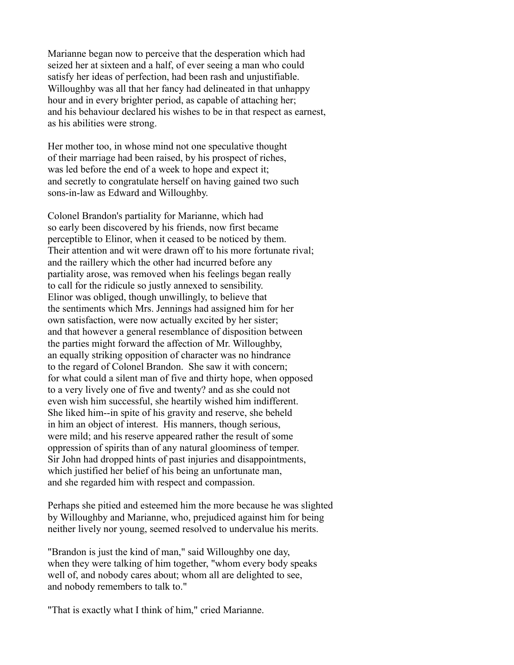Marianne began now to perceive that the desperation which had seized her at sixteen and a half, of ever seeing a man who could satisfy her ideas of perfection, had been rash and unjustifiable. Willoughby was all that her fancy had delineated in that unhappy hour and in every brighter period, as capable of attaching her; and his behaviour declared his wishes to be in that respect as earnest, as his abilities were strong.

Her mother too, in whose mind not one speculative thought of their marriage had been raised, by his prospect of riches, was led before the end of a week to hope and expect it; and secretly to congratulate herself on having gained two such sons-in-law as Edward and Willoughby.

Colonel Brandon's partiality for Marianne, which had so early been discovered by his friends, now first became perceptible to Elinor, when it ceased to be noticed by them. Their attention and wit were drawn off to his more fortunate rival; and the raillery which the other had incurred before any partiality arose, was removed when his feelings began really to call for the ridicule so justly annexed to sensibility. Elinor was obliged, though unwillingly, to believe that the sentiments which Mrs. Jennings had assigned him for her own satisfaction, were now actually excited by her sister; and that however a general resemblance of disposition between the parties might forward the affection of Mr. Willoughby, an equally striking opposition of character was no hindrance to the regard of Colonel Brandon. She saw it with concern; for what could a silent man of five and thirty hope, when opposed to a very lively one of five and twenty? and as she could not even wish him successful, she heartily wished him indifferent. She liked him--in spite of his gravity and reserve, she beheld in him an object of interest. His manners, though serious, were mild; and his reserve appeared rather the result of some oppression of spirits than of any natural gloominess of temper. Sir John had dropped hints of past injuries and disappointments, which justified her belief of his being an unfortunate man, and she regarded him with respect and compassion.

Perhaps she pitied and esteemed him the more because he was slighted by Willoughby and Marianne, who, prejudiced against him for being neither lively nor young, seemed resolved to undervalue his merits.

"Brandon is just the kind of man," said Willoughby one day, when they were talking of him together, "whom every body speaks well of, and nobody cares about; whom all are delighted to see, and nobody remembers to talk to."

"That is exactly what I think of him," cried Marianne.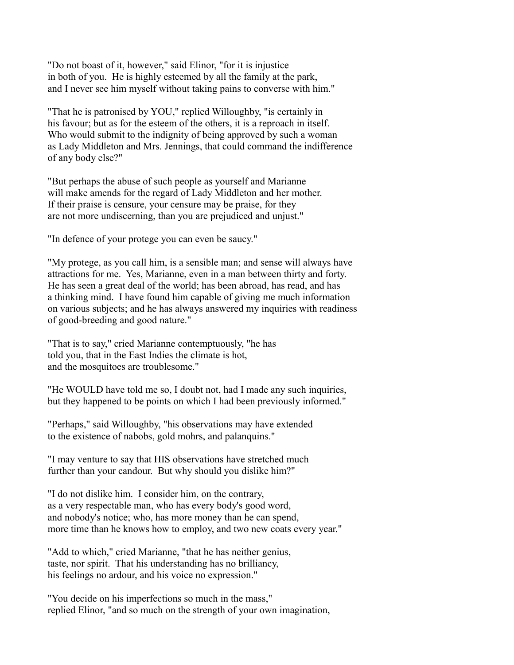"Do not boast of it, however," said Elinor, "for it is injustice in both of you. He is highly esteemed by all the family at the park, and I never see him myself without taking pains to converse with him."

"That he is patronised by YOU," replied Willoughby, "is certainly in his favour; but as for the esteem of the others, it is a reproach in itself. Who would submit to the indignity of being approved by such a woman as Lady Middleton and Mrs. Jennings, that could command the indifference of any body else?"

"But perhaps the abuse of such people as yourself and Marianne will make amends for the regard of Lady Middleton and her mother. If their praise is censure, your censure may be praise, for they are not more undiscerning, than you are prejudiced and unjust."

"In defence of your protege you can even be saucy."

"My protege, as you call him, is a sensible man; and sense will always have attractions for me. Yes, Marianne, even in a man between thirty and forty. He has seen a great deal of the world; has been abroad, has read, and has a thinking mind. I have found him capable of giving me much information on various subjects; and he has always answered my inquiries with readiness of good-breeding and good nature."

"That is to say," cried Marianne contemptuously, "he has told you, that in the East Indies the climate is hot, and the mosquitoes are troublesome."

"He WOULD have told me so, I doubt not, had I made any such inquiries, but they happened to be points on which I had been previously informed."

"Perhaps," said Willoughby, "his observations may have extended to the existence of nabobs, gold mohrs, and palanquins."

"I may venture to say that HIS observations have stretched much further than your candour. But why should you dislike him?"

"I do not dislike him. I consider him, on the contrary, as a very respectable man, who has every body's good word, and nobody's notice; who, has more money than he can spend, more time than he knows how to employ, and two new coats every year."

"Add to which," cried Marianne, "that he has neither genius, taste, nor spirit. That his understanding has no brilliancy, his feelings no ardour, and his voice no expression."

"You decide on his imperfections so much in the mass," replied Elinor, "and so much on the strength of your own imagination,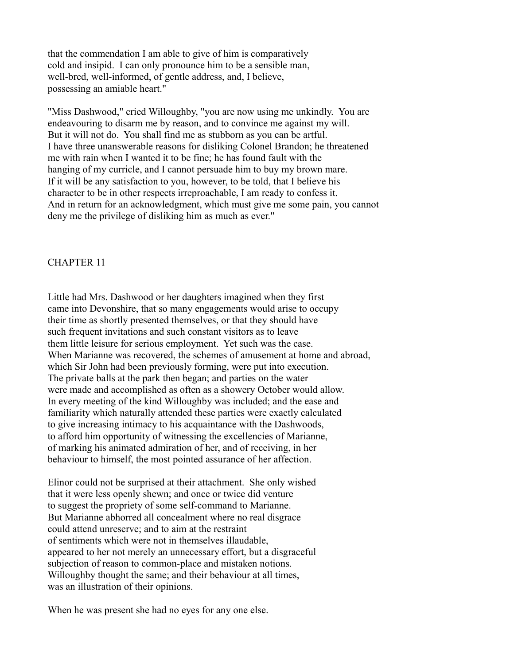that the commendation I am able to give of him is comparatively cold and insipid. I can only pronounce him to be a sensible man, well-bred, well-informed, of gentle address, and, I believe, possessing an amiable heart."

"Miss Dashwood," cried Willoughby, "you are now using me unkindly. You are endeavouring to disarm me by reason, and to convince me against my will. But it will not do. You shall find me as stubborn as you can be artful. I have three unanswerable reasons for disliking Colonel Brandon; he threatened me with rain when I wanted it to be fine; he has found fault with the hanging of my curricle, and I cannot persuade him to buy my brown mare. If it will be any satisfaction to you, however, to be told, that I believe his character to be in other respects irreproachable, I am ready to confess it. And in return for an acknowledgment, which must give me some pain, you cannot deny me the privilege of disliking him as much as ever."

### CHAPTER 11

Little had Mrs. Dashwood or her daughters imagined when they first came into Devonshire, that so many engagements would arise to occupy their time as shortly presented themselves, or that they should have such frequent invitations and such constant visitors as to leave them little leisure for serious employment. Yet such was the case. When Marianne was recovered, the schemes of amusement at home and abroad, which Sir John had been previously forming, were put into execution. The private balls at the park then began; and parties on the water were made and accomplished as often as a showery October would allow. In every meeting of the kind Willoughby was included; and the ease and familiarity which naturally attended these parties were exactly calculated to give increasing intimacy to his acquaintance with the Dashwoods, to afford him opportunity of witnessing the excellencies of Marianne, of marking his animated admiration of her, and of receiving, in her behaviour to himself, the most pointed assurance of her affection.

Elinor could not be surprised at their attachment. She only wished that it were less openly shewn; and once or twice did venture to suggest the propriety of some self-command to Marianne. But Marianne abhorred all concealment where no real disgrace could attend unreserve; and to aim at the restraint of sentiments which were not in themselves illaudable, appeared to her not merely an unnecessary effort, but a disgraceful subjection of reason to common-place and mistaken notions. Willoughby thought the same; and their behaviour at all times, was an illustration of their opinions.

When he was present she had no eyes for any one else.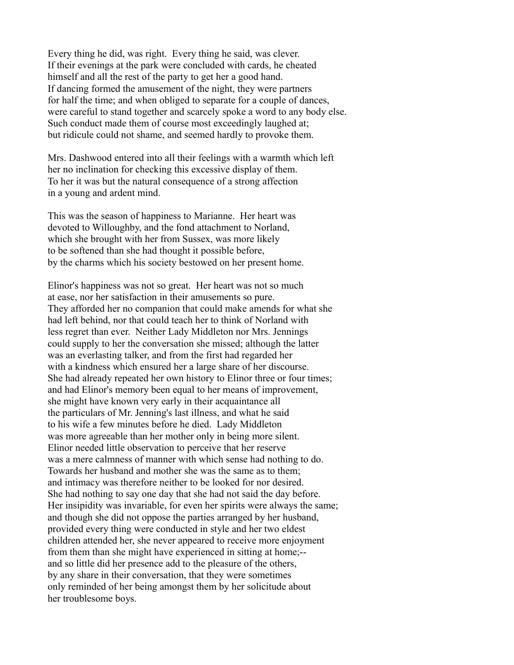Every thing he did, was right. Every thing he said, was clever. If their evenings at the park were concluded with cards, he cheated himself and all the rest of the party to get her a good hand. If dancing formed the amusement of the night, they were partners for half the time; and when obliged to separate for a couple of dances, were careful to stand together and scarcely spoke a word to any body else. Such conduct made them of course most exceedingly laughed at; but ridicule could not shame, and seemed hardly to provoke them.

Mrs. Dashwood entered into all their feelings with a warmth which left her no inclination for checking this excessive display of them. To her it was but the natural consequence of a strong affection in a young and ardent mind.

This was the season of happiness to Marianne. Her heart was devoted to Willoughby, and the fond attachment to Norland, which she brought with her from Sussex, was more likely to be softened than she had thought it possible before, by the charms which his society bestowed on her present home.

Elinor's happiness was not so great. Her heart was not so much at ease, nor her satisfaction in their amusements so pure. They afforded her no companion that could make amends for what she had left behind, nor that could teach her to think of Norland with less regret than ever. Neither Lady Middleton nor Mrs. Jennings could supply to her the conversation she missed; although the latter was an everlasting talker, and from the first had regarded her with a kindness which ensured her a large share of her discourse. She had already repeated her own history to Elinor three or four times; and had Elinor's memory been equal to her means of improvement, she might have known very early in their acquaintance all the particulars of Mr. Jenning's last illness, and what he said to his wife a few minutes before he died. Lady Middleton was more agreeable than her mother only in being more silent. Elinor needed little observation to perceive that her reserve was a mere calmness of manner with which sense had nothing to do. Towards her husband and mother she was the same as to them; and intimacy was therefore neither to be looked for nor desired. She had nothing to say one day that she had not said the day before. Her insipidity was invariable, for even her spirits were always the same; and though she did not oppose the parties arranged by her husband, provided every thing were conducted in style and her two eldest children attended her, she never appeared to receive more enjoyment from them than she might have experienced in sitting at home;- and so little did her presence add to the pleasure of the others, by any share in their conversation, that they were sometimes only reminded of her being amongst them by her solicitude about her troublesome boys.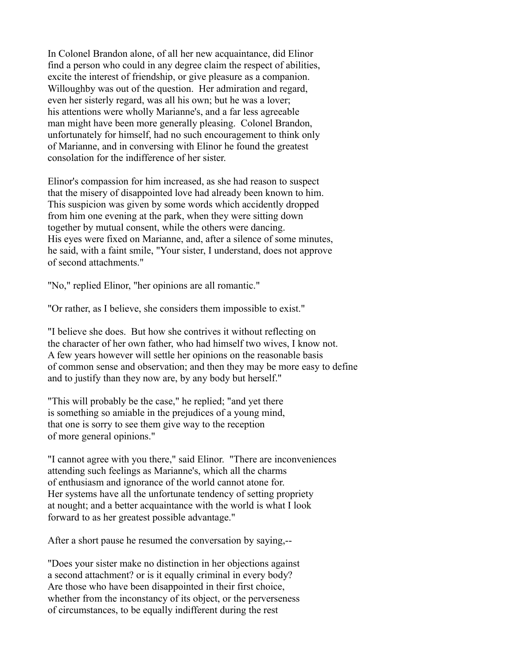In Colonel Brandon alone, of all her new acquaintance, did Elinor find a person who could in any degree claim the respect of abilities, excite the interest of friendship, or give pleasure as a companion. Willoughby was out of the question. Her admiration and regard, even her sisterly regard, was all his own; but he was a lover; his attentions were wholly Marianne's, and a far less agreeable man might have been more generally pleasing. Colonel Brandon, unfortunately for himself, had no such encouragement to think only of Marianne, and in conversing with Elinor he found the greatest consolation for the indifference of her sister.

Elinor's compassion for him increased, as she had reason to suspect that the misery of disappointed love had already been known to him. This suspicion was given by some words which accidently dropped from him one evening at the park, when they were sitting down together by mutual consent, while the others were dancing. His eyes were fixed on Marianne, and, after a silence of some minutes, he said, with a faint smile, "Your sister, I understand, does not approve of second attachments."

"No," replied Elinor, "her opinions are all romantic."

"Or rather, as I believe, she considers them impossible to exist."

"I believe she does. But how she contrives it without reflecting on the character of her own father, who had himself two wives, I know not. A few years however will settle her opinions on the reasonable basis of common sense and observation; and then they may be more easy to define and to justify than they now are, by any body but herself."

"This will probably be the case," he replied; "and yet there is something so amiable in the prejudices of a young mind, that one is sorry to see them give way to the reception of more general opinions."

"I cannot agree with you there," said Elinor. "There are inconveniences attending such feelings as Marianne's, which all the charms of enthusiasm and ignorance of the world cannot atone for. Her systems have all the unfortunate tendency of setting propriety at nought; and a better acquaintance with the world is what I look forward to as her greatest possible advantage."

After a short pause he resumed the conversation by saying,--

"Does your sister make no distinction in her objections against a second attachment? or is it equally criminal in every body? Are those who have been disappointed in their first choice, whether from the inconstancy of its object, or the perverseness of circumstances, to be equally indifferent during the rest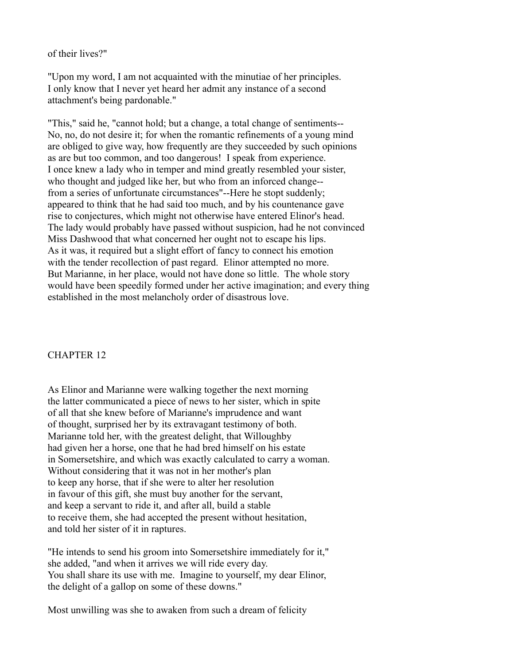of their lives?"

"Upon my word, I am not acquainted with the minutiae of her principles. I only know that I never yet heard her admit any instance of a second attachment's being pardonable."

"This," said he, "cannot hold; but a change, a total change of sentiments-- No, no, do not desire it; for when the romantic refinements of a young mind are obliged to give way, how frequently are they succeeded by such opinions as are but too common, and too dangerous! I speak from experience. I once knew a lady who in temper and mind greatly resembled your sister, who thought and judged like her, but who from an inforced change- from a series of unfortunate circumstances"--Here he stopt suddenly; appeared to think that he had said too much, and by his countenance gave rise to conjectures, which might not otherwise have entered Elinor's head. The lady would probably have passed without suspicion, had he not convinced Miss Dashwood that what concerned her ought not to escape his lips. As it was, it required but a slight effort of fancy to connect his emotion with the tender recollection of past regard. Elinor attempted no more. But Marianne, in her place, would not have done so little. The whole story would have been speedily formed under her active imagination; and every thing established in the most melancholy order of disastrous love.

# CHAPTER 12

As Elinor and Marianne were walking together the next morning the latter communicated a piece of news to her sister, which in spite of all that she knew before of Marianne's imprudence and want of thought, surprised her by its extravagant testimony of both. Marianne told her, with the greatest delight, that Willoughby had given her a horse, one that he had bred himself on his estate in Somersetshire, and which was exactly calculated to carry a woman. Without considering that it was not in her mother's plan to keep any horse, that if she were to alter her resolution in favour of this gift, she must buy another for the servant, and keep a servant to ride it, and after all, build a stable to receive them, she had accepted the present without hesitation, and told her sister of it in raptures.

"He intends to send his groom into Somersetshire immediately for it," she added, "and when it arrives we will ride every day. You shall share its use with me. Imagine to yourself, my dear Elinor, the delight of a gallop on some of these downs."

Most unwilling was she to awaken from such a dream of felicity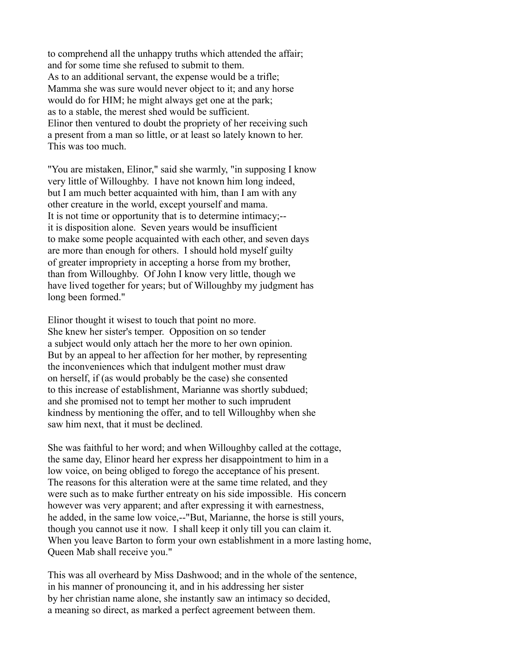to comprehend all the unhappy truths which attended the affair; and for some time she refused to submit to them. As to an additional servant, the expense would be a trifle; Mamma she was sure would never object to it; and any horse would do for HIM; he might always get one at the park; as to a stable, the merest shed would be sufficient. Elinor then ventured to doubt the propriety of her receiving such a present from a man so little, or at least so lately known to her. This was too much.

"You are mistaken, Elinor," said she warmly, "in supposing I know very little of Willoughby. I have not known him long indeed, but I am much better acquainted with him, than I am with any other creature in the world, except yourself and mama. It is not time or opportunity that is to determine intimacy;- it is disposition alone. Seven years would be insufficient to make some people acquainted with each other, and seven days are more than enough for others. I should hold myself guilty of greater impropriety in accepting a horse from my brother, than from Willoughby. Of John I know very little, though we have lived together for years; but of Willoughby my judgment has long been formed."

Elinor thought it wisest to touch that point no more. She knew her sister's temper. Opposition on so tender a subject would only attach her the more to her own opinion. But by an appeal to her affection for her mother, by representing the inconveniences which that indulgent mother must draw on herself, if (as would probably be the case) she consented to this increase of establishment, Marianne was shortly subdued; and she promised not to tempt her mother to such imprudent kindness by mentioning the offer, and to tell Willoughby when she saw him next, that it must be declined.

She was faithful to her word; and when Willoughby called at the cottage, the same day, Elinor heard her express her disappointment to him in a low voice, on being obliged to forego the acceptance of his present. The reasons for this alteration were at the same time related, and they were such as to make further entreaty on his side impossible. His concern however was very apparent; and after expressing it with earnestness, he added, in the same low voice,--"But, Marianne, the horse is still yours, though you cannot use it now. I shall keep it only till you can claim it. When you leave Barton to form your own establishment in a more lasting home, Queen Mab shall receive you."

This was all overheard by Miss Dashwood; and in the whole of the sentence, in his manner of pronouncing it, and in his addressing her sister by her christian name alone, she instantly saw an intimacy so decided, a meaning so direct, as marked a perfect agreement between them.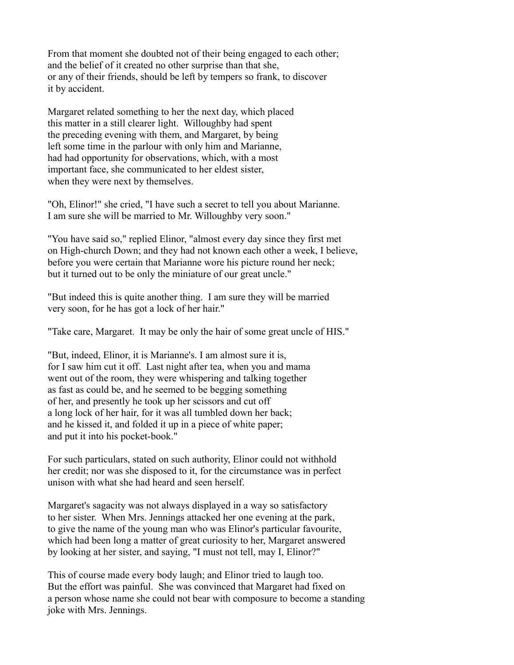From that moment she doubted not of their being engaged to each other; and the belief of it created no other surprise than that she, or any of their friends, should be left by tempers so frank, to discover it by accident.

Margaret related something to her the next day, which placed this matter in a still clearer light. Willoughby had spent the preceding evening with them, and Margaret, by being left some time in the parlour with only him and Marianne, had had opportunity for observations, which, with a most important face, she communicated to her eldest sister, when they were next by themselves.

"Oh, Elinor!" she cried, "I have such a secret to tell you about Marianne. I am sure she will be married to Mr. Willoughby very soon."

"You have said so," replied Elinor, "almost every day since they first met on High-church Down; and they had not known each other a week, I believe, before you were certain that Marianne wore his picture round her neck; but it turned out to be only the miniature of our great uncle."

"But indeed this is quite another thing. I am sure they will be married very soon, for he has got a lock of her hair."

"Take care, Margaret. It may be only the hair of some great uncle of HIS."

"But, indeed, Elinor, it is Marianne's. I am almost sure it is, for I saw him cut it off. Last night after tea, when you and mama went out of the room, they were whispering and talking together as fast as could be, and he seemed to be begging something of her, and presently he took up her scissors and cut off a long lock of her hair, for it was all tumbled down her back; and he kissed it, and folded it up in a piece of white paper; and put it into his pocket-book."

For such particulars, stated on such authority, Elinor could not withhold her credit; nor was she disposed to it, for the circumstance was in perfect unison with what she had heard and seen herself.

Margaret's sagacity was not always displayed in a way so satisfactory to her sister. When Mrs. Jennings attacked her one evening at the park, to give the name of the young man who was Elinor's particular favourite, which had been long a matter of great curiosity to her, Margaret answered by looking at her sister, and saying, "I must not tell, may I, Elinor?"

This of course made every body laugh; and Elinor tried to laugh too. But the effort was painful. She was convinced that Margaret had fixed on a person whose name she could not bear with composure to become a standing joke with Mrs. Jennings.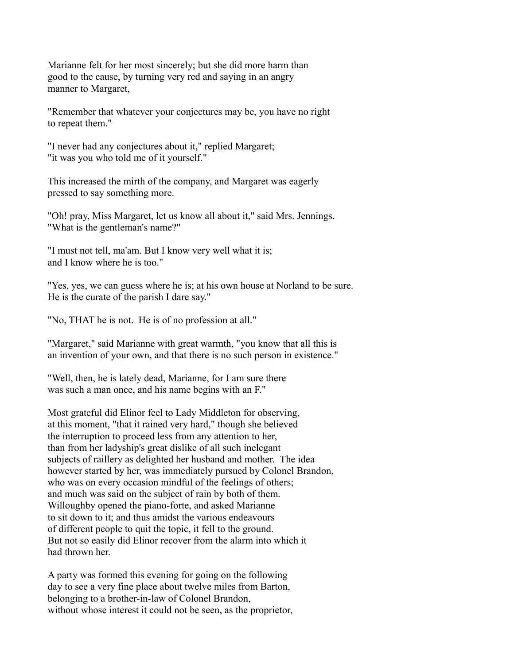Marianne felt for her most sincerely; but she did more harm than good to the cause, by turning very red and saying in an angry manner to Margaret,

"Remember that whatever your conjectures may be, you have no right to repeat them."

"I never had any conjectures about it," replied Margaret; "it was you who told me of it yourself."

This increased the mirth of the company, and Margaret was eagerly pressed to say something more.

"Oh! pray, Miss Margaret, let us know all about it," said Mrs. Jennings. "What is the gentleman's name?"

"I must not tell, ma'am. But I know very well what it is; and I know where he is too."

"Yes, yes, we can guess where he is; at his own house at Norland to be sure. He is the curate of the parish I dare say."

"No, THAT he is not. He is of no profession at all."

"Margaret," said Marianne with great warmth, "you know that all this is an invention of your own, and that there is no such person in existence."

"Well, then, he is lately dead, Marianne, for I am sure there was such a man once, and his name begins with an F."

Most grateful did Elinor feel to Lady Middleton for observing, at this moment, "that it rained very hard," though she believed the interruption to proceed less from any attention to her, than from her ladyship's great dislike of all such inelegant subjects of raillery as delighted her husband and mother. The idea however started by her, was immediately pursued by Colonel Brandon, who was on every occasion mindful of the feelings of others; and much was said on the subject of rain by both of them. Willoughby opened the piano-forte, and asked Marianne to sit down to it; and thus amidst the various endeavours of different people to quit the topic, it fell to the ground. But not so easily did Elinor recover from the alarm into which it had thrown her.

A party was formed this evening for going on the following day to see a very fine place about twelve miles from Barton, belonging to a brother-in-law of Colonel Brandon, without whose interest it could not be seen, as the proprietor,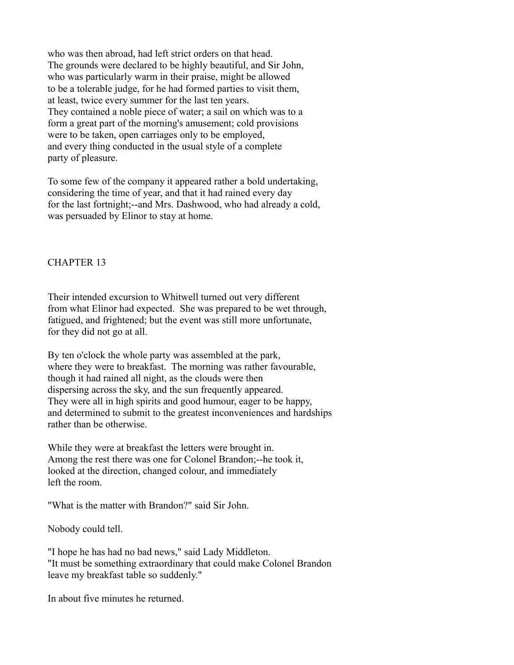who was then abroad, had left strict orders on that head. The grounds were declared to be highly beautiful, and Sir John, who was particularly warm in their praise, might be allowed to be a tolerable judge, for he had formed parties to visit them, at least, twice every summer for the last ten years. They contained a noble piece of water; a sail on which was to a form a great part of the morning's amusement; cold provisions were to be taken, open carriages only to be employed, and every thing conducted in the usual style of a complete party of pleasure.

To some few of the company it appeared rather a bold undertaking, considering the time of year, and that it had rained every day for the last fortnight;--and Mrs. Dashwood, who had already a cold, was persuaded by Elinor to stay at home.

## CHAPTER 13

Their intended excursion to Whitwell turned out very different from what Elinor had expected. She was prepared to be wet through, fatigued, and frightened; but the event was still more unfortunate, for they did not go at all.

By ten o'clock the whole party was assembled at the park, where they were to breakfast. The morning was rather favourable, though it had rained all night, as the clouds were then dispersing across the sky, and the sun frequently appeared. They were all in high spirits and good humour, eager to be happy, and determined to submit to the greatest inconveniences and hardships rather than be otherwise.

While they were at breakfast the letters were brought in. Among the rest there was one for Colonel Brandon;--he took it, looked at the direction, changed colour, and immediately left the room.

"What is the matter with Brandon?" said Sir John.

Nobody could tell.

"I hope he has had no bad news," said Lady Middleton. "It must be something extraordinary that could make Colonel Brandon leave my breakfast table so suddenly."

In about five minutes he returned.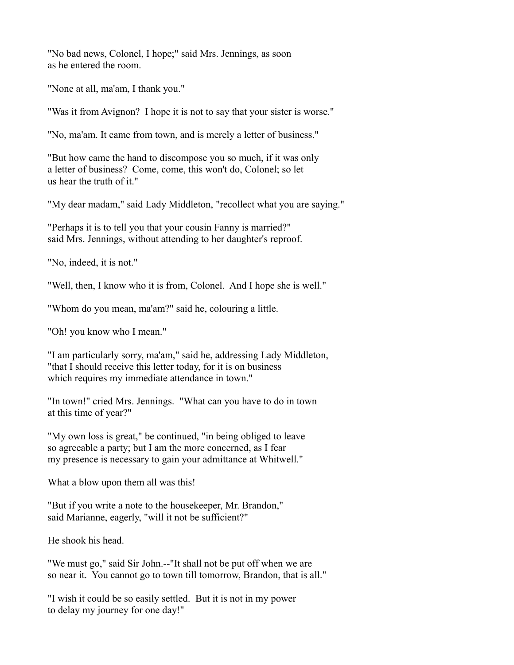"No bad news, Colonel, I hope;" said Mrs. Jennings, as soon as he entered the room.

"None at all, ma'am, I thank you."

"Was it from Avignon? I hope it is not to say that your sister is worse."

"No, ma'am. It came from town, and is merely a letter of business."

"But how came the hand to discompose you so much, if it was only a letter of business? Come, come, this won't do, Colonel; so let us hear the truth of it."

"My dear madam," said Lady Middleton, "recollect what you are saying."

"Perhaps it is to tell you that your cousin Fanny is married?" said Mrs. Jennings, without attending to her daughter's reproof.

"No, indeed, it is not."

"Well, then, I know who it is from, Colonel. And I hope she is well."

"Whom do you mean, ma'am?" said he, colouring a little.

"Oh! you know who I mean."

"I am particularly sorry, ma'am," said he, addressing Lady Middleton, "that I should receive this letter today, for it is on business which requires my immediate attendance in town."

"In town!" cried Mrs. Jennings. "What can you have to do in town at this time of year?"

"My own loss is great," be continued, "in being obliged to leave so agreeable a party; but I am the more concerned, as I fear my presence is necessary to gain your admittance at Whitwell."

What a blow upon them all was this!

"But if you write a note to the housekeeper, Mr. Brandon," said Marianne, eagerly, "will it not be sufficient?"

He shook his head.

"We must go," said Sir John.--"It shall not be put off when we are so near it. You cannot go to town till tomorrow, Brandon, that is all."

"I wish it could be so easily settled. But it is not in my power to delay my journey for one day!"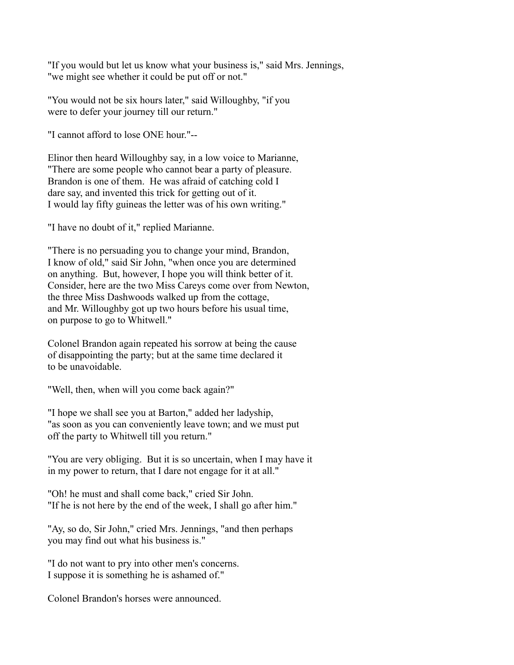"If you would but let us know what your business is," said Mrs. Jennings, "we might see whether it could be put off or not."

"You would not be six hours later," said Willoughby, "if you were to defer your journey till our return."

"I cannot afford to lose ONE hour."--

Elinor then heard Willoughby say, in a low voice to Marianne, "There are some people who cannot bear a party of pleasure. Brandon is one of them. He was afraid of catching cold I dare say, and invented this trick for getting out of it. I would lay fifty guineas the letter was of his own writing."

"I have no doubt of it," replied Marianne.

"There is no persuading you to change your mind, Brandon, I know of old," said Sir John, "when once you are determined on anything. But, however, I hope you will think better of it. Consider, here are the two Miss Careys come over from Newton, the three Miss Dashwoods walked up from the cottage, and Mr. Willoughby got up two hours before his usual time, on purpose to go to Whitwell."

Colonel Brandon again repeated his sorrow at being the cause of disappointing the party; but at the same time declared it to be unavoidable.

"Well, then, when will you come back again?"

"I hope we shall see you at Barton," added her ladyship, "as soon as you can conveniently leave town; and we must put off the party to Whitwell till you return."

"You are very obliging. But it is so uncertain, when I may have it in my power to return, that I dare not engage for it at all."

"Oh! he must and shall come back," cried Sir John. "If he is not here by the end of the week, I shall go after him."

"Ay, so do, Sir John," cried Mrs. Jennings, "and then perhaps you may find out what his business is."

"I do not want to pry into other men's concerns. I suppose it is something he is ashamed of."

Colonel Brandon's horses were announced.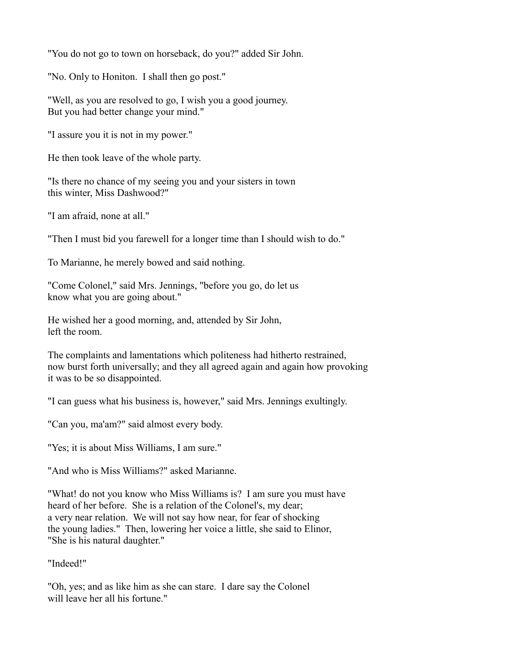"You do not go to town on horseback, do you?" added Sir John.

"No. Only to Honiton. I shall then go post."

"Well, as you are resolved to go, I wish you a good journey. But you had better change your mind."

"I assure you it is not in my power."

He then took leave of the whole party.

"Is there no chance of my seeing you and your sisters in town this winter, Miss Dashwood?"

"I am afraid, none at all."

"Then I must bid you farewell for a longer time than I should wish to do."

To Marianne, he merely bowed and said nothing.

"Come Colonel," said Mrs. Jennings, "before you go, do let us know what you are going about."

He wished her a good morning, and, attended by Sir John, left the room.

The complaints and lamentations which politeness had hitherto restrained, now burst forth universally; and they all agreed again and again how provoking it was to be so disappointed.

"I can guess what his business is, however," said Mrs. Jennings exultingly.

"Can you, ma'am?" said almost every body.

"Yes; it is about Miss Williams, I am sure."

"And who is Miss Williams?" asked Marianne.

"What! do not you know who Miss Williams is? I am sure you must have heard of her before. She is a relation of the Colonel's, my dear; a very near relation. We will not say how near, for fear of shocking the young ladies." Then, lowering her voice a little, she said to Elinor, "She is his natural daughter."

"Indeed!"

"Oh, yes; and as like him as she can stare. I dare say the Colonel will leave her all his fortune."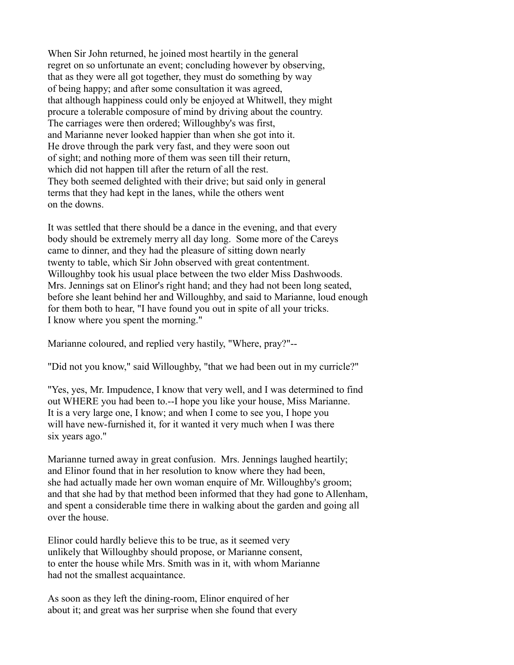When Sir John returned, he joined most heartily in the general regret on so unfortunate an event; concluding however by observing, that as they were all got together, they must do something by way of being happy; and after some consultation it was agreed, that although happiness could only be enjoyed at Whitwell, they might procure a tolerable composure of mind by driving about the country. The carriages were then ordered; Willoughby's was first, and Marianne never looked happier than when she got into it. He drove through the park very fast, and they were soon out of sight; and nothing more of them was seen till their return, which did not happen till after the return of all the rest. They both seemed delighted with their drive; but said only in general terms that they had kept in the lanes, while the others went on the downs.

It was settled that there should be a dance in the evening, and that every body should be extremely merry all day long. Some more of the Careys came to dinner, and they had the pleasure of sitting down nearly twenty to table, which Sir John observed with great contentment. Willoughby took his usual place between the two elder Miss Dashwoods. Mrs. Jennings sat on Elinor's right hand; and they had not been long seated, before she leant behind her and Willoughby, and said to Marianne, loud enough for them both to hear, "I have found you out in spite of all your tricks. I know where you spent the morning."

Marianne coloured, and replied very hastily, "Where, pray?"--

"Did not you know," said Willoughby, "that we had been out in my curricle?"

"Yes, yes, Mr. Impudence, I know that very well, and I was determined to find out WHERE you had been to.--I hope you like your house, Miss Marianne. It is a very large one, I know; and when I come to see you, I hope you will have new-furnished it, for it wanted it very much when I was there six years ago."

Marianne turned away in great confusion. Mrs. Jennings laughed heartily; and Elinor found that in her resolution to know where they had been, she had actually made her own woman enquire of Mr. Willoughby's groom; and that she had by that method been informed that they had gone to Allenham, and spent a considerable time there in walking about the garden and going all over the house.

Elinor could hardly believe this to be true, as it seemed very unlikely that Willoughby should propose, or Marianne consent, to enter the house while Mrs. Smith was in it, with whom Marianne had not the smallest acquaintance.

As soon as they left the dining-room, Elinor enquired of her about it; and great was her surprise when she found that every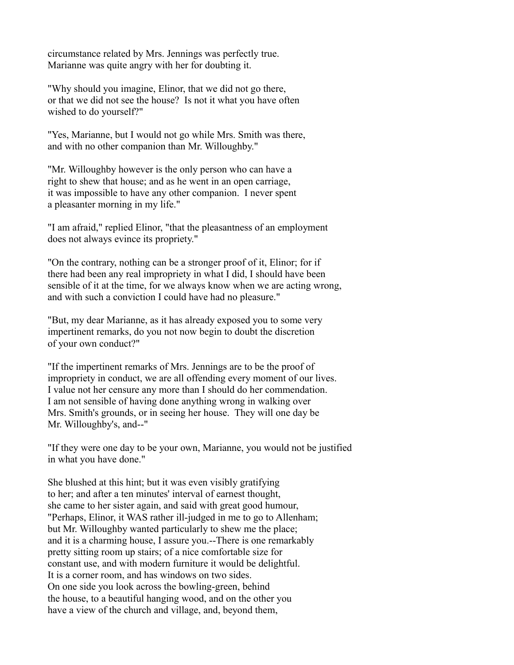circumstance related by Mrs. Jennings was perfectly true. Marianne was quite angry with her for doubting it.

"Why should you imagine, Elinor, that we did not go there, or that we did not see the house? Is not it what you have often wished to do yourself?"

"Yes, Marianne, but I would not go while Mrs. Smith was there, and with no other companion than Mr. Willoughby."

"Mr. Willoughby however is the only person who can have a right to shew that house; and as he went in an open carriage, it was impossible to have any other companion. I never spent a pleasanter morning in my life."

"I am afraid," replied Elinor, "that the pleasantness of an employment does not always evince its propriety."

"On the contrary, nothing can be a stronger proof of it, Elinor; for if there had been any real impropriety in what I did, I should have been sensible of it at the time, for we always know when we are acting wrong, and with such a conviction I could have had no pleasure."

"But, my dear Marianne, as it has already exposed you to some very impertinent remarks, do you not now begin to doubt the discretion of your own conduct?"

"If the impertinent remarks of Mrs. Jennings are to be the proof of impropriety in conduct, we are all offending every moment of our lives. I value not her censure any more than I should do her commendation. I am not sensible of having done anything wrong in walking over Mrs. Smith's grounds, or in seeing her house. They will one day be Mr. Willoughby's, and--"

"If they were one day to be your own, Marianne, you would not be justified in what you have done."

She blushed at this hint; but it was even visibly gratifying to her; and after a ten minutes' interval of earnest thought, she came to her sister again, and said with great good humour, "Perhaps, Elinor, it WAS rather ill-judged in me to go to Allenham; but Mr. Willoughby wanted particularly to shew me the place; and it is a charming house, I assure you.--There is one remarkably pretty sitting room up stairs; of a nice comfortable size for constant use, and with modern furniture it would be delightful. It is a corner room, and has windows on two sides. On one side you look across the bowling-green, behind the house, to a beautiful hanging wood, and on the other you have a view of the church and village, and, beyond them,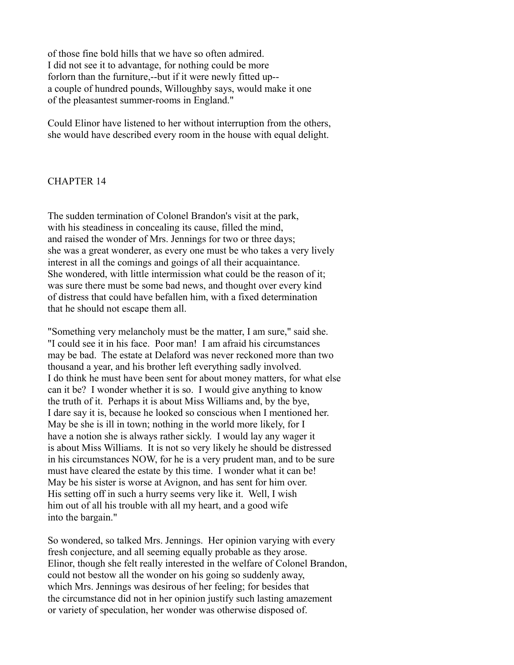of those fine bold hills that we have so often admired. I did not see it to advantage, for nothing could be more forlorn than the furniture,--but if it were newly fitted up- a couple of hundred pounds, Willoughby says, would make it one of the pleasantest summer-rooms in England."

Could Elinor have listened to her without interruption from the others, she would have described every room in the house with equal delight.

## CHAPTER 14

The sudden termination of Colonel Brandon's visit at the park, with his steadiness in concealing its cause, filled the mind, and raised the wonder of Mrs. Jennings for two or three days; she was a great wonderer, as every one must be who takes a very lively interest in all the comings and goings of all their acquaintance. She wondered, with little intermission what could be the reason of it; was sure there must be some bad news, and thought over every kind of distress that could have befallen him, with a fixed determination that he should not escape them all.

"Something very melancholy must be the matter, I am sure," said she. "I could see it in his face. Poor man! I am afraid his circumstances may be bad. The estate at Delaford was never reckoned more than two thousand a year, and his brother left everything sadly involved. I do think he must have been sent for about money matters, for what else can it be? I wonder whether it is so. I would give anything to know the truth of it. Perhaps it is about Miss Williams and, by the bye, I dare say it is, because he looked so conscious when I mentioned her. May be she is ill in town; nothing in the world more likely, for I have a notion she is always rather sickly. I would lay any wager it is about Miss Williams. It is not so very likely he should be distressed in his circumstances NOW, for he is a very prudent man, and to be sure must have cleared the estate by this time. I wonder what it can be! May be his sister is worse at Avignon, and has sent for him over. His setting off in such a hurry seems very like it. Well, I wish him out of all his trouble with all my heart, and a good wife into the bargain."

So wondered, so talked Mrs. Jennings. Her opinion varying with every fresh conjecture, and all seeming equally probable as they arose. Elinor, though she felt really interested in the welfare of Colonel Brandon, could not bestow all the wonder on his going so suddenly away, which Mrs. Jennings was desirous of her feeling; for besides that the circumstance did not in her opinion justify such lasting amazement or variety of speculation, her wonder was otherwise disposed of.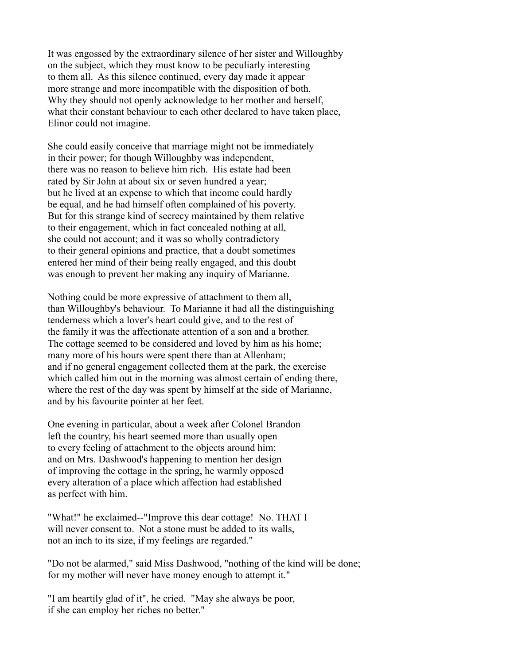It was engossed by the extraordinary silence of her sister and Willoughby on the subject, which they must know to be peculiarly interesting to them all. As this silence continued, every day made it appear more strange and more incompatible with the disposition of both. Why they should not openly acknowledge to her mother and herself, what their constant behaviour to each other declared to have taken place, Elinor could not imagine.

She could easily conceive that marriage might not be immediately in their power; for though Willoughby was independent, there was no reason to believe him rich. His estate had been rated by Sir John at about six or seven hundred a year; but he lived at an expense to which that income could hardly be equal, and he had himself often complained of his poverty. But for this strange kind of secrecy maintained by them relative to their engagement, which in fact concealed nothing at all, she could not account; and it was so wholly contradictory to their general opinions and practice, that a doubt sometimes entered her mind of their being really engaged, and this doubt was enough to prevent her making any inquiry of Marianne.

Nothing could be more expressive of attachment to them all, than Willoughby's behaviour. To Marianne it had all the distinguishing tenderness which a lover's heart could give, and to the rest of the family it was the affectionate attention of a son and a brother. The cottage seemed to be considered and loved by him as his home; many more of his hours were spent there than at Allenham; and if no general engagement collected them at the park, the exercise which called him out in the morning was almost certain of ending there, where the rest of the day was spent by himself at the side of Marianne, and by his favourite pointer at her feet.

One evening in particular, about a week after Colonel Brandon left the country, his heart seemed more than usually open to every feeling of attachment to the objects around him; and on Mrs. Dashwood's happening to mention her design of improving the cottage in the spring, he warmly opposed every alteration of a place which affection had established as perfect with him.

"What!" he exclaimed--"Improve this dear cottage! No. THAT I will never consent to. Not a stone must be added to its walls, not an inch to its size, if my feelings are regarded."

"Do not be alarmed," said Miss Dashwood, "nothing of the kind will be done; for my mother will never have money enough to attempt it."

"I am heartily glad of it", he cried. "May she always be poor, if she can employ her riches no better."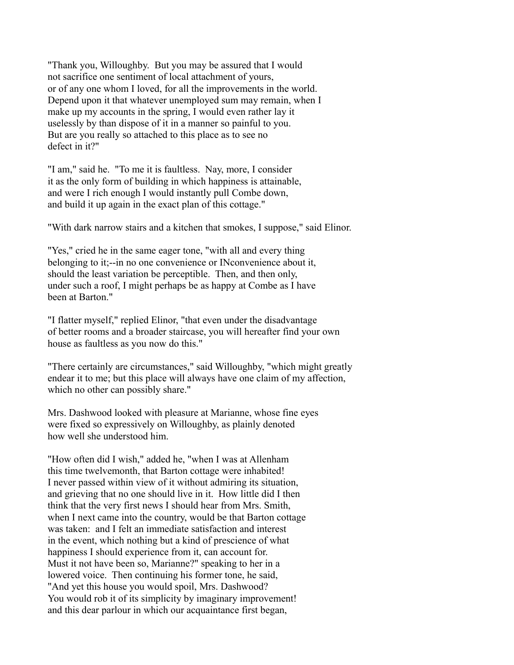"Thank you, Willoughby. But you may be assured that I would not sacrifice one sentiment of local attachment of yours, or of any one whom I loved, for all the improvements in the world. Depend upon it that whatever unemployed sum may remain, when I make up my accounts in the spring, I would even rather lay it uselessly by than dispose of it in a manner so painful to you. But are you really so attached to this place as to see no defect in it?"

"I am," said he. "To me it is faultless. Nay, more, I consider it as the only form of building in which happiness is attainable, and were I rich enough I would instantly pull Combe down, and build it up again in the exact plan of this cottage."

"With dark narrow stairs and a kitchen that smokes, I suppose," said Elinor.

"Yes," cried he in the same eager tone, "with all and every thing belonging to it;--in no one convenience or INconvenience about it, should the least variation be perceptible. Then, and then only, under such a roof, I might perhaps be as happy at Combe as I have been at Barton"

"I flatter myself," replied Elinor, "that even under the disadvantage of better rooms and a broader staircase, you will hereafter find your own house as faultless as you now do this."

"There certainly are circumstances," said Willoughby, "which might greatly endear it to me; but this place will always have one claim of my affection, which no other can possibly share."

Mrs. Dashwood looked with pleasure at Marianne, whose fine eyes were fixed so expressively on Willoughby, as plainly denoted how well she understood him.

"How often did I wish," added he, "when I was at Allenham this time twelvemonth, that Barton cottage were inhabited! I never passed within view of it without admiring its situation, and grieving that no one should live in it. How little did I then think that the very first news I should hear from Mrs. Smith, when I next came into the country, would be that Barton cottage was taken: and I felt an immediate satisfaction and interest in the event, which nothing but a kind of prescience of what happiness I should experience from it, can account for. Must it not have been so, Marianne?" speaking to her in a lowered voice. Then continuing his former tone, he said, "And yet this house you would spoil, Mrs. Dashwood? You would rob it of its simplicity by imaginary improvement! and this dear parlour in which our acquaintance first began,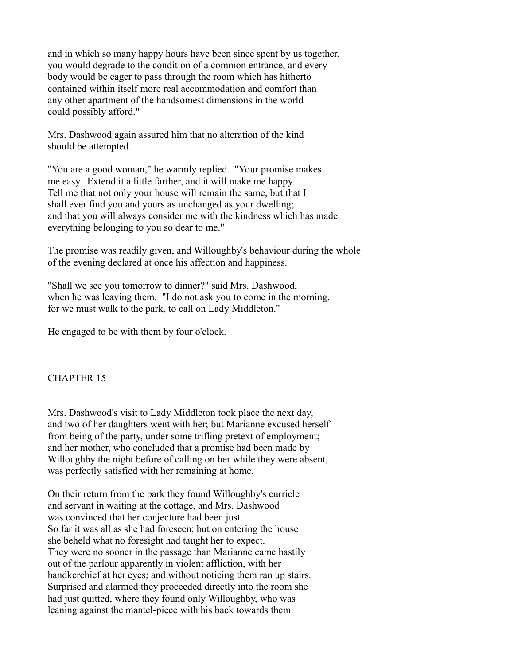and in which so many happy hours have been since spent by us together, you would degrade to the condition of a common entrance, and every body would be eager to pass through the room which has hitherto contained within itself more real accommodation and comfort than any other apartment of the handsomest dimensions in the world could possibly afford."

Mrs. Dashwood again assured him that no alteration of the kind should be attempted.

"You are a good woman," he warmly replied. "Your promise makes me easy. Extend it a little farther, and it will make me happy. Tell me that not only your house will remain the same, but that I shall ever find you and yours as unchanged as your dwelling; and that you will always consider me with the kindness which has made everything belonging to you so dear to me."

The promise was readily given, and Willoughby's behaviour during the whole of the evening declared at once his affection and happiness.

"Shall we see you tomorrow to dinner?" said Mrs. Dashwood, when he was leaving them. "I do not ask you to come in the morning, for we must walk to the park, to call on Lady Middleton."

He engaged to be with them by four o'clock.

# CHAPTER 15

Mrs. Dashwood's visit to Lady Middleton took place the next day, and two of her daughters went with her; but Marianne excused herself from being of the party, under some trifling pretext of employment; and her mother, who concluded that a promise had been made by Willoughby the night before of calling on her while they were absent, was perfectly satisfied with her remaining at home.

On their return from the park they found Willoughby's curricle and servant in waiting at the cottage, and Mrs. Dashwood was convinced that her conjecture had been just. So far it was all as she had foreseen; but on entering the house she beheld what no foresight had taught her to expect. They were no sooner in the passage than Marianne came hastily out of the parlour apparently in violent affliction, with her handkerchief at her eyes; and without noticing them ran up stairs. Surprised and alarmed they proceeded directly into the room she had just quitted, where they found only Willoughby, who was leaning against the mantel-piece with his back towards them.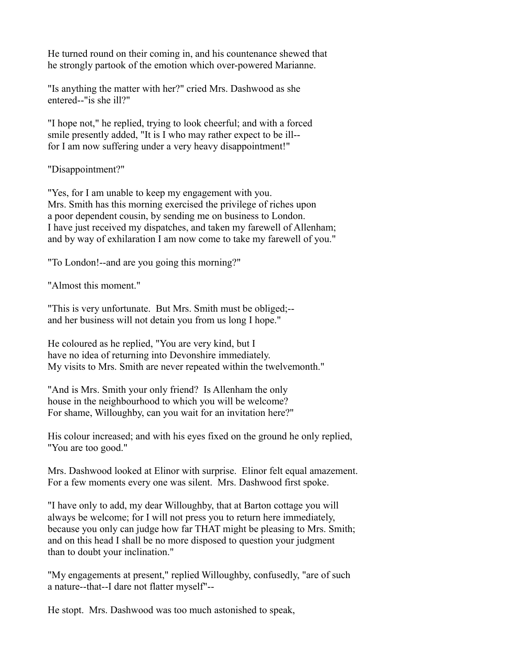He turned round on their coming in, and his countenance shewed that he strongly partook of the emotion which over-powered Marianne.

"Is anything the matter with her?" cried Mrs. Dashwood as she entered--"is she ill?"

"I hope not," he replied, trying to look cheerful; and with a forced smile presently added, "It is I who may rather expect to be ill- for I am now suffering under a very heavy disappointment!"

"Disappointment?"

"Yes, for I am unable to keep my engagement with you. Mrs. Smith has this morning exercised the privilege of riches upon a poor dependent cousin, by sending me on business to London. I have just received my dispatches, and taken my farewell of Allenham; and by way of exhilaration I am now come to take my farewell of you."

"To London!--and are you going this morning?"

"Almost this moment."

"This is very unfortunate. But Mrs. Smith must be obliged;- and her business will not detain you from us long I hope."

He coloured as he replied, "You are very kind, but I have no idea of returning into Devonshire immediately. My visits to Mrs. Smith are never repeated within the twelvemonth."

"And is Mrs. Smith your only friend? Is Allenham the only house in the neighbourhood to which you will be welcome? For shame, Willoughby, can you wait for an invitation here?"

His colour increased; and with his eyes fixed on the ground he only replied, "You are too good."

Mrs. Dashwood looked at Elinor with surprise. Elinor felt equal amazement. For a few moments every one was silent. Mrs. Dashwood first spoke.

"I have only to add, my dear Willoughby, that at Barton cottage you will always be welcome; for I will not press you to return here immediately, because you only can judge how far THAT might be pleasing to Mrs. Smith; and on this head I shall be no more disposed to question your judgment than to doubt your inclination."

"My engagements at present," replied Willoughby, confusedly, "are of such a nature--that--I dare not flatter myself"--

He stopt. Mrs. Dashwood was too much astonished to speak,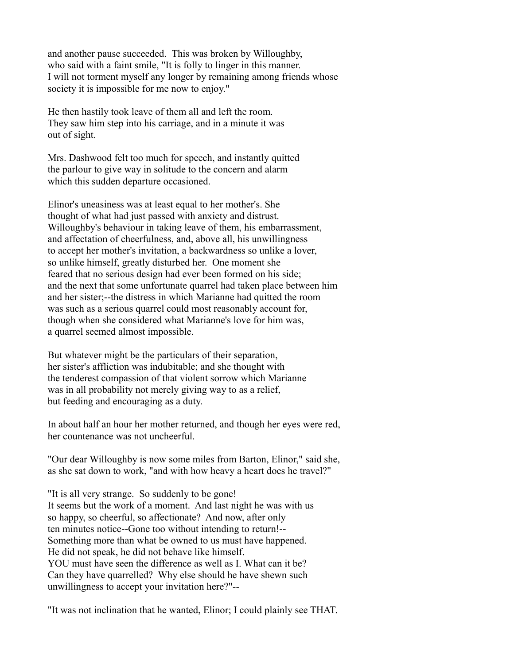and another pause succeeded. This was broken by Willoughby, who said with a faint smile, "It is folly to linger in this manner. I will not torment myself any longer by remaining among friends whose society it is impossible for me now to enjoy."

He then hastily took leave of them all and left the room. They saw him step into his carriage, and in a minute it was out of sight.

Mrs. Dashwood felt too much for speech, and instantly quitted the parlour to give way in solitude to the concern and alarm which this sudden departure occasioned.

Elinor's uneasiness was at least equal to her mother's. She thought of what had just passed with anxiety and distrust. Willoughby's behaviour in taking leave of them, his embarrassment, and affectation of cheerfulness, and, above all, his unwillingness to accept her mother's invitation, a backwardness so unlike a lover, so unlike himself, greatly disturbed her. One moment she feared that no serious design had ever been formed on his side; and the next that some unfortunate quarrel had taken place between him and her sister;--the distress in which Marianne had quitted the room was such as a serious quarrel could most reasonably account for, though when she considered what Marianne's love for him was, a quarrel seemed almost impossible.

But whatever might be the particulars of their separation, her sister's affliction was indubitable; and she thought with the tenderest compassion of that violent sorrow which Marianne was in all probability not merely giving way to as a relief, but feeding and encouraging as a duty.

In about half an hour her mother returned, and though her eyes were red, her countenance was not uncheerful.

"Our dear Willoughby is now some miles from Barton, Elinor," said she, as she sat down to work, "and with how heavy a heart does he travel?"

"It is all very strange. So suddenly to be gone! It seems but the work of a moment. And last night he was with us so happy, so cheerful, so affectionate? And now, after only ten minutes notice--Gone too without intending to return!-- Something more than what be owned to us must have happened. He did not speak, he did not behave like himself. YOU must have seen the difference as well as I. What can it be? Can they have quarrelled? Why else should he have shewn such unwillingness to accept your invitation here?"--

"It was not inclination that he wanted, Elinor; I could plainly see THAT.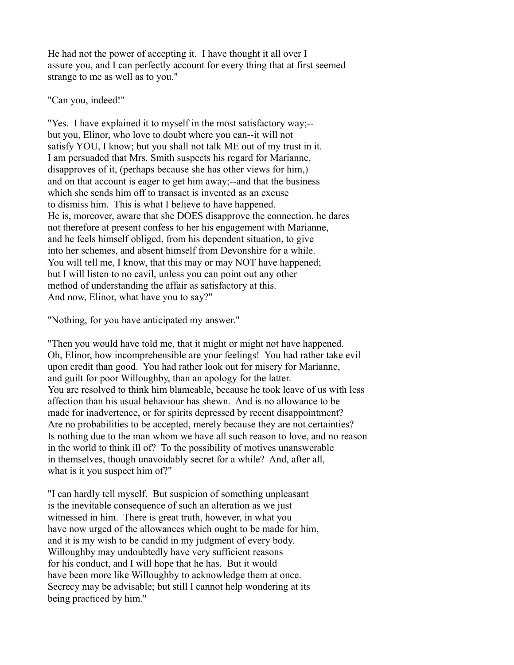He had not the power of accepting it. I have thought it all over I assure you, and I can perfectly account for every thing that at first seemed strange to me as well as to you."

### "Can you, indeed!"

"Yes. I have explained it to myself in the most satisfactory way;- but you, Elinor, who love to doubt where you can--it will not satisfy YOU, I know; but you shall not talk ME out of my trust in it. I am persuaded that Mrs. Smith suspects his regard for Marianne, disapproves of it, (perhaps because she has other views for him,) and on that account is eager to get him away;--and that the business which she sends him off to transact is invented as an excuse to dismiss him. This is what I believe to have happened. He is, moreover, aware that she DOES disapprove the connection, he dares not therefore at present confess to her his engagement with Marianne, and he feels himself obliged, from his dependent situation, to give into her schemes, and absent himself from Devonshire for a while. You will tell me, I know, that this may or may NOT have happened; but I will listen to no cavil, unless you can point out any other method of understanding the affair as satisfactory at this. And now, Elinor, what have you to say?"

"Nothing, for you have anticipated my answer."

"Then you would have told me, that it might or might not have happened. Oh, Elinor, how incomprehensible are your feelings! You had rather take evil upon credit than good. You had rather look out for misery for Marianne, and guilt for poor Willoughby, than an apology for the latter. You are resolved to think him blameable, because he took leave of us with less affection than his usual behaviour has shewn. And is no allowance to be made for inadvertence, or for spirits depressed by recent disappointment? Are no probabilities to be accepted, merely because they are not certainties? Is nothing due to the man whom we have all such reason to love, and no reason in the world to think ill of? To the possibility of motives unanswerable in themselves, though unavoidably secret for a while? And, after all, what is it you suspect him of?"

"I can hardly tell myself. But suspicion of something unpleasant is the inevitable consequence of such an alteration as we just witnessed in him. There is great truth, however, in what you have now urged of the allowances which ought to be made for him, and it is my wish to be candid in my judgment of every body. Willoughby may undoubtedly have very sufficient reasons for his conduct, and I will hope that he has. But it would have been more like Willoughby to acknowledge them at once. Secrecy may be advisable; but still I cannot help wondering at its being practiced by him."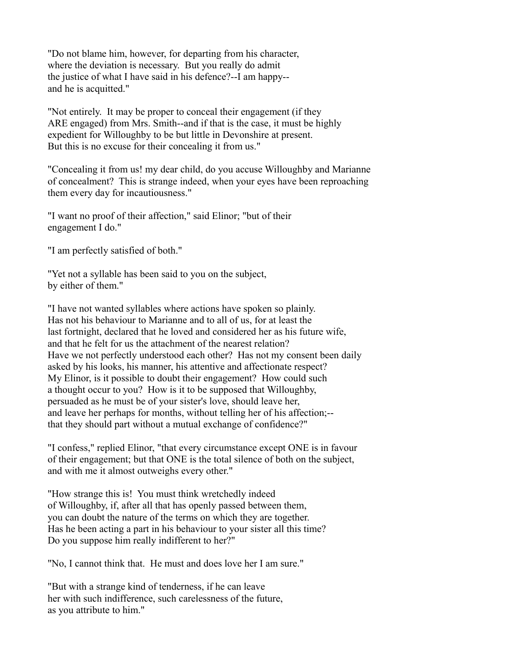"Do not blame him, however, for departing from his character, where the deviation is necessary. But you really do admit the justice of what I have said in his defence?--I am happy- and he is acquitted."

"Not entirely. It may be proper to conceal their engagement (if they ARE engaged) from Mrs. Smith--and if that is the case, it must be highly expedient for Willoughby to be but little in Devonshire at present. But this is no excuse for their concealing it from us."

"Concealing it from us! my dear child, do you accuse Willoughby and Marianne of concealment? This is strange indeed, when your eyes have been reproaching them every day for incautiousness."

"I want no proof of their affection," said Elinor; "but of their engagement I do."

"I am perfectly satisfied of both."

"Yet not a syllable has been said to you on the subject, by either of them."

"I have not wanted syllables where actions have spoken so plainly. Has not his behaviour to Marianne and to all of us, for at least the last fortnight, declared that he loved and considered her as his future wife, and that he felt for us the attachment of the nearest relation? Have we not perfectly understood each other? Has not my consent been daily asked by his looks, his manner, his attentive and affectionate respect? My Elinor, is it possible to doubt their engagement? How could such a thought occur to you? How is it to be supposed that Willoughby, persuaded as he must be of your sister's love, should leave her, and leave her perhaps for months, without telling her of his affection;- that they should part without a mutual exchange of confidence?"

"I confess," replied Elinor, "that every circumstance except ONE is in favour of their engagement; but that ONE is the total silence of both on the subject, and with me it almost outweighs every other."

"How strange this is! You must think wretchedly indeed of Willoughby, if, after all that has openly passed between them, you can doubt the nature of the terms on which they are together. Has he been acting a part in his behaviour to your sister all this time? Do you suppose him really indifferent to her?"

"No, I cannot think that. He must and does love her I am sure."

"But with a strange kind of tenderness, if he can leave her with such indifference, such carelessness of the future, as you attribute to him."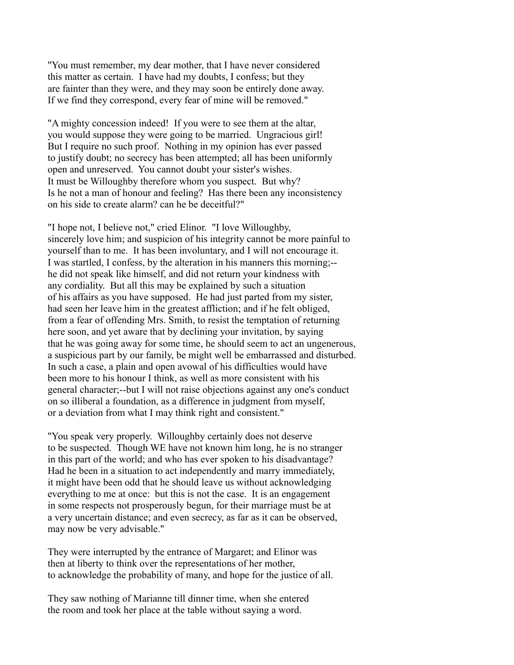"You must remember, my dear mother, that I have never considered this matter as certain. I have had my doubts, I confess; but they are fainter than they were, and they may soon be entirely done away. If we find they correspond, every fear of mine will be removed."

"A mighty concession indeed! If you were to see them at the altar, you would suppose they were going to be married. Ungracious girl! But I require no such proof. Nothing in my opinion has ever passed to justify doubt; no secrecy has been attempted; all has been uniformly open and unreserved. You cannot doubt your sister's wishes. It must be Willoughby therefore whom you suspect. But why? Is he not a man of honour and feeling? Has there been any inconsistency on his side to create alarm? can he be deceitful?"

"I hope not, I believe not," cried Elinor. "I love Willoughby, sincerely love him; and suspicion of his integrity cannot be more painful to yourself than to me. It has been involuntary, and I will not encourage it. I was startled, I confess, by the alteration in his manners this morning;- he did not speak like himself, and did not return your kindness with any cordiality. But all this may be explained by such a situation of his affairs as you have supposed. He had just parted from my sister, had seen her leave him in the greatest affliction; and if he felt obliged, from a fear of offending Mrs. Smith, to resist the temptation of returning here soon, and yet aware that by declining your invitation, by saying that he was going away for some time, he should seem to act an ungenerous, a suspicious part by our family, be might well be embarrassed and disturbed. In such a case, a plain and open avowal of his difficulties would have been more to his honour I think, as well as more consistent with his general character;--but I will not raise objections against any one's conduct on so illiberal a foundation, as a difference in judgment from myself, or a deviation from what I may think right and consistent."

"You speak very properly. Willoughby certainly does not deserve to be suspected. Though WE have not known him long, he is no stranger in this part of the world; and who has ever spoken to his disadvantage? Had he been in a situation to act independently and marry immediately, it might have been odd that he should leave us without acknowledging everything to me at once: but this is not the case. It is an engagement in some respects not prosperously begun, for their marriage must be at a very uncertain distance; and even secrecy, as far as it can be observed, may now be very advisable."

They were interrupted by the entrance of Margaret; and Elinor was then at liberty to think over the representations of her mother, to acknowledge the probability of many, and hope for the justice of all.

They saw nothing of Marianne till dinner time, when she entered the room and took her place at the table without saying a word.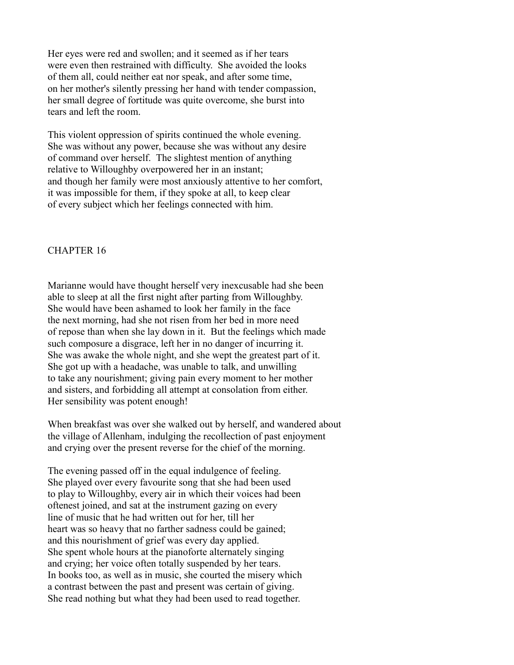Her eyes were red and swollen; and it seemed as if her tears were even then restrained with difficulty. She avoided the looks of them all, could neither eat nor speak, and after some time, on her mother's silently pressing her hand with tender compassion, her small degree of fortitude was quite overcome, she burst into tears and left the room.

This violent oppression of spirits continued the whole evening. She was without any power, because she was without any desire of command over herself. The slightest mention of anything relative to Willoughby overpowered her in an instant; and though her family were most anxiously attentive to her comfort, it was impossible for them, if they spoke at all, to keep clear of every subject which her feelings connected with him.

#### CHAPTER 16

Marianne would have thought herself very inexcusable had she been able to sleep at all the first night after parting from Willoughby. She would have been ashamed to look her family in the face the next morning, had she not risen from her bed in more need of repose than when she lay down in it. But the feelings which made such composure a disgrace, left her in no danger of incurring it. She was awake the whole night, and she wept the greatest part of it. She got up with a headache, was unable to talk, and unwilling to take any nourishment; giving pain every moment to her mother and sisters, and forbidding all attempt at consolation from either. Her sensibility was potent enough!

When breakfast was over she walked out by herself, and wandered about the village of Allenham, indulging the recollection of past enjoyment and crying over the present reverse for the chief of the morning.

The evening passed off in the equal indulgence of feeling. She played over every favourite song that she had been used to play to Willoughby, every air in which their voices had been oftenest joined, and sat at the instrument gazing on every line of music that he had written out for her, till her heart was so heavy that no farther sadness could be gained; and this nourishment of grief was every day applied. She spent whole hours at the pianoforte alternately singing and crying; her voice often totally suspended by her tears. In books too, as well as in music, she courted the misery which a contrast between the past and present was certain of giving. She read nothing but what they had been used to read together.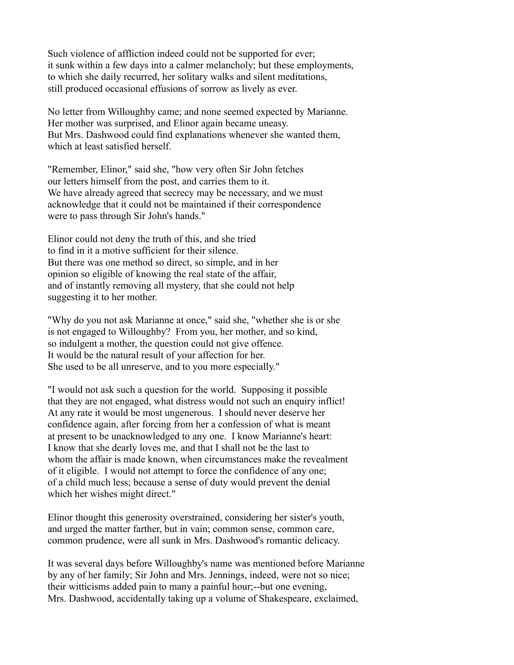Such violence of affliction indeed could not be supported for ever; it sunk within a few days into a calmer melancholy; but these employments, to which she daily recurred, her solitary walks and silent meditations, still produced occasional effusions of sorrow as lively as ever.

No letter from Willoughby came; and none seemed expected by Marianne. Her mother was surprised, and Elinor again became uneasy. But Mrs. Dashwood could find explanations whenever she wanted them, which at least satisfied herself.

"Remember, Elinor," said she, "how very often Sir John fetches our letters himself from the post, and carries them to it. We have already agreed that secrecy may be necessary, and we must acknowledge that it could not be maintained if their correspondence were to pass through Sir John's hands."

Elinor could not deny the truth of this, and she tried to find in it a motive sufficient for their silence. But there was one method so direct, so simple, and in her opinion so eligible of knowing the real state of the affair, and of instantly removing all mystery, that she could not help suggesting it to her mother.

"Why do you not ask Marianne at once," said she, "whether she is or she is not engaged to Willoughby? From you, her mother, and so kind, so indulgent a mother, the question could not give offence. It would be the natural result of your affection for her. She used to be all unreserve, and to you more especially."

"I would not ask such a question for the world. Supposing it possible that they are not engaged, what distress would not such an enquiry inflict! At any rate it would be most ungenerous. I should never deserve her confidence again, after forcing from her a confession of what is meant at present to be unacknowledged to any one. I know Marianne's heart: I know that she dearly loves me, and that I shall not be the last to whom the affair is made known, when circumstances make the revealment of it eligible. I would not attempt to force the confidence of any one; of a child much less; because a sense of duty would prevent the denial which her wishes might direct."

Elinor thought this generosity overstrained, considering her sister's youth, and urged the matter farther, but in vain; common sense, common care, common prudence, were all sunk in Mrs. Dashwood's romantic delicacy.

It was several days before Willoughby's name was mentioned before Marianne by any of her family; Sir John and Mrs. Jennings, indeed, were not so nice; their witticisms added pain to many a painful hour;--but one evening, Mrs. Dashwood, accidentally taking up a volume of Shakespeare, exclaimed,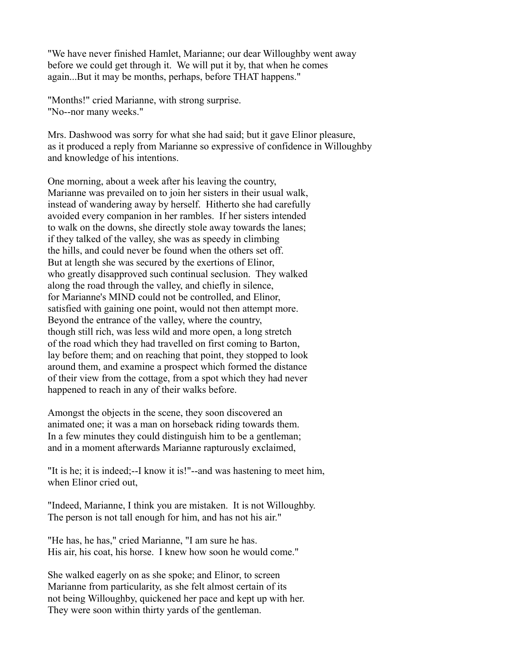"We have never finished Hamlet, Marianne; our dear Willoughby went away before we could get through it. We will put it by, that when he comes again...But it may be months, perhaps, before THAT happens."

"Months!" cried Marianne, with strong surprise. "No--nor many weeks."

Mrs. Dashwood was sorry for what she had said; but it gave Elinor pleasure, as it produced a reply from Marianne so expressive of confidence in Willoughby and knowledge of his intentions.

One morning, about a week after his leaving the country, Marianne was prevailed on to join her sisters in their usual walk, instead of wandering away by herself. Hitherto she had carefully avoided every companion in her rambles. If her sisters intended to walk on the downs, she directly stole away towards the lanes; if they talked of the valley, she was as speedy in climbing the hills, and could never be found when the others set off. But at length she was secured by the exertions of Elinor, who greatly disapproved such continual seclusion. They walked along the road through the valley, and chiefly in silence, for Marianne's MIND could not be controlled, and Elinor, satisfied with gaining one point, would not then attempt more. Beyond the entrance of the valley, where the country, though still rich, was less wild and more open, a long stretch of the road which they had travelled on first coming to Barton, lay before them; and on reaching that point, they stopped to look around them, and examine a prospect which formed the distance of their view from the cottage, from a spot which they had never happened to reach in any of their walks before.

Amongst the objects in the scene, they soon discovered an animated one; it was a man on horseback riding towards them. In a few minutes they could distinguish him to be a gentleman; and in a moment afterwards Marianne rapturously exclaimed,

"It is he; it is indeed;--I know it is!"--and was hastening to meet him, when Elinor cried out,

"Indeed, Marianne, I think you are mistaken. It is not Willoughby. The person is not tall enough for him, and has not his air."

"He has, he has," cried Marianne, "I am sure he has. His air, his coat, his horse. I knew how soon he would come."

She walked eagerly on as she spoke; and Elinor, to screen Marianne from particularity, as she felt almost certain of its not being Willoughby, quickened her pace and kept up with her. They were soon within thirty yards of the gentleman.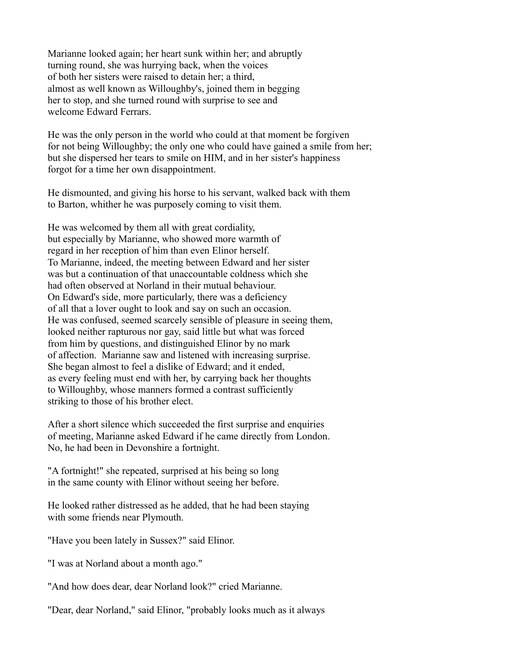Marianne looked again; her heart sunk within her; and abruptly turning round, she was hurrying back, when the voices of both her sisters were raised to detain her; a third, almost as well known as Willoughby's, joined them in begging her to stop, and she turned round with surprise to see and welcome Edward Ferrars.

He was the only person in the world who could at that moment be forgiven for not being Willoughby; the only one who could have gained a smile from her; but she dispersed her tears to smile on HIM, and in her sister's happiness forgot for a time her own disappointment.

He dismounted, and giving his horse to his servant, walked back with them to Barton, whither he was purposely coming to visit them.

He was welcomed by them all with great cordiality, but especially by Marianne, who showed more warmth of regard in her reception of him than even Elinor herself. To Marianne, indeed, the meeting between Edward and her sister was but a continuation of that unaccountable coldness which she had often observed at Norland in their mutual behaviour. On Edward's side, more particularly, there was a deficiency of all that a lover ought to look and say on such an occasion. He was confused, seemed scarcely sensible of pleasure in seeing them, looked neither rapturous nor gay, said little but what was forced from him by questions, and distinguished Elinor by no mark of affection. Marianne saw and listened with increasing surprise. She began almost to feel a dislike of Edward; and it ended, as every feeling must end with her, by carrying back her thoughts to Willoughby, whose manners formed a contrast sufficiently striking to those of his brother elect.

After a short silence which succeeded the first surprise and enquiries of meeting, Marianne asked Edward if he came directly from London. No, he had been in Devonshire a fortnight.

"A fortnight!" she repeated, surprised at his being so long in the same county with Elinor without seeing her before.

He looked rather distressed as he added, that he had been staying with some friends near Plymouth.

"Have you been lately in Sussex?" said Elinor.

"I was at Norland about a month ago."

"And how does dear, dear Norland look?" cried Marianne.

"Dear, dear Norland," said Elinor, "probably looks much as it always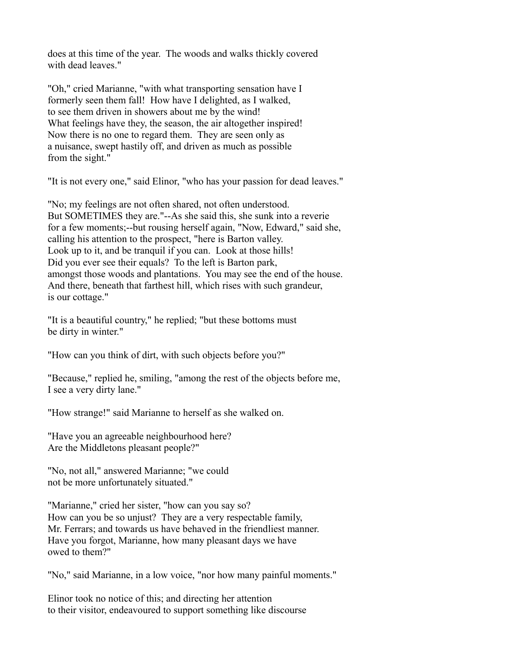does at this time of the year. The woods and walks thickly covered with dead leaves."

"Oh," cried Marianne, "with what transporting sensation have I formerly seen them fall! How have I delighted, as I walked, to see them driven in showers about me by the wind! What feelings have they, the season, the air altogether inspired! Now there is no one to regard them. They are seen only as a nuisance, swept hastily off, and driven as much as possible from the sight."

"It is not every one," said Elinor, "who has your passion for dead leaves."

"No; my feelings are not often shared, not often understood. But SOMETIMES they are."--As she said this, she sunk into a reverie for a few moments;--but rousing herself again, "Now, Edward," said she, calling his attention to the prospect, "here is Barton valley. Look up to it, and be tranquil if you can. Look at those hills! Did you ever see their equals? To the left is Barton park, amongst those woods and plantations. You may see the end of the house. And there, beneath that farthest hill, which rises with such grandeur, is our cottage."

"It is a beautiful country," he replied; "but these bottoms must be dirty in winter."

"How can you think of dirt, with such objects before you?"

"Because," replied he, smiling, "among the rest of the objects before me, I see a very dirty lane."

"How strange!" said Marianne to herself as she walked on.

"Have you an agreeable neighbourhood here? Are the Middletons pleasant people?"

"No, not all," answered Marianne; "we could not be more unfortunately situated."

"Marianne," cried her sister, "how can you say so? How can you be so unjust? They are a very respectable family, Mr. Ferrars; and towards us have behaved in the friendliest manner. Have you forgot, Marianne, how many pleasant days we have owed to them?"

"No," said Marianne, in a low voice, "nor how many painful moments."

Elinor took no notice of this; and directing her attention to their visitor, endeavoured to support something like discourse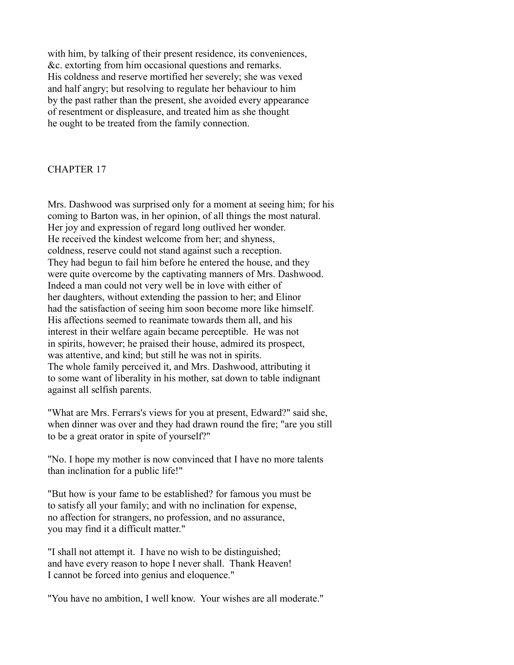with him, by talking of their present residence, its conveniences, &c. extorting from him occasional questions and remarks. His coldness and reserve mortified her severely; she was vexed and half angry; but resolving to regulate her behaviour to him by the past rather than the present, she avoided every appearance of resentment or displeasure, and treated him as she thought he ought to be treated from the family connection.

#### CHAPTER 17

Mrs. Dashwood was surprised only for a moment at seeing him; for his coming to Barton was, in her opinion, of all things the most natural. Her joy and expression of regard long outlived her wonder. He received the kindest welcome from her; and shyness, coldness, reserve could not stand against such a reception. They had begun to fail him before he entered the house, and they were quite overcome by the captivating manners of Mrs. Dashwood. Indeed a man could not very well be in love with either of her daughters, without extending the passion to her; and Elinor had the satisfaction of seeing him soon become more like himself. His affections seemed to reanimate towards them all, and his interest in their welfare again became perceptible. He was not in spirits, however; he praised their house, admired its prospect, was attentive, and kind; but still he was not in spirits. The whole family perceived it, and Mrs. Dashwood, attributing it to some want of liberality in his mother, sat down to table indignant against all selfish parents.

"What are Mrs. Ferrars's views for you at present, Edward?" said she, when dinner was over and they had drawn round the fire; "are you still to be a great orator in spite of yourself?"

"No. I hope my mother is now convinced that I have no more talents than inclination for a public life!"

"But how is your fame to be established? for famous you must be to satisfy all your family; and with no inclination for expense, no affection for strangers, no profession, and no assurance, you may find it a difficult matter."

"I shall not attempt it. I have no wish to be distinguished; and have every reason to hope I never shall. Thank Heaven! I cannot be forced into genius and eloquence."

"You have no ambition, I well know. Your wishes are all moderate."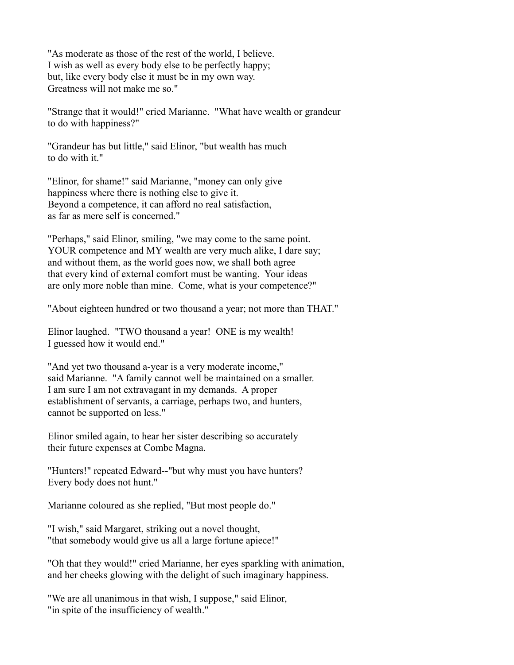"As moderate as those of the rest of the world, I believe. I wish as well as every body else to be perfectly happy; but, like every body else it must be in my own way. Greatness will not make me so."

"Strange that it would!" cried Marianne. "What have wealth or grandeur to do with happiness?"

"Grandeur has but little," said Elinor, "but wealth has much to do with it."

"Elinor, for shame!" said Marianne, "money can only give happiness where there is nothing else to give it. Beyond a competence, it can afford no real satisfaction, as far as mere self is concerned."

"Perhaps," said Elinor, smiling, "we may come to the same point. YOUR competence and MY wealth are very much alike, I dare say; and without them, as the world goes now, we shall both agree that every kind of external comfort must be wanting. Your ideas are only more noble than mine. Come, what is your competence?"

"About eighteen hundred or two thousand a year; not more than THAT."

Elinor laughed. "TWO thousand a year! ONE is my wealth! I guessed how it would end."

"And yet two thousand a-year is a very moderate income," said Marianne. "A family cannot well be maintained on a smaller. I am sure I am not extravagant in my demands. A proper establishment of servants, a carriage, perhaps two, and hunters, cannot be supported on less."

Elinor smiled again, to hear her sister describing so accurately their future expenses at Combe Magna.

"Hunters!" repeated Edward--"but why must you have hunters? Every body does not hunt."

Marianne coloured as she replied, "But most people do."

"I wish," said Margaret, striking out a novel thought, "that somebody would give us all a large fortune apiece!"

"Oh that they would!" cried Marianne, her eyes sparkling with animation, and her cheeks glowing with the delight of such imaginary happiness.

"We are all unanimous in that wish, I suppose," said Elinor, "in spite of the insufficiency of wealth."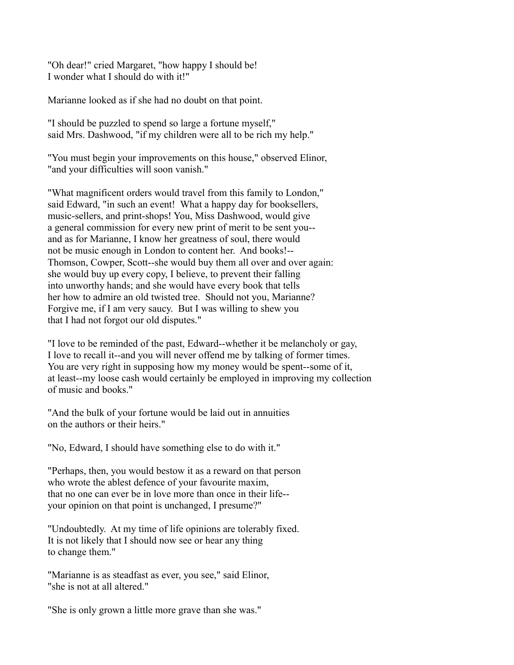"Oh dear!" cried Margaret, "how happy I should be! I wonder what I should do with it!"

Marianne looked as if she had no doubt on that point.

"I should be puzzled to spend so large a fortune myself," said Mrs. Dashwood, "if my children were all to be rich my help."

"You must begin your improvements on this house," observed Elinor, "and your difficulties will soon vanish."

"What magnificent orders would travel from this family to London," said Edward, "in such an event! What a happy day for booksellers, music-sellers, and print-shops! You, Miss Dashwood, would give a general commission for every new print of merit to be sent you- and as for Marianne, I know her greatness of soul, there would not be music enough in London to content her. And books!-- Thomson, Cowper, Scott--she would buy them all over and over again: she would buy up every copy, I believe, to prevent their falling into unworthy hands; and she would have every book that tells her how to admire an old twisted tree. Should not you, Marianne? Forgive me, if I am very saucy. But I was willing to shew you that I had not forgot our old disputes."

"I love to be reminded of the past, Edward--whether it be melancholy or gay, I love to recall it--and you will never offend me by talking of former times. You are very right in supposing how my money would be spent--some of it, at least--my loose cash would certainly be employed in improving my collection of music and books."

"And the bulk of your fortune would be laid out in annuities on the authors or their heirs."

"No, Edward, I should have something else to do with it."

"Perhaps, then, you would bestow it as a reward on that person who wrote the ablest defence of your favourite maxim, that no one can ever be in love more than once in their life- your opinion on that point is unchanged, I presume?"

"Undoubtedly. At my time of life opinions are tolerably fixed. It is not likely that I should now see or hear any thing to change them."

"Marianne is as steadfast as ever, you see," said Elinor, "she is not at all altered."

"She is only grown a little more grave than she was."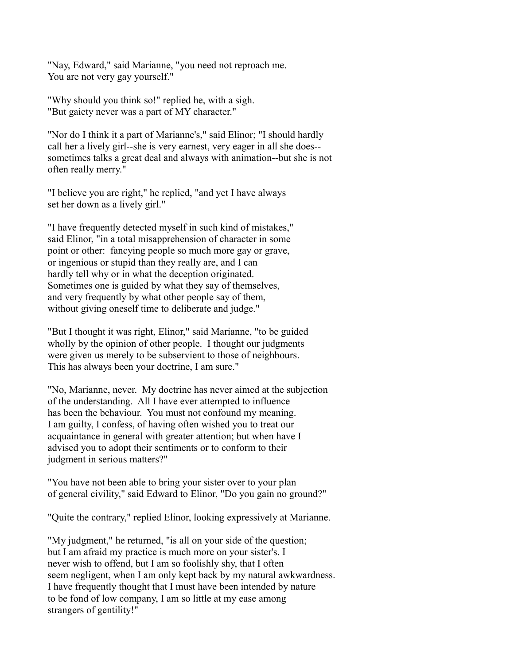"Nay, Edward," said Marianne, "you need not reproach me. You are not very gay yourself."

"Why should you think so!" replied he, with a sigh. "But gaiety never was a part of MY character."

"Nor do I think it a part of Marianne's," said Elinor; "I should hardly call her a lively girl--she is very earnest, very eager in all she does- sometimes talks a great deal and always with animation--but she is not often really merry."

"I believe you are right," he replied, "and yet I have always set her down as a lively girl."

"I have frequently detected myself in such kind of mistakes," said Elinor, "in a total misapprehension of character in some point or other: fancying people so much more gay or grave, or ingenious or stupid than they really are, and I can hardly tell why or in what the deception originated. Sometimes one is guided by what they say of themselves, and very frequently by what other people say of them, without giving oneself time to deliberate and judge."

"But I thought it was right, Elinor," said Marianne, "to be guided wholly by the opinion of other people. I thought our judgments were given us merely to be subservient to those of neighbours. This has always been your doctrine, I am sure."

"No, Marianne, never. My doctrine has never aimed at the subjection of the understanding. All I have ever attempted to influence has been the behaviour. You must not confound my meaning. I am guilty, I confess, of having often wished you to treat our acquaintance in general with greater attention; but when have I advised you to adopt their sentiments or to conform to their judgment in serious matters?"

"You have not been able to bring your sister over to your plan of general civility," said Edward to Elinor, "Do you gain no ground?"

"Quite the contrary," replied Elinor, looking expressively at Marianne.

"My judgment," he returned, "is all on your side of the question; but I am afraid my practice is much more on your sister's. I never wish to offend, but I am so foolishly shy, that I often seem negligent, when I am only kept back by my natural awkwardness. I have frequently thought that I must have been intended by nature to be fond of low company, I am so little at my ease among strangers of gentility!"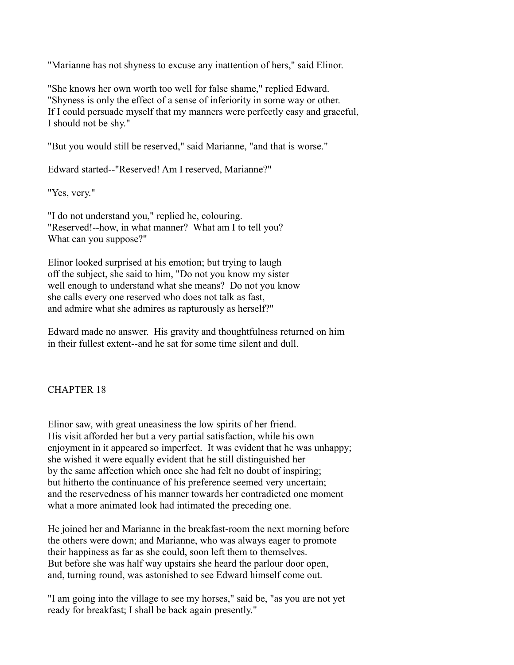"Marianne has not shyness to excuse any inattention of hers," said Elinor.

"She knows her own worth too well for false shame," replied Edward. "Shyness is only the effect of a sense of inferiority in some way or other. If I could persuade myself that my manners were perfectly easy and graceful, I should not be shy."

"But you would still be reserved," said Marianne, "and that is worse."

Edward started--"Reserved! Am I reserved, Marianne?"

"Yes, very."

"I do not understand you," replied he, colouring. "Reserved!--how, in what manner? What am I to tell you? What can you suppose?"

Elinor looked surprised at his emotion; but trying to laugh off the subject, she said to him, "Do not you know my sister well enough to understand what she means? Do not you know she calls every one reserved who does not talk as fast, and admire what she admires as rapturously as herself?"

Edward made no answer. His gravity and thoughtfulness returned on him in their fullest extent--and he sat for some time silent and dull.

## CHAPTER 18

Elinor saw, with great uneasiness the low spirits of her friend. His visit afforded her but a very partial satisfaction, while his own enjoyment in it appeared so imperfect. It was evident that he was unhappy; she wished it were equally evident that he still distinguished her by the same affection which once she had felt no doubt of inspiring; but hitherto the continuance of his preference seemed very uncertain; and the reservedness of his manner towards her contradicted one moment what a more animated look had intimated the preceding one.

He joined her and Marianne in the breakfast-room the next morning before the others were down; and Marianne, who was always eager to promote their happiness as far as she could, soon left them to themselves. But before she was half way upstairs she heard the parlour door open, and, turning round, was astonished to see Edward himself come out.

"I am going into the village to see my horses," said be, "as you are not yet ready for breakfast; I shall be back again presently."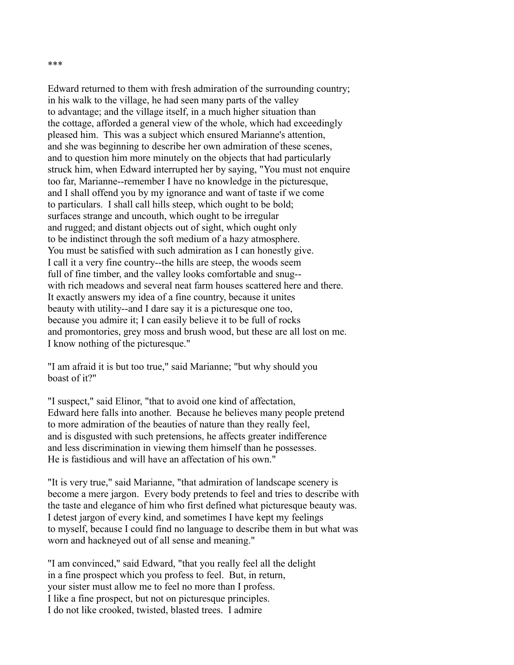Edward returned to them with fresh admiration of the surrounding country; in his walk to the village, he had seen many parts of the valley to advantage; and the village itself, in a much higher situation than the cottage, afforded a general view of the whole, which had exceedingly pleased him. This was a subject which ensured Marianne's attention, and she was beginning to describe her own admiration of these scenes, and to question him more minutely on the objects that had particularly struck him, when Edward interrupted her by saying, "You must not enquire too far, Marianne--remember I have no knowledge in the picturesque, and I shall offend you by my ignorance and want of taste if we come to particulars. I shall call hills steep, which ought to be bold; surfaces strange and uncouth, which ought to be irregular and rugged; and distant objects out of sight, which ought only to be indistinct through the soft medium of a hazy atmosphere. You must be satisfied with such admiration as I can honestly give. I call it a very fine country--the hills are steep, the woods seem full of fine timber, and the valley looks comfortable and snug- with rich meadows and several neat farm houses scattered here and there. It exactly answers my idea of a fine country, because it unites beauty with utility--and I dare say it is a picturesque one too, because you admire it; I can easily believe it to be full of rocks and promontories, grey moss and brush wood, but these are all lost on me. I know nothing of the picturesque."

"I am afraid it is but too true," said Marianne; "but why should you boast of it?"

"I suspect," said Elinor, "that to avoid one kind of affectation, Edward here falls into another. Because he believes many people pretend to more admiration of the beauties of nature than they really feel, and is disgusted with such pretensions, he affects greater indifference and less discrimination in viewing them himself than he possesses. He is fastidious and will have an affectation of his own."

"It is very true," said Marianne, "that admiration of landscape scenery is become a mere jargon. Every body pretends to feel and tries to describe with the taste and elegance of him who first defined what picturesque beauty was. I detest jargon of every kind, and sometimes I have kept my feelings to myself, because I could find no language to describe them in but what was worn and hackneyed out of all sense and meaning."

"I am convinced," said Edward, "that you really feel all the delight in a fine prospect which you profess to feel. But, in return, your sister must allow me to feel no more than I profess. I like a fine prospect, but not on picturesque principles. I do not like crooked, twisted, blasted trees. I admire

#### \*\*\*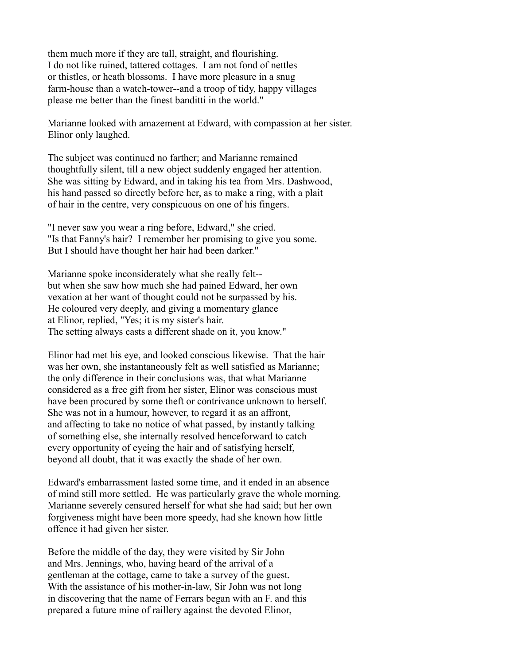them much more if they are tall, straight, and flourishing. I do not like ruined, tattered cottages. I am not fond of nettles or thistles, or heath blossoms. I have more pleasure in a snug farm-house than a watch-tower--and a troop of tidy, happy villages please me better than the finest banditti in the world."

Marianne looked with amazement at Edward, with compassion at her sister. Elinor only laughed.

The subject was continued no farther; and Marianne remained thoughtfully silent, till a new object suddenly engaged her attention. She was sitting by Edward, and in taking his tea from Mrs. Dashwood, his hand passed so directly before her, as to make a ring, with a plait of hair in the centre, very conspicuous on one of his fingers.

"I never saw you wear a ring before, Edward," she cried. "Is that Fanny's hair? I remember her promising to give you some. But I should have thought her hair had been darker."

Marianne spoke inconsiderately what she really felt- but when she saw how much she had pained Edward, her own vexation at her want of thought could not be surpassed by his. He coloured very deeply, and giving a momentary glance at Elinor, replied, "Yes; it is my sister's hair. The setting always casts a different shade on it, you know."

Elinor had met his eye, and looked conscious likewise. That the hair was her own, she instantaneously felt as well satisfied as Marianne; the only difference in their conclusions was, that what Marianne considered as a free gift from her sister, Elinor was conscious must have been procured by some theft or contrivance unknown to herself. She was not in a humour, however, to regard it as an affront, and affecting to take no notice of what passed, by instantly talking of something else, she internally resolved henceforward to catch every opportunity of eyeing the hair and of satisfying herself, beyond all doubt, that it was exactly the shade of her own.

Edward's embarrassment lasted some time, and it ended in an absence of mind still more settled. He was particularly grave the whole morning. Marianne severely censured herself for what she had said; but her own forgiveness might have been more speedy, had she known how little offence it had given her sister.

Before the middle of the day, they were visited by Sir John and Mrs. Jennings, who, having heard of the arrival of a gentleman at the cottage, came to take a survey of the guest. With the assistance of his mother-in-law, Sir John was not long in discovering that the name of Ferrars began with an F. and this prepared a future mine of raillery against the devoted Elinor,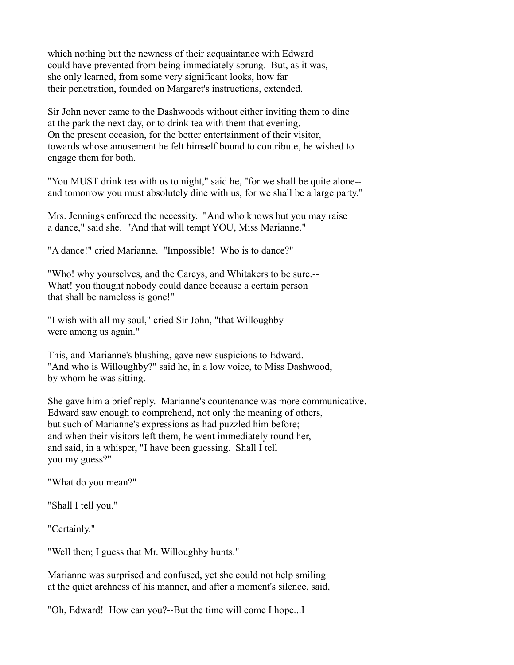which nothing but the newness of their acquaintance with Edward could have prevented from being immediately sprung. But, as it was, she only learned, from some very significant looks, how far their penetration, founded on Margaret's instructions, extended.

Sir John never came to the Dashwoods without either inviting them to dine at the park the next day, or to drink tea with them that evening. On the present occasion, for the better entertainment of their visitor, towards whose amusement he felt himself bound to contribute, he wished to engage them for both.

"You MUST drink tea with us to night," said he, "for we shall be quite alone- and tomorrow you must absolutely dine with us, for we shall be a large party."

Mrs. Jennings enforced the necessity. "And who knows but you may raise a dance," said she. "And that will tempt YOU, Miss Marianne."

"A dance!" cried Marianne. "Impossible! Who is to dance?"

"Who! why yourselves, and the Careys, and Whitakers to be sure.-- What! you thought nobody could dance because a certain person that shall be nameless is gone!"

"I wish with all my soul," cried Sir John, "that Willoughby were among us again."

This, and Marianne's blushing, gave new suspicions to Edward. "And who is Willoughby?" said he, in a low voice, to Miss Dashwood, by whom he was sitting.

She gave him a brief reply. Marianne's countenance was more communicative. Edward saw enough to comprehend, not only the meaning of others, but such of Marianne's expressions as had puzzled him before; and when their visitors left them, he went immediately round her, and said, in a whisper, "I have been guessing. Shall I tell you my guess?"

"What do you mean?"

"Shall I tell you."

"Certainly."

"Well then; I guess that Mr. Willoughby hunts."

Marianne was surprised and confused, yet she could not help smiling at the quiet archness of his manner, and after a moment's silence, said,

"Oh, Edward! How can you?--But the time will come I hope...I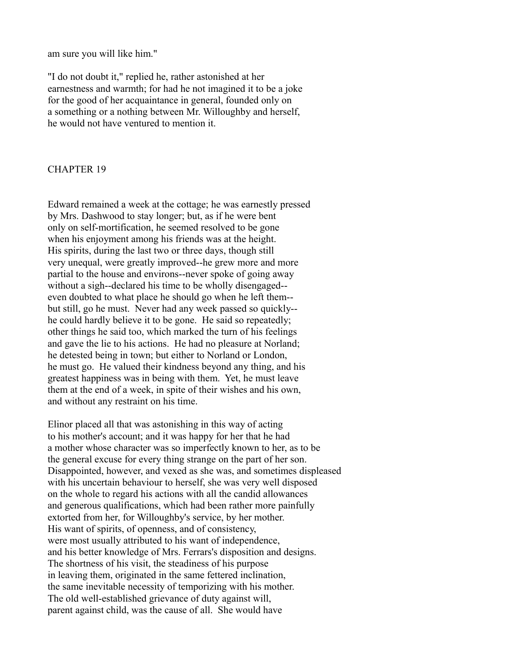am sure you will like him."

"I do not doubt it," replied he, rather astonished at her earnestness and warmth; for had he not imagined it to be a joke for the good of her acquaintance in general, founded only on a something or a nothing between Mr. Willoughby and herself, he would not have ventured to mention it.

#### CHAPTER 19

Edward remained a week at the cottage; he was earnestly pressed by Mrs. Dashwood to stay longer; but, as if he were bent only on self-mortification, he seemed resolved to be gone when his enjoyment among his friends was at the height. His spirits, during the last two or three days, though still very unequal, were greatly improved--he grew more and more partial to the house and environs--never spoke of going away without a sigh--declared his time to be wholly disengaged- even doubted to what place he should go when he left them- but still, go he must. Never had any week passed so quickly- he could hardly believe it to be gone. He said so repeatedly; other things he said too, which marked the turn of his feelings and gave the lie to his actions. He had no pleasure at Norland; he detested being in town; but either to Norland or London, he must go. He valued their kindness beyond any thing, and his greatest happiness was in being with them. Yet, he must leave them at the end of a week, in spite of their wishes and his own, and without any restraint on his time.

Elinor placed all that was astonishing in this way of acting to his mother's account; and it was happy for her that he had a mother whose character was so imperfectly known to her, as to be the general excuse for every thing strange on the part of her son. Disappointed, however, and vexed as she was, and sometimes displeased with his uncertain behaviour to herself, she was very well disposed on the whole to regard his actions with all the candid allowances and generous qualifications, which had been rather more painfully extorted from her, for Willoughby's service, by her mother. His want of spirits, of openness, and of consistency, were most usually attributed to his want of independence, and his better knowledge of Mrs. Ferrars's disposition and designs. The shortness of his visit, the steadiness of his purpose in leaving them, originated in the same fettered inclination, the same inevitable necessity of temporizing with his mother. The old well-established grievance of duty against will, parent against child, was the cause of all. She would have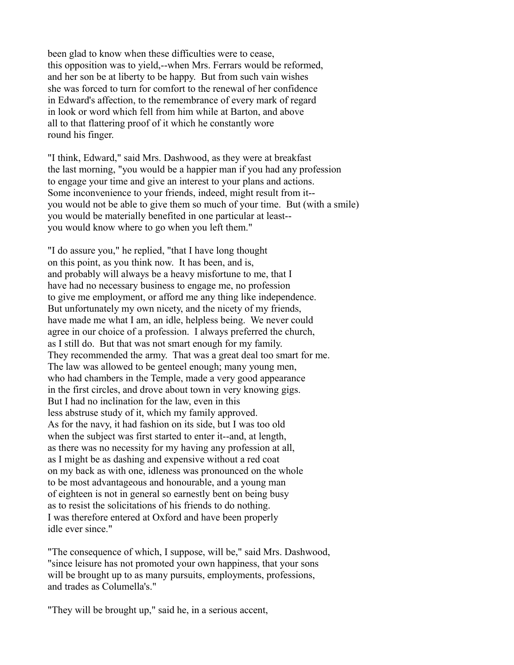been glad to know when these difficulties were to cease, this opposition was to yield,--when Mrs. Ferrars would be reformed, and her son be at liberty to be happy. But from such vain wishes she was forced to turn for comfort to the renewal of her confidence in Edward's affection, to the remembrance of every mark of regard in look or word which fell from him while at Barton, and above all to that flattering proof of it which he constantly wore round his finger.

"I think, Edward," said Mrs. Dashwood, as they were at breakfast the last morning, "you would be a happier man if you had any profession to engage your time and give an interest to your plans and actions. Some inconvenience to your friends, indeed, might result from it- you would not be able to give them so much of your time. But (with a smile) you would be materially benefited in one particular at least- you would know where to go when you left them."

"I do assure you," he replied, "that I have long thought on this point, as you think now. It has been, and is, and probably will always be a heavy misfortune to me, that I have had no necessary business to engage me, no profession to give me employment, or afford me any thing like independence. But unfortunately my own nicety, and the nicety of my friends, have made me what I am, an idle, helpless being. We never could agree in our choice of a profession. I always preferred the church, as I still do. But that was not smart enough for my family. They recommended the army. That was a great deal too smart for me. The law was allowed to be genteel enough; many young men, who had chambers in the Temple, made a very good appearance in the first circles, and drove about town in very knowing gigs. But I had no inclination for the law, even in this less abstruse study of it, which my family approved. As for the navy, it had fashion on its side, but I was too old when the subject was first started to enter it--and, at length, as there was no necessity for my having any profession at all, as I might be as dashing and expensive without a red coat on my back as with one, idleness was pronounced on the whole to be most advantageous and honourable, and a young man of eighteen is not in general so earnestly bent on being busy as to resist the solicitations of his friends to do nothing. I was therefore entered at Oxford and have been properly idle ever since."

"The consequence of which, I suppose, will be," said Mrs. Dashwood, "since leisure has not promoted your own happiness, that your sons will be brought up to as many pursuits, employments, professions, and trades as Columella's."

"They will be brought up," said he, in a serious accent,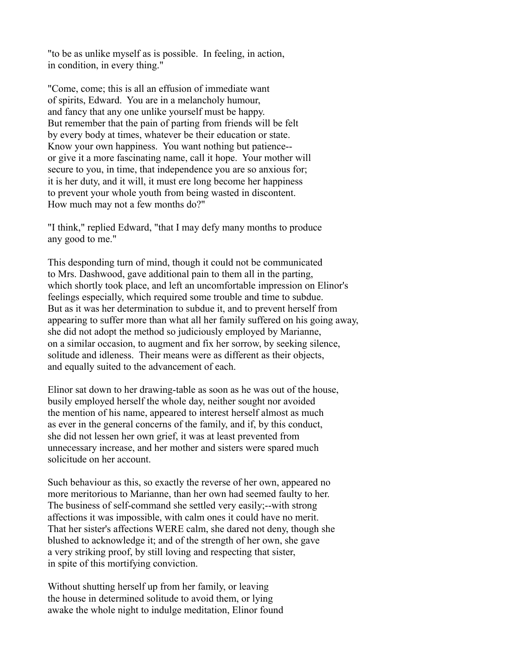"to be as unlike myself as is possible. In feeling, in action, in condition, in every thing."

"Come, come; this is all an effusion of immediate want of spirits, Edward. You are in a melancholy humour, and fancy that any one unlike yourself must be happy. But remember that the pain of parting from friends will be felt by every body at times, whatever be their education or state. Know your own happiness. You want nothing but patience- or give it a more fascinating name, call it hope. Your mother will secure to you, in time, that independence you are so anxious for; it is her duty, and it will, it must ere long become her happiness to prevent your whole youth from being wasted in discontent. How much may not a few months do?"

"I think," replied Edward, "that I may defy many months to produce any good to me."

This desponding turn of mind, though it could not be communicated to Mrs. Dashwood, gave additional pain to them all in the parting, which shortly took place, and left an uncomfortable impression on Elinor's feelings especially, which required some trouble and time to subdue. But as it was her determination to subdue it, and to prevent herself from appearing to suffer more than what all her family suffered on his going away, she did not adopt the method so judiciously employed by Marianne, on a similar occasion, to augment and fix her sorrow, by seeking silence, solitude and idleness. Their means were as different as their objects, and equally suited to the advancement of each.

Elinor sat down to her drawing-table as soon as he was out of the house, busily employed herself the whole day, neither sought nor avoided the mention of his name, appeared to interest herself almost as much as ever in the general concerns of the family, and if, by this conduct, she did not lessen her own grief, it was at least prevented from unnecessary increase, and her mother and sisters were spared much solicitude on her account.

Such behaviour as this, so exactly the reverse of her own, appeared no more meritorious to Marianne, than her own had seemed faulty to her. The business of self-command she settled very easily;--with strong affections it was impossible, with calm ones it could have no merit. That her sister's affections WERE calm, she dared not deny, though she blushed to acknowledge it; and of the strength of her own, she gave a very striking proof, by still loving and respecting that sister, in spite of this mortifying conviction.

Without shutting herself up from her family, or leaving the house in determined solitude to avoid them, or lying awake the whole night to indulge meditation, Elinor found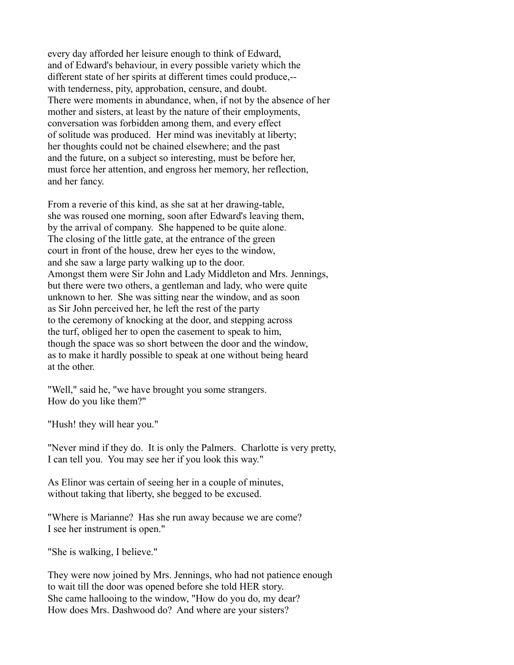every day afforded her leisure enough to think of Edward, and of Edward's behaviour, in every possible variety which the different state of her spirits at different times could produce,- with tenderness, pity, approbation, censure, and doubt. There were moments in abundance, when, if not by the absence of her mother and sisters, at least by the nature of their employments, conversation was forbidden among them, and every effect of solitude was produced. Her mind was inevitably at liberty; her thoughts could not be chained elsewhere; and the past and the future, on a subject so interesting, must be before her, must force her attention, and engross her memory, her reflection, and her fancy.

From a reverie of this kind, as she sat at her drawing-table, she was roused one morning, soon after Edward's leaving them, by the arrival of company. She happened to be quite alone. The closing of the little gate, at the entrance of the green court in front of the house, drew her eyes to the window, and she saw a large party walking up to the door. Amongst them were Sir John and Lady Middleton and Mrs. Jennings, but there were two others, a gentleman and lady, who were quite unknown to her. She was sitting near the window, and as soon as Sir John perceived her, he left the rest of the party to the ceremony of knocking at the door, and stepping across the turf, obliged her to open the casement to speak to him, though the space was so short between the door and the window, as to make it hardly possible to speak at one without being heard at the other.

"Well," said he, "we have brought you some strangers. How do you like them?"

"Hush! they will hear you."

"Never mind if they do. It is only the Palmers. Charlotte is very pretty, I can tell you. You may see her if you look this way."

As Elinor was certain of seeing her in a couple of minutes, without taking that liberty, she begged to be excused.

"Where is Marianne? Has she run away because we are come? I see her instrument is open."

"She is walking, I believe."

They were now joined by Mrs. Jennings, who had not patience enough to wait till the door was opened before she told HER story. She came hallooing to the window, "How do you do, my dear? How does Mrs. Dashwood do? And where are your sisters?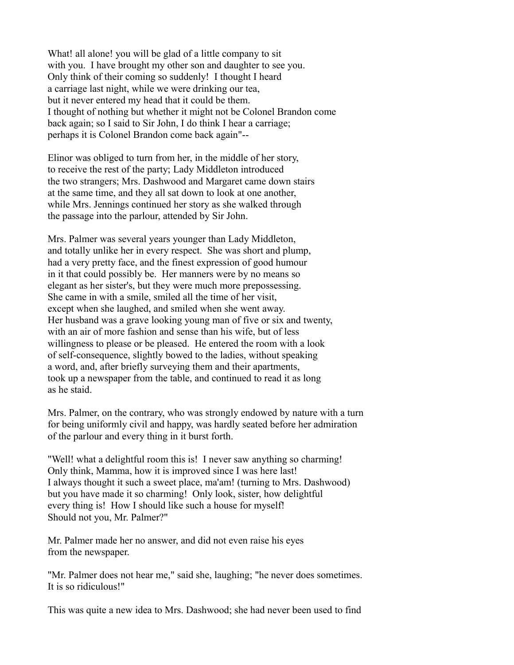What! all alone! you will be glad of a little company to sit with you. I have brought my other son and daughter to see you. Only think of their coming so suddenly! I thought I heard a carriage last night, while we were drinking our tea, but it never entered my head that it could be them. I thought of nothing but whether it might not be Colonel Brandon come back again; so I said to Sir John, I do think I hear a carriage; perhaps it is Colonel Brandon come back again"--

Elinor was obliged to turn from her, in the middle of her story, to receive the rest of the party; Lady Middleton introduced the two strangers; Mrs. Dashwood and Margaret came down stairs at the same time, and they all sat down to look at one another, while Mrs. Jennings continued her story as she walked through the passage into the parlour, attended by Sir John.

Mrs. Palmer was several years younger than Lady Middleton, and totally unlike her in every respect. She was short and plump, had a very pretty face, and the finest expression of good humour in it that could possibly be. Her manners were by no means so elegant as her sister's, but they were much more prepossessing. She came in with a smile, smiled all the time of her visit, except when she laughed, and smiled when she went away. Her husband was a grave looking young man of five or six and twenty, with an air of more fashion and sense than his wife, but of less willingness to please or be pleased. He entered the room with a look of self-consequence, slightly bowed to the ladies, without speaking a word, and, after briefly surveying them and their apartments, took up a newspaper from the table, and continued to read it as long as he staid.

Mrs. Palmer, on the contrary, who was strongly endowed by nature with a turn for being uniformly civil and happy, was hardly seated before her admiration of the parlour and every thing in it burst forth.

"Well! what a delightful room this is! I never saw anything so charming! Only think, Mamma, how it is improved since I was here last! I always thought it such a sweet place, ma'am! (turning to Mrs. Dashwood) but you have made it so charming! Only look, sister, how delightful every thing is! How I should like such a house for myself! Should not you, Mr. Palmer?"

Mr. Palmer made her no answer, and did not even raise his eyes from the newspaper.

"Mr. Palmer does not hear me," said she, laughing; "he never does sometimes. It is so ridiculous!"

This was quite a new idea to Mrs. Dashwood; she had never been used to find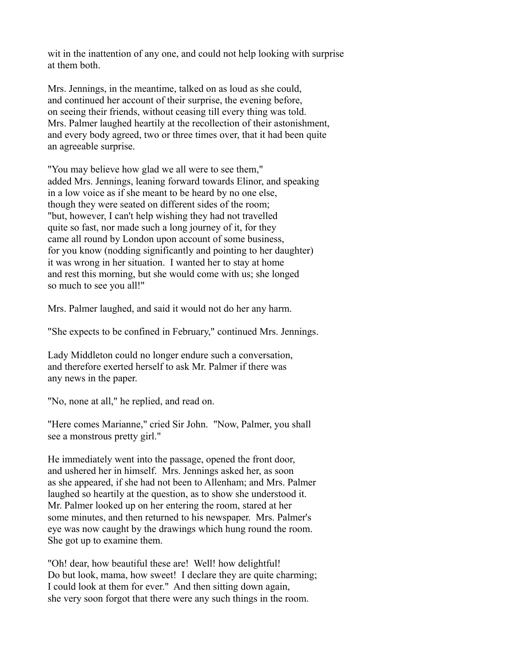wit in the inattention of any one, and could not help looking with surprise at them both.

Mrs. Jennings, in the meantime, talked on as loud as she could, and continued her account of their surprise, the evening before, on seeing their friends, without ceasing till every thing was told. Mrs. Palmer laughed heartily at the recollection of their astonishment, and every body agreed, two or three times over, that it had been quite an agreeable surprise.

"You may believe how glad we all were to see them," added Mrs. Jennings, leaning forward towards Elinor, and speaking in a low voice as if she meant to be heard by no one else, though they were seated on different sides of the room; "but, however, I can't help wishing they had not travelled quite so fast, nor made such a long journey of it, for they came all round by London upon account of some business, for you know (nodding significantly and pointing to her daughter) it was wrong in her situation. I wanted her to stay at home and rest this morning, but she would come with us; she longed so much to see you all!"

Mrs. Palmer laughed, and said it would not do her any harm.

"She expects to be confined in February," continued Mrs. Jennings.

Lady Middleton could no longer endure such a conversation, and therefore exerted herself to ask Mr. Palmer if there was any news in the paper.

"No, none at all," he replied, and read on.

"Here comes Marianne," cried Sir John. "Now, Palmer, you shall see a monstrous pretty girl."

He immediately went into the passage, opened the front door, and ushered her in himself. Mrs. Jennings asked her, as soon as she appeared, if she had not been to Allenham; and Mrs. Palmer laughed so heartily at the question, as to show she understood it. Mr. Palmer looked up on her entering the room, stared at her some minutes, and then returned to his newspaper. Mrs. Palmer's eye was now caught by the drawings which hung round the room. She got up to examine them.

"Oh! dear, how beautiful these are! Well! how delightful! Do but look, mama, how sweet! I declare they are quite charming; I could look at them for ever." And then sitting down again, she very soon forgot that there were any such things in the room.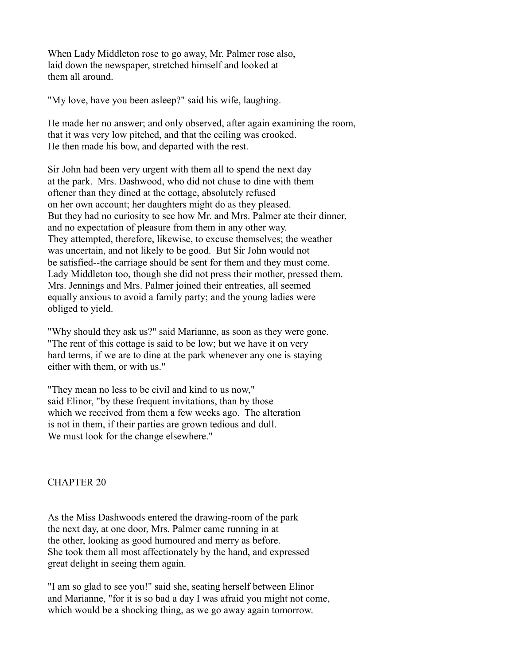When Lady Middleton rose to go away, Mr. Palmer rose also, laid down the newspaper, stretched himself and looked at them all around.

"My love, have you been asleep?" said his wife, laughing.

He made her no answer; and only observed, after again examining the room, that it was very low pitched, and that the ceiling was crooked. He then made his bow, and departed with the rest.

Sir John had been very urgent with them all to spend the next day at the park. Mrs. Dashwood, who did not chuse to dine with them oftener than they dined at the cottage, absolutely refused on her own account; her daughters might do as they pleased. But they had no curiosity to see how Mr. and Mrs. Palmer ate their dinner, and no expectation of pleasure from them in any other way. They attempted, therefore, likewise, to excuse themselves; the weather was uncertain, and not likely to be good. But Sir John would not be satisfied--the carriage should be sent for them and they must come. Lady Middleton too, though she did not press their mother, pressed them. Mrs. Jennings and Mrs. Palmer joined their entreaties, all seemed equally anxious to avoid a family party; and the young ladies were obliged to yield.

"Why should they ask us?" said Marianne, as soon as they were gone. "The rent of this cottage is said to be low; but we have it on very hard terms, if we are to dine at the park whenever any one is staying either with them, or with us."

"They mean no less to be civil and kind to us now," said Elinor, "by these frequent invitations, than by those which we received from them a few weeks ago. The alteration is not in them, if their parties are grown tedious and dull. We must look for the change elsewhere."

### CHAPTER 20

As the Miss Dashwoods entered the drawing-room of the park the next day, at one door, Mrs. Palmer came running in at the other, looking as good humoured and merry as before. She took them all most affectionately by the hand, and expressed great delight in seeing them again.

"I am so glad to see you!" said she, seating herself between Elinor and Marianne, "for it is so bad a day I was afraid you might not come, which would be a shocking thing, as we go away again tomorrow.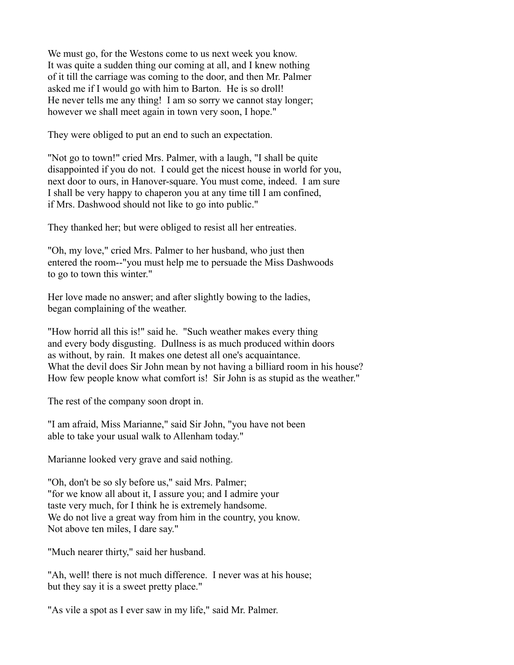We must go, for the Westons come to us next week you know. It was quite a sudden thing our coming at all, and I knew nothing of it till the carriage was coming to the door, and then Mr. Palmer asked me if I would go with him to Barton. He is so droll! He never tells me any thing! I am so sorry we cannot stay longer; however we shall meet again in town very soon, I hope."

They were obliged to put an end to such an expectation.

"Not go to town!" cried Mrs. Palmer, with a laugh, "I shall be quite disappointed if you do not. I could get the nicest house in world for you, next door to ours, in Hanover-square. You must come, indeed. I am sure I shall be very happy to chaperon you at any time till I am confined, if Mrs. Dashwood should not like to go into public."

They thanked her; but were obliged to resist all her entreaties.

"Oh, my love," cried Mrs. Palmer to her husband, who just then entered the room--"you must help me to persuade the Miss Dashwoods to go to town this winter."

Her love made no answer; and after slightly bowing to the ladies, began complaining of the weather.

"How horrid all this is!" said he. "Such weather makes every thing and every body disgusting. Dullness is as much produced within doors as without, by rain. It makes one detest all one's acquaintance. What the devil does Sir John mean by not having a billiard room in his house? How few people know what comfort is! Sir John is as stupid as the weather."

The rest of the company soon dropt in.

"I am afraid, Miss Marianne," said Sir John, "you have not been able to take your usual walk to Allenham today."

Marianne looked very grave and said nothing.

"Oh, don't be so sly before us," said Mrs. Palmer; "for we know all about it, I assure you; and I admire your taste very much, for I think he is extremely handsome. We do not live a great way from him in the country, you know. Not above ten miles, I dare say."

"Much nearer thirty," said her husband.

"Ah, well! there is not much difference. I never was at his house; but they say it is a sweet pretty place."

"As vile a spot as I ever saw in my life," said Mr. Palmer.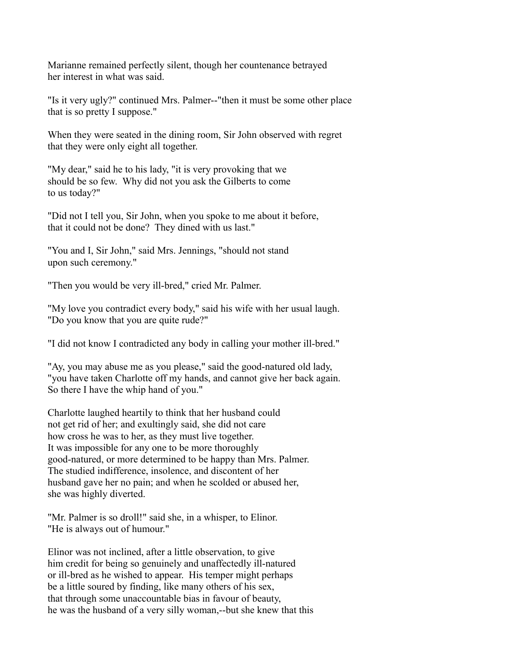Marianne remained perfectly silent, though her countenance betrayed her interest in what was said.

"Is it very ugly?" continued Mrs. Palmer--"then it must be some other place that is so pretty I suppose."

When they were seated in the dining room, Sir John observed with regret that they were only eight all together.

"My dear," said he to his lady, "it is very provoking that we should be so few. Why did not you ask the Gilberts to come to us today?"

"Did not I tell you, Sir John, when you spoke to me about it before, that it could not be done? They dined with us last."

"You and I, Sir John," said Mrs. Jennings, "should not stand upon such ceremony."

"Then you would be very ill-bred," cried Mr. Palmer.

"My love you contradict every body," said his wife with her usual laugh. "Do you know that you are quite rude?"

"I did not know I contradicted any body in calling your mother ill-bred."

"Ay, you may abuse me as you please," said the good-natured old lady, "you have taken Charlotte off my hands, and cannot give her back again. So there I have the whip hand of you."

Charlotte laughed heartily to think that her husband could not get rid of her; and exultingly said, she did not care how cross he was to her, as they must live together. It was impossible for any one to be more thoroughly good-natured, or more determined to be happy than Mrs. Palmer. The studied indifference, insolence, and discontent of her husband gave her no pain; and when he scolded or abused her, she was highly diverted.

"Mr. Palmer is so droll!" said she, in a whisper, to Elinor. "He is always out of humour."

Elinor was not inclined, after a little observation, to give him credit for being so genuinely and unaffectedly ill-natured or ill-bred as he wished to appear. His temper might perhaps be a little soured by finding, like many others of his sex, that through some unaccountable bias in favour of beauty, he was the husband of a very silly woman,--but she knew that this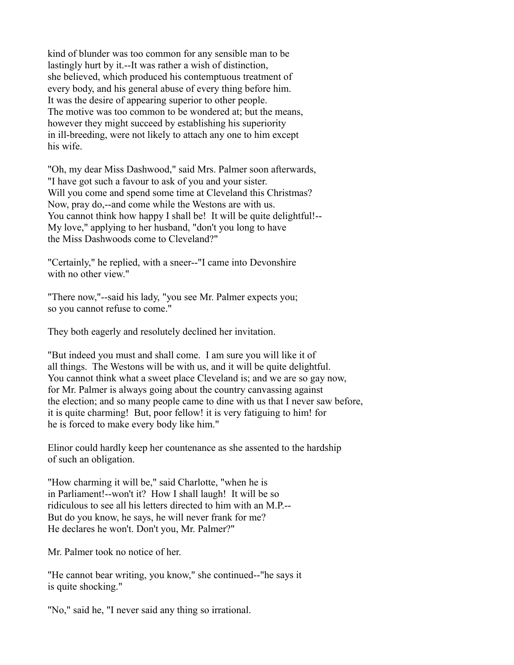kind of blunder was too common for any sensible man to be lastingly hurt by it.--It was rather a wish of distinction, she believed, which produced his contemptuous treatment of every body, and his general abuse of every thing before him. It was the desire of appearing superior to other people. The motive was too common to be wondered at; but the means, however they might succeed by establishing his superiority in ill-breeding, were not likely to attach any one to him except his wife.

"Oh, my dear Miss Dashwood," said Mrs. Palmer soon afterwards, "I have got such a favour to ask of you and your sister. Will you come and spend some time at Cleveland this Christmas? Now, pray do,--and come while the Westons are with us. You cannot think how happy I shall be! It will be quite delightful!--My love," applying to her husband, "don't you long to have the Miss Dashwoods come to Cleveland?"

"Certainly," he replied, with a sneer--"I came into Devonshire with no other view."

"There now,"--said his lady, "you see Mr. Palmer expects you; so you cannot refuse to come."

They both eagerly and resolutely declined her invitation.

"But indeed you must and shall come. I am sure you will like it of all things. The Westons will be with us, and it will be quite delightful. You cannot think what a sweet place Cleveland is; and we are so gay now, for Mr. Palmer is always going about the country canvassing against the election; and so many people came to dine with us that I never saw before, it is quite charming! But, poor fellow! it is very fatiguing to him! for he is forced to make every body like him."

Elinor could hardly keep her countenance as she assented to the hardship of such an obligation.

"How charming it will be," said Charlotte, "when he is in Parliament!--won't it? How I shall laugh! It will be so ridiculous to see all his letters directed to him with an M.P.-- But do you know, he says, he will never frank for me? He declares he won't. Don't you, Mr. Palmer?"

Mr. Palmer took no notice of her.

"He cannot bear writing, you know," she continued--"he says it is quite shocking."

"No," said he, "I never said any thing so irrational.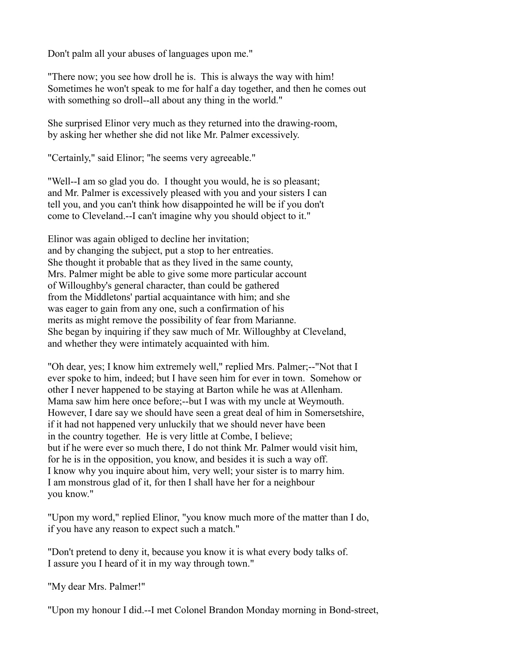Don't palm all your abuses of languages upon me."

"There now; you see how droll he is. This is always the way with him! Sometimes he won't speak to me for half a day together, and then he comes out with something so droll--all about any thing in the world."

She surprised Elinor very much as they returned into the drawing-room, by asking her whether she did not like Mr. Palmer excessively.

"Certainly," said Elinor; "he seems very agreeable."

"Well--I am so glad you do. I thought you would, he is so pleasant; and Mr. Palmer is excessively pleased with you and your sisters I can tell you, and you can't think how disappointed he will be if you don't come to Cleveland.--I can't imagine why you should object to it."

Elinor was again obliged to decline her invitation; and by changing the subject, put a stop to her entreaties. She thought it probable that as they lived in the same county, Mrs. Palmer might be able to give some more particular account of Willoughby's general character, than could be gathered from the Middletons' partial acquaintance with him; and she was eager to gain from any one, such a confirmation of his merits as might remove the possibility of fear from Marianne. She began by inquiring if they saw much of Mr. Willoughby at Cleveland, and whether they were intimately acquainted with him.

"Oh dear, yes; I know him extremely well," replied Mrs. Palmer;--"Not that I ever spoke to him, indeed; but I have seen him for ever in town. Somehow or other I never happened to be staying at Barton while he was at Allenham. Mama saw him here once before;--but I was with my uncle at Weymouth. However, I dare say we should have seen a great deal of him in Somersetshire, if it had not happened very unluckily that we should never have been in the country together. He is very little at Combe, I believe; but if he were ever so much there, I do not think Mr. Palmer would visit him, for he is in the opposition, you know, and besides it is such a way off. I know why you inquire about him, very well; your sister is to marry him. I am monstrous glad of it, for then I shall have her for a neighbour you know."

"Upon my word," replied Elinor, "you know much more of the matter than I do, if you have any reason to expect such a match."

"Don't pretend to deny it, because you know it is what every body talks of. I assure you I heard of it in my way through town."

"My dear Mrs. Palmer!"

"Upon my honour I did.--I met Colonel Brandon Monday morning in Bond-street,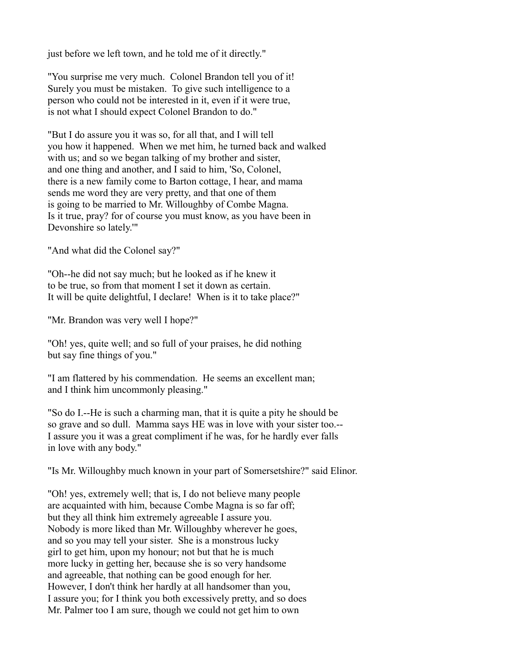just before we left town, and he told me of it directly."

"You surprise me very much. Colonel Brandon tell you of it! Surely you must be mistaken. To give such intelligence to a person who could not be interested in it, even if it were true, is not what I should expect Colonel Brandon to do."

"But I do assure you it was so, for all that, and I will tell you how it happened. When we met him, he turned back and walked with us; and so we began talking of my brother and sister, and one thing and another, and I said to him, 'So, Colonel, there is a new family come to Barton cottage, I hear, and mama sends me word they are very pretty, and that one of them is going to be married to Mr. Willoughby of Combe Magna. Is it true, pray? for of course you must know, as you have been in Devonshire so lately.'"

"And what did the Colonel say?"

"Oh--he did not say much; but he looked as if he knew it to be true, so from that moment I set it down as certain. It will be quite delightful, I declare! When is it to take place?"

"Mr. Brandon was very well I hope?"

"Oh! yes, quite well; and so full of your praises, he did nothing but say fine things of you."

"I am flattered by his commendation. He seems an excellent man; and I think him uncommonly pleasing."

"So do I.--He is such a charming man, that it is quite a pity he should be so grave and so dull. Mamma says HE was in love with your sister too.-- I assure you it was a great compliment if he was, for he hardly ever falls in love with any body."

"Is Mr. Willoughby much known in your part of Somersetshire?" said Elinor.

"Oh! yes, extremely well; that is, I do not believe many people are acquainted with him, because Combe Magna is so far off; but they all think him extremely agreeable I assure you. Nobody is more liked than Mr. Willoughby wherever he goes, and so you may tell your sister. She is a monstrous lucky girl to get him, upon my honour; not but that he is much more lucky in getting her, because she is so very handsome and agreeable, that nothing can be good enough for her. However, I don't think her hardly at all handsomer than you, I assure you; for I think you both excessively pretty, and so does Mr. Palmer too I am sure, though we could not get him to own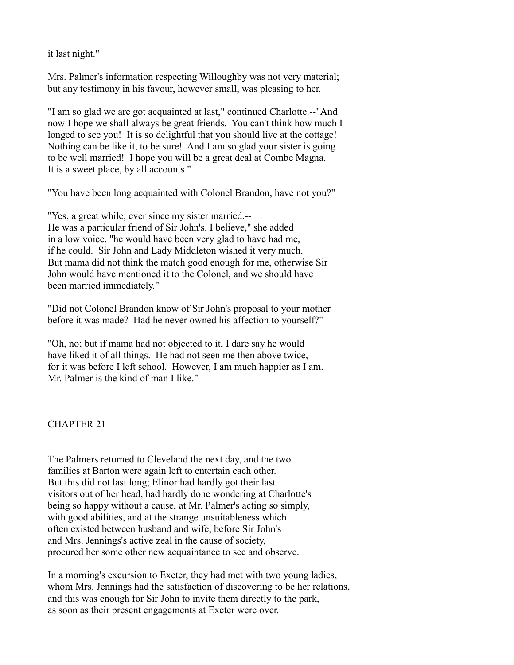it last night."

Mrs. Palmer's information respecting Willoughby was not very material; but any testimony in his favour, however small, was pleasing to her.

"I am so glad we are got acquainted at last," continued Charlotte.--"And now I hope we shall always be great friends. You can't think how much I longed to see you! It is so delightful that you should live at the cottage! Nothing can be like it, to be sure! And I am so glad your sister is going to be well married! I hope you will be a great deal at Combe Magna. It is a sweet place, by all accounts."

"You have been long acquainted with Colonel Brandon, have not you?"

"Yes, a great while; ever since my sister married.-- He was a particular friend of Sir John's. I believe," she added in a low voice, "he would have been very glad to have had me, if he could. Sir John and Lady Middleton wished it very much. But mama did not think the match good enough for me, otherwise Sir John would have mentioned it to the Colonel, and we should have been married immediately."

"Did not Colonel Brandon know of Sir John's proposal to your mother before it was made? Had he never owned his affection to yourself?"

"Oh, no; but if mama had not objected to it, I dare say he would have liked it of all things. He had not seen me then above twice, for it was before I left school. However, I am much happier as I am. Mr. Palmer is the kind of man I like."

# CHAPTER 21

The Palmers returned to Cleveland the next day, and the two families at Barton were again left to entertain each other. But this did not last long; Elinor had hardly got their last visitors out of her head, had hardly done wondering at Charlotte's being so happy without a cause, at Mr. Palmer's acting so simply, with good abilities, and at the strange unsuitableness which often existed between husband and wife, before Sir John's and Mrs. Jennings's active zeal in the cause of society, procured her some other new acquaintance to see and observe.

In a morning's excursion to Exeter, they had met with two young ladies, whom Mrs. Jennings had the satisfaction of discovering to be her relations, and this was enough for Sir John to invite them directly to the park, as soon as their present engagements at Exeter were over.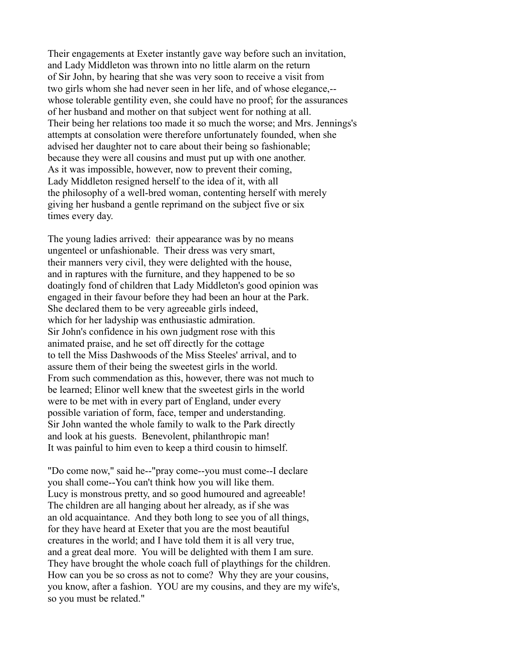Their engagements at Exeter instantly gave way before such an invitation, and Lady Middleton was thrown into no little alarm on the return of Sir John, by hearing that she was very soon to receive a visit from two girls whom she had never seen in her life, and of whose elegance,- whose tolerable gentility even, she could have no proof; for the assurances of her husband and mother on that subject went for nothing at all. Their being her relations too made it so much the worse; and Mrs. Jennings's attempts at consolation were therefore unfortunately founded, when she advised her daughter not to care about their being so fashionable; because they were all cousins and must put up with one another. As it was impossible, however, now to prevent their coming, Lady Middleton resigned herself to the idea of it, with all the philosophy of a well-bred woman, contenting herself with merely giving her husband a gentle reprimand on the subject five or six times every day.

The young ladies arrived: their appearance was by no means ungenteel or unfashionable. Their dress was very smart, their manners very civil, they were delighted with the house, and in raptures with the furniture, and they happened to be so doatingly fond of children that Lady Middleton's good opinion was engaged in their favour before they had been an hour at the Park. She declared them to be very agreeable girls indeed, which for her ladyship was enthusiastic admiration. Sir John's confidence in his own judgment rose with this animated praise, and he set off directly for the cottage to tell the Miss Dashwoods of the Miss Steeles' arrival, and to assure them of their being the sweetest girls in the world. From such commendation as this, however, there was not much to be learned; Elinor well knew that the sweetest girls in the world were to be met with in every part of England, under every possible variation of form, face, temper and understanding. Sir John wanted the whole family to walk to the Park directly and look at his guests. Benevolent, philanthropic man! It was painful to him even to keep a third cousin to himself.

"Do come now," said he--"pray come--you must come--I declare you shall come--You can't think how you will like them. Lucy is monstrous pretty, and so good humoured and agreeable! The children are all hanging about her already, as if she was an old acquaintance. And they both long to see you of all things, for they have heard at Exeter that you are the most beautiful creatures in the world; and I have told them it is all very true, and a great deal more. You will be delighted with them I am sure. They have brought the whole coach full of playthings for the children. How can you be so cross as not to come? Why they are your cousins, you know, after a fashion. YOU are my cousins, and they are my wife's, so you must be related."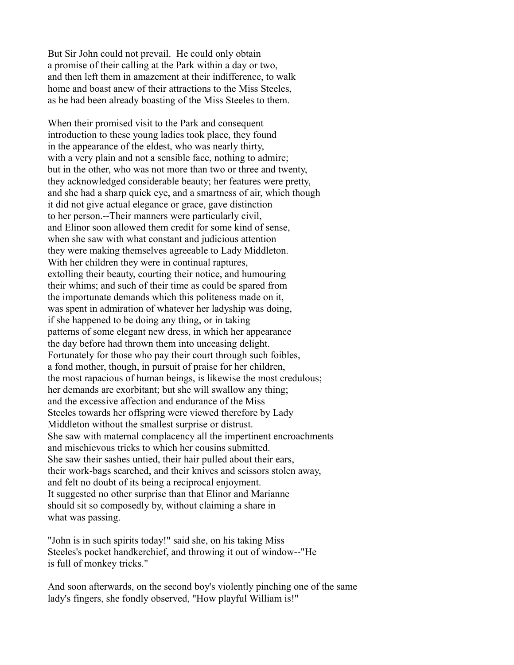But Sir John could not prevail. He could only obtain a promise of their calling at the Park within a day or two, and then left them in amazement at their indifference, to walk home and boast anew of their attractions to the Miss Steeles, as he had been already boasting of the Miss Steeles to them.

When their promised visit to the Park and consequent introduction to these young ladies took place, they found in the appearance of the eldest, who was nearly thirty, with a very plain and not a sensible face, nothing to admire; but in the other, who was not more than two or three and twenty, they acknowledged considerable beauty; her features were pretty, and she had a sharp quick eye, and a smartness of air, which though it did not give actual elegance or grace, gave distinction to her person.--Their manners were particularly civil, and Elinor soon allowed them credit for some kind of sense, when she saw with what constant and judicious attention they were making themselves agreeable to Lady Middleton. With her children they were in continual raptures, extolling their beauty, courting their notice, and humouring their whims; and such of their time as could be spared from the importunate demands which this politeness made on it, was spent in admiration of whatever her ladyship was doing, if she happened to be doing any thing, or in taking patterns of some elegant new dress, in which her appearance the day before had thrown them into unceasing delight. Fortunately for those who pay their court through such foibles, a fond mother, though, in pursuit of praise for her children, the most rapacious of human beings, is likewise the most credulous; her demands are exorbitant; but she will swallow any thing; and the excessive affection and endurance of the Miss Steeles towards her offspring were viewed therefore by Lady Middleton without the smallest surprise or distrust. She saw with maternal complacency all the impertinent encroachments and mischievous tricks to which her cousins submitted. She saw their sashes untied, their hair pulled about their ears, their work-bags searched, and their knives and scissors stolen away, and felt no doubt of its being a reciprocal enjoyment. It suggested no other surprise than that Elinor and Marianne should sit so composedly by, without claiming a share in what was passing.

"John is in such spirits today!" said she, on his taking Miss Steeles's pocket handkerchief, and throwing it out of window--"He is full of monkey tricks."

And soon afterwards, on the second boy's violently pinching one of the same lady's fingers, she fondly observed, "How playful William is!"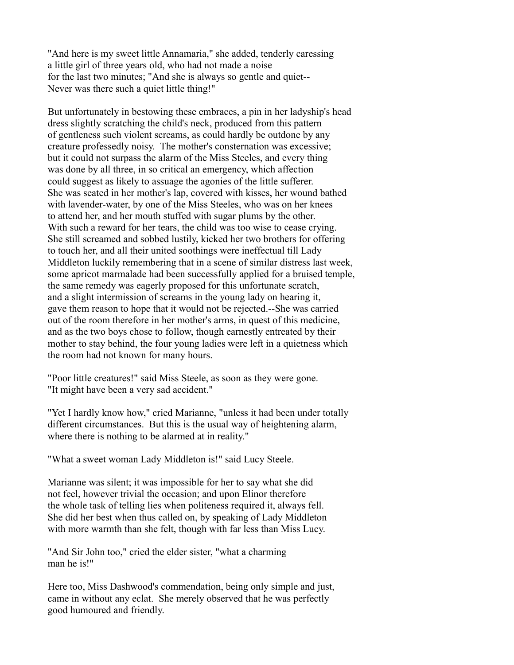"And here is my sweet little Annamaria," she added, tenderly caressing a little girl of three years old, who had not made a noise for the last two minutes; "And she is always so gentle and quiet-- Never was there such a quiet little thing!"

But unfortunately in bestowing these embraces, a pin in her ladyship's head dress slightly scratching the child's neck, produced from this pattern of gentleness such violent screams, as could hardly be outdone by any creature professedly noisy. The mother's consternation was excessive; but it could not surpass the alarm of the Miss Steeles, and every thing was done by all three, in so critical an emergency, which affection could suggest as likely to assuage the agonies of the little sufferer. She was seated in her mother's lap, covered with kisses, her wound bathed with lavender-water, by one of the Miss Steeles, who was on her knees to attend her, and her mouth stuffed with sugar plums by the other. With such a reward for her tears, the child was too wise to cease crying. She still screamed and sobbed lustily, kicked her two brothers for offering to touch her, and all their united soothings were ineffectual till Lady Middleton luckily remembering that in a scene of similar distress last week, some apricot marmalade had been successfully applied for a bruised temple, the same remedy was eagerly proposed for this unfortunate scratch, and a slight intermission of screams in the young lady on hearing it, gave them reason to hope that it would not be rejected.--She was carried out of the room therefore in her mother's arms, in quest of this medicine, and as the two boys chose to follow, though earnestly entreated by their mother to stay behind, the four young ladies were left in a quietness which the room had not known for many hours.

"Poor little creatures!" said Miss Steele, as soon as they were gone. "It might have been a very sad accident."

"Yet I hardly know how," cried Marianne, "unless it had been under totally different circumstances. But this is the usual way of heightening alarm, where there is nothing to be alarmed at in reality."

"What a sweet woman Lady Middleton is!" said Lucy Steele.

Marianne was silent; it was impossible for her to say what she did not feel, however trivial the occasion; and upon Elinor therefore the whole task of telling lies when politeness required it, always fell. She did her best when thus called on, by speaking of Lady Middleton with more warmth than she felt, though with far less than Miss Lucy.

"And Sir John too," cried the elder sister, "what a charming man he is!"

Here too, Miss Dashwood's commendation, being only simple and just, came in without any eclat. She merely observed that he was perfectly good humoured and friendly.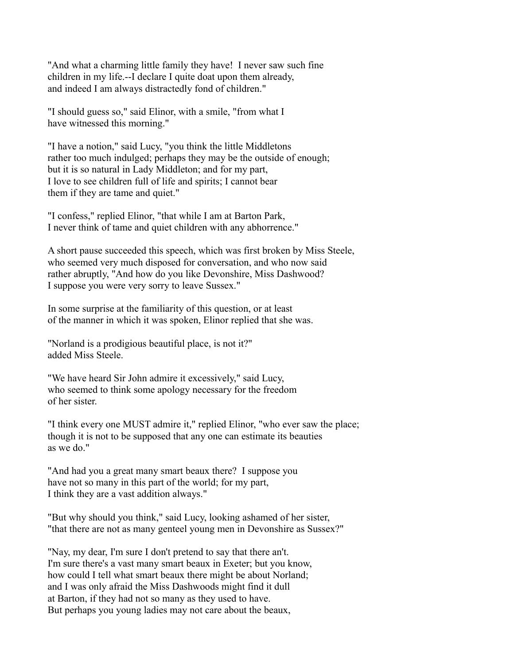"And what a charming little family they have! I never saw such fine children in my life.--I declare I quite doat upon them already, and indeed I am always distractedly fond of children."

"I should guess so," said Elinor, with a smile, "from what I have witnessed this morning."

"I have a notion," said Lucy, "you think the little Middletons rather too much indulged; perhaps they may be the outside of enough; but it is so natural in Lady Middleton; and for my part, I love to see children full of life and spirits; I cannot bear them if they are tame and quiet."

"I confess," replied Elinor, "that while I am at Barton Park, I never think of tame and quiet children with any abhorrence."

A short pause succeeded this speech, which was first broken by Miss Steele, who seemed very much disposed for conversation, and who now said rather abruptly, "And how do you like Devonshire, Miss Dashwood? I suppose you were very sorry to leave Sussex."

In some surprise at the familiarity of this question, or at least of the manner in which it was spoken, Elinor replied that she was.

"Norland is a prodigious beautiful place, is not it?" added Miss Steele.

"We have heard Sir John admire it excessively," said Lucy, who seemed to think some apology necessary for the freedom of her sister.

"I think every one MUST admire it," replied Elinor, "who ever saw the place; though it is not to be supposed that any one can estimate its beauties as we do."

"And had you a great many smart beaux there? I suppose you have not so many in this part of the world; for my part, I think they are a vast addition always."

"But why should you think," said Lucy, looking ashamed of her sister, "that there are not as many genteel young men in Devonshire as Sussex?"

"Nay, my dear, I'm sure I don't pretend to say that there an't. I'm sure there's a vast many smart beaux in Exeter; but you know, how could I tell what smart beaux there might be about Norland; and I was only afraid the Miss Dashwoods might find it dull at Barton, if they had not so many as they used to have. But perhaps you young ladies may not care about the beaux,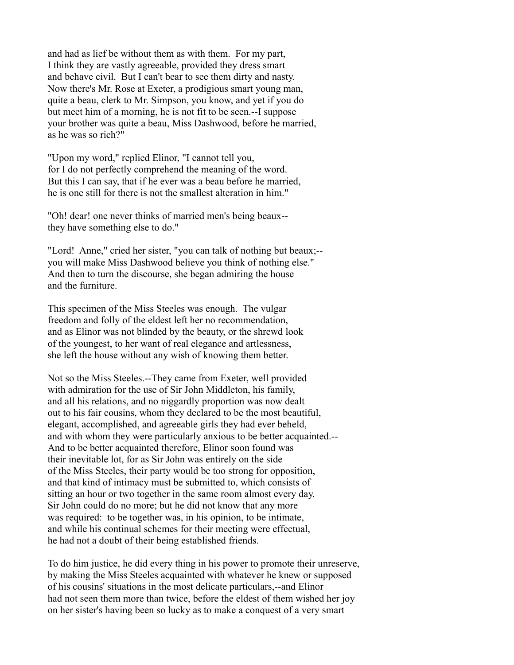and had as lief be without them as with them. For my part, I think they are vastly agreeable, provided they dress smart and behave civil. But I can't bear to see them dirty and nasty. Now there's Mr. Rose at Exeter, a prodigious smart young man, quite a beau, clerk to Mr. Simpson, you know, and yet if you do but meet him of a morning, he is not fit to be seen.--I suppose your brother was quite a beau, Miss Dashwood, before he married, as he was so rich?"

"Upon my word," replied Elinor, "I cannot tell you, for I do not perfectly comprehend the meaning of the word. But this I can say, that if he ever was a beau before he married, he is one still for there is not the smallest alteration in him."

"Oh! dear! one never thinks of married men's being beaux- they have something else to do."

"Lord! Anne," cried her sister, "you can talk of nothing but beaux;- you will make Miss Dashwood believe you think of nothing else." And then to turn the discourse, she began admiring the house and the furniture.

This specimen of the Miss Steeles was enough. The vulgar freedom and folly of the eldest left her no recommendation, and as Elinor was not blinded by the beauty, or the shrewd look of the youngest, to her want of real elegance and artlessness, she left the house without any wish of knowing them better.

Not so the Miss Steeles.--They came from Exeter, well provided with admiration for the use of Sir John Middleton, his family, and all his relations, and no niggardly proportion was now dealt out to his fair cousins, whom they declared to be the most beautiful, elegant, accomplished, and agreeable girls they had ever beheld, and with whom they were particularly anxious to be better acquainted.-- And to be better acquainted therefore, Elinor soon found was their inevitable lot, for as Sir John was entirely on the side of the Miss Steeles, their party would be too strong for opposition, and that kind of intimacy must be submitted to, which consists of sitting an hour or two together in the same room almost every day. Sir John could do no more; but he did not know that any more was required: to be together was, in his opinion, to be intimate, and while his continual schemes for their meeting were effectual, he had not a doubt of their being established friends.

To do him justice, he did every thing in his power to promote their unreserve, by making the Miss Steeles acquainted with whatever he knew or supposed of his cousins' situations in the most delicate particulars,--and Elinor had not seen them more than twice, before the eldest of them wished her joy on her sister's having been so lucky as to make a conquest of a very smart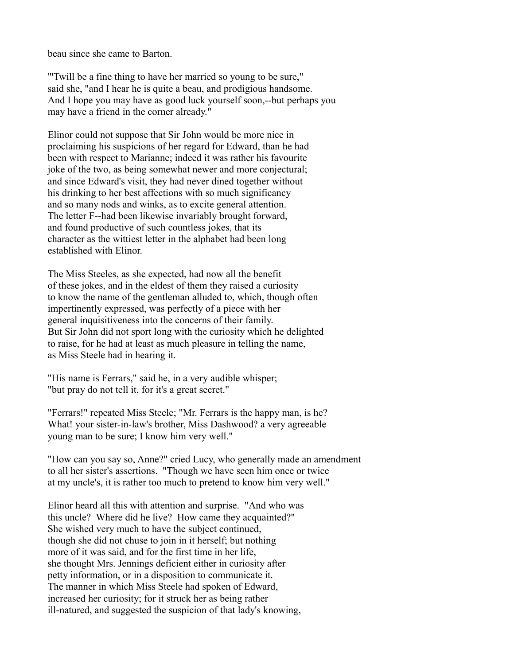beau since she came to Barton.

"'Twill be a fine thing to have her married so young to be sure," said she, "and I hear he is quite a beau, and prodigious handsome. And I hope you may have as good luck yourself soon,--but perhaps you may have a friend in the corner already."

Elinor could not suppose that Sir John would be more nice in proclaiming his suspicions of her regard for Edward, than he had been with respect to Marianne; indeed it was rather his favourite joke of the two, as being somewhat newer and more conjectural; and since Edward's visit, they had never dined together without his drinking to her best affections with so much significancy and so many nods and winks, as to excite general attention. The letter F--had been likewise invariably brought forward, and found productive of such countless jokes, that its character as the wittiest letter in the alphabet had been long established with Elinor.

The Miss Steeles, as she expected, had now all the benefit of these jokes, and in the eldest of them they raised a curiosity to know the name of the gentleman alluded to, which, though often impertinently expressed, was perfectly of a piece with her general inquisitiveness into the concerns of their family. But Sir John did not sport long with the curiosity which he delighted to raise, for he had at least as much pleasure in telling the name, as Miss Steele had in hearing it.

"His name is Ferrars," said he, in a very audible whisper; "but pray do not tell it, for it's a great secret."

"Ferrars!" repeated Miss Steele; "Mr. Ferrars is the happy man, is he? What! your sister-in-law's brother, Miss Dashwood? a very agreeable young man to be sure; I know him very well."

"How can you say so, Anne?" cried Lucy, who generally made an amendment to all her sister's assertions. "Though we have seen him once or twice at my uncle's, it is rather too much to pretend to know him very well."

Elinor heard all this with attention and surprise. "And who was this uncle? Where did he live? How came they acquainted?" She wished very much to have the subject continued, though she did not chuse to join in it herself; but nothing more of it was said, and for the first time in her life, she thought Mrs. Jennings deficient either in curiosity after petty information, or in a disposition to communicate it. The manner in which Miss Steele had spoken of Edward, increased her curiosity; for it struck her as being rather ill-natured, and suggested the suspicion of that lady's knowing,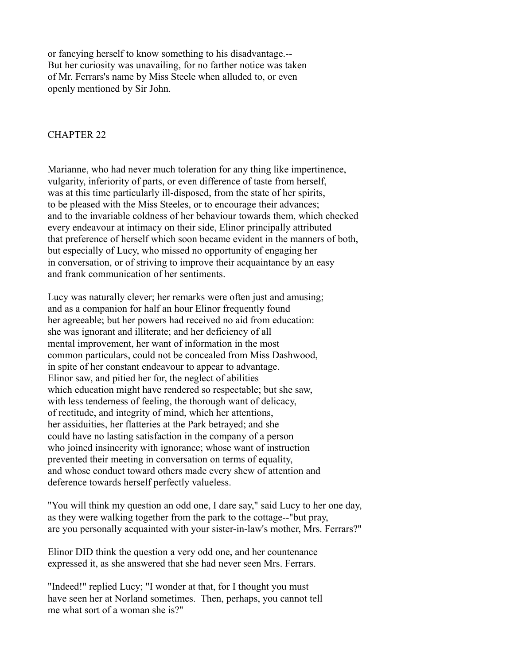or fancying herself to know something to his disadvantage.-- But her curiosity was unavailing, for no farther notice was taken of Mr. Ferrars's name by Miss Steele when alluded to, or even openly mentioned by Sir John.

### CHAPTER 22

Marianne, who had never much toleration for any thing like impertinence, vulgarity, inferiority of parts, or even difference of taste from herself, was at this time particularly ill-disposed, from the state of her spirits, to be pleased with the Miss Steeles, or to encourage their advances; and to the invariable coldness of her behaviour towards them, which checked every endeavour at intimacy on their side, Elinor principally attributed that preference of herself which soon became evident in the manners of both, but especially of Lucy, who missed no opportunity of engaging her in conversation, or of striving to improve their acquaintance by an easy and frank communication of her sentiments.

Lucy was naturally clever; her remarks were often just and amusing; and as a companion for half an hour Elinor frequently found her agreeable; but her powers had received no aid from education: she was ignorant and illiterate; and her deficiency of all mental improvement, her want of information in the most common particulars, could not be concealed from Miss Dashwood, in spite of her constant endeavour to appear to advantage. Elinor saw, and pitied her for, the neglect of abilities which education might have rendered so respectable; but she saw, with less tenderness of feeling, the thorough want of delicacy, of rectitude, and integrity of mind, which her attentions, her assiduities, her flatteries at the Park betrayed; and she could have no lasting satisfaction in the company of a person who joined insincerity with ignorance; whose want of instruction prevented their meeting in conversation on terms of equality, and whose conduct toward others made every shew of attention and deference towards herself perfectly valueless.

"You will think my question an odd one, I dare say," said Lucy to her one day, as they were walking together from the park to the cottage--"but pray, are you personally acquainted with your sister-in-law's mother, Mrs. Ferrars?"

Elinor DID think the question a very odd one, and her countenance expressed it, as she answered that she had never seen Mrs. Ferrars.

"Indeed!" replied Lucy; "I wonder at that, for I thought you must have seen her at Norland sometimes. Then, perhaps, you cannot tell me what sort of a woman she is?"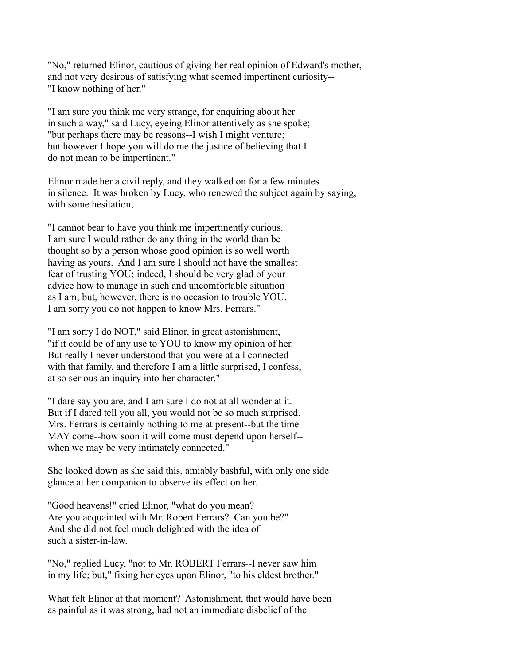"No," returned Elinor, cautious of giving her real opinion of Edward's mother, and not very desirous of satisfying what seemed impertinent curiosity-- "I know nothing of her."

"I am sure you think me very strange, for enquiring about her in such a way," said Lucy, eyeing Elinor attentively as she spoke; "but perhaps there may be reasons--I wish I might venture; but however I hope you will do me the justice of believing that I do not mean to be impertinent."

Elinor made her a civil reply, and they walked on for a few minutes in silence. It was broken by Lucy, who renewed the subject again by saying, with some hesitation,

"I cannot bear to have you think me impertinently curious. I am sure I would rather do any thing in the world than be thought so by a person whose good opinion is so well worth having as yours. And I am sure I should not have the smallest fear of trusting YOU; indeed, I should be very glad of your advice how to manage in such and uncomfortable situation as I am; but, however, there is no occasion to trouble YOU. I am sorry you do not happen to know Mrs. Ferrars."

"I am sorry I do NOT," said Elinor, in great astonishment, "if it could be of any use to YOU to know my opinion of her. But really I never understood that you were at all connected with that family, and therefore I am a little surprised, I confess, at so serious an inquiry into her character."

"I dare say you are, and I am sure I do not at all wonder at it. But if I dared tell you all, you would not be so much surprised. Mrs. Ferrars is certainly nothing to me at present--but the time MAY come--how soon it will come must depend upon herself- when we may be very intimately connected."

She looked down as she said this, amiably bashful, with only one side glance at her companion to observe its effect on her.

"Good heavens!" cried Elinor, "what do you mean? Are you acquainted with Mr. Robert Ferrars? Can you be?" And she did not feel much delighted with the idea of such a sister-in-law.

"No," replied Lucy, "not to Mr. ROBERT Ferrars--I never saw him in my life; but," fixing her eyes upon Elinor, "to his eldest brother."

What felt Elinor at that moment? Astonishment, that would have been as painful as it was strong, had not an immediate disbelief of the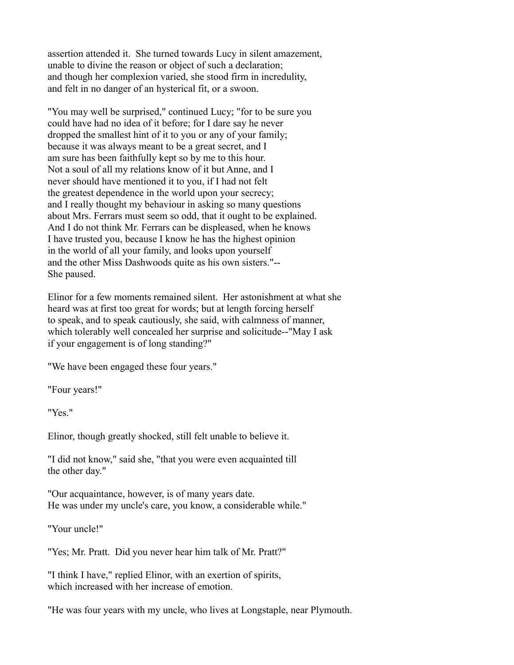assertion attended it. She turned towards Lucy in silent amazement, unable to divine the reason or object of such a declaration; and though her complexion varied, she stood firm in incredulity, and felt in no danger of an hysterical fit, or a swoon.

"You may well be surprised," continued Lucy; "for to be sure you could have had no idea of it before; for I dare say he never dropped the smallest hint of it to you or any of your family; because it was always meant to be a great secret, and I am sure has been faithfully kept so by me to this hour. Not a soul of all my relations know of it but Anne, and I never should have mentioned it to you, if I had not felt the greatest dependence in the world upon your secrecy; and I really thought my behaviour in asking so many questions about Mrs. Ferrars must seem so odd, that it ought to be explained. And I do not think Mr. Ferrars can be displeased, when he knows I have trusted you, because I know he has the highest opinion in the world of all your family, and looks upon yourself and the other Miss Dashwoods quite as his own sisters."-- She paused.

Elinor for a few moments remained silent. Her astonishment at what she heard was at first too great for words; but at length forcing herself to speak, and to speak cautiously, she said, with calmness of manner, which tolerably well concealed her surprise and solicitude--"May I ask if your engagement is of long standing?"

"We have been engaged these four years."

"Four years!"

"Yes."

Elinor, though greatly shocked, still felt unable to believe it.

"I did not know," said she, "that you were even acquainted till the other day."

"Our acquaintance, however, is of many years date. He was under my uncle's care, you know, a considerable while."

"Your uncle!"

"Yes; Mr. Pratt. Did you never hear him talk of Mr. Pratt?"

"I think I have," replied Elinor, with an exertion of spirits, which increased with her increase of emotion.

"He was four years with my uncle, who lives at Longstaple, near Plymouth.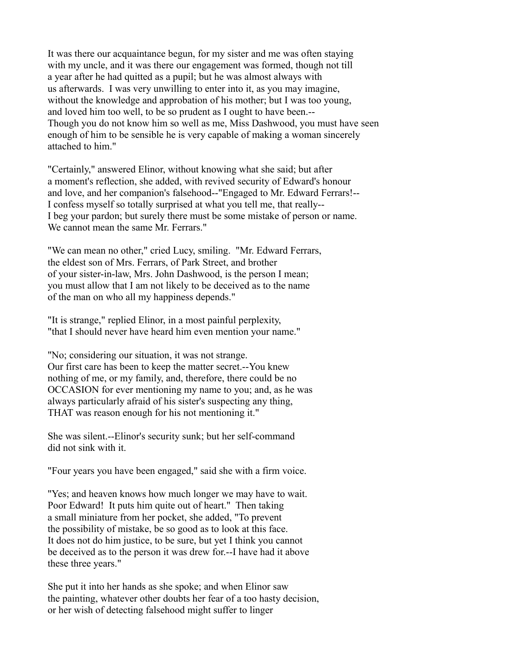It was there our acquaintance begun, for my sister and me was often staying with my uncle, and it was there our engagement was formed, though not till a year after he had quitted as a pupil; but he was almost always with us afterwards. I was very unwilling to enter into it, as you may imagine, without the knowledge and approbation of his mother; but I was too young, and loved him too well, to be so prudent as I ought to have been.-- Though you do not know him so well as me, Miss Dashwood, you must have seen enough of him to be sensible he is very capable of making a woman sincerely attached to him."

"Certainly," answered Elinor, without knowing what she said; but after a moment's reflection, she added, with revived security of Edward's honour and love, and her companion's falsehood--"Engaged to Mr. Edward Ferrars!-- I confess myself so totally surprised at what you tell me, that really-- I beg your pardon; but surely there must be some mistake of person or name. We cannot mean the same Mr. Ferrars."

"We can mean no other," cried Lucy, smiling. "Mr. Edward Ferrars, the eldest son of Mrs. Ferrars, of Park Street, and brother of your sister-in-law, Mrs. John Dashwood, is the person I mean; you must allow that I am not likely to be deceived as to the name of the man on who all my happiness depends."

"It is strange," replied Elinor, in a most painful perplexity, "that I should never have heard him even mention your name."

"No; considering our situation, it was not strange. Our first care has been to keep the matter secret.--You knew nothing of me, or my family, and, therefore, there could be no OCCASION for ever mentioning my name to you; and, as he was always particularly afraid of his sister's suspecting any thing, THAT was reason enough for his not mentioning it."

She was silent.--Elinor's security sunk; but her self-command did not sink with it.

"Four years you have been engaged," said she with a firm voice.

"Yes; and heaven knows how much longer we may have to wait. Poor Edward! It puts him quite out of heart." Then taking a small miniature from her pocket, she added, "To prevent the possibility of mistake, be so good as to look at this face. It does not do him justice, to be sure, but yet I think you cannot be deceived as to the person it was drew for.--I have had it above these three years."

She put it into her hands as she spoke; and when Elinor saw the painting, whatever other doubts her fear of a too hasty decision, or her wish of detecting falsehood might suffer to linger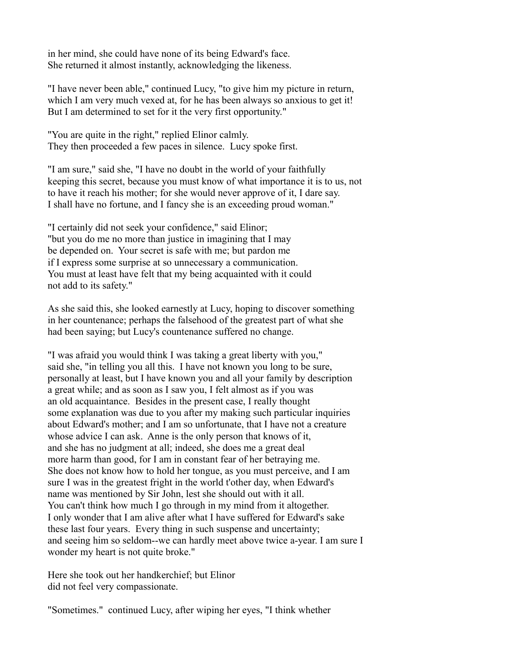in her mind, she could have none of its being Edward's face. She returned it almost instantly, acknowledging the likeness.

"I have never been able," continued Lucy, "to give him my picture in return, which I am very much vexed at, for he has been always so anxious to get it! But I am determined to set for it the very first opportunity."

"You are quite in the right," replied Elinor calmly. They then proceeded a few paces in silence. Lucy spoke first.

"I am sure," said she, "I have no doubt in the world of your faithfully keeping this secret, because you must know of what importance it is to us, not to have it reach his mother; for she would never approve of it, I dare say. I shall have no fortune, and I fancy she is an exceeding proud woman."

"I certainly did not seek your confidence," said Elinor; "but you do me no more than justice in imagining that I may be depended on. Your secret is safe with me; but pardon me if I express some surprise at so unnecessary a communication. You must at least have felt that my being acquainted with it could not add to its safety."

As she said this, she looked earnestly at Lucy, hoping to discover something in her countenance; perhaps the falsehood of the greatest part of what she had been saying; but Lucy's countenance suffered no change.

"I was afraid you would think I was taking a great liberty with you," said she, "in telling you all this. I have not known you long to be sure, personally at least, but I have known you and all your family by description a great while; and as soon as I saw you, I felt almost as if you was an old acquaintance. Besides in the present case, I really thought some explanation was due to you after my making such particular inquiries about Edward's mother; and I am so unfortunate, that I have not a creature whose advice I can ask. Anne is the only person that knows of it, and she has no judgment at all; indeed, she does me a great deal more harm than good, for I am in constant fear of her betraying me. She does not know how to hold her tongue, as you must perceive, and I am sure I was in the greatest fright in the world t'other day, when Edward's name was mentioned by Sir John, lest she should out with it all. You can't think how much I go through in my mind from it altogether. I only wonder that I am alive after what I have suffered for Edward's sake these last four years. Every thing in such suspense and uncertainty; and seeing him so seldom--we can hardly meet above twice a-year. I am sure I wonder my heart is not quite broke."

Here she took out her handkerchief; but Elinor did not feel very compassionate.

"Sometimes." continued Lucy, after wiping her eyes, "I think whether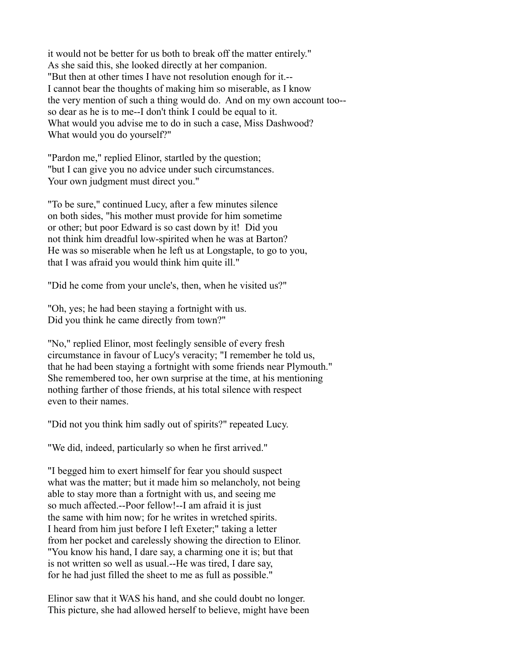it would not be better for us both to break off the matter entirely." As she said this, she looked directly at her companion. "But then at other times I have not resolution enough for it.-- I cannot bear the thoughts of making him so miserable, as I know the very mention of such a thing would do. And on my own account too- so dear as he is to me--I don't think I could be equal to it. What would you advise me to do in such a case, Miss Dashwood? What would you do yourself?"

"Pardon me," replied Elinor, startled by the question; "but I can give you no advice under such circumstances. Your own judgment must direct you."

"To be sure," continued Lucy, after a few minutes silence on both sides, "his mother must provide for him sometime or other; but poor Edward is so cast down by it! Did you not think him dreadful low-spirited when he was at Barton? He was so miserable when he left us at Longstaple, to go to you, that I was afraid you would think him quite ill."

"Did he come from your uncle's, then, when he visited us?"

"Oh, yes; he had been staying a fortnight with us. Did you think he came directly from town?"

"No," replied Elinor, most feelingly sensible of every fresh circumstance in favour of Lucy's veracity; "I remember he told us, that he had been staying a fortnight with some friends near Plymouth." She remembered too, her own surprise at the time, at his mentioning nothing farther of those friends, at his total silence with respect even to their names.

"Did not you think him sadly out of spirits?" repeated Lucy.

"We did, indeed, particularly so when he first arrived."

"I begged him to exert himself for fear you should suspect what was the matter; but it made him so melancholy, not being able to stay more than a fortnight with us, and seeing me so much affected.--Poor fellow!--I am afraid it is just the same with him now; for he writes in wretched spirits. I heard from him just before I left Exeter;" taking a letter from her pocket and carelessly showing the direction to Elinor. "You know his hand, I dare say, a charming one it is; but that is not written so well as usual.--He was tired, I dare say, for he had just filled the sheet to me as full as possible."

Elinor saw that it WAS his hand, and she could doubt no longer. This picture, she had allowed herself to believe, might have been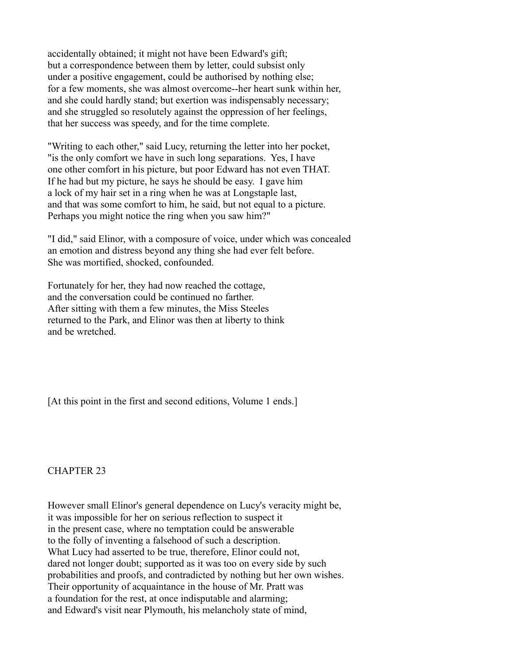accidentally obtained; it might not have been Edward's gift; but a correspondence between them by letter, could subsist only under a positive engagement, could be authorised by nothing else; for a few moments, she was almost overcome--her heart sunk within her, and she could hardly stand; but exertion was indispensably necessary; and she struggled so resolutely against the oppression of her feelings, that her success was speedy, and for the time complete.

"Writing to each other," said Lucy, returning the letter into her pocket, "is the only comfort we have in such long separations. Yes, I have one other comfort in his picture, but poor Edward has not even THAT. If he had but my picture, he says he should be easy. I gave him a lock of my hair set in a ring when he was at Longstaple last, and that was some comfort to him, he said, but not equal to a picture. Perhaps you might notice the ring when you saw him?"

"I did," said Elinor, with a composure of voice, under which was concealed an emotion and distress beyond any thing she had ever felt before. She was mortified, shocked, confounded.

Fortunately for her, they had now reached the cottage, and the conversation could be continued no farther. After sitting with them a few minutes, the Miss Steeles returned to the Park, and Elinor was then at liberty to think and be wretched.

[At this point in the first and second editions, Volume 1 ends.]

# CHAPTER 23

However small Elinor's general dependence on Lucy's veracity might be, it was impossible for her on serious reflection to suspect it in the present case, where no temptation could be answerable to the folly of inventing a falsehood of such a description. What Lucy had asserted to be true, therefore, Elinor could not, dared not longer doubt; supported as it was too on every side by such probabilities and proofs, and contradicted by nothing but her own wishes. Their opportunity of acquaintance in the house of Mr. Pratt was a foundation for the rest, at once indisputable and alarming; and Edward's visit near Plymouth, his melancholy state of mind,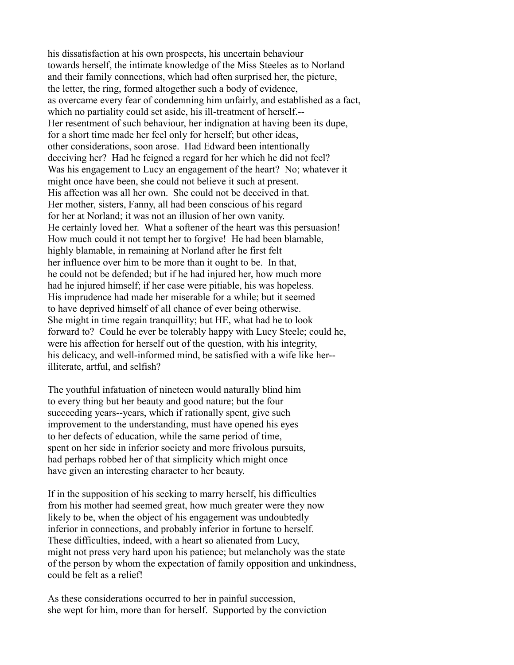his dissatisfaction at his own prospects, his uncertain behaviour towards herself, the intimate knowledge of the Miss Steeles as to Norland and their family connections, which had often surprised her, the picture, the letter, the ring, formed altogether such a body of evidence, as overcame every fear of condemning him unfairly, and established as a fact, which no partiality could set aside, his ill-treatment of herself.--Her resentment of such behaviour, her indignation at having been its dupe, for a short time made her feel only for herself; but other ideas, other considerations, soon arose. Had Edward been intentionally deceiving her? Had he feigned a regard for her which he did not feel? Was his engagement to Lucy an engagement of the heart? No; whatever it might once have been, she could not believe it such at present. His affection was all her own. She could not be deceived in that. Her mother, sisters, Fanny, all had been conscious of his regard for her at Norland; it was not an illusion of her own vanity. He certainly loved her. What a softener of the heart was this persuasion! How much could it not tempt her to forgive! He had been blamable, highly blamable, in remaining at Norland after he first felt her influence over him to be more than it ought to be. In that, he could not be defended; but if he had injured her, how much more had he injured himself; if her case were pitiable, his was hopeless. His imprudence had made her miserable for a while; but it seemed to have deprived himself of all chance of ever being otherwise. She might in time regain tranquillity; but HE, what had he to look forward to? Could he ever be tolerably happy with Lucy Steele; could he, were his affection for herself out of the question, with his integrity, his delicacy, and well-informed mind, be satisfied with a wife like her- illiterate, artful, and selfish?

The youthful infatuation of nineteen would naturally blind him to every thing but her beauty and good nature; but the four succeeding years--years, which if rationally spent, give such improvement to the understanding, must have opened his eyes to her defects of education, while the same period of time, spent on her side in inferior society and more frivolous pursuits, had perhaps robbed her of that simplicity which might once have given an interesting character to her beauty.

If in the supposition of his seeking to marry herself, his difficulties from his mother had seemed great, how much greater were they now likely to be, when the object of his engagement was undoubtedly inferior in connections, and probably inferior in fortune to herself. These difficulties, indeed, with a heart so alienated from Lucy, might not press very hard upon his patience; but melancholy was the state of the person by whom the expectation of family opposition and unkindness, could be felt as a relief!

As these considerations occurred to her in painful succession, she wept for him, more than for herself. Supported by the conviction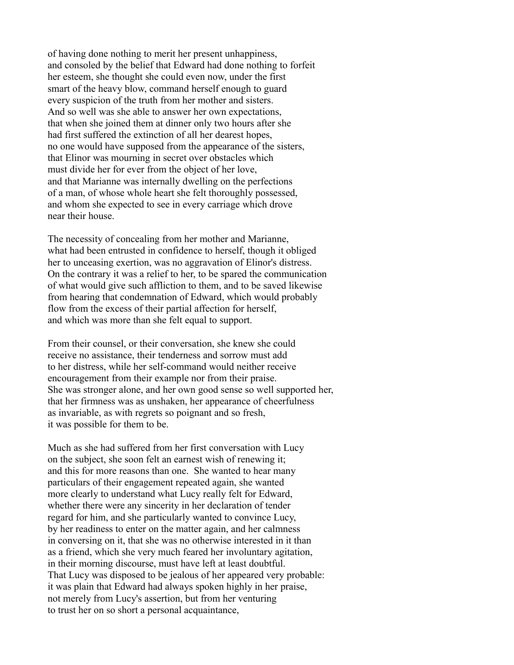of having done nothing to merit her present unhappiness, and consoled by the belief that Edward had done nothing to forfeit her esteem, she thought she could even now, under the first smart of the heavy blow, command herself enough to guard every suspicion of the truth from her mother and sisters. And so well was she able to answer her own expectations, that when she joined them at dinner only two hours after she had first suffered the extinction of all her dearest hopes, no one would have supposed from the appearance of the sisters, that Elinor was mourning in secret over obstacles which must divide her for ever from the object of her love, and that Marianne was internally dwelling on the perfections of a man, of whose whole heart she felt thoroughly possessed, and whom she expected to see in every carriage which drove near their house.

The necessity of concealing from her mother and Marianne, what had been entrusted in confidence to herself, though it obliged her to unceasing exertion, was no aggravation of Elinor's distress. On the contrary it was a relief to her, to be spared the communication of what would give such affliction to them, and to be saved likewise from hearing that condemnation of Edward, which would probably flow from the excess of their partial affection for herself, and which was more than she felt equal to support.

From their counsel, or their conversation, she knew she could receive no assistance, their tenderness and sorrow must add to her distress, while her self-command would neither receive encouragement from their example nor from their praise. She was stronger alone, and her own good sense so well supported her, that her firmness was as unshaken, her appearance of cheerfulness as invariable, as with regrets so poignant and so fresh, it was possible for them to be.

Much as she had suffered from her first conversation with Lucy on the subject, she soon felt an earnest wish of renewing it; and this for more reasons than one. She wanted to hear many particulars of their engagement repeated again, she wanted more clearly to understand what Lucy really felt for Edward, whether there were any sincerity in her declaration of tender regard for him, and she particularly wanted to convince Lucy, by her readiness to enter on the matter again, and her calmness in conversing on it, that she was no otherwise interested in it than as a friend, which she very much feared her involuntary agitation, in their morning discourse, must have left at least doubtful. That Lucy was disposed to be jealous of her appeared very probable: it was plain that Edward had always spoken highly in her praise, not merely from Lucy's assertion, but from her venturing to trust her on so short a personal acquaintance,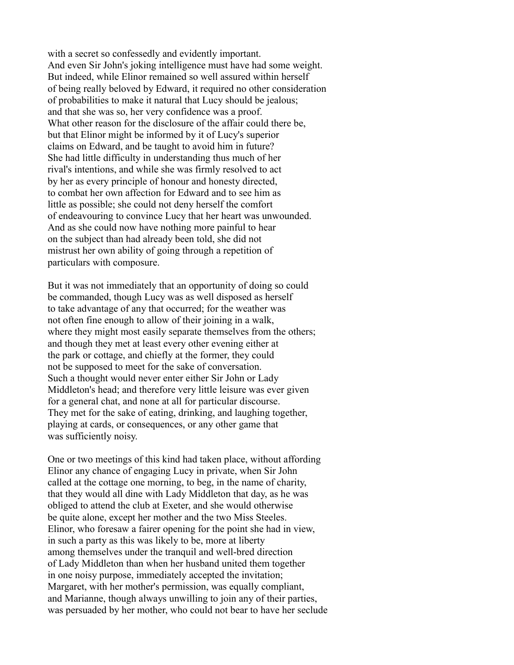with a secret so confessedly and evidently important. And even Sir John's joking intelligence must have had some weight. But indeed, while Elinor remained so well assured within herself of being really beloved by Edward, it required no other consideration of probabilities to make it natural that Lucy should be jealous; and that she was so, her very confidence was a proof. What other reason for the disclosure of the affair could there be, but that Elinor might be informed by it of Lucy's superior claims on Edward, and be taught to avoid him in future? She had little difficulty in understanding thus much of her rival's intentions, and while she was firmly resolved to act by her as every principle of honour and honesty directed, to combat her own affection for Edward and to see him as little as possible; she could not deny herself the comfort of endeavouring to convince Lucy that her heart was unwounded. And as she could now have nothing more painful to hear on the subject than had already been told, she did not mistrust her own ability of going through a repetition of particulars with composure.

But it was not immediately that an opportunity of doing so could be commanded, though Lucy was as well disposed as herself to take advantage of any that occurred; for the weather was not often fine enough to allow of their joining in a walk, where they might most easily separate themselves from the others; and though they met at least every other evening either at the park or cottage, and chiefly at the former, they could not be supposed to meet for the sake of conversation. Such a thought would never enter either Sir John or Lady Middleton's head; and therefore very little leisure was ever given for a general chat, and none at all for particular discourse. They met for the sake of eating, drinking, and laughing together, playing at cards, or consequences, or any other game that was sufficiently noisy.

One or two meetings of this kind had taken place, without affording Elinor any chance of engaging Lucy in private, when Sir John called at the cottage one morning, to beg, in the name of charity, that they would all dine with Lady Middleton that day, as he was obliged to attend the club at Exeter, and she would otherwise be quite alone, except her mother and the two Miss Steeles. Elinor, who foresaw a fairer opening for the point she had in view, in such a party as this was likely to be, more at liberty among themselves under the tranquil and well-bred direction of Lady Middleton than when her husband united them together in one noisy purpose, immediately accepted the invitation; Margaret, with her mother's permission, was equally compliant, and Marianne, though always unwilling to join any of their parties, was persuaded by her mother, who could not bear to have her seclude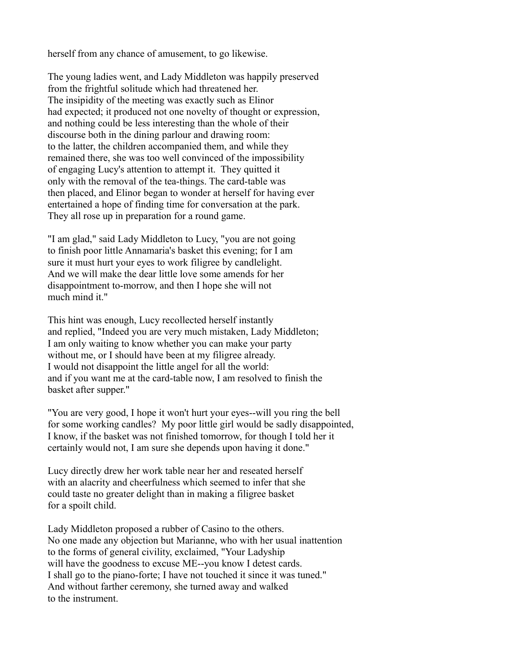herself from any chance of amusement, to go likewise.

The young ladies went, and Lady Middleton was happily preserved from the frightful solitude which had threatened her. The insipidity of the meeting was exactly such as Elinor had expected; it produced not one novelty of thought or expression, and nothing could be less interesting than the whole of their discourse both in the dining parlour and drawing room: to the latter, the children accompanied them, and while they remained there, she was too well convinced of the impossibility of engaging Lucy's attention to attempt it. They quitted it only with the removal of the tea-things. The card-table was then placed, and Elinor began to wonder at herself for having ever entertained a hope of finding time for conversation at the park. They all rose up in preparation for a round game.

"I am glad," said Lady Middleton to Lucy, "you are not going to finish poor little Annamaria's basket this evening; for I am sure it must hurt your eyes to work filigree by candlelight. And we will make the dear little love some amends for her disappointment to-morrow, and then I hope she will not much mind it."

This hint was enough, Lucy recollected herself instantly and replied, "Indeed you are very much mistaken, Lady Middleton; I am only waiting to know whether you can make your party without me, or I should have been at my filigree already. I would not disappoint the little angel for all the world: and if you want me at the card-table now, I am resolved to finish the basket after supper."

"You are very good, I hope it won't hurt your eyes--will you ring the bell for some working candles? My poor little girl would be sadly disappointed, I know, if the basket was not finished tomorrow, for though I told her it certainly would not, I am sure she depends upon having it done."

Lucy directly drew her work table near her and reseated herself with an alacrity and cheerfulness which seemed to infer that she could taste no greater delight than in making a filigree basket for a spoilt child.

Lady Middleton proposed a rubber of Casino to the others. No one made any objection but Marianne, who with her usual inattention to the forms of general civility, exclaimed, "Your Ladyship will have the goodness to excuse ME--you know I detest cards. I shall go to the piano-forte; I have not touched it since it was tuned." And without farther ceremony, she turned away and walked to the instrument.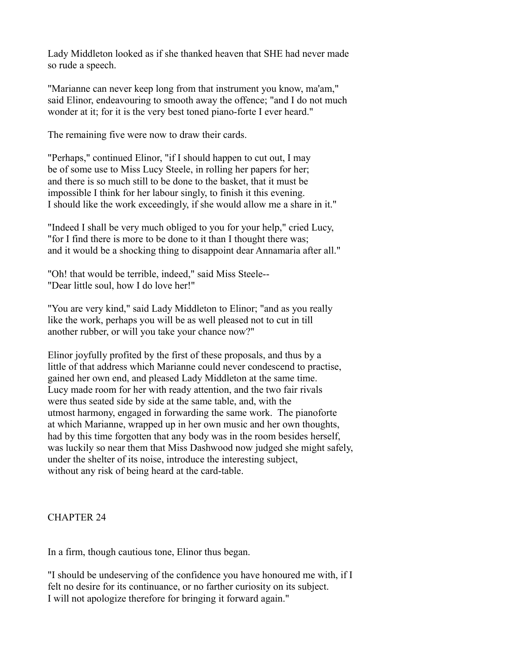Lady Middleton looked as if she thanked heaven that SHE had never made so rude a speech.

"Marianne can never keep long from that instrument you know, ma'am," said Elinor, endeavouring to smooth away the offence; "and I do not much wonder at it; for it is the very best toned piano-forte I ever heard."

The remaining five were now to draw their cards.

"Perhaps," continued Elinor, "if I should happen to cut out, I may be of some use to Miss Lucy Steele, in rolling her papers for her; and there is so much still to be done to the basket, that it must be impossible I think for her labour singly, to finish it this evening. I should like the work exceedingly, if she would allow me a share in it."

"Indeed I shall be very much obliged to you for your help," cried Lucy, "for I find there is more to be done to it than I thought there was; and it would be a shocking thing to disappoint dear Annamaria after all."

"Oh! that would be terrible, indeed," said Miss Steele-- "Dear little soul, how I do love her!"

"You are very kind," said Lady Middleton to Elinor; "and as you really like the work, perhaps you will be as well pleased not to cut in till another rubber, or will you take your chance now?"

Elinor joyfully profited by the first of these proposals, and thus by a little of that address which Marianne could never condescend to practise, gained her own end, and pleased Lady Middleton at the same time. Lucy made room for her with ready attention, and the two fair rivals were thus seated side by side at the same table, and, with the utmost harmony, engaged in forwarding the same work. The pianoforte at which Marianne, wrapped up in her own music and her own thoughts, had by this time forgotten that any body was in the room besides herself, was luckily so near them that Miss Dashwood now judged she might safely, under the shelter of its noise, introduce the interesting subject, without any risk of being heard at the card-table.

# CHAPTER 24

In a firm, though cautious tone, Elinor thus began.

"I should be undeserving of the confidence you have honoured me with, if I felt no desire for its continuance, or no farther curiosity on its subject. I will not apologize therefore for bringing it forward again."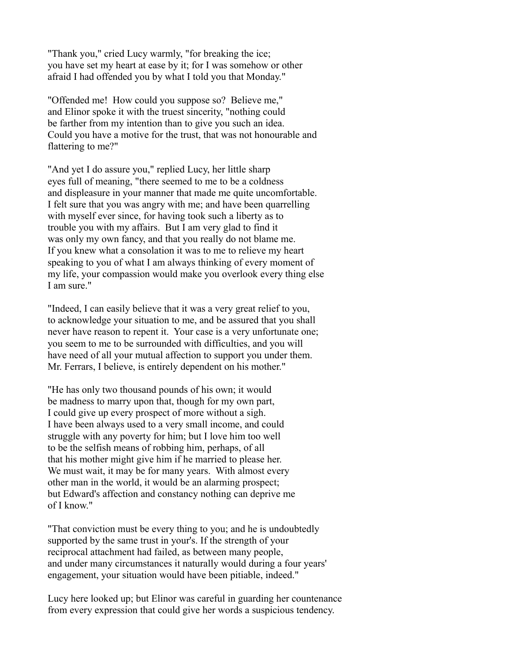"Thank you," cried Lucy warmly, "for breaking the ice; you have set my heart at ease by it; for I was somehow or other afraid I had offended you by what I told you that Monday."

"Offended me! How could you suppose so? Believe me," and Elinor spoke it with the truest sincerity, "nothing could be farther from my intention than to give you such an idea. Could you have a motive for the trust, that was not honourable and flattering to me?"

"And yet I do assure you," replied Lucy, her little sharp eyes full of meaning, "there seemed to me to be a coldness and displeasure in your manner that made me quite uncomfortable. I felt sure that you was angry with me; and have been quarrelling with myself ever since, for having took such a liberty as to trouble you with my affairs. But I am very glad to find it was only my own fancy, and that you really do not blame me. If you knew what a consolation it was to me to relieve my heart speaking to you of what I am always thinking of every moment of my life, your compassion would make you overlook every thing else I am sure."

"Indeed, I can easily believe that it was a very great relief to you, to acknowledge your situation to me, and be assured that you shall never have reason to repent it. Your case is a very unfortunate one; you seem to me to be surrounded with difficulties, and you will have need of all your mutual affection to support you under them. Mr. Ferrars, I believe, is entirely dependent on his mother."

"He has only two thousand pounds of his own; it would be madness to marry upon that, though for my own part, I could give up every prospect of more without a sigh. I have been always used to a very small income, and could struggle with any poverty for him; but I love him too well to be the selfish means of robbing him, perhaps, of all that his mother might give him if he married to please her. We must wait, it may be for many years. With almost every other man in the world, it would be an alarming prospect; but Edward's affection and constancy nothing can deprive me of I know."

"That conviction must be every thing to you; and he is undoubtedly supported by the same trust in your's. If the strength of your reciprocal attachment had failed, as between many people, and under many circumstances it naturally would during a four years' engagement, your situation would have been pitiable, indeed."

Lucy here looked up; but Elinor was careful in guarding her countenance from every expression that could give her words a suspicious tendency.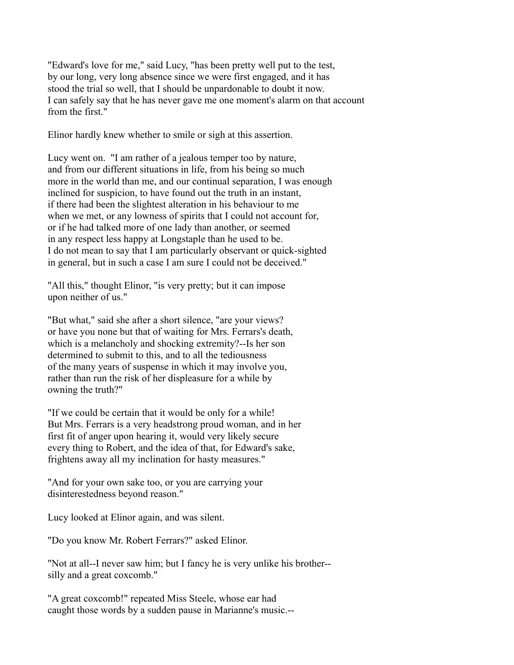"Edward's love for me," said Lucy, "has been pretty well put to the test, by our long, very long absence since we were first engaged, and it has stood the trial so well, that I should be unpardonable to doubt it now. I can safely say that he has never gave me one moment's alarm on that account from the first."

Elinor hardly knew whether to smile or sigh at this assertion.

Lucy went on. "I am rather of a jealous temper too by nature, and from our different situations in life, from his being so much more in the world than me, and our continual separation, I was enough inclined for suspicion, to have found out the truth in an instant, if there had been the slightest alteration in his behaviour to me when we met, or any lowness of spirits that I could not account for, or if he had talked more of one lady than another, or seemed in any respect less happy at Longstaple than he used to be. I do not mean to say that I am particularly observant or quick-sighted in general, but in such a case I am sure I could not be deceived."

"All this," thought Elinor, "is very pretty; but it can impose upon neither of us."

"But what," said she after a short silence, "are your views? or have you none but that of waiting for Mrs. Ferrars's death, which is a melancholy and shocking extremity?--Is her son determined to submit to this, and to all the tediousness of the many years of suspense in which it may involve you, rather than run the risk of her displeasure for a while by owning the truth?"

"If we could be certain that it would be only for a while! But Mrs. Ferrars is a very headstrong proud woman, and in her first fit of anger upon hearing it, would very likely secure every thing to Robert, and the idea of that, for Edward's sake, frightens away all my inclination for hasty measures."

"And for your own sake too, or you are carrying your disinterestedness beyond reason."

Lucy looked at Elinor again, and was silent.

"Do you know Mr. Robert Ferrars?" asked Elinor.

"Not at all--I never saw him; but I fancy he is very unlike his brother- silly and a great coxcomb."

"A great coxcomb!" repeated Miss Steele, whose ear had caught those words by a sudden pause in Marianne's music.--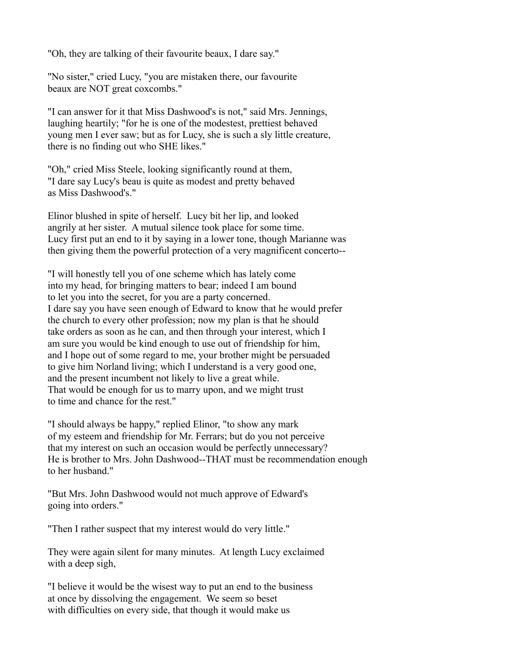"Oh, they are talking of their favourite beaux, I dare say."

"No sister," cried Lucy, "you are mistaken there, our favourite beaux are NOT great coxcombs."

"I can answer for it that Miss Dashwood's is not," said Mrs. Jennings, laughing heartily; "for he is one of the modestest, prettiest behaved young men I ever saw; but as for Lucy, she is such a sly little creature, there is no finding out who SHE likes."

"Oh," cried Miss Steele, looking significantly round at them, "I dare say Lucy's beau is quite as modest and pretty behaved as Miss Dashwood's."

Elinor blushed in spite of herself. Lucy bit her lip, and looked angrily at her sister. A mutual silence took place for some time. Lucy first put an end to it by saying in a lower tone, though Marianne was then giving them the powerful protection of a very magnificent concerto--

"I will honestly tell you of one scheme which has lately come into my head, for bringing matters to bear; indeed I am bound to let you into the secret, for you are a party concerned. I dare say you have seen enough of Edward to know that he would prefer the church to every other profession; now my plan is that he should take orders as soon as he can, and then through your interest, which I am sure you would be kind enough to use out of friendship for him, and I hope out of some regard to me, your brother might be persuaded to give him Norland living; which I understand is a very good one, and the present incumbent not likely to live a great while. That would be enough for us to marry upon, and we might trust to time and chance for the rest."

"I should always be happy," replied Elinor, "to show any mark of my esteem and friendship for Mr. Ferrars; but do you not perceive that my interest on such an occasion would be perfectly unnecessary? He is brother to Mrs. John Dashwood--THAT must be recommendation enough to her husband."

"But Mrs. John Dashwood would not much approve of Edward's going into orders."

"Then I rather suspect that my interest would do very little."

They were again silent for many minutes. At length Lucy exclaimed with a deep sigh,

"I believe it would be the wisest way to put an end to the business at once by dissolving the engagement. We seem so beset with difficulties on every side, that though it would make us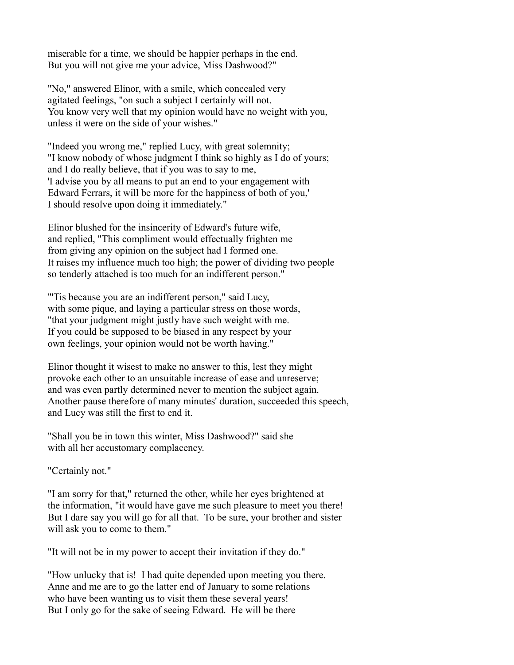miserable for a time, we should be happier perhaps in the end. But you will not give me your advice, Miss Dashwood?"

"No," answered Elinor, with a smile, which concealed very agitated feelings, "on such a subject I certainly will not. You know very well that my opinion would have no weight with you, unless it were on the side of your wishes."

"Indeed you wrong me," replied Lucy, with great solemnity; "I know nobody of whose judgment I think so highly as I do of yours; and I do really believe, that if you was to say to me, 'I advise you by all means to put an end to your engagement with Edward Ferrars, it will be more for the happiness of both of you,' I should resolve upon doing it immediately."

Elinor blushed for the insincerity of Edward's future wife, and replied, "This compliment would effectually frighten me from giving any opinion on the subject had I formed one. It raises my influence much too high; the power of dividing two people so tenderly attached is too much for an indifferent person."

"'Tis because you are an indifferent person," said Lucy, with some pique, and laying a particular stress on those words, "that your judgment might justly have such weight with me. If you could be supposed to be biased in any respect by your own feelings, your opinion would not be worth having."

Elinor thought it wisest to make no answer to this, lest they might provoke each other to an unsuitable increase of ease and unreserve; and was even partly determined never to mention the subject again. Another pause therefore of many minutes' duration, succeeded this speech, and Lucy was still the first to end it.

"Shall you be in town this winter, Miss Dashwood?" said she with all her accustomary complacency.

"Certainly not."

"I am sorry for that," returned the other, while her eyes brightened at the information, "it would have gave me such pleasure to meet you there! But I dare say you will go for all that. To be sure, your brother and sister will ask you to come to them."

"It will not be in my power to accept their invitation if they do."

"How unlucky that is! I had quite depended upon meeting you there. Anne and me are to go the latter end of January to some relations who have been wanting us to visit them these several years! But I only go for the sake of seeing Edward. He will be there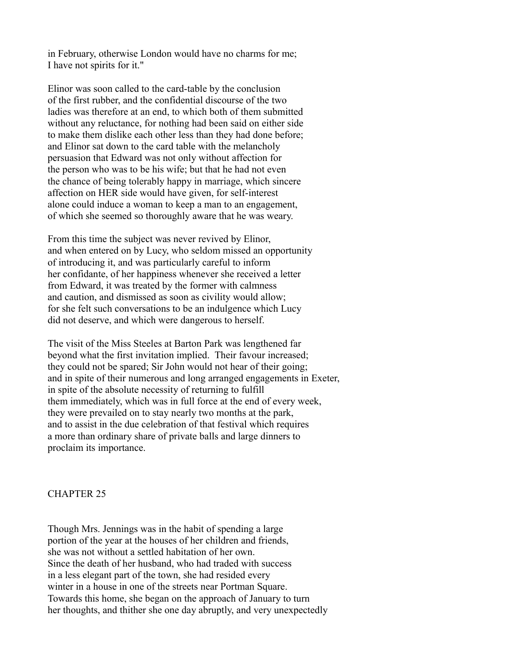in February, otherwise London would have no charms for me; I have not spirits for it."

Elinor was soon called to the card-table by the conclusion of the first rubber, and the confidential discourse of the two ladies was therefore at an end, to which both of them submitted without any reluctance, for nothing had been said on either side to make them dislike each other less than they had done before; and Elinor sat down to the card table with the melancholy persuasion that Edward was not only without affection for the person who was to be his wife; but that he had not even the chance of being tolerably happy in marriage, which sincere affection on HER side would have given, for self-interest alone could induce a woman to keep a man to an engagement, of which she seemed so thoroughly aware that he was weary.

From this time the subject was never revived by Elinor, and when entered on by Lucy, who seldom missed an opportunity of introducing it, and was particularly careful to inform her confidante, of her happiness whenever she received a letter from Edward, it was treated by the former with calmness and caution, and dismissed as soon as civility would allow; for she felt such conversations to be an indulgence which Lucy did not deserve, and which were dangerous to herself.

The visit of the Miss Steeles at Barton Park was lengthened far beyond what the first invitation implied. Their favour increased; they could not be spared; Sir John would not hear of their going; and in spite of their numerous and long arranged engagements in Exeter, in spite of the absolute necessity of returning to fulfill them immediately, which was in full force at the end of every week, they were prevailed on to stay nearly two months at the park, and to assist in the due celebration of that festival which requires a more than ordinary share of private balls and large dinners to proclaim its importance.

### CHAPTER 25

Though Mrs. Jennings was in the habit of spending a large portion of the year at the houses of her children and friends, she was not without a settled habitation of her own. Since the death of her husband, who had traded with success in a less elegant part of the town, she had resided every winter in a house in one of the streets near Portman Square. Towards this home, she began on the approach of January to turn her thoughts, and thither she one day abruptly, and very unexpectedly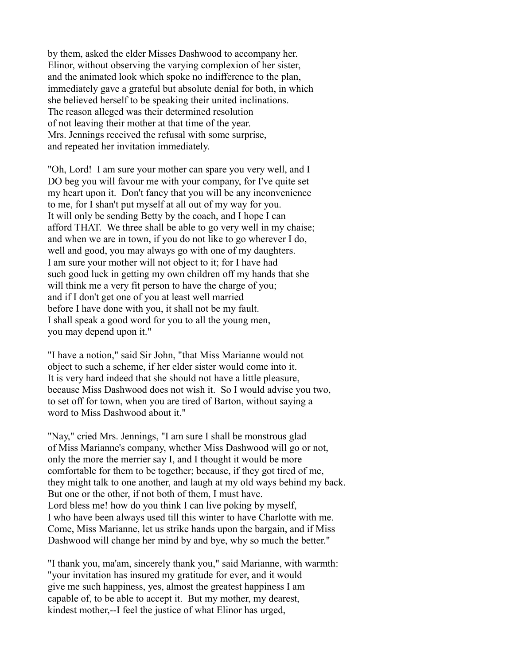by them, asked the elder Misses Dashwood to accompany her. Elinor, without observing the varying complexion of her sister, and the animated look which spoke no indifference to the plan, immediately gave a grateful but absolute denial for both, in which she believed herself to be speaking their united inclinations. The reason alleged was their determined resolution of not leaving their mother at that time of the year. Mrs. Jennings received the refusal with some surprise, and repeated her invitation immediately.

"Oh, Lord! I am sure your mother can spare you very well, and I DO beg you will favour me with your company, for I've quite set my heart upon it. Don't fancy that you will be any inconvenience to me, for I shan't put myself at all out of my way for you. It will only be sending Betty by the coach, and I hope I can afford THAT. We three shall be able to go very well in my chaise; and when we are in town, if you do not like to go wherever I do, well and good, you may always go with one of my daughters. I am sure your mother will not object to it; for I have had such good luck in getting my own children off my hands that she will think me a very fit person to have the charge of you; and if I don't get one of you at least well married before I have done with you, it shall not be my fault. I shall speak a good word for you to all the young men, you may depend upon it."

"I have a notion," said Sir John, "that Miss Marianne would not object to such a scheme, if her elder sister would come into it. It is very hard indeed that she should not have a little pleasure, because Miss Dashwood does not wish it. So I would advise you two, to set off for town, when you are tired of Barton, without saying a word to Miss Dashwood about it."

"Nay," cried Mrs. Jennings, "I am sure I shall be monstrous glad of Miss Marianne's company, whether Miss Dashwood will go or not, only the more the merrier say I, and I thought it would be more comfortable for them to be together; because, if they got tired of me, they might talk to one another, and laugh at my old ways behind my back. But one or the other, if not both of them, I must have. Lord bless me! how do you think I can live poking by myself, I who have been always used till this winter to have Charlotte with me. Come, Miss Marianne, let us strike hands upon the bargain, and if Miss Dashwood will change her mind by and bye, why so much the better."

"I thank you, ma'am, sincerely thank you," said Marianne, with warmth: "your invitation has insured my gratitude for ever, and it would give me such happiness, yes, almost the greatest happiness I am capable of, to be able to accept it. But my mother, my dearest, kindest mother,--I feel the justice of what Elinor has urged,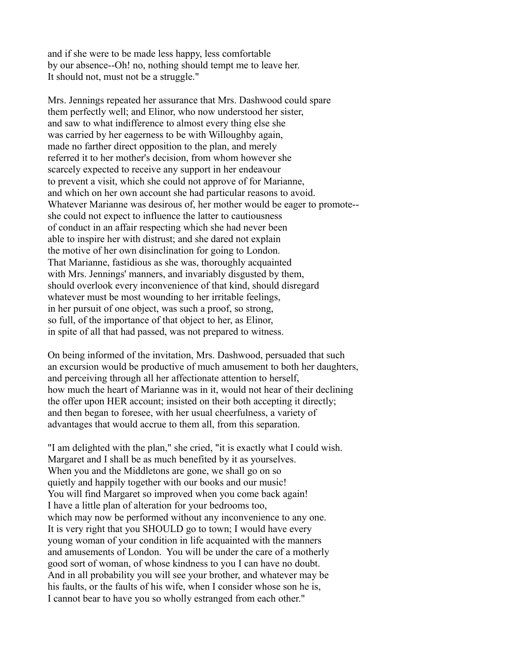and if she were to be made less happy, less comfortable by our absence--Oh! no, nothing should tempt me to leave her. It should not, must not be a struggle."

Mrs. Jennings repeated her assurance that Mrs. Dashwood could spare them perfectly well; and Elinor, who now understood her sister, and saw to what indifference to almost every thing else she was carried by her eagerness to be with Willoughby again, made no farther direct opposition to the plan, and merely referred it to her mother's decision, from whom however she scarcely expected to receive any support in her endeavour to prevent a visit, which she could not approve of for Marianne, and which on her own account she had particular reasons to avoid. Whatever Marianne was desirous of, her mother would be eager to promote- she could not expect to influence the latter to cautiousness of conduct in an affair respecting which she had never been able to inspire her with distrust; and she dared not explain the motive of her own disinclination for going to London. That Marianne, fastidious as she was, thoroughly acquainted with Mrs. Jennings' manners, and invariably disgusted by them, should overlook every inconvenience of that kind, should disregard whatever must be most wounding to her irritable feelings, in her pursuit of one object, was such a proof, so strong, so full, of the importance of that object to her, as Elinor, in spite of all that had passed, was not prepared to witness.

On being informed of the invitation, Mrs. Dashwood, persuaded that such an excursion would be productive of much amusement to both her daughters, and perceiving through all her affectionate attention to herself, how much the heart of Marianne was in it, would not hear of their declining the offer upon HER account; insisted on their both accepting it directly; and then began to foresee, with her usual cheerfulness, a variety of advantages that would accrue to them all, from this separation.

"I am delighted with the plan," she cried, "it is exactly what I could wish. Margaret and I shall be as much benefited by it as yourselves. When you and the Middletons are gone, we shall go on so quietly and happily together with our books and our music! You will find Margaret so improved when you come back again! I have a little plan of alteration for your bedrooms too, which may now be performed without any inconvenience to any one. It is very right that you SHOULD go to town; I would have every young woman of your condition in life acquainted with the manners and amusements of London. You will be under the care of a motherly good sort of woman, of whose kindness to you I can have no doubt. And in all probability you will see your brother, and whatever may be his faults, or the faults of his wife, when I consider whose son he is, I cannot bear to have you so wholly estranged from each other."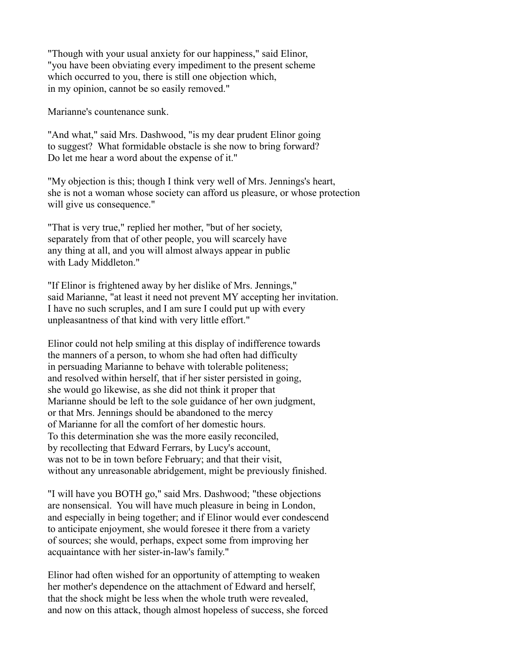"Though with your usual anxiety for our happiness," said Elinor, "you have been obviating every impediment to the present scheme which occurred to you, there is still one objection which, in my opinion, cannot be so easily removed."

Marianne's countenance sunk.

"And what," said Mrs. Dashwood, "is my dear prudent Elinor going to suggest? What formidable obstacle is she now to bring forward? Do let me hear a word about the expense of it."

"My objection is this; though I think very well of Mrs. Jennings's heart, she is not a woman whose society can afford us pleasure, or whose protection will give us consequence."

"That is very true," replied her mother, "but of her society, separately from that of other people, you will scarcely have any thing at all, and you will almost always appear in public with Lady Middleton."

"If Elinor is frightened away by her dislike of Mrs. Jennings," said Marianne, "at least it need not prevent MY accepting her invitation. I have no such scruples, and I am sure I could put up with every unpleasantness of that kind with very little effort."

Elinor could not help smiling at this display of indifference towards the manners of a person, to whom she had often had difficulty in persuading Marianne to behave with tolerable politeness; and resolved within herself, that if her sister persisted in going, she would go likewise, as she did not think it proper that Marianne should be left to the sole guidance of her own judgment, or that Mrs. Jennings should be abandoned to the mercy of Marianne for all the comfort of her domestic hours. To this determination she was the more easily reconciled, by recollecting that Edward Ferrars, by Lucy's account, was not to be in town before February; and that their visit, without any unreasonable abridgement, might be previously finished.

"I will have you BOTH go," said Mrs. Dashwood; "these objections are nonsensical. You will have much pleasure in being in London, and especially in being together; and if Elinor would ever condescend to anticipate enjoyment, she would foresee it there from a variety of sources; she would, perhaps, expect some from improving her acquaintance with her sister-in-law's family."

Elinor had often wished for an opportunity of attempting to weaken her mother's dependence on the attachment of Edward and herself, that the shock might be less when the whole truth were revealed, and now on this attack, though almost hopeless of success, she forced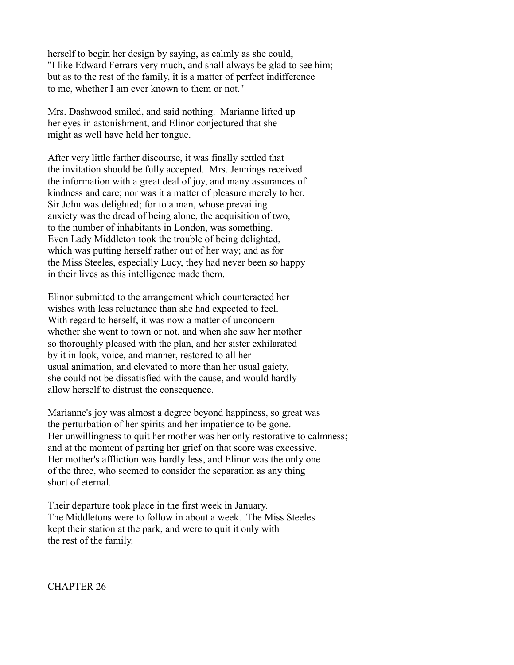herself to begin her design by saying, as calmly as she could, "I like Edward Ferrars very much, and shall always be glad to see him; but as to the rest of the family, it is a matter of perfect indifference to me, whether I am ever known to them or not."

Mrs. Dashwood smiled, and said nothing. Marianne lifted up her eyes in astonishment, and Elinor conjectured that she might as well have held her tongue.

After very little farther discourse, it was finally settled that the invitation should be fully accepted. Mrs. Jennings received the information with a great deal of joy, and many assurances of kindness and care; nor was it a matter of pleasure merely to her. Sir John was delighted; for to a man, whose prevailing anxiety was the dread of being alone, the acquisition of two, to the number of inhabitants in London, was something. Even Lady Middleton took the trouble of being delighted, which was putting herself rather out of her way; and as for the Miss Steeles, especially Lucy, they had never been so happy in their lives as this intelligence made them.

Elinor submitted to the arrangement which counteracted her wishes with less reluctance than she had expected to feel. With regard to herself, it was now a matter of unconcern whether she went to town or not, and when she saw her mother so thoroughly pleased with the plan, and her sister exhilarated by it in look, voice, and manner, restored to all her usual animation, and elevated to more than her usual gaiety, she could not be dissatisfied with the cause, and would hardly allow herself to distrust the consequence.

Marianne's joy was almost a degree beyond happiness, so great was the perturbation of her spirits and her impatience to be gone. Her unwillingness to quit her mother was her only restorative to calmness; and at the moment of parting her grief on that score was excessive. Her mother's affliction was hardly less, and Elinor was the only one of the three, who seemed to consider the separation as any thing short of eternal.

Their departure took place in the first week in January. The Middletons were to follow in about a week. The Miss Steeles kept their station at the park, and were to quit it only with the rest of the family.

CHAPTER 26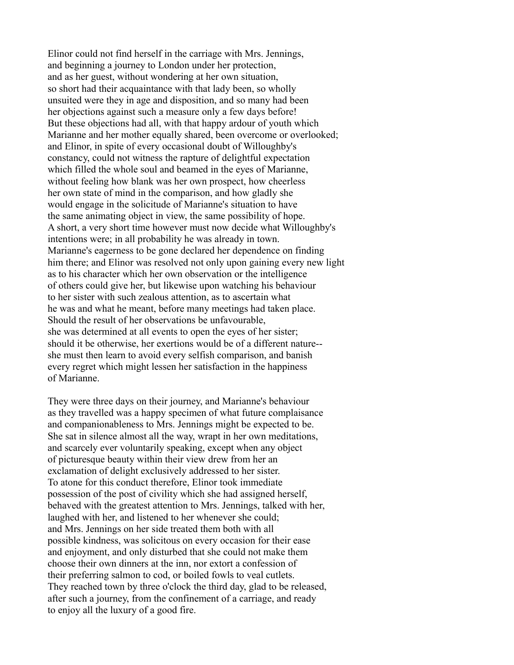Elinor could not find herself in the carriage with Mrs. Jennings, and beginning a journey to London under her protection, and as her guest, without wondering at her own situation, so short had their acquaintance with that lady been, so wholly unsuited were they in age and disposition, and so many had been her objections against such a measure only a few days before! But these objections had all, with that happy ardour of youth which Marianne and her mother equally shared, been overcome or overlooked; and Elinor, in spite of every occasional doubt of Willoughby's constancy, could not witness the rapture of delightful expectation which filled the whole soul and beamed in the eyes of Marianne, without feeling how blank was her own prospect, how cheerless her own state of mind in the comparison, and how gladly she would engage in the solicitude of Marianne's situation to have the same animating object in view, the same possibility of hope. A short, a very short time however must now decide what Willoughby's intentions were; in all probability he was already in town. Marianne's eagerness to be gone declared her dependence on finding him there; and Elinor was resolved not only upon gaining every new light as to his character which her own observation or the intelligence of others could give her, but likewise upon watching his behaviour to her sister with such zealous attention, as to ascertain what he was and what he meant, before many meetings had taken place. Should the result of her observations be unfavourable, she was determined at all events to open the eyes of her sister; should it be otherwise, her exertions would be of a different nature- she must then learn to avoid every selfish comparison, and banish every regret which might lessen her satisfaction in the happiness of Marianne.

They were three days on their journey, and Marianne's behaviour as they travelled was a happy specimen of what future complaisance and companionableness to Mrs. Jennings might be expected to be. She sat in silence almost all the way, wrapt in her own meditations, and scarcely ever voluntarily speaking, except when any object of picturesque beauty within their view drew from her an exclamation of delight exclusively addressed to her sister. To atone for this conduct therefore, Elinor took immediate possession of the post of civility which she had assigned herself, behaved with the greatest attention to Mrs. Jennings, talked with her, laughed with her, and listened to her whenever she could; and Mrs. Jennings on her side treated them both with all possible kindness, was solicitous on every occasion for their ease and enjoyment, and only disturbed that she could not make them choose their own dinners at the inn, nor extort a confession of their preferring salmon to cod, or boiled fowls to veal cutlets. They reached town by three o'clock the third day, glad to be released, after such a journey, from the confinement of a carriage, and ready to enjoy all the luxury of a good fire.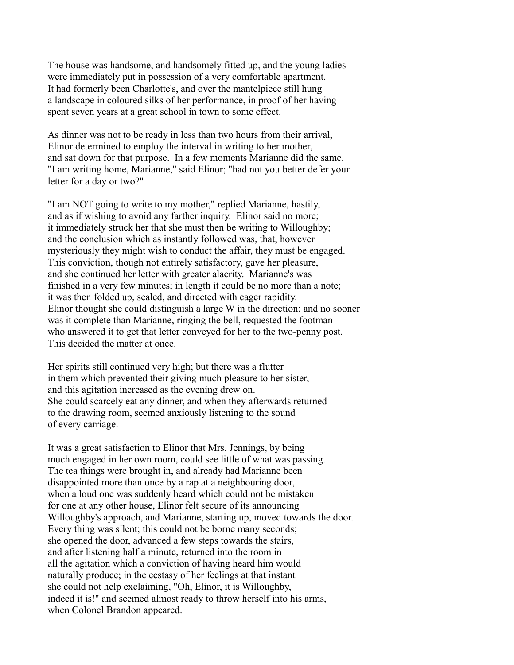The house was handsome, and handsomely fitted up, and the young ladies were immediately put in possession of a very comfortable apartment. It had formerly been Charlotte's, and over the mantelpiece still hung a landscape in coloured silks of her performance, in proof of her having spent seven years at a great school in town to some effect.

As dinner was not to be ready in less than two hours from their arrival, Elinor determined to employ the interval in writing to her mother, and sat down for that purpose. In a few moments Marianne did the same. "I am writing home, Marianne," said Elinor; "had not you better defer your letter for a day or two?"

"I am NOT going to write to my mother," replied Marianne, hastily, and as if wishing to avoid any farther inquiry. Elinor said no more; it immediately struck her that she must then be writing to Willoughby; and the conclusion which as instantly followed was, that, however mysteriously they might wish to conduct the affair, they must be engaged. This conviction, though not entirely satisfactory, gave her pleasure, and she continued her letter with greater alacrity. Marianne's was finished in a very few minutes; in length it could be no more than a note; it was then folded up, sealed, and directed with eager rapidity. Elinor thought she could distinguish a large W in the direction; and no sooner was it complete than Marianne, ringing the bell, requested the footman who answered it to get that letter conveyed for her to the two-penny post. This decided the matter at once.

Her spirits still continued very high; but there was a flutter in them which prevented their giving much pleasure to her sister, and this agitation increased as the evening drew on. She could scarcely eat any dinner, and when they afterwards returned to the drawing room, seemed anxiously listening to the sound of every carriage.

It was a great satisfaction to Elinor that Mrs. Jennings, by being much engaged in her own room, could see little of what was passing. The tea things were brought in, and already had Marianne been disappointed more than once by a rap at a neighbouring door, when a loud one was suddenly heard which could not be mistaken for one at any other house, Elinor felt secure of its announcing Willoughby's approach, and Marianne, starting up, moved towards the door. Every thing was silent; this could not be borne many seconds; she opened the door, advanced a few steps towards the stairs, and after listening half a minute, returned into the room in all the agitation which a conviction of having heard him would naturally produce; in the ecstasy of her feelings at that instant she could not help exclaiming, "Oh, Elinor, it is Willoughby, indeed it is!" and seemed almost ready to throw herself into his arms, when Colonel Brandon appeared.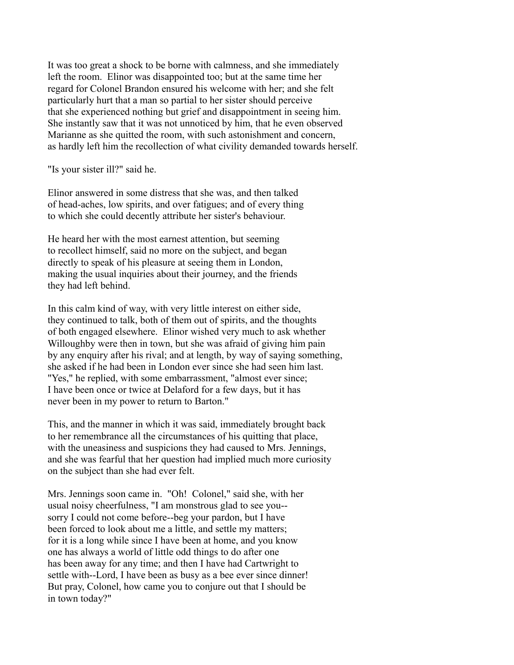It was too great a shock to be borne with calmness, and she immediately left the room. Elinor was disappointed too; but at the same time her regard for Colonel Brandon ensured his welcome with her; and she felt particularly hurt that a man so partial to her sister should perceive that she experienced nothing but grief and disappointment in seeing him. She instantly saw that it was not unnoticed by him, that he even observed Marianne as she quitted the room, with such astonishment and concern, as hardly left him the recollection of what civility demanded towards herself.

"Is your sister ill?" said he.

Elinor answered in some distress that she was, and then talked of head-aches, low spirits, and over fatigues; and of every thing to which she could decently attribute her sister's behaviour.

He heard her with the most earnest attention, but seeming to recollect himself, said no more on the subject, and began directly to speak of his pleasure at seeing them in London, making the usual inquiries about their journey, and the friends they had left behind.

In this calm kind of way, with very little interest on either side, they continued to talk, both of them out of spirits, and the thoughts of both engaged elsewhere. Elinor wished very much to ask whether Willoughby were then in town, but she was afraid of giving him pain by any enquiry after his rival; and at length, by way of saying something, she asked if he had been in London ever since she had seen him last. "Yes," he replied, with some embarrassment, "almost ever since; I have been once or twice at Delaford for a few days, but it has never been in my power to return to Barton."

This, and the manner in which it was said, immediately brought back to her remembrance all the circumstances of his quitting that place, with the uneasiness and suspicions they had caused to Mrs. Jennings, and she was fearful that her question had implied much more curiosity on the subject than she had ever felt.

Mrs. Jennings soon came in. "Oh! Colonel," said she, with her usual noisy cheerfulness, "I am monstrous glad to see you- sorry I could not come before--beg your pardon, but I have been forced to look about me a little, and settle my matters; for it is a long while since I have been at home, and you know one has always a world of little odd things to do after one has been away for any time; and then I have had Cartwright to settle with--Lord, I have been as busy as a bee ever since dinner! But pray, Colonel, how came you to conjure out that I should be in town today?"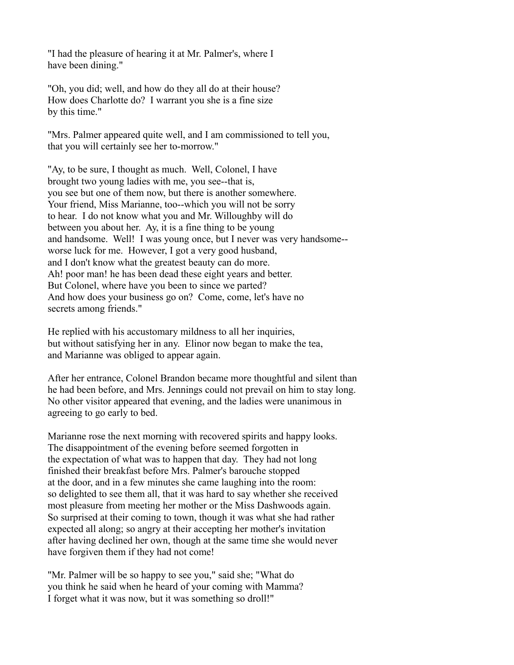"I had the pleasure of hearing it at Mr. Palmer's, where I have been dining."

"Oh, you did; well, and how do they all do at their house? How does Charlotte do? I warrant you she is a fine size by this time."

"Mrs. Palmer appeared quite well, and I am commissioned to tell you, that you will certainly see her to-morrow."

"Ay, to be sure, I thought as much. Well, Colonel, I have brought two young ladies with me, you see--that is, you see but one of them now, but there is another somewhere. Your friend, Miss Marianne, too--which you will not be sorry to hear. I do not know what you and Mr. Willoughby will do between you about her. Ay, it is a fine thing to be young and handsome. Well! I was young once, but I never was very handsome- worse luck for me. However, I got a very good husband, and I don't know what the greatest beauty can do more. Ah! poor man! he has been dead these eight years and better. But Colonel, where have you been to since we parted? And how does your business go on? Come, come, let's have no secrets among friends."

He replied with his accustomary mildness to all her inquiries, but without satisfying her in any. Elinor now began to make the tea, and Marianne was obliged to appear again.

After her entrance, Colonel Brandon became more thoughtful and silent than he had been before, and Mrs. Jennings could not prevail on him to stay long. No other visitor appeared that evening, and the ladies were unanimous in agreeing to go early to bed.

Marianne rose the next morning with recovered spirits and happy looks. The disappointment of the evening before seemed forgotten in the expectation of what was to happen that day. They had not long finished their breakfast before Mrs. Palmer's barouche stopped at the door, and in a few minutes she came laughing into the room: so delighted to see them all, that it was hard to say whether she received most pleasure from meeting her mother or the Miss Dashwoods again. So surprised at their coming to town, though it was what she had rather expected all along; so angry at their accepting her mother's invitation after having declined her own, though at the same time she would never have forgiven them if they had not come!

"Mr. Palmer will be so happy to see you," said she; "What do you think he said when he heard of your coming with Mamma? I forget what it was now, but it was something so droll!"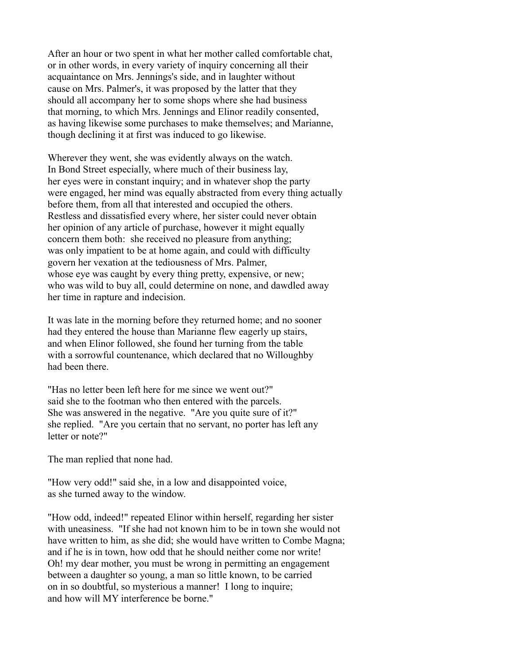After an hour or two spent in what her mother called comfortable chat, or in other words, in every variety of inquiry concerning all their acquaintance on Mrs. Jennings's side, and in laughter without cause on Mrs. Palmer's, it was proposed by the latter that they should all accompany her to some shops where she had business that morning, to which Mrs. Jennings and Elinor readily consented, as having likewise some purchases to make themselves; and Marianne, though declining it at first was induced to go likewise.

Wherever they went, she was evidently always on the watch. In Bond Street especially, where much of their business lay, her eyes were in constant inquiry; and in whatever shop the party were engaged, her mind was equally abstracted from every thing actually before them, from all that interested and occupied the others. Restless and dissatisfied every where, her sister could never obtain her opinion of any article of purchase, however it might equally concern them both: she received no pleasure from anything; was only impatient to be at home again, and could with difficulty govern her vexation at the tediousness of Mrs. Palmer, whose eye was caught by every thing pretty, expensive, or new; who was wild to buy all, could determine on none, and dawdled away her time in rapture and indecision.

It was late in the morning before they returned home; and no sooner had they entered the house than Marianne flew eagerly up stairs, and when Elinor followed, she found her turning from the table with a sorrowful countenance, which declared that no Willoughby had been there.

"Has no letter been left here for me since we went out?" said she to the footman who then entered with the parcels. She was answered in the negative. "Are you quite sure of it?" she replied. "Are you certain that no servant, no porter has left any letter or note?"

The man replied that none had.

"How very odd!" said she, in a low and disappointed voice, as she turned away to the window.

"How odd, indeed!" repeated Elinor within herself, regarding her sister with uneasiness. "If she had not known him to be in town she would not have written to him, as she did; she would have written to Combe Magna; and if he is in town, how odd that he should neither come nor write! Oh! my dear mother, you must be wrong in permitting an engagement between a daughter so young, a man so little known, to be carried on in so doubtful, so mysterious a manner! I long to inquire; and how will MY interference be borne."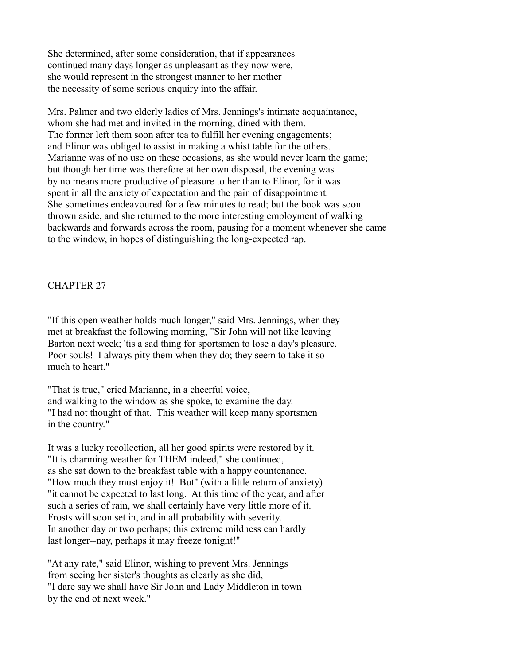She determined, after some consideration, that if appearances continued many days longer as unpleasant as they now were, she would represent in the strongest manner to her mother the necessity of some serious enquiry into the affair.

Mrs. Palmer and two elderly ladies of Mrs. Jennings's intimate acquaintance, whom she had met and invited in the morning, dined with them. The former left them soon after tea to fulfill her evening engagements; and Elinor was obliged to assist in making a whist table for the others. Marianne was of no use on these occasions, as she would never learn the game; but though her time was therefore at her own disposal, the evening was by no means more productive of pleasure to her than to Elinor, for it was spent in all the anxiety of expectation and the pain of disappointment. She sometimes endeavoured for a few minutes to read; but the book was soon thrown aside, and she returned to the more interesting employment of walking backwards and forwards across the room, pausing for a moment whenever she came to the window, in hopes of distinguishing the long-expected rap.

CHAPTER 27

"If this open weather holds much longer," said Mrs. Jennings, when they met at breakfast the following morning, "Sir John will not like leaving Barton next week; 'tis a sad thing for sportsmen to lose a day's pleasure. Poor souls! I always pity them when they do; they seem to take it so much to heart."

"That is true," cried Marianne, in a cheerful voice, and walking to the window as she spoke, to examine the day. "I had not thought of that. This weather will keep many sportsmen in the country."

It was a lucky recollection, all her good spirits were restored by it. "It is charming weather for THEM indeed," she continued, as she sat down to the breakfast table with a happy countenance. "How much they must enjoy it! But" (with a little return of anxiety) "it cannot be expected to last long. At this time of the year, and after such a series of rain, we shall certainly have very little more of it. Frosts will soon set in, and in all probability with severity. In another day or two perhaps; this extreme mildness can hardly last longer--nay, perhaps it may freeze tonight!"

"At any rate," said Elinor, wishing to prevent Mrs. Jennings from seeing her sister's thoughts as clearly as she did, "I dare say we shall have Sir John and Lady Middleton in town by the end of next week."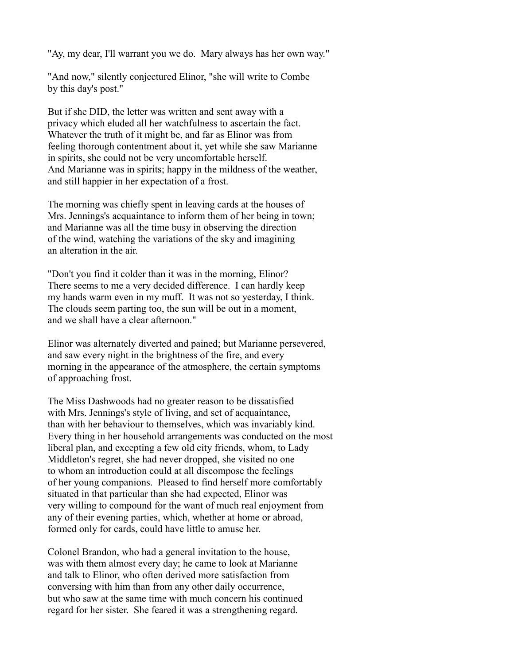"Ay, my dear, I'll warrant you we do. Mary always has her own way."

"And now," silently conjectured Elinor, "she will write to Combe by this day's post."

But if she DID, the letter was written and sent away with a privacy which eluded all her watchfulness to ascertain the fact. Whatever the truth of it might be, and far as Elinor was from feeling thorough contentment about it, yet while she saw Marianne in spirits, she could not be very uncomfortable herself. And Marianne was in spirits; happy in the mildness of the weather, and still happier in her expectation of a frost.

The morning was chiefly spent in leaving cards at the houses of Mrs. Jennings's acquaintance to inform them of her being in town; and Marianne was all the time busy in observing the direction of the wind, watching the variations of the sky and imagining an alteration in the air.

"Don't you find it colder than it was in the morning, Elinor? There seems to me a very decided difference. I can hardly keep my hands warm even in my muff. It was not so yesterday, I think. The clouds seem parting too, the sun will be out in a moment, and we shall have a clear afternoon."

Elinor was alternately diverted and pained; but Marianne persevered, and saw every night in the brightness of the fire, and every morning in the appearance of the atmosphere, the certain symptoms of approaching frost.

The Miss Dashwoods had no greater reason to be dissatisfied with Mrs. Jennings's style of living, and set of acquaintance, than with her behaviour to themselves, which was invariably kind. Every thing in her household arrangements was conducted on the most liberal plan, and excepting a few old city friends, whom, to Lady Middleton's regret, she had never dropped, she visited no one to whom an introduction could at all discompose the feelings of her young companions. Pleased to find herself more comfortably situated in that particular than she had expected, Elinor was very willing to compound for the want of much real enjoyment from any of their evening parties, which, whether at home or abroad, formed only for cards, could have little to amuse her.

Colonel Brandon, who had a general invitation to the house, was with them almost every day; he came to look at Marianne and talk to Elinor, who often derived more satisfaction from conversing with him than from any other daily occurrence, but who saw at the same time with much concern his continued regard for her sister. She feared it was a strengthening regard.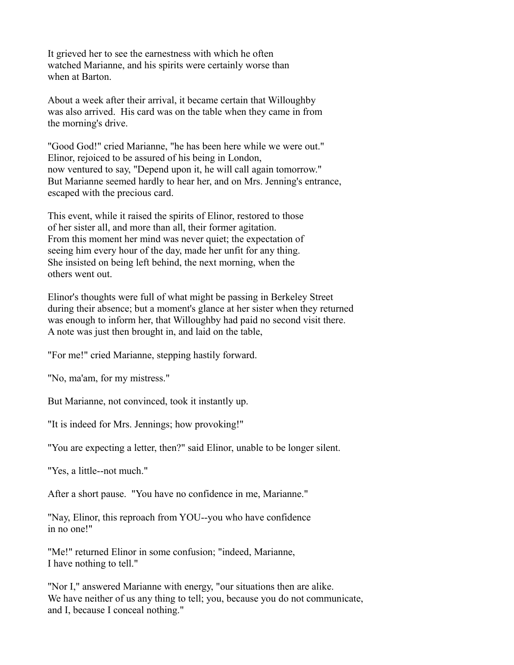It grieved her to see the earnestness with which he often watched Marianne, and his spirits were certainly worse than when at Barton.

About a week after their arrival, it became certain that Willoughby was also arrived. His card was on the table when they came in from the morning's drive.

"Good God!" cried Marianne, "he has been here while we were out." Elinor, rejoiced to be assured of his being in London, now ventured to say, "Depend upon it, he will call again tomorrow." But Marianne seemed hardly to hear her, and on Mrs. Jenning's entrance, escaped with the precious card.

This event, while it raised the spirits of Elinor, restored to those of her sister all, and more than all, their former agitation. From this moment her mind was never quiet; the expectation of seeing him every hour of the day, made her unfit for any thing. She insisted on being left behind, the next morning, when the others went out.

Elinor's thoughts were full of what might be passing in Berkeley Street during their absence; but a moment's glance at her sister when they returned was enough to inform her, that Willoughby had paid no second visit there. A note was just then brought in, and laid on the table,

"For me!" cried Marianne, stepping hastily forward.

"No, ma'am, for my mistress."

But Marianne, not convinced, took it instantly up.

"It is indeed for Mrs. Jennings; how provoking!"

"You are expecting a letter, then?" said Elinor, unable to be longer silent.

"Yes, a little--not much."

After a short pause. "You have no confidence in me, Marianne."

"Nay, Elinor, this reproach from YOU--you who have confidence in no one!"

"Me!" returned Elinor in some confusion; "indeed, Marianne, I have nothing to tell."

"Nor I," answered Marianne with energy, "our situations then are alike. We have neither of us any thing to tell; you, because you do not communicate, and I, because I conceal nothing."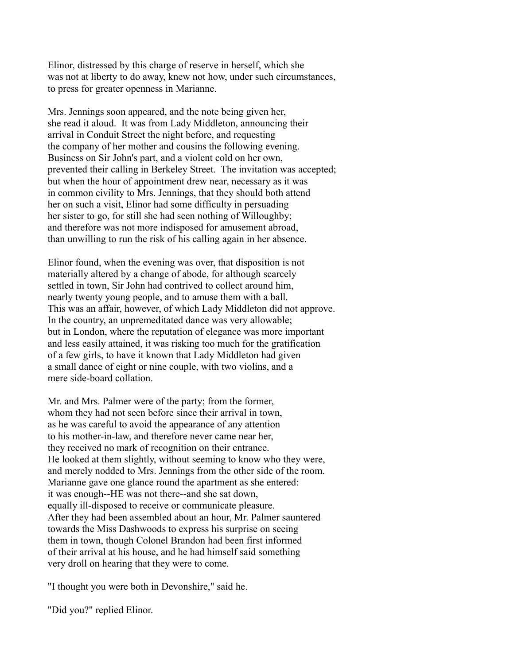Elinor, distressed by this charge of reserve in herself, which she was not at liberty to do away, knew not how, under such circumstances, to press for greater openness in Marianne.

Mrs. Jennings soon appeared, and the note being given her, she read it aloud. It was from Lady Middleton, announcing their arrival in Conduit Street the night before, and requesting the company of her mother and cousins the following evening. Business on Sir John's part, and a violent cold on her own, prevented their calling in Berkeley Street. The invitation was accepted; but when the hour of appointment drew near, necessary as it was in common civility to Mrs. Jennings, that they should both attend her on such a visit, Elinor had some difficulty in persuading her sister to go, for still she had seen nothing of Willoughby; and therefore was not more indisposed for amusement abroad, than unwilling to run the risk of his calling again in her absence.

Elinor found, when the evening was over, that disposition is not materially altered by a change of abode, for although scarcely settled in town, Sir John had contrived to collect around him, nearly twenty young people, and to amuse them with a ball. This was an affair, however, of which Lady Middleton did not approve. In the country, an unpremeditated dance was very allowable; but in London, where the reputation of elegance was more important and less easily attained, it was risking too much for the gratification of a few girls, to have it known that Lady Middleton had given a small dance of eight or nine couple, with two violins, and a mere side-board collation.

Mr. and Mrs. Palmer were of the party; from the former, whom they had not seen before since their arrival in town, as he was careful to avoid the appearance of any attention to his mother-in-law, and therefore never came near her, they received no mark of recognition on their entrance. He looked at them slightly, without seeming to know who they were, and merely nodded to Mrs. Jennings from the other side of the room. Marianne gave one glance round the apartment as she entered: it was enough--HE was not there--and she sat down, equally ill-disposed to receive or communicate pleasure. After they had been assembled about an hour, Mr. Palmer sauntered towards the Miss Dashwoods to express his surprise on seeing them in town, though Colonel Brandon had been first informed of their arrival at his house, and he had himself said something very droll on hearing that they were to come.

"I thought you were both in Devonshire," said he.

"Did you?" replied Elinor.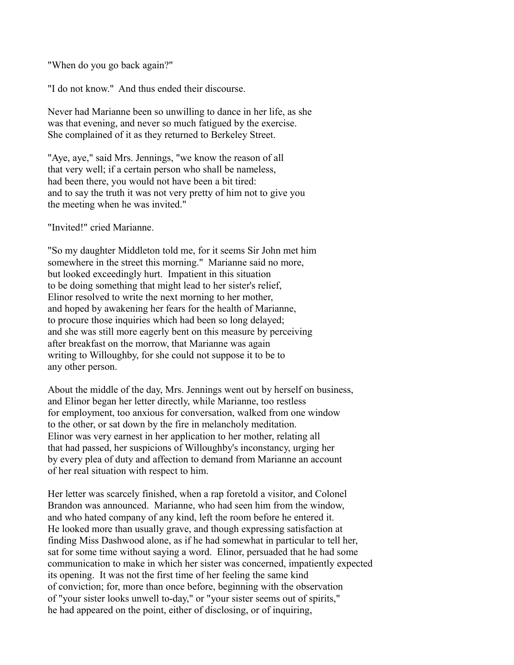"When do you go back again?"

"I do not know." And thus ended their discourse.

Never had Marianne been so unwilling to dance in her life, as she was that evening, and never so much fatigued by the exercise. She complained of it as they returned to Berkeley Street.

"Aye, aye," said Mrs. Jennings, "we know the reason of all that very well; if a certain person who shall be nameless, had been there, you would not have been a bit tired: and to say the truth it was not very pretty of him not to give you the meeting when he was invited."

"Invited!" cried Marianne.

"So my daughter Middleton told me, for it seems Sir John met him somewhere in the street this morning." Marianne said no more, but looked exceedingly hurt. Impatient in this situation to be doing something that might lead to her sister's relief, Elinor resolved to write the next morning to her mother, and hoped by awakening her fears for the health of Marianne, to procure those inquiries which had been so long delayed; and she was still more eagerly bent on this measure by perceiving after breakfast on the morrow, that Marianne was again writing to Willoughby, for she could not suppose it to be to any other person.

About the middle of the day, Mrs. Jennings went out by herself on business, and Elinor began her letter directly, while Marianne, too restless for employment, too anxious for conversation, walked from one window to the other, or sat down by the fire in melancholy meditation. Elinor was very earnest in her application to her mother, relating all that had passed, her suspicions of Willoughby's inconstancy, urging her by every plea of duty and affection to demand from Marianne an account of her real situation with respect to him.

Her letter was scarcely finished, when a rap foretold a visitor, and Colonel Brandon was announced. Marianne, who had seen him from the window, and who hated company of any kind, left the room before he entered it. He looked more than usually grave, and though expressing satisfaction at finding Miss Dashwood alone, as if he had somewhat in particular to tell her, sat for some time without saying a word. Elinor, persuaded that he had some communication to make in which her sister was concerned, impatiently expected its opening. It was not the first time of her feeling the same kind of conviction; for, more than once before, beginning with the observation of "your sister looks unwell to-day," or "your sister seems out of spirits," he had appeared on the point, either of disclosing, or of inquiring,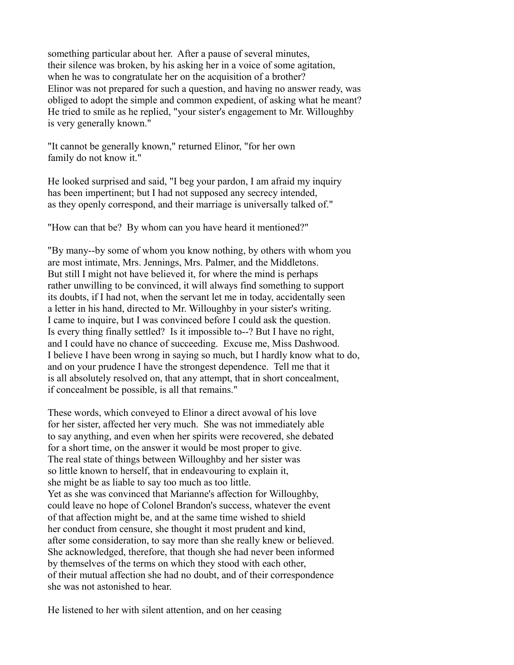something particular about her. After a pause of several minutes, their silence was broken, by his asking her in a voice of some agitation, when he was to congratulate her on the acquisition of a brother? Elinor was not prepared for such a question, and having no answer ready, was obliged to adopt the simple and common expedient, of asking what he meant? He tried to smile as he replied, "your sister's engagement to Mr. Willoughby is very generally known."

"It cannot be generally known," returned Elinor, "for her own family do not know it."

He looked surprised and said, "I beg your pardon, I am afraid my inquiry has been impertinent; but I had not supposed any secrecy intended, as they openly correspond, and their marriage is universally talked of."

"How can that be? By whom can you have heard it mentioned?"

"By many--by some of whom you know nothing, by others with whom you are most intimate, Mrs. Jennings, Mrs. Palmer, and the Middletons. But still I might not have believed it, for where the mind is perhaps rather unwilling to be convinced, it will always find something to support its doubts, if I had not, when the servant let me in today, accidentally seen a letter in his hand, directed to Mr. Willoughby in your sister's writing. I came to inquire, but I was convinced before I could ask the question. Is every thing finally settled? Is it impossible to--? But I have no right, and I could have no chance of succeeding. Excuse me, Miss Dashwood. I believe I have been wrong in saying so much, but I hardly know what to do, and on your prudence I have the strongest dependence. Tell me that it is all absolutely resolved on, that any attempt, that in short concealment, if concealment be possible, is all that remains."

These words, which conveyed to Elinor a direct avowal of his love for her sister, affected her very much. She was not immediately able to say anything, and even when her spirits were recovered, she debated for a short time, on the answer it would be most proper to give. The real state of things between Willoughby and her sister was so little known to herself, that in endeavouring to explain it, she might be as liable to say too much as too little. Yet as she was convinced that Marianne's affection for Willoughby, could leave no hope of Colonel Brandon's success, whatever the event of that affection might be, and at the same time wished to shield her conduct from censure, she thought it most prudent and kind, after some consideration, to say more than she really knew or believed. She acknowledged, therefore, that though she had never been informed by themselves of the terms on which they stood with each other, of their mutual affection she had no doubt, and of their correspondence she was not astonished to hear.

He listened to her with silent attention, and on her ceasing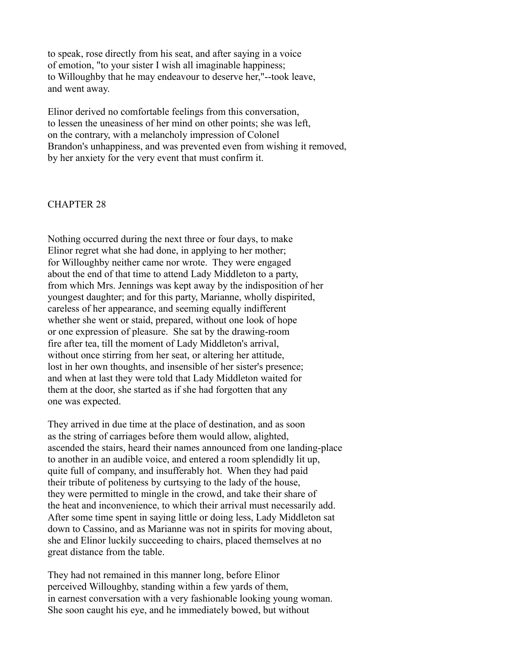to speak, rose directly from his seat, and after saying in a voice of emotion, "to your sister I wish all imaginable happiness; to Willoughby that he may endeavour to deserve her,"--took leave, and went away.

Elinor derived no comfortable feelings from this conversation, to lessen the uneasiness of her mind on other points; she was left, on the contrary, with a melancholy impression of Colonel Brandon's unhappiness, and was prevented even from wishing it removed, by her anxiety for the very event that must confirm it.

#### CHAPTER 28

Nothing occurred during the next three or four days, to make Elinor regret what she had done, in applying to her mother; for Willoughby neither came nor wrote. They were engaged about the end of that time to attend Lady Middleton to a party, from which Mrs. Jennings was kept away by the indisposition of her youngest daughter; and for this party, Marianne, wholly dispirited, careless of her appearance, and seeming equally indifferent whether she went or staid, prepared, without one look of hope or one expression of pleasure. She sat by the drawing-room fire after tea, till the moment of Lady Middleton's arrival, without once stirring from her seat, or altering her attitude, lost in her own thoughts, and insensible of her sister's presence; and when at last they were told that Lady Middleton waited for them at the door, she started as if she had forgotten that any one was expected.

They arrived in due time at the place of destination, and as soon as the string of carriages before them would allow, alighted, ascended the stairs, heard their names announced from one landing-place to another in an audible voice, and entered a room splendidly lit up, quite full of company, and insufferably hot. When they had paid their tribute of politeness by curtsying to the lady of the house, they were permitted to mingle in the crowd, and take their share of the heat and inconvenience, to which their arrival must necessarily add. After some time spent in saying little or doing less, Lady Middleton sat down to Cassino, and as Marianne was not in spirits for moving about, she and Elinor luckily succeeding to chairs, placed themselves at no great distance from the table.

They had not remained in this manner long, before Elinor perceived Willoughby, standing within a few yards of them, in earnest conversation with a very fashionable looking young woman. She soon caught his eye, and he immediately bowed, but without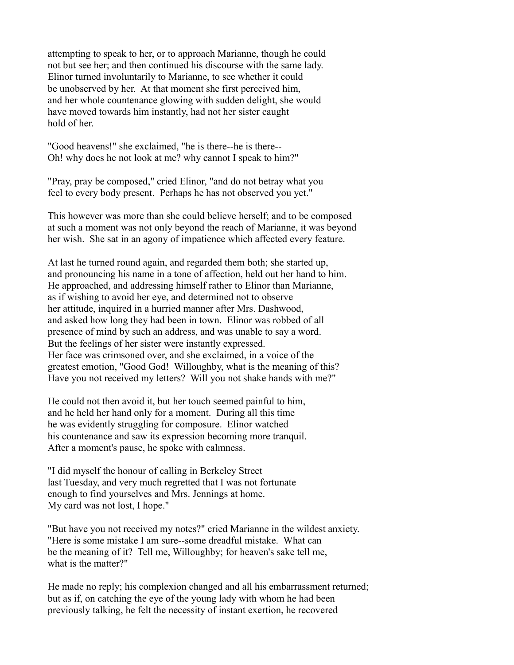attempting to speak to her, or to approach Marianne, though he could not but see her; and then continued his discourse with the same lady. Elinor turned involuntarily to Marianne, to see whether it could be unobserved by her. At that moment she first perceived him, and her whole countenance glowing with sudden delight, she would have moved towards him instantly, had not her sister caught hold of her.

"Good heavens!" she exclaimed, "he is there--he is there-- Oh! why does he not look at me? why cannot I speak to him?"

"Pray, pray be composed," cried Elinor, "and do not betray what you feel to every body present. Perhaps he has not observed you yet."

This however was more than she could believe herself; and to be composed at such a moment was not only beyond the reach of Marianne, it was beyond her wish. She sat in an agony of impatience which affected every feature.

At last he turned round again, and regarded them both; she started up, and pronouncing his name in a tone of affection, held out her hand to him. He approached, and addressing himself rather to Elinor than Marianne, as if wishing to avoid her eye, and determined not to observe her attitude, inquired in a hurried manner after Mrs. Dashwood, and asked how long they had been in town. Elinor was robbed of all presence of mind by such an address, and was unable to say a word. But the feelings of her sister were instantly expressed. Her face was crimsoned over, and she exclaimed, in a voice of the greatest emotion, "Good God! Willoughby, what is the meaning of this? Have you not received my letters? Will you not shake hands with me?"

He could not then avoid it, but her touch seemed painful to him, and he held her hand only for a moment. During all this time he was evidently struggling for composure. Elinor watched his countenance and saw its expression becoming more tranquil. After a moment's pause, he spoke with calmness.

"I did myself the honour of calling in Berkeley Street last Tuesday, and very much regretted that I was not fortunate enough to find yourselves and Mrs. Jennings at home. My card was not lost, I hope."

"But have you not received my notes?" cried Marianne in the wildest anxiety. "Here is some mistake I am sure--some dreadful mistake. What can be the meaning of it? Tell me, Willoughby; for heaven's sake tell me, what is the matter?"

He made no reply; his complexion changed and all his embarrassment returned; but as if, on catching the eye of the young lady with whom he had been previously talking, he felt the necessity of instant exertion, he recovered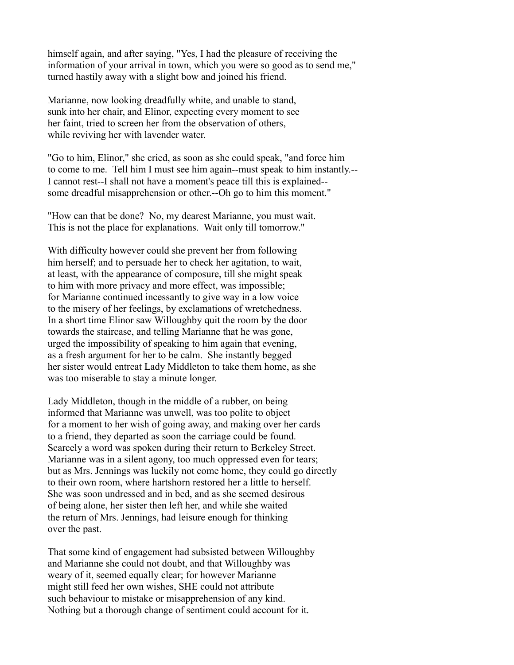himself again, and after saying, "Yes, I had the pleasure of receiving the information of your arrival in town, which you were so good as to send me," turned hastily away with a slight bow and joined his friend.

Marianne, now looking dreadfully white, and unable to stand, sunk into her chair, and Elinor, expecting every moment to see her faint, tried to screen her from the observation of others, while reviving her with lavender water.

"Go to him, Elinor," she cried, as soon as she could speak, "and force him to come to me. Tell him I must see him again--must speak to him instantly.-- I cannot rest--I shall not have a moment's peace till this is explained- some dreadful misapprehension or other.--Oh go to him this moment."

"How can that be done? No, my dearest Marianne, you must wait. This is not the place for explanations. Wait only till tomorrow."

With difficulty however could she prevent her from following him herself; and to persuade her to check her agitation, to wait, at least, with the appearance of composure, till she might speak to him with more privacy and more effect, was impossible; for Marianne continued incessantly to give way in a low voice to the misery of her feelings, by exclamations of wretchedness. In a short time Elinor saw Willoughby quit the room by the door towards the staircase, and telling Marianne that he was gone, urged the impossibility of speaking to him again that evening, as a fresh argument for her to be calm. She instantly begged her sister would entreat Lady Middleton to take them home, as she was too miserable to stay a minute longer.

Lady Middleton, though in the middle of a rubber, on being informed that Marianne was unwell, was too polite to object for a moment to her wish of going away, and making over her cards to a friend, they departed as soon the carriage could be found. Scarcely a word was spoken during their return to Berkeley Street. Marianne was in a silent agony, too much oppressed even for tears; but as Mrs. Jennings was luckily not come home, they could go directly to their own room, where hartshorn restored her a little to herself. She was soon undressed and in bed, and as she seemed desirous of being alone, her sister then left her, and while she waited the return of Mrs. Jennings, had leisure enough for thinking over the past.

That some kind of engagement had subsisted between Willoughby and Marianne she could not doubt, and that Willoughby was weary of it, seemed equally clear; for however Marianne might still feed her own wishes, SHE could not attribute such behaviour to mistake or misapprehension of any kind. Nothing but a thorough change of sentiment could account for it.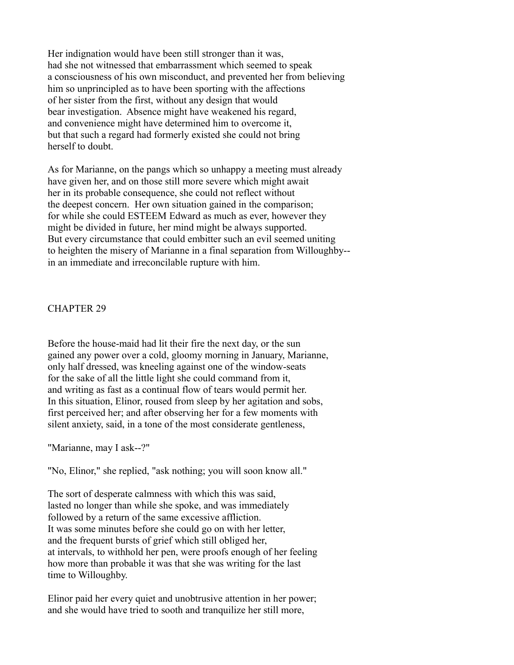Her indignation would have been still stronger than it was, had she not witnessed that embarrassment which seemed to speak a consciousness of his own misconduct, and prevented her from believing him so unprincipled as to have been sporting with the affections of her sister from the first, without any design that would bear investigation. Absence might have weakened his regard, and convenience might have determined him to overcome it, but that such a regard had formerly existed she could not bring herself to doubt.

As for Marianne, on the pangs which so unhappy a meeting must already have given her, and on those still more severe which might await her in its probable consequence, she could not reflect without the deepest concern. Her own situation gained in the comparison; for while she could ESTEEM Edward as much as ever, however they might be divided in future, her mind might be always supported. But every circumstance that could embitter such an evil seemed uniting to heighten the misery of Marianne in a final separation from Willoughby- in an immediate and irreconcilable rupture with him.

### CHAPTER 29

Before the house-maid had lit their fire the next day, or the sun gained any power over a cold, gloomy morning in January, Marianne, only half dressed, was kneeling against one of the window-seats for the sake of all the little light she could command from it, and writing as fast as a continual flow of tears would permit her. In this situation, Elinor, roused from sleep by her agitation and sobs, first perceived her; and after observing her for a few moments with silent anxiety, said, in a tone of the most considerate gentleness,

"Marianne, may I ask--?"

"No, Elinor," she replied, "ask nothing; you will soon know all."

The sort of desperate calmness with which this was said, lasted no longer than while she spoke, and was immediately followed by a return of the same excessive affliction. It was some minutes before she could go on with her letter, and the frequent bursts of grief which still obliged her, at intervals, to withhold her pen, were proofs enough of her feeling how more than probable it was that she was writing for the last time to Willoughby.

Elinor paid her every quiet and unobtrusive attention in her power; and she would have tried to sooth and tranquilize her still more,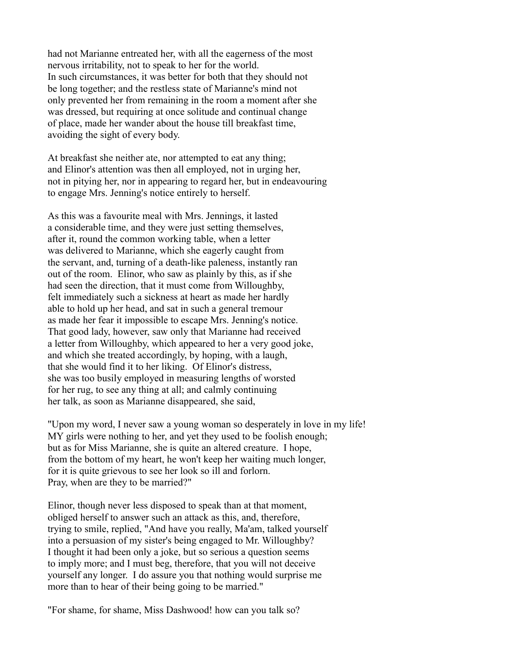had not Marianne entreated her, with all the eagerness of the most nervous irritability, not to speak to her for the world. In such circumstances, it was better for both that they should not be long together; and the restless state of Marianne's mind not only prevented her from remaining in the room a moment after she was dressed, but requiring at once solitude and continual change of place, made her wander about the house till breakfast time, avoiding the sight of every body.

At breakfast she neither ate, nor attempted to eat any thing; and Elinor's attention was then all employed, not in urging her, not in pitying her, nor in appearing to regard her, but in endeavouring to engage Mrs. Jenning's notice entirely to herself.

As this was a favourite meal with Mrs. Jennings, it lasted a considerable time, and they were just setting themselves, after it, round the common working table, when a letter was delivered to Marianne, which she eagerly caught from the servant, and, turning of a death-like paleness, instantly ran out of the room. Elinor, who saw as plainly by this, as if she had seen the direction, that it must come from Willoughby, felt immediately such a sickness at heart as made her hardly able to hold up her head, and sat in such a general tremour as made her fear it impossible to escape Mrs. Jenning's notice. That good lady, however, saw only that Marianne had received a letter from Willoughby, which appeared to her a very good joke, and which she treated accordingly, by hoping, with a laugh, that she would find it to her liking. Of Elinor's distress, she was too busily employed in measuring lengths of worsted for her rug, to see any thing at all; and calmly continuing her talk, as soon as Marianne disappeared, she said,

"Upon my word, I never saw a young woman so desperately in love in my life! MY girls were nothing to her, and yet they used to be foolish enough; but as for Miss Marianne, she is quite an altered creature. I hope, from the bottom of my heart, he won't keep her waiting much longer, for it is quite grievous to see her look so ill and forlorn. Pray, when are they to be married?"

Elinor, though never less disposed to speak than at that moment, obliged herself to answer such an attack as this, and, therefore, trying to smile, replied, "And have you really, Ma'am, talked yourself into a persuasion of my sister's being engaged to Mr. Willoughby? I thought it had been only a joke, but so serious a question seems to imply more; and I must beg, therefore, that you will not deceive yourself any longer. I do assure you that nothing would surprise me more than to hear of their being going to be married."

"For shame, for shame, Miss Dashwood! how can you talk so?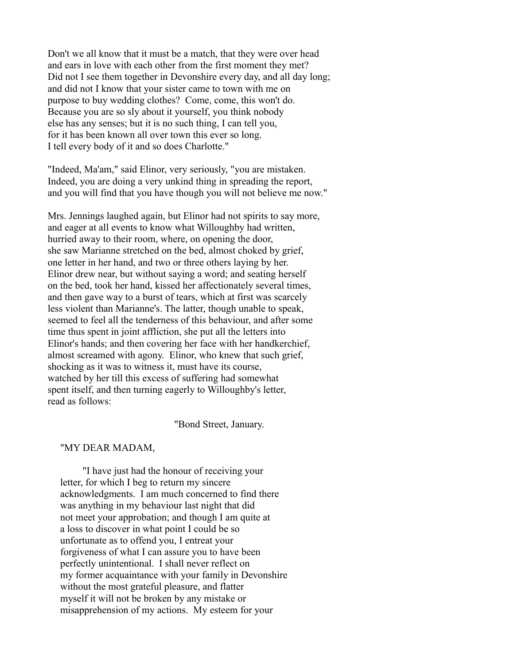Don't we all know that it must be a match, that they were over head and ears in love with each other from the first moment they met? Did not I see them together in Devonshire every day, and all day long; and did not I know that your sister came to town with me on purpose to buy wedding clothes? Come, come, this won't do. Because you are so sly about it yourself, you think nobody else has any senses; but it is no such thing, I can tell you, for it has been known all over town this ever so long. I tell every body of it and so does Charlotte."

"Indeed, Ma'am," said Elinor, very seriously, "you are mistaken. Indeed, you are doing a very unkind thing in spreading the report, and you will find that you have though you will not believe me now."

Mrs. Jennings laughed again, but Elinor had not spirits to say more, and eager at all events to know what Willoughby had written, hurried away to their room, where, on opening the door, she saw Marianne stretched on the bed, almost choked by grief, one letter in her hand, and two or three others laying by her. Elinor drew near, but without saying a word; and seating herself on the bed, took her hand, kissed her affectionately several times, and then gave way to a burst of tears, which at first was scarcely less violent than Marianne's. The latter, though unable to speak, seemed to feel all the tenderness of this behaviour, and after some time thus spent in joint affliction, she put all the letters into Elinor's hands; and then covering her face with her handkerchief, almost screamed with agony. Elinor, who knew that such grief, shocking as it was to witness it, must have its course, watched by her till this excess of suffering had somewhat spent itself, and then turning eagerly to Willoughby's letter, read as follows:

"Bond Street, January.

#### "MY DEAR MADAM,

 "I have just had the honour of receiving your letter, for which I beg to return my sincere acknowledgments. I am much concerned to find there was anything in my behaviour last night that did not meet your approbation; and though I am quite at a loss to discover in what point I could be so unfortunate as to offend you, I entreat your forgiveness of what I can assure you to have been perfectly unintentional. I shall never reflect on my former acquaintance with your family in Devonshire without the most grateful pleasure, and flatter myself it will not be broken by any mistake or misapprehension of my actions. My esteem for your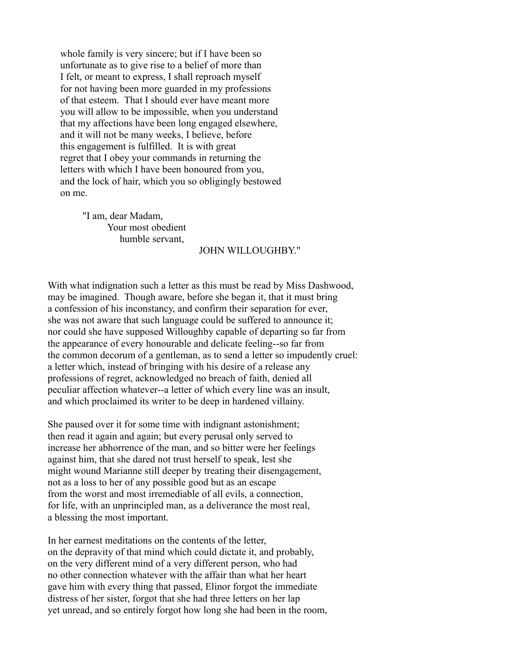whole family is very sincere; but if I have been so unfortunate as to give rise to a belief of more than I felt, or meant to express, I shall reproach myself for not having been more guarded in my professions of that esteem. That I should ever have meant more you will allow to be impossible, when you understand that my affections have been long engaged elsewhere, and it will not be many weeks, I believe, before this engagement is fulfilled. It is with great regret that I obey your commands in returning the letters with which I have been honoured from you, and the lock of hair, which you so obligingly bestowed on me.

 "I am, dear Madam, Your most obedient humble servant,

#### JOHN WILLOUGHBY."

With what indignation such a letter as this must be read by Miss Dashwood, may be imagined. Though aware, before she began it, that it must bring a confession of his inconstancy, and confirm their separation for ever, she was not aware that such language could be suffered to announce it; nor could she have supposed Willoughby capable of departing so far from the appearance of every honourable and delicate feeling--so far from the common decorum of a gentleman, as to send a letter so impudently cruel: a letter which, instead of bringing with his desire of a release any professions of regret, acknowledged no breach of faith, denied all peculiar affection whatever--a letter of which every line was an insult, and which proclaimed its writer to be deep in hardened villainy.

She paused over it for some time with indignant astonishment; then read it again and again; but every perusal only served to increase her abhorrence of the man, and so bitter were her feelings against him, that she dared not trust herself to speak, lest she might wound Marianne still deeper by treating their disengagement, not as a loss to her of any possible good but as an escape from the worst and most irremediable of all evils, a connection, for life, with an unprincipled man, as a deliverance the most real, a blessing the most important.

In her earnest meditations on the contents of the letter, on the depravity of that mind which could dictate it, and probably, on the very different mind of a very different person, who had no other connection whatever with the affair than what her heart gave him with every thing that passed, Elinor forgot the immediate distress of her sister, forgot that she had three letters on her lap yet unread, and so entirely forgot how long she had been in the room,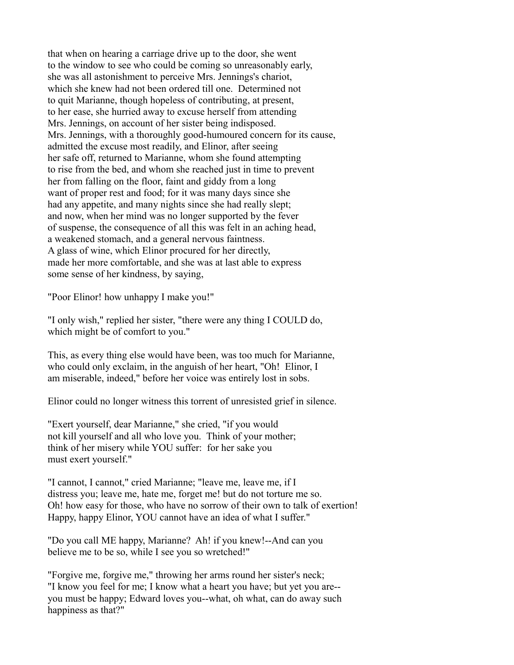that when on hearing a carriage drive up to the door, she went to the window to see who could be coming so unreasonably early, she was all astonishment to perceive Mrs. Jennings's chariot, which she knew had not been ordered till one. Determined not to quit Marianne, though hopeless of contributing, at present, to her ease, she hurried away to excuse herself from attending Mrs. Jennings, on account of her sister being indisposed. Mrs. Jennings, with a thoroughly good-humoured concern for its cause, admitted the excuse most readily, and Elinor, after seeing her safe off, returned to Marianne, whom she found attempting to rise from the bed, and whom she reached just in time to prevent her from falling on the floor, faint and giddy from a long want of proper rest and food; for it was many days since she had any appetite, and many nights since she had really slept; and now, when her mind was no longer supported by the fever of suspense, the consequence of all this was felt in an aching head, a weakened stomach, and a general nervous faintness. A glass of wine, which Elinor procured for her directly, made her more comfortable, and she was at last able to express some sense of her kindness, by saying,

"Poor Elinor! how unhappy I make you!"

"I only wish," replied her sister, "there were any thing I COULD do, which might be of comfort to you."

This, as every thing else would have been, was too much for Marianne, who could only exclaim, in the anguish of her heart, "Oh! Elinor, I am miserable, indeed," before her voice was entirely lost in sobs.

Elinor could no longer witness this torrent of unresisted grief in silence.

"Exert yourself, dear Marianne," she cried, "if you would not kill yourself and all who love you. Think of your mother; think of her misery while YOU suffer: for her sake you must exert yourself."

"I cannot, I cannot," cried Marianne; "leave me, leave me, if I distress you; leave me, hate me, forget me! but do not torture me so. Oh! how easy for those, who have no sorrow of their own to talk of exertion! Happy, happy Elinor, YOU cannot have an idea of what I suffer."

"Do you call ME happy, Marianne? Ah! if you knew!--And can you believe me to be so, while I see you so wretched!"

"Forgive me, forgive me," throwing her arms round her sister's neck; "I know you feel for me; I know what a heart you have; but yet you are- you must be happy; Edward loves you--what, oh what, can do away such happiness as that?"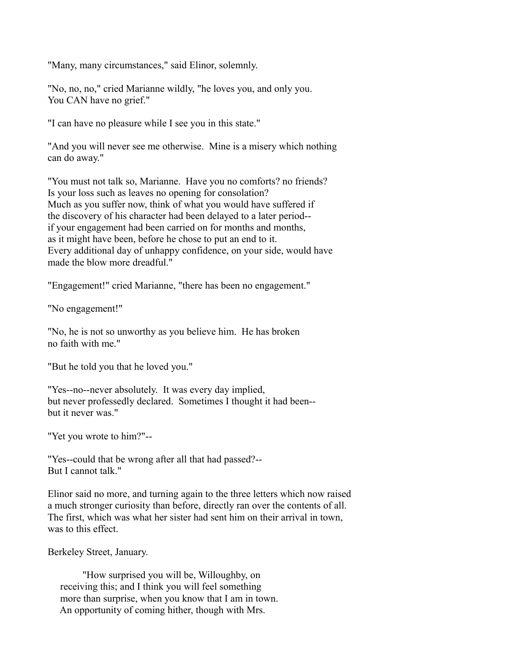"Many, many circumstances," said Elinor, solemnly.

"No, no, no," cried Marianne wildly, "he loves you, and only you. You CAN have no grief."

"I can have no pleasure while I see you in this state."

"And you will never see me otherwise. Mine is a misery which nothing can do away."

"You must not talk so, Marianne. Have you no comforts? no friends? Is your loss such as leaves no opening for consolation? Much as you suffer now, think of what you would have suffered if the discovery of his character had been delayed to a later period- if your engagement had been carried on for months and months, as it might have been, before he chose to put an end to it. Every additional day of unhappy confidence, on your side, would have made the blow more dreadful."

"Engagement!" cried Marianne, "there has been no engagement."

"No engagement!"

"No, he is not so unworthy as you believe him. He has broken no faith with me."

"But he told you that he loved you."

"Yes--no--never absolutely. It was every day implied, but never professedly declared. Sometimes I thought it had been- but it never was."

"Yet you wrote to him?"--

"Yes--could that be wrong after all that had passed?-- But I cannot talk."

Elinor said no more, and turning again to the three letters which now raised a much stronger curiosity than before, directly ran over the contents of all. The first, which was what her sister had sent him on their arrival in town, was to this effect.

Berkeley Street, January.

 "How surprised you will be, Willoughby, on receiving this; and I think you will feel something more than surprise, when you know that I am in town. An opportunity of coming hither, though with Mrs.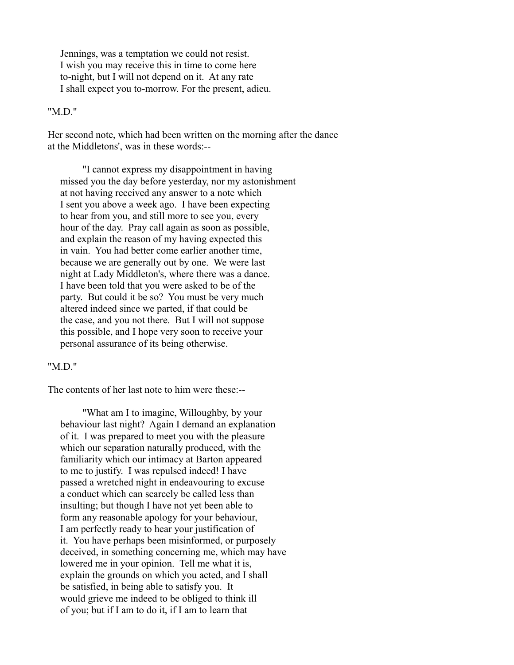Jennings, was a temptation we could not resist. I wish you may receive this in time to come here to-night, but I will not depend on it. At any rate I shall expect you to-morrow. For the present, adieu.

#### "M.D."

Her second note, which had been written on the morning after the dance at the Middletons', was in these words:--

 "I cannot express my disappointment in having missed you the day before yesterday, nor my astonishment at not having received any answer to a note which I sent you above a week ago. I have been expecting to hear from you, and still more to see you, every hour of the day. Pray call again as soon as possible, and explain the reason of my having expected this in vain. You had better come earlier another time, because we are generally out by one. We were last night at Lady Middleton's, where there was a dance. I have been told that you were asked to be of the party. But could it be so? You must be very much altered indeed since we parted, if that could be the case, and you not there. But I will not suppose this possible, and I hope very soon to receive your personal assurance of its being otherwise.

## "MD"

The contents of her last note to him were these:--

 "What am I to imagine, Willoughby, by your behaviour last night? Again I demand an explanation of it. I was prepared to meet you with the pleasure which our separation naturally produced, with the familiarity which our intimacy at Barton appeared to me to justify. I was repulsed indeed! I have passed a wretched night in endeavouring to excuse a conduct which can scarcely be called less than insulting; but though I have not yet been able to form any reasonable apology for your behaviour, I am perfectly ready to hear your justification of it. You have perhaps been misinformed, or purposely deceived, in something concerning me, which may have lowered me in your opinion. Tell me what it is, explain the grounds on which you acted, and I shall be satisfied, in being able to satisfy you. It would grieve me indeed to be obliged to think ill of you; but if I am to do it, if I am to learn that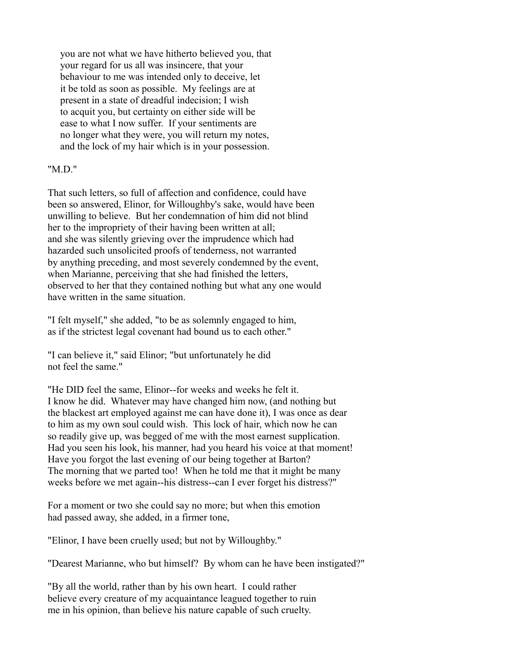you are not what we have hitherto believed you, that your regard for us all was insincere, that your behaviour to me was intended only to deceive, let it be told as soon as possible. My feelings are at present in a state of dreadful indecision; I wish to acquit you, but certainty on either side will be ease to what I now suffer. If your sentiments are no longer what they were, you will return my notes, and the lock of my hair which is in your possession.

## "M.D."

That such letters, so full of affection and confidence, could have been so answered, Elinor, for Willoughby's sake, would have been unwilling to believe. But her condemnation of him did not blind her to the impropriety of their having been written at all; and she was silently grieving over the imprudence which had hazarded such unsolicited proofs of tenderness, not warranted by anything preceding, and most severely condemned by the event, when Marianne, perceiving that she had finished the letters, observed to her that they contained nothing but what any one would have written in the same situation.

"I felt myself," she added, "to be as solemnly engaged to him, as if the strictest legal covenant had bound us to each other."

"I can believe it," said Elinor; "but unfortunately he did not feel the same."

"He DID feel the same, Elinor--for weeks and weeks he felt it. I know he did. Whatever may have changed him now, (and nothing but the blackest art employed against me can have done it), I was once as dear to him as my own soul could wish. This lock of hair, which now he can so readily give up, was begged of me with the most earnest supplication. Had you seen his look, his manner, had you heard his voice at that moment! Have you forgot the last evening of our being together at Barton? The morning that we parted too! When he told me that it might be many weeks before we met again--his distress--can I ever forget his distress?"

For a moment or two she could say no more; but when this emotion had passed away, she added, in a firmer tone,

"Elinor, I have been cruelly used; but not by Willoughby."

"Dearest Marianne, who but himself? By whom can he have been instigated?"

"By all the world, rather than by his own heart. I could rather believe every creature of my acquaintance leagued together to ruin me in his opinion, than believe his nature capable of such cruelty.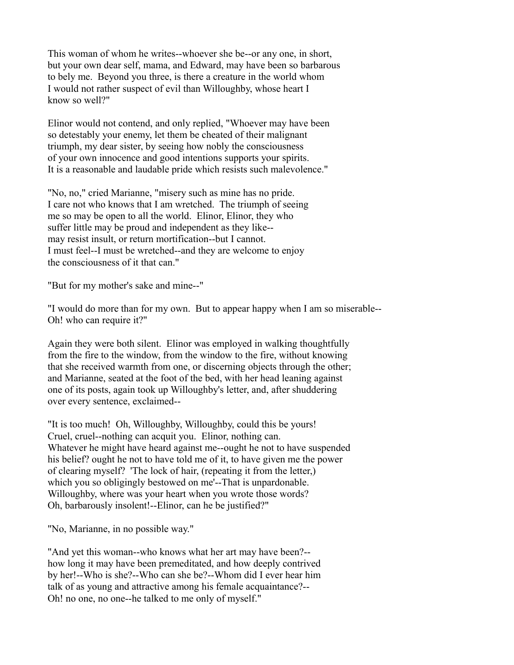This woman of whom he writes--whoever she be--or any one, in short, but your own dear self, mama, and Edward, may have been so barbarous to bely me. Beyond you three, is there a creature in the world whom I would not rather suspect of evil than Willoughby, whose heart I know so well?"

Elinor would not contend, and only replied, "Whoever may have been so detestably your enemy, let them be cheated of their malignant triumph, my dear sister, by seeing how nobly the consciousness of your own innocence and good intentions supports your spirits. It is a reasonable and laudable pride which resists such malevolence."

"No, no," cried Marianne, "misery such as mine has no pride. I care not who knows that I am wretched. The triumph of seeing me so may be open to all the world. Elinor, Elinor, they who suffer little may be proud and independent as they like- may resist insult, or return mortification--but I cannot. I must feel--I must be wretched--and they are welcome to enjoy the consciousness of it that can."

"But for my mother's sake and mine--"

"I would do more than for my own. But to appear happy when I am so miserable-- Oh! who can require it?"

Again they were both silent. Elinor was employed in walking thoughtfully from the fire to the window, from the window to the fire, without knowing that she received warmth from one, or discerning objects through the other; and Marianne, seated at the foot of the bed, with her head leaning against one of its posts, again took up Willoughby's letter, and, after shuddering over every sentence, exclaimed--

"It is too much! Oh, Willoughby, Willoughby, could this be yours! Cruel, cruel--nothing can acquit you. Elinor, nothing can. Whatever he might have heard against me--ought he not to have suspended his belief? ought he not to have told me of it, to have given me the power of clearing myself? 'The lock of hair, (repeating it from the letter,) which you so obligingly bestowed on me'--That is unpardonable. Willoughby, where was your heart when you wrote those words? Oh, barbarously insolent!--Elinor, can he be justified?"

"No, Marianne, in no possible way."

"And yet this woman--who knows what her art may have been?- how long it may have been premeditated, and how deeply contrived by her!--Who is she?--Who can she be?--Whom did I ever hear him talk of as young and attractive among his female acquaintance?-- Oh! no one, no one--he talked to me only of myself."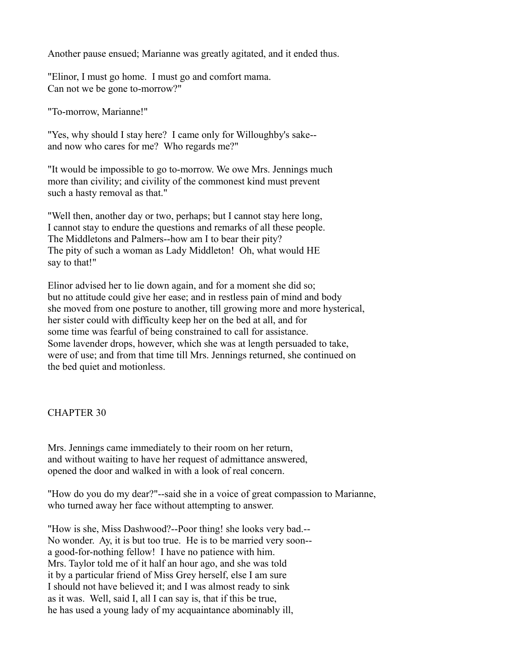Another pause ensued; Marianne was greatly agitated, and it ended thus.

"Elinor, I must go home. I must go and comfort mama. Can not we be gone to-morrow?"

"To-morrow, Marianne!"

"Yes, why should I stay here? I came only for Willoughby's sake- and now who cares for me? Who regards me?"

"It would be impossible to go to-morrow. We owe Mrs. Jennings much more than civility; and civility of the commonest kind must prevent such a hasty removal as that."

"Well then, another day or two, perhaps; but I cannot stay here long, I cannot stay to endure the questions and remarks of all these people. The Middletons and Palmers--how am I to bear their pity? The pity of such a woman as Lady Middleton! Oh, what would HE say to that!"

Elinor advised her to lie down again, and for a moment she did so; but no attitude could give her ease; and in restless pain of mind and body she moved from one posture to another, till growing more and more hysterical, her sister could with difficulty keep her on the bed at all, and for some time was fearful of being constrained to call for assistance. Some lavender drops, however, which she was at length persuaded to take, were of use; and from that time till Mrs. Jennings returned, she continued on the bed quiet and motionless.

## CHAPTER 30

Mrs. Jennings came immediately to their room on her return, and without waiting to have her request of admittance answered, opened the door and walked in with a look of real concern.

"How do you do my dear?"--said she in a voice of great compassion to Marianne, who turned away her face without attempting to answer.

"How is she, Miss Dashwood?--Poor thing! she looks very bad.-- No wonder. Ay, it is but too true. He is to be married very soon- a good-for-nothing fellow! I have no patience with him. Mrs. Taylor told me of it half an hour ago, and she was told it by a particular friend of Miss Grey herself, else I am sure I should not have believed it; and I was almost ready to sink as it was. Well, said I, all I can say is, that if this be true, he has used a young lady of my acquaintance abominably ill,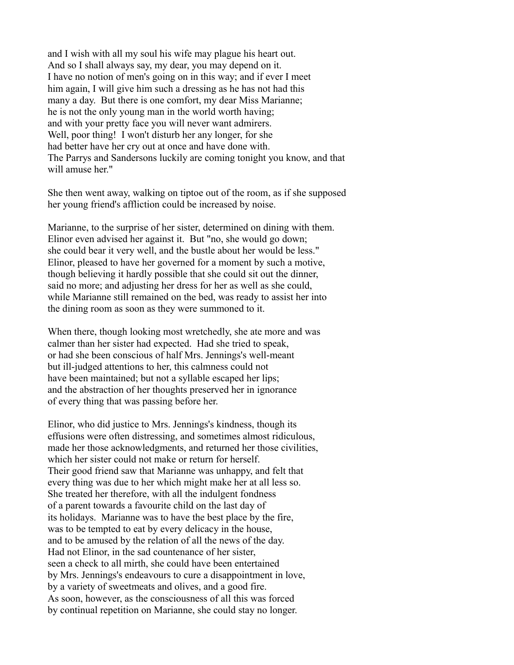and I wish with all my soul his wife may plague his heart out. And so I shall always say, my dear, you may depend on it. I have no notion of men's going on in this way; and if ever I meet him again, I will give him such a dressing as he has not had this many a day. But there is one comfort, my dear Miss Marianne; he is not the only young man in the world worth having; and with your pretty face you will never want admirers. Well, poor thing! I won't disturb her any longer, for she had better have her cry out at once and have done with. The Parrys and Sandersons luckily are coming tonight you know, and that will amuse her."

She then went away, walking on tiptoe out of the room, as if she supposed her young friend's affliction could be increased by noise.

Marianne, to the surprise of her sister, determined on dining with them. Elinor even advised her against it. But "no, she would go down; she could bear it very well, and the bustle about her would be less." Elinor, pleased to have her governed for a moment by such a motive, though believing it hardly possible that she could sit out the dinner, said no more; and adjusting her dress for her as well as she could, while Marianne still remained on the bed, was ready to assist her into the dining room as soon as they were summoned to it.

When there, though looking most wretchedly, she ate more and was calmer than her sister had expected. Had she tried to speak, or had she been conscious of half Mrs. Jennings's well-meant but ill-judged attentions to her, this calmness could not have been maintained; but not a syllable escaped her lips; and the abstraction of her thoughts preserved her in ignorance of every thing that was passing before her.

Elinor, who did justice to Mrs. Jennings's kindness, though its effusions were often distressing, and sometimes almost ridiculous, made her those acknowledgments, and returned her those civilities, which her sister could not make or return for herself. Their good friend saw that Marianne was unhappy, and felt that every thing was due to her which might make her at all less so. She treated her therefore, with all the indulgent fondness of a parent towards a favourite child on the last day of its holidays. Marianne was to have the best place by the fire, was to be tempted to eat by every delicacy in the house, and to be amused by the relation of all the news of the day. Had not Elinor, in the sad countenance of her sister, seen a check to all mirth, she could have been entertained by Mrs. Jennings's endeavours to cure a disappointment in love, by a variety of sweetmeats and olives, and a good fire. As soon, however, as the consciousness of all this was forced by continual repetition on Marianne, she could stay no longer.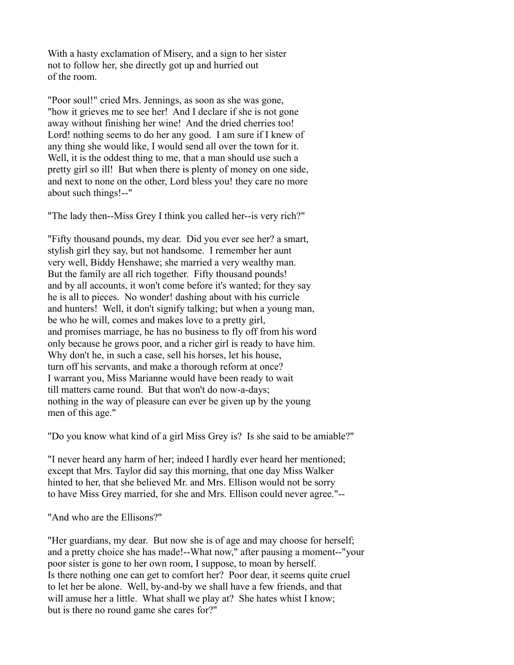With a hasty exclamation of Misery, and a sign to her sister not to follow her, she directly got up and hurried out of the room.

"Poor soul!" cried Mrs. Jennings, as soon as she was gone, "how it grieves me to see her! And I declare if she is not gone away without finishing her wine! And the dried cherries too! Lord! nothing seems to do her any good. I am sure if I knew of any thing she would like, I would send all over the town for it. Well, it is the oddest thing to me, that a man should use such a pretty girl so ill! But when there is plenty of money on one side, and next to none on the other, Lord bless you! they care no more about such things!--"

"The lady then--Miss Grey I think you called her--is very rich?"

"Fifty thousand pounds, my dear. Did you ever see her? a smart, stylish girl they say, but not handsome. I remember her aunt very well, Biddy Henshawe; she married a very wealthy man. But the family are all rich together. Fifty thousand pounds! and by all accounts, it won't come before it's wanted; for they say he is all to pieces. No wonder! dashing about with his curricle and hunters! Well, it don't signify talking; but when a young man, be who he will, comes and makes love to a pretty girl, and promises marriage, he has no business to fly off from his word only because he grows poor, and a richer girl is ready to have him. Why don't he, in such a case, sell his horses, let his house, turn off his servants, and make a thorough reform at once? I warrant you, Miss Marianne would have been ready to wait till matters came round. But that won't do now-a-days; nothing in the way of pleasure can ever be given up by the young men of this age."

"Do you know what kind of a girl Miss Grey is? Is she said to be amiable?"

"I never heard any harm of her; indeed I hardly ever heard her mentioned; except that Mrs. Taylor did say this morning, that one day Miss Walker hinted to her, that she believed Mr. and Mrs. Ellison would not be sorry to have Miss Grey married, for she and Mrs. Ellison could never agree."--

"And who are the Ellisons?"

"Her guardians, my dear. But now she is of age and may choose for herself; and a pretty choice she has made!--What now," after pausing a moment--"your poor sister is gone to her own room, I suppose, to moan by herself. Is there nothing one can get to comfort her? Poor dear, it seems quite cruel to let her be alone. Well, by-and-by we shall have a few friends, and that will amuse her a little. What shall we play at? She hates whist I know; but is there no round game she cares for?"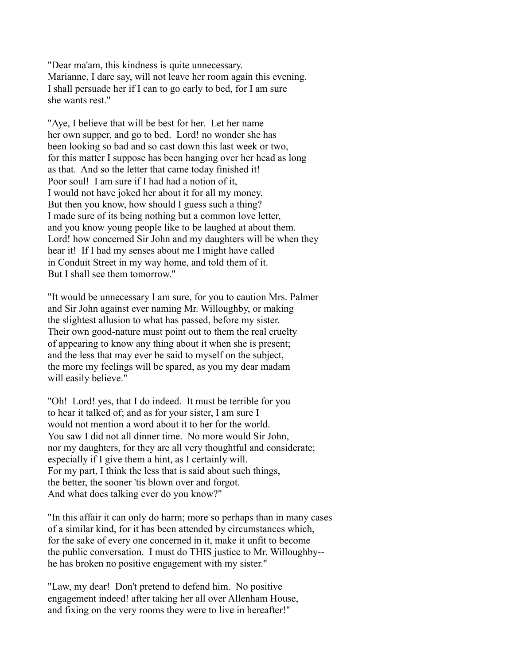"Dear ma'am, this kindness is quite unnecessary. Marianne, I dare say, will not leave her room again this evening. I shall persuade her if I can to go early to bed, for I am sure she wants rest."

"Aye, I believe that will be best for her. Let her name her own supper, and go to bed. Lord! no wonder she has been looking so bad and so cast down this last week or two, for this matter I suppose has been hanging over her head as long as that. And so the letter that came today finished it! Poor soul! I am sure if I had had a notion of it, I would not have joked her about it for all my money. But then you know, how should I guess such a thing? I made sure of its being nothing but a common love letter, and you know young people like to be laughed at about them. Lord! how concerned Sir John and my daughters will be when they hear it! If I had my senses about me I might have called in Conduit Street in my way home, and told them of it. But I shall see them tomorrow."

"It would be unnecessary I am sure, for you to caution Mrs. Palmer and Sir John against ever naming Mr. Willoughby, or making the slightest allusion to what has passed, before my sister. Their own good-nature must point out to them the real cruelty of appearing to know any thing about it when she is present; and the less that may ever be said to myself on the subject, the more my feelings will be spared, as you my dear madam will easily believe."

"Oh! Lord! yes, that I do indeed. It must be terrible for you to hear it talked of; and as for your sister, I am sure I would not mention a word about it to her for the world. You saw I did not all dinner time. No more would Sir John, nor my daughters, for they are all very thoughtful and considerate; especially if I give them a hint, as I certainly will. For my part, I think the less that is said about such things, the better, the sooner 'tis blown over and forgot. And what does talking ever do you know?"

"In this affair it can only do harm; more so perhaps than in many cases of a similar kind, for it has been attended by circumstances which, for the sake of every one concerned in it, make it unfit to become the public conversation. I must do THIS justice to Mr. Willoughby- he has broken no positive engagement with my sister."

"Law, my dear! Don't pretend to defend him. No positive engagement indeed! after taking her all over Allenham House, and fixing on the very rooms they were to live in hereafter!"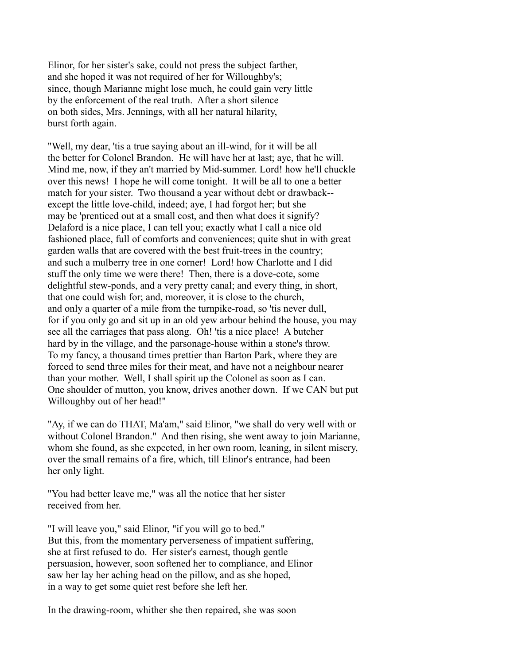Elinor, for her sister's sake, could not press the subject farther, and she hoped it was not required of her for Willoughby's; since, though Marianne might lose much, he could gain very little by the enforcement of the real truth. After a short silence on both sides, Mrs. Jennings, with all her natural hilarity, burst forth again.

"Well, my dear, 'tis a true saying about an ill-wind, for it will be all the better for Colonel Brandon. He will have her at last; aye, that he will. Mind me, now, if they an't married by Mid-summer. Lord! how he'll chuckle over this news! I hope he will come tonight. It will be all to one a better match for your sister. Two thousand a year without debt or drawback- except the little love-child, indeed; aye, I had forgot her; but she may be 'prenticed out at a small cost, and then what does it signify? Delaford is a nice place, I can tell you; exactly what I call a nice old fashioned place, full of comforts and conveniences; quite shut in with great garden walls that are covered with the best fruit-trees in the country; and such a mulberry tree in one corner! Lord! how Charlotte and I did stuff the only time we were there! Then, there is a dove-cote, some delightful stew-ponds, and a very pretty canal; and every thing, in short, that one could wish for; and, moreover, it is close to the church, and only a quarter of a mile from the turnpike-road, so 'tis never dull, for if you only go and sit up in an old yew arbour behind the house, you may see all the carriages that pass along. Oh! 'tis a nice place! A butcher hard by in the village, and the parsonage-house within a stone's throw. To my fancy, a thousand times prettier than Barton Park, where they are forced to send three miles for their meat, and have not a neighbour nearer than your mother. Well, I shall spirit up the Colonel as soon as I can. One shoulder of mutton, you know, drives another down. If we CAN but put Willoughby out of her head!"

"Ay, if we can do THAT, Ma'am," said Elinor, "we shall do very well with or without Colonel Brandon." And then rising, she went away to join Marianne, whom she found, as she expected, in her own room, leaning, in silent misery, over the small remains of a fire, which, till Elinor's entrance, had been her only light.

"You had better leave me," was all the notice that her sister received from her.

"I will leave you," said Elinor, "if you will go to bed." But this, from the momentary perverseness of impatient suffering, she at first refused to do. Her sister's earnest, though gentle persuasion, however, soon softened her to compliance, and Elinor saw her lay her aching head on the pillow, and as she hoped, in a way to get some quiet rest before she left her.

In the drawing-room, whither she then repaired, she was soon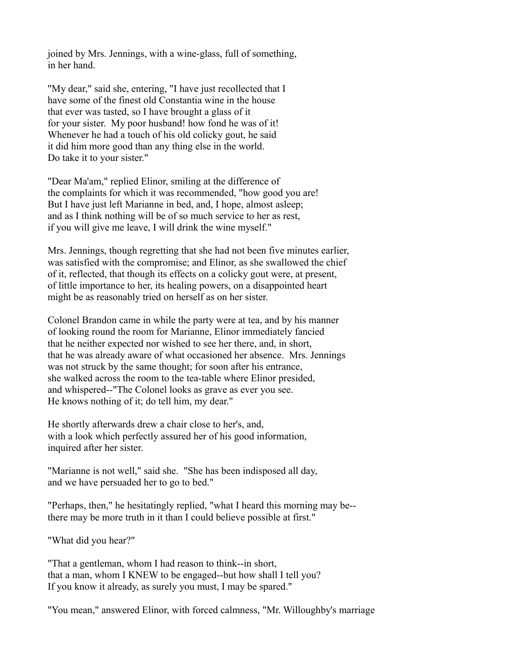joined by Mrs. Jennings, with a wine-glass, full of something, in her hand.

"My dear," said she, entering, "I have just recollected that I have some of the finest old Constantia wine in the house that ever was tasted, so I have brought a glass of it for your sister. My poor husband! how fond he was of it! Whenever he had a touch of his old colicky gout, he said it did him more good than any thing else in the world. Do take it to your sister."

"Dear Ma'am," replied Elinor, smiling at the difference of the complaints for which it was recommended, "how good you are! But I have just left Marianne in bed, and, I hope, almost asleep; and as I think nothing will be of so much service to her as rest, if you will give me leave, I will drink the wine myself."

Mrs. Jennings, though regretting that she had not been five minutes earlier, was satisfied with the compromise; and Elinor, as she swallowed the chief of it, reflected, that though its effects on a colicky gout were, at present, of little importance to her, its healing powers, on a disappointed heart might be as reasonably tried on herself as on her sister.

Colonel Brandon came in while the party were at tea, and by his manner of looking round the room for Marianne, Elinor immediately fancied that he neither expected nor wished to see her there, and, in short, that he was already aware of what occasioned her absence. Mrs. Jennings was not struck by the same thought; for soon after his entrance, she walked across the room to the tea-table where Elinor presided, and whispered--"The Colonel looks as grave as ever you see. He knows nothing of it; do tell him, my dear."

He shortly afterwards drew a chair close to her's, and, with a look which perfectly assured her of his good information, inquired after her sister.

"Marianne is not well," said she. "She has been indisposed all day, and we have persuaded her to go to bed."

"Perhaps, then," he hesitatingly replied, "what I heard this morning may be- there may be more truth in it than I could believe possible at first."

"What did you hear?"

"That a gentleman, whom I had reason to think--in short, that a man, whom I KNEW to be engaged--but how shall I tell you? If you know it already, as surely you must, I may be spared."

"You mean," answered Elinor, with forced calmness, "Mr. Willoughby's marriage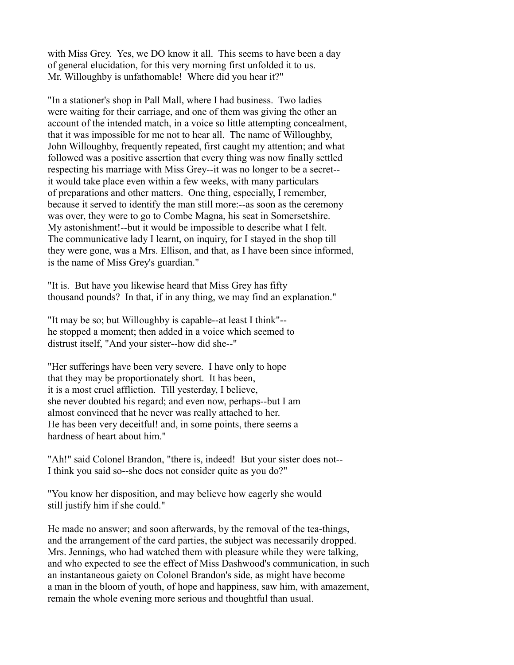with Miss Grey. Yes, we DO know it all. This seems to have been a day of general elucidation, for this very morning first unfolded it to us. Mr. Willoughby is unfathomable! Where did you hear it?"

"In a stationer's shop in Pall Mall, where I had business. Two ladies were waiting for their carriage, and one of them was giving the other an account of the intended match, in a voice so little attempting concealment, that it was impossible for me not to hear all. The name of Willoughby, John Willoughby, frequently repeated, first caught my attention; and what followed was a positive assertion that every thing was now finally settled respecting his marriage with Miss Grey--it was no longer to be a secret- it would take place even within a few weeks, with many particulars of preparations and other matters. One thing, especially, I remember, because it served to identify the man still more:--as soon as the ceremony was over, they were to go to Combe Magna, his seat in Somersetshire. My astonishment!--but it would be impossible to describe what I felt. The communicative lady I learnt, on inquiry, for I stayed in the shop till they were gone, was a Mrs. Ellison, and that, as I have been since informed, is the name of Miss Grey's guardian."

"It is. But have you likewise heard that Miss Grey has fifty thousand pounds? In that, if in any thing, we may find an explanation."

"It may be so; but Willoughby is capable--at least I think"- he stopped a moment; then added in a voice which seemed to distrust itself, "And your sister--how did she--"

"Her sufferings have been very severe. I have only to hope that they may be proportionately short. It has been, it is a most cruel affliction. Till yesterday, I believe, she never doubted his regard; and even now, perhaps--but I am almost convinced that he never was really attached to her. He has been very deceitful! and, in some points, there seems a hardness of heart about him."

"Ah!" said Colonel Brandon, "there is, indeed! But your sister does not-- I think you said so--she does not consider quite as you do?"

"You know her disposition, and may believe how eagerly she would still justify him if she could."

He made no answer; and soon afterwards, by the removal of the tea-things, and the arrangement of the card parties, the subject was necessarily dropped. Mrs. Jennings, who had watched them with pleasure while they were talking, and who expected to see the effect of Miss Dashwood's communication, in such an instantaneous gaiety on Colonel Brandon's side, as might have become a man in the bloom of youth, of hope and happiness, saw him, with amazement, remain the whole evening more serious and thoughtful than usual.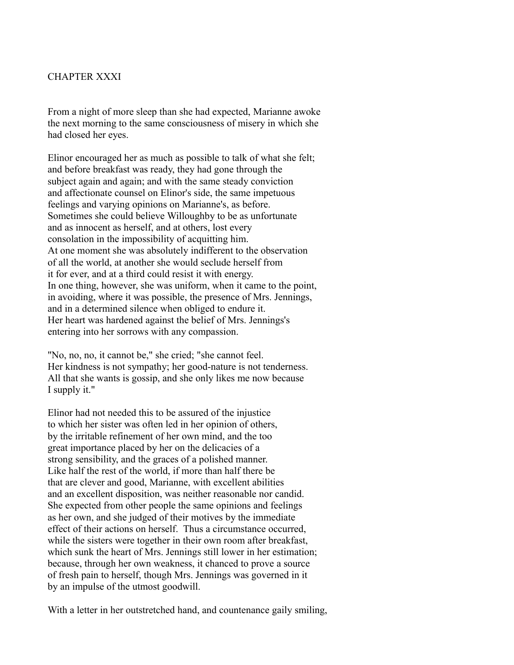# CHAPTER XXXI

From a night of more sleep than she had expected, Marianne awoke the next morning to the same consciousness of misery in which she had closed her eyes.

Elinor encouraged her as much as possible to talk of what she felt; and before breakfast was ready, they had gone through the subject again and again; and with the same steady conviction and affectionate counsel on Elinor's side, the same impetuous feelings and varying opinions on Marianne's, as before. Sometimes she could believe Willoughby to be as unfortunate and as innocent as herself, and at others, lost every consolation in the impossibility of acquitting him. At one moment she was absolutely indifferent to the observation of all the world, at another she would seclude herself from it for ever, and at a third could resist it with energy. In one thing, however, she was uniform, when it came to the point, in avoiding, where it was possible, the presence of Mrs. Jennings, and in a determined silence when obliged to endure it. Her heart was hardened against the belief of Mrs. Jennings's entering into her sorrows with any compassion.

"No, no, no, it cannot be," she cried; "she cannot feel. Her kindness is not sympathy; her good-nature is not tenderness. All that she wants is gossip, and she only likes me now because I supply it."

Elinor had not needed this to be assured of the injustice to which her sister was often led in her opinion of others, by the irritable refinement of her own mind, and the too great importance placed by her on the delicacies of a strong sensibility, and the graces of a polished manner. Like half the rest of the world, if more than half there be that are clever and good, Marianne, with excellent abilities and an excellent disposition, was neither reasonable nor candid. She expected from other people the same opinions and feelings as her own, and she judged of their motives by the immediate effect of their actions on herself. Thus a circumstance occurred, while the sisters were together in their own room after breakfast, which sunk the heart of Mrs. Jennings still lower in her estimation; because, through her own weakness, it chanced to prove a source of fresh pain to herself, though Mrs. Jennings was governed in it by an impulse of the utmost goodwill.

With a letter in her outstretched hand, and countenance gaily smiling,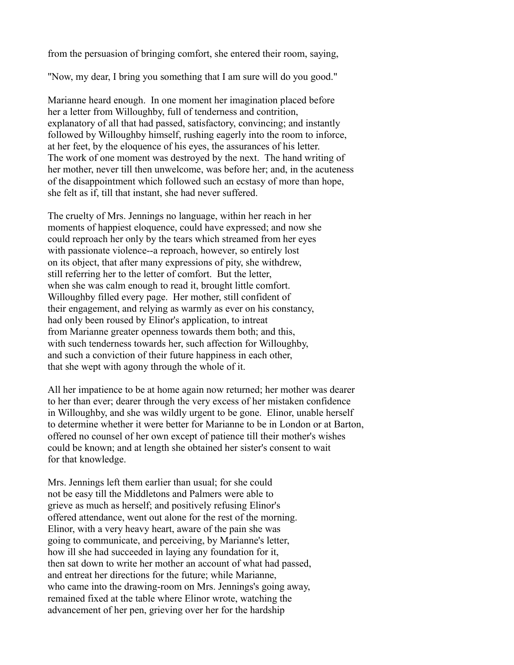from the persuasion of bringing comfort, she entered their room, saying,

"Now, my dear, I bring you something that I am sure will do you good."

Marianne heard enough. In one moment her imagination placed before her a letter from Willoughby, full of tenderness and contrition, explanatory of all that had passed, satisfactory, convincing; and instantly followed by Willoughby himself, rushing eagerly into the room to inforce, at her feet, by the eloquence of his eyes, the assurances of his letter. The work of one moment was destroyed by the next. The hand writing of her mother, never till then unwelcome, was before her; and, in the acuteness of the disappointment which followed such an ecstasy of more than hope, she felt as if, till that instant, she had never suffered.

The cruelty of Mrs. Jennings no language, within her reach in her moments of happiest eloquence, could have expressed; and now she could reproach her only by the tears which streamed from her eyes with passionate violence--a reproach, however, so entirely lost on its object, that after many expressions of pity, she withdrew, still referring her to the letter of comfort. But the letter, when she was calm enough to read it, brought little comfort. Willoughby filled every page. Her mother, still confident of their engagement, and relying as warmly as ever on his constancy, had only been roused by Elinor's application, to intreat from Marianne greater openness towards them both; and this, with such tenderness towards her, such affection for Willoughby, and such a conviction of their future happiness in each other, that she wept with agony through the whole of it.

All her impatience to be at home again now returned; her mother was dearer to her than ever; dearer through the very excess of her mistaken confidence in Willoughby, and she was wildly urgent to be gone. Elinor, unable herself to determine whether it were better for Marianne to be in London or at Barton, offered no counsel of her own except of patience till their mother's wishes could be known; and at length she obtained her sister's consent to wait for that knowledge.

Mrs. Jennings left them earlier than usual; for she could not be easy till the Middletons and Palmers were able to grieve as much as herself; and positively refusing Elinor's offered attendance, went out alone for the rest of the morning. Elinor, with a very heavy heart, aware of the pain she was going to communicate, and perceiving, by Marianne's letter, how ill she had succeeded in laying any foundation for it, then sat down to write her mother an account of what had passed, and entreat her directions for the future; while Marianne, who came into the drawing-room on Mrs. Jennings's going away, remained fixed at the table where Elinor wrote, watching the advancement of her pen, grieving over her for the hardship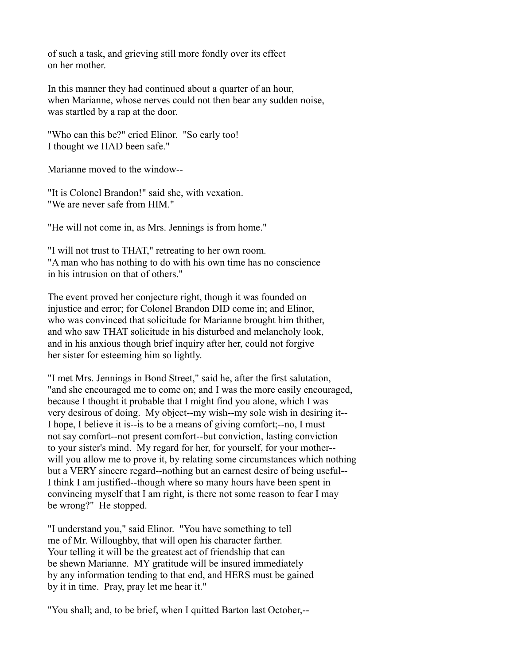of such a task, and grieving still more fondly over its effect on her mother.

In this manner they had continued about a quarter of an hour, when Marianne, whose nerves could not then bear any sudden noise, was startled by a rap at the door.

"Who can this be?" cried Elinor. "So early too! I thought we HAD been safe."

Marianne moved to the window--

"It is Colonel Brandon!" said she, with vexation. "We are never safe from HIM."

"He will not come in, as Mrs. Jennings is from home."

"I will not trust to THAT," retreating to her own room. "A man who has nothing to do with his own time has no conscience in his intrusion on that of others."

The event proved her conjecture right, though it was founded on injustice and error; for Colonel Brandon DID come in; and Elinor, who was convinced that solicitude for Marianne brought him thither, and who saw THAT solicitude in his disturbed and melancholy look, and in his anxious though brief inquiry after her, could not forgive her sister for esteeming him so lightly.

"I met Mrs. Jennings in Bond Street," said he, after the first salutation, "and she encouraged me to come on; and I was the more easily encouraged, because I thought it probable that I might find you alone, which I was very desirous of doing. My object--my wish--my sole wish in desiring it-- I hope, I believe it is--is to be a means of giving comfort;--no, I must not say comfort--not present comfort--but conviction, lasting conviction to your sister's mind. My regard for her, for yourself, for your mother- will you allow me to prove it, by relating some circumstances which nothing but a VERY sincere regard--nothing but an earnest desire of being useful-- I think I am justified--though where so many hours have been spent in convincing myself that I am right, is there not some reason to fear I may be wrong?" He stopped.

"I understand you," said Elinor. "You have something to tell me of Mr. Willoughby, that will open his character farther. Your telling it will be the greatest act of friendship that can be shewn Marianne. MY gratitude will be insured immediately by any information tending to that end, and HERS must be gained by it in time. Pray, pray let me hear it."

"You shall; and, to be brief, when I quitted Barton last October,--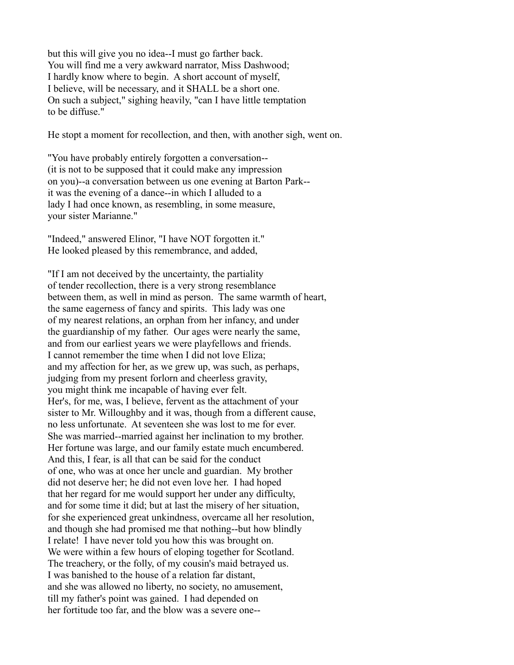but this will give you no idea--I must go farther back. You will find me a very awkward narrator, Miss Dashwood; I hardly know where to begin. A short account of myself, I believe, will be necessary, and it SHALL be a short one. On such a subject," sighing heavily, "can I have little temptation to be diffuse."

He stopt a moment for recollection, and then, with another sigh, went on.

"You have probably entirely forgotten a conversation-- (it is not to be supposed that it could make any impression on you)--a conversation between us one evening at Barton Park- it was the evening of a dance--in which I alluded to a lady I had once known, as resembling, in some measure, your sister Marianne."

"Indeed," answered Elinor, "I have NOT forgotten it." He looked pleased by this remembrance, and added,

"If I am not deceived by the uncertainty, the partiality of tender recollection, there is a very strong resemblance between them, as well in mind as person. The same warmth of heart, the same eagerness of fancy and spirits. This lady was one of my nearest relations, an orphan from her infancy, and under the guardianship of my father. Our ages were nearly the same, and from our earliest years we were playfellows and friends. I cannot remember the time when I did not love Eliza; and my affection for her, as we grew up, was such, as perhaps, judging from my present forlorn and cheerless gravity, you might think me incapable of having ever felt. Her's, for me, was, I believe, fervent as the attachment of your sister to Mr. Willoughby and it was, though from a different cause, no less unfortunate. At seventeen she was lost to me for ever. She was married--married against her inclination to my brother. Her fortune was large, and our family estate much encumbered. And this, I fear, is all that can be said for the conduct of one, who was at once her uncle and guardian. My brother did not deserve her; he did not even love her. I had hoped that her regard for me would support her under any difficulty, and for some time it did; but at last the misery of her situation, for she experienced great unkindness, overcame all her resolution, and though she had promised me that nothing--but how blindly I relate! I have never told you how this was brought on. We were within a few hours of eloping together for Scotland. The treachery, or the folly, of my cousin's maid betrayed us. I was banished to the house of a relation far distant, and she was allowed no liberty, no society, no amusement, till my father's point was gained. I had depended on her fortitude too far, and the blow was a severe one--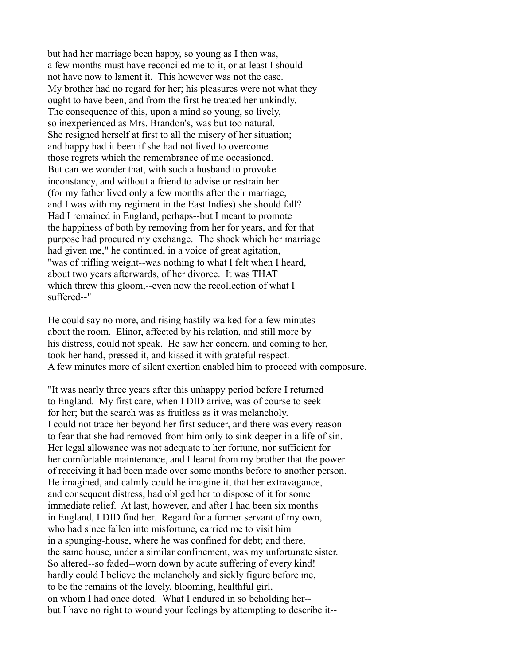but had her marriage been happy, so young as I then was, a few months must have reconciled me to it, or at least I should not have now to lament it. This however was not the case. My brother had no regard for her; his pleasures were not what they ought to have been, and from the first he treated her unkindly. The consequence of this, upon a mind so young, so lively, so inexperienced as Mrs. Brandon's, was but too natural. She resigned herself at first to all the misery of her situation; and happy had it been if she had not lived to overcome those regrets which the remembrance of me occasioned. But can we wonder that, with such a husband to provoke inconstancy, and without a friend to advise or restrain her (for my father lived only a few months after their marriage, and I was with my regiment in the East Indies) she should fall? Had I remained in England, perhaps--but I meant to promote the happiness of both by removing from her for years, and for that purpose had procured my exchange. The shock which her marriage had given me," he continued, in a voice of great agitation, "was of trifling weight--was nothing to what I felt when I heard, about two years afterwards, of her divorce. It was THAT which threw this gloom,--even now the recollection of what I suffered--"

He could say no more, and rising hastily walked for a few minutes about the room. Elinor, affected by his relation, and still more by his distress, could not speak. He saw her concern, and coming to her, took her hand, pressed it, and kissed it with grateful respect. A few minutes more of silent exertion enabled him to proceed with composure.

"It was nearly three years after this unhappy period before I returned to England. My first care, when I DID arrive, was of course to seek for her; but the search was as fruitless as it was melancholy. I could not trace her beyond her first seducer, and there was every reason to fear that she had removed from him only to sink deeper in a life of sin. Her legal allowance was not adequate to her fortune, nor sufficient for her comfortable maintenance, and I learnt from my brother that the power of receiving it had been made over some months before to another person. He imagined, and calmly could he imagine it, that her extravagance, and consequent distress, had obliged her to dispose of it for some immediate relief. At last, however, and after I had been six months in England, I DID find her. Regard for a former servant of my own, who had since fallen into misfortune, carried me to visit him in a spunging-house, where he was confined for debt; and there, the same house, under a similar confinement, was my unfortunate sister. So altered--so faded--worn down by acute suffering of every kind! hardly could I believe the melancholy and sickly figure before me, to be the remains of the lovely, blooming, healthful girl, on whom I had once doted. What I endured in so beholding her- but I have no right to wound your feelings by attempting to describe it--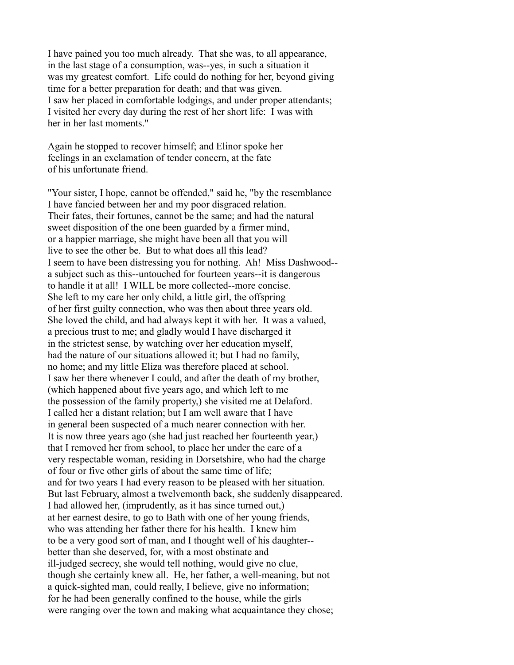I have pained you too much already. That she was, to all appearance, in the last stage of a consumption, was--yes, in such a situation it was my greatest comfort. Life could do nothing for her, beyond giving time for a better preparation for death; and that was given. I saw her placed in comfortable lodgings, and under proper attendants; I visited her every day during the rest of her short life: I was with her in her last moments."

Again he stopped to recover himself; and Elinor spoke her feelings in an exclamation of tender concern, at the fate of his unfortunate friend.

"Your sister, I hope, cannot be offended," said he, "by the resemblance I have fancied between her and my poor disgraced relation. Their fates, their fortunes, cannot be the same; and had the natural sweet disposition of the one been guarded by a firmer mind, or a happier marriage, she might have been all that you will live to see the other be. But to what does all this lead? I seem to have been distressing you for nothing. Ah! Miss Dashwood- a subject such as this--untouched for fourteen years--it is dangerous to handle it at all! I WILL be more collected--more concise. She left to my care her only child, a little girl, the offspring of her first guilty connection, who was then about three years old. She loved the child, and had always kept it with her. It was a valued, a precious trust to me; and gladly would I have discharged it in the strictest sense, by watching over her education myself, had the nature of our situations allowed it; but I had no family, no home; and my little Eliza was therefore placed at school. I saw her there whenever I could, and after the death of my brother, (which happened about five years ago, and which left to me the possession of the family property,) she visited me at Delaford. I called her a distant relation; but I am well aware that I have in general been suspected of a much nearer connection with her. It is now three years ago (she had just reached her fourteenth year,) that I removed her from school, to place her under the care of a very respectable woman, residing in Dorsetshire, who had the charge of four or five other girls of about the same time of life; and for two years I had every reason to be pleased with her situation. But last February, almost a twelvemonth back, she suddenly disappeared. I had allowed her, (imprudently, as it has since turned out,) at her earnest desire, to go to Bath with one of her young friends, who was attending her father there for his health. I knew him to be a very good sort of man, and I thought well of his daughter- better than she deserved, for, with a most obstinate and ill-judged secrecy, she would tell nothing, would give no clue, though she certainly knew all. He, her father, a well-meaning, but not a quick-sighted man, could really, I believe, give no information; for he had been generally confined to the house, while the girls were ranging over the town and making what acquaintance they chose;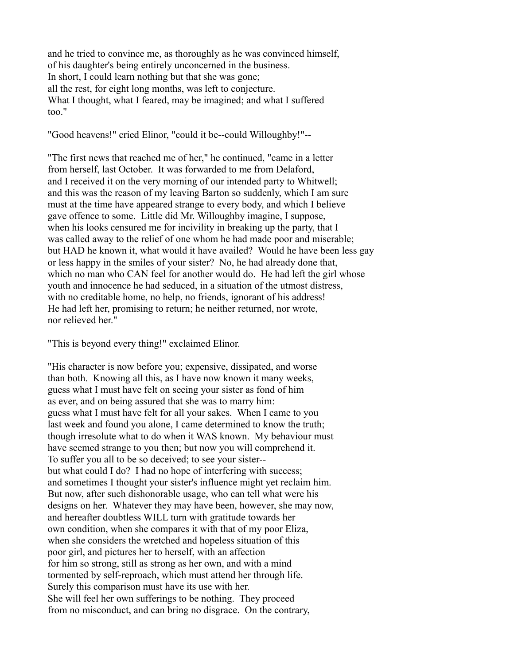and he tried to convince me, as thoroughly as he was convinced himself, of his daughter's being entirely unconcerned in the business. In short, I could learn nothing but that she was gone; all the rest, for eight long months, was left to conjecture. What I thought, what I feared, may be imagined; and what I suffered too."

"Good heavens!" cried Elinor, "could it be--could Willoughby!"--

"The first news that reached me of her," he continued, "came in a letter from herself, last October. It was forwarded to me from Delaford, and I received it on the very morning of our intended party to Whitwell; and this was the reason of my leaving Barton so suddenly, which I am sure must at the time have appeared strange to every body, and which I believe gave offence to some. Little did Mr. Willoughby imagine, I suppose, when his looks censured me for incivility in breaking up the party, that I was called away to the relief of one whom he had made poor and miserable; but HAD he known it, what would it have availed? Would he have been less gay or less happy in the smiles of your sister? No, he had already done that, which no man who CAN feel for another would do. He had left the girl whose youth and innocence he had seduced, in a situation of the utmost distress, with no creditable home, no help, no friends, ignorant of his address! He had left her, promising to return; he neither returned, nor wrote, nor relieved her."

"This is beyond every thing!" exclaimed Elinor.

"His character is now before you; expensive, dissipated, and worse than both. Knowing all this, as I have now known it many weeks, guess what I must have felt on seeing your sister as fond of him as ever, and on being assured that she was to marry him: guess what I must have felt for all your sakes. When I came to you last week and found you alone, I came determined to know the truth; though irresolute what to do when it WAS known. My behaviour must have seemed strange to you then; but now you will comprehend it. To suffer you all to be so deceived; to see your sister- but what could I do? I had no hope of interfering with success; and sometimes I thought your sister's influence might yet reclaim him. But now, after such dishonorable usage, who can tell what were his designs on her. Whatever they may have been, however, she may now, and hereafter doubtless WILL turn with gratitude towards her own condition, when she compares it with that of my poor Eliza, when she considers the wretched and hopeless situation of this poor girl, and pictures her to herself, with an affection for him so strong, still as strong as her own, and with a mind tormented by self-reproach, which must attend her through life. Surely this comparison must have its use with her. She will feel her own sufferings to be nothing. They proceed from no misconduct, and can bring no disgrace. On the contrary,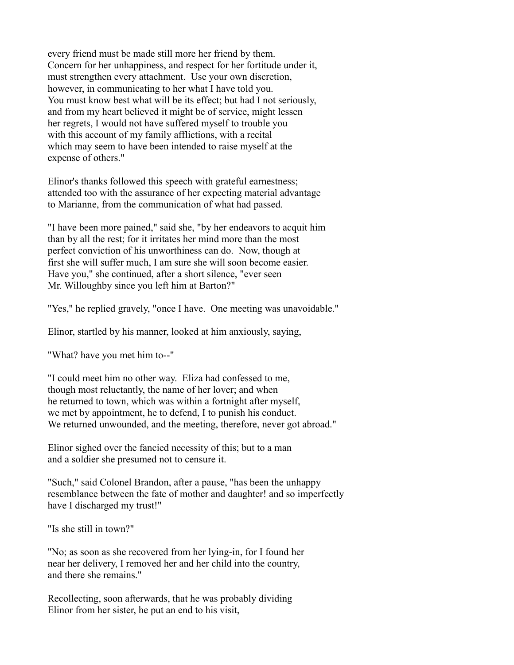every friend must be made still more her friend by them. Concern for her unhappiness, and respect for her fortitude under it, must strengthen every attachment. Use your own discretion, however, in communicating to her what I have told you. You must know best what will be its effect; but had I not seriously, and from my heart believed it might be of service, might lessen her regrets, I would not have suffered myself to trouble you with this account of my family afflictions, with a recital which may seem to have been intended to raise myself at the expense of others."

Elinor's thanks followed this speech with grateful earnestness; attended too with the assurance of her expecting material advantage to Marianne, from the communication of what had passed.

"I have been more pained," said she, "by her endeavors to acquit him than by all the rest; for it irritates her mind more than the most perfect conviction of his unworthiness can do. Now, though at first she will suffer much, I am sure she will soon become easier. Have you," she continued, after a short silence, "ever seen Mr. Willoughby since you left him at Barton?"

"Yes," he replied gravely, "once I have. One meeting was unavoidable."

Elinor, startled by his manner, looked at him anxiously, saying,

"What? have you met him to--"

"I could meet him no other way. Eliza had confessed to me, though most reluctantly, the name of her lover; and when he returned to town, which was within a fortnight after myself, we met by appointment, he to defend, I to punish his conduct. We returned unwounded, and the meeting, therefore, never got abroad."

Elinor sighed over the fancied necessity of this; but to a man and a soldier she presumed not to censure it.

"Such," said Colonel Brandon, after a pause, "has been the unhappy resemblance between the fate of mother and daughter! and so imperfectly have I discharged my trust!"

"Is she still in town?"

"No; as soon as she recovered from her lying-in, for I found her near her delivery, I removed her and her child into the country, and there she remains."

Recollecting, soon afterwards, that he was probably dividing Elinor from her sister, he put an end to his visit,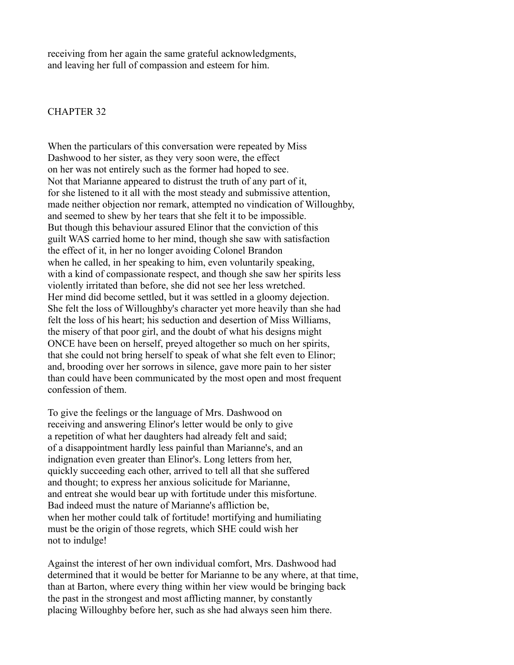receiving from her again the same grateful acknowledgments, and leaving her full of compassion and esteem for him.

## CHAPTER 32

When the particulars of this conversation were repeated by Miss Dashwood to her sister, as they very soon were, the effect on her was not entirely such as the former had hoped to see. Not that Marianne appeared to distrust the truth of any part of it, for she listened to it all with the most steady and submissive attention, made neither objection nor remark, attempted no vindication of Willoughby, and seemed to shew by her tears that she felt it to be impossible. But though this behaviour assured Elinor that the conviction of this guilt WAS carried home to her mind, though she saw with satisfaction the effect of it, in her no longer avoiding Colonel Brandon when he called, in her speaking to him, even voluntarily speaking, with a kind of compassionate respect, and though she saw her spirits less violently irritated than before, she did not see her less wretched. Her mind did become settled, but it was settled in a gloomy dejection. She felt the loss of Willoughby's character yet more heavily than she had felt the loss of his heart; his seduction and desertion of Miss Williams, the misery of that poor girl, and the doubt of what his designs might ONCE have been on herself, preyed altogether so much on her spirits, that she could not bring herself to speak of what she felt even to Elinor; and, brooding over her sorrows in silence, gave more pain to her sister than could have been communicated by the most open and most frequent confession of them.

To give the feelings or the language of Mrs. Dashwood on receiving and answering Elinor's letter would be only to give a repetition of what her daughters had already felt and said; of a disappointment hardly less painful than Marianne's, and an indignation even greater than Elinor's. Long letters from her, quickly succeeding each other, arrived to tell all that she suffered and thought; to express her anxious solicitude for Marianne, and entreat she would bear up with fortitude under this misfortune. Bad indeed must the nature of Marianne's affliction be, when her mother could talk of fortitude! mortifying and humiliating must be the origin of those regrets, which SHE could wish her not to indulge!

Against the interest of her own individual comfort, Mrs. Dashwood had determined that it would be better for Marianne to be any where, at that time, than at Barton, where every thing within her view would be bringing back the past in the strongest and most afflicting manner, by constantly placing Willoughby before her, such as she had always seen him there.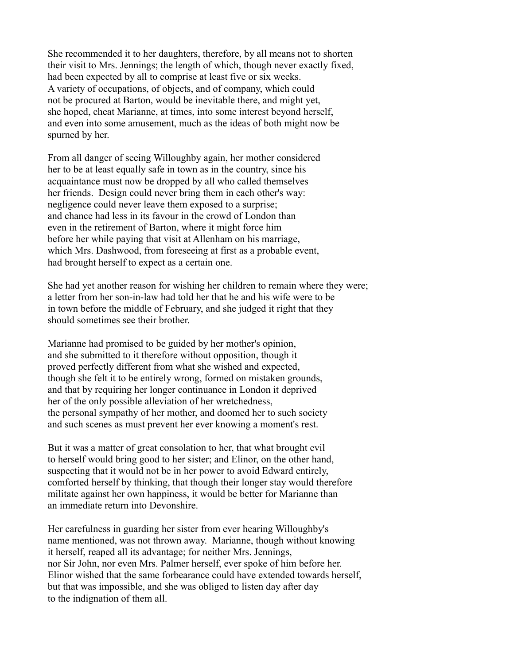She recommended it to her daughters, therefore, by all means not to shorten their visit to Mrs. Jennings; the length of which, though never exactly fixed, had been expected by all to comprise at least five or six weeks. A variety of occupations, of objects, and of company, which could not be procured at Barton, would be inevitable there, and might yet, she hoped, cheat Marianne, at times, into some interest beyond herself, and even into some amusement, much as the ideas of both might now be spurned by her.

From all danger of seeing Willoughby again, her mother considered her to be at least equally safe in town as in the country, since his acquaintance must now be dropped by all who called themselves her friends. Design could never bring them in each other's way: negligence could never leave them exposed to a surprise; and chance had less in its favour in the crowd of London than even in the retirement of Barton, where it might force him before her while paying that visit at Allenham on his marriage, which Mrs. Dashwood, from foreseeing at first as a probable event, had brought herself to expect as a certain one.

She had yet another reason for wishing her children to remain where they were; a letter from her son-in-law had told her that he and his wife were to be in town before the middle of February, and she judged it right that they should sometimes see their brother.

Marianne had promised to be guided by her mother's opinion, and she submitted to it therefore without opposition, though it proved perfectly different from what she wished and expected, though she felt it to be entirely wrong, formed on mistaken grounds, and that by requiring her longer continuance in London it deprived her of the only possible alleviation of her wretchedness, the personal sympathy of her mother, and doomed her to such society and such scenes as must prevent her ever knowing a moment's rest.

But it was a matter of great consolation to her, that what brought evil to herself would bring good to her sister; and Elinor, on the other hand, suspecting that it would not be in her power to avoid Edward entirely, comforted herself by thinking, that though their longer stay would therefore militate against her own happiness, it would be better for Marianne than an immediate return into Devonshire.

Her carefulness in guarding her sister from ever hearing Willoughby's name mentioned, was not thrown away. Marianne, though without knowing it herself, reaped all its advantage; for neither Mrs. Jennings, nor Sir John, nor even Mrs. Palmer herself, ever spoke of him before her. Elinor wished that the same forbearance could have extended towards herself, but that was impossible, and she was obliged to listen day after day to the indignation of them all.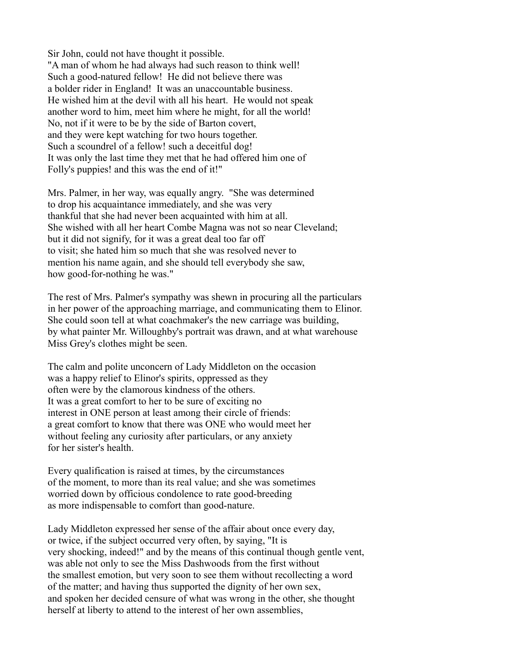Sir John, could not have thought it possible. "A man of whom he had always had such reason to think well! Such a good-natured fellow! He did not believe there was a bolder rider in England! It was an unaccountable business. He wished him at the devil with all his heart. He would not speak another word to him, meet him where he might, for all the world! No, not if it were to be by the side of Barton covert, and they were kept watching for two hours together. Such a scoundrel of a fellow! such a deceitful dog! It was only the last time they met that he had offered him one of Folly's puppies! and this was the end of it!"

Mrs. Palmer, in her way, was equally angry. "She was determined to drop his acquaintance immediately, and she was very thankful that she had never been acquainted with him at all. She wished with all her heart Combe Magna was not so near Cleveland; but it did not signify, for it was a great deal too far off to visit; she hated him so much that she was resolved never to mention his name again, and she should tell everybody she saw, how good-for-nothing he was."

The rest of Mrs. Palmer's sympathy was shewn in procuring all the particulars in her power of the approaching marriage, and communicating them to Elinor. She could soon tell at what coachmaker's the new carriage was building, by what painter Mr. Willoughby's portrait was drawn, and at what warehouse Miss Grey's clothes might be seen.

The calm and polite unconcern of Lady Middleton on the occasion was a happy relief to Elinor's spirits, oppressed as they often were by the clamorous kindness of the others. It was a great comfort to her to be sure of exciting no interest in ONE person at least among their circle of friends: a great comfort to know that there was ONE who would meet her without feeling any curiosity after particulars, or any anxiety for her sister's health.

Every qualification is raised at times, by the circumstances of the moment, to more than its real value; and she was sometimes worried down by officious condolence to rate good-breeding as more indispensable to comfort than good-nature.

Lady Middleton expressed her sense of the affair about once every day, or twice, if the subject occurred very often, by saying, "It is very shocking, indeed!" and by the means of this continual though gentle vent, was able not only to see the Miss Dashwoods from the first without the smallest emotion, but very soon to see them without recollecting a word of the matter; and having thus supported the dignity of her own sex, and spoken her decided censure of what was wrong in the other, she thought herself at liberty to attend to the interest of her own assemblies,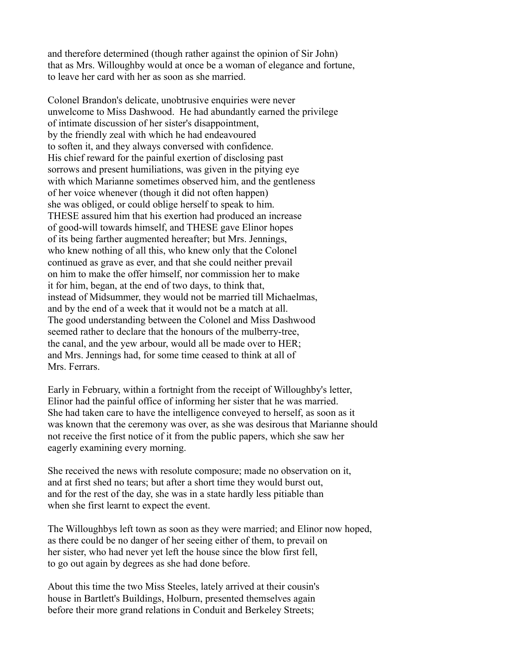and therefore determined (though rather against the opinion of Sir John) that as Mrs. Willoughby would at once be a woman of elegance and fortune, to leave her card with her as soon as she married.

Colonel Brandon's delicate, unobtrusive enquiries were never unwelcome to Miss Dashwood. He had abundantly earned the privilege of intimate discussion of her sister's disappointment, by the friendly zeal with which he had endeavoured to soften it, and they always conversed with confidence. His chief reward for the painful exertion of disclosing past sorrows and present humiliations, was given in the pitying eye with which Marianne sometimes observed him, and the gentleness of her voice whenever (though it did not often happen) she was obliged, or could oblige herself to speak to him. THESE assured him that his exertion had produced an increase of good-will towards himself, and THESE gave Elinor hopes of its being farther augmented hereafter; but Mrs. Jennings, who knew nothing of all this, who knew only that the Colonel continued as grave as ever, and that she could neither prevail on him to make the offer himself, nor commission her to make it for him, began, at the end of two days, to think that, instead of Midsummer, they would not be married till Michaelmas, and by the end of a week that it would not be a match at all. The good understanding between the Colonel and Miss Dashwood seemed rather to declare that the honours of the mulberry-tree, the canal, and the yew arbour, would all be made over to HER; and Mrs. Jennings had, for some time ceased to think at all of Mrs. Ferrars.

Early in February, within a fortnight from the receipt of Willoughby's letter, Elinor had the painful office of informing her sister that he was married. She had taken care to have the intelligence conveyed to herself, as soon as it was known that the ceremony was over, as she was desirous that Marianne should not receive the first notice of it from the public papers, which she saw her eagerly examining every morning.

She received the news with resolute composure; made no observation on it, and at first shed no tears; but after a short time they would burst out, and for the rest of the day, she was in a state hardly less pitiable than when she first learnt to expect the event.

The Willoughbys left town as soon as they were married; and Elinor now hoped, as there could be no danger of her seeing either of them, to prevail on her sister, who had never yet left the house since the blow first fell, to go out again by degrees as she had done before.

About this time the two Miss Steeles, lately arrived at their cousin's house in Bartlett's Buildings, Holburn, presented themselves again before their more grand relations in Conduit and Berkeley Streets;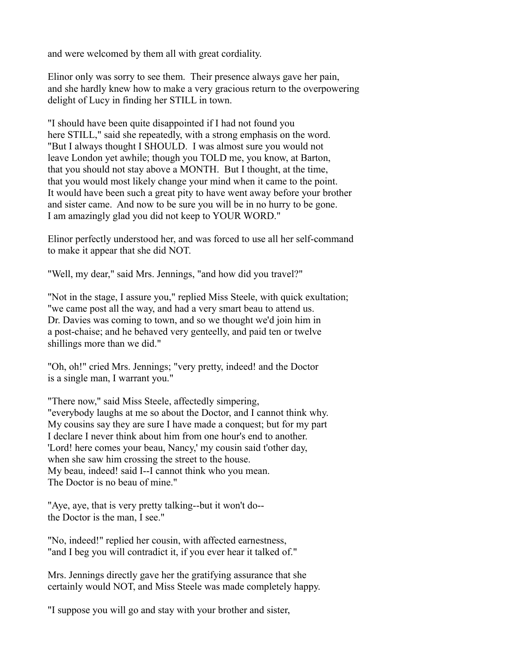and were welcomed by them all with great cordiality.

Elinor only was sorry to see them. Their presence always gave her pain, and she hardly knew how to make a very gracious return to the overpowering delight of Lucy in finding her STILL in town.

"I should have been quite disappointed if I had not found you here STILL," said she repeatedly, with a strong emphasis on the word. "But I always thought I SHOULD. I was almost sure you would not leave London yet awhile; though you TOLD me, you know, at Barton, that you should not stay above a MONTH. But I thought, at the time, that you would most likely change your mind when it came to the point. It would have been such a great pity to have went away before your brother and sister came. And now to be sure you will be in no hurry to be gone. I am amazingly glad you did not keep to YOUR WORD."

Elinor perfectly understood her, and was forced to use all her self-command to make it appear that she did NOT.

"Well, my dear," said Mrs. Jennings, "and how did you travel?"

"Not in the stage, I assure you," replied Miss Steele, with quick exultation; "we came post all the way, and had a very smart beau to attend us. Dr. Davies was coming to town, and so we thought we'd join him in a post-chaise; and he behaved very genteelly, and paid ten or twelve shillings more than we did."

"Oh, oh!" cried Mrs. Jennings; "very pretty, indeed! and the Doctor is a single man, I warrant you."

"There now," said Miss Steele, affectedly simpering, "everybody laughs at me so about the Doctor, and I cannot think why. My cousins say they are sure I have made a conquest; but for my part I declare I never think about him from one hour's end to another. 'Lord! here comes your beau, Nancy,' my cousin said t'other day, when she saw him crossing the street to the house. My beau, indeed! said I--I cannot think who you mean. The Doctor is no beau of mine."

"Aye, aye, that is very pretty talking--but it won't do- the Doctor is the man, I see."

"No, indeed!" replied her cousin, with affected earnestness, "and I beg you will contradict it, if you ever hear it talked of."

Mrs. Jennings directly gave her the gratifying assurance that she certainly would NOT, and Miss Steele was made completely happy.

"I suppose you will go and stay with your brother and sister,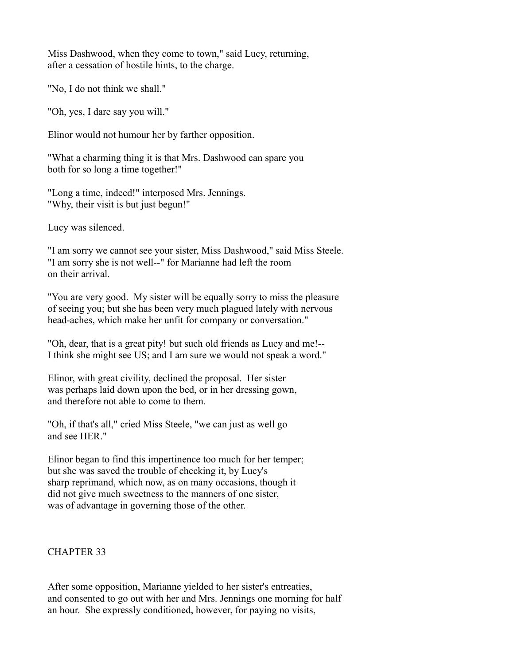Miss Dashwood, when they come to town," said Lucy, returning, after a cessation of hostile hints, to the charge.

"No, I do not think we shall."

"Oh, yes, I dare say you will."

Elinor would not humour her by farther opposition.

"What a charming thing it is that Mrs. Dashwood can spare you both for so long a time together!"

"Long a time, indeed!" interposed Mrs. Jennings. "Why, their visit is but just begun!"

Lucy was silenced.

"I am sorry we cannot see your sister, Miss Dashwood," said Miss Steele. "I am sorry she is not well--" for Marianne had left the room on their arrival.

"You are very good. My sister will be equally sorry to miss the pleasure of seeing you; but she has been very much plagued lately with nervous head-aches, which make her unfit for company or conversation."

"Oh, dear, that is a great pity! but such old friends as Lucy and me!-- I think she might see US; and I am sure we would not speak a word."

Elinor, with great civility, declined the proposal. Her sister was perhaps laid down upon the bed, or in her dressing gown, and therefore not able to come to them.

"Oh, if that's all," cried Miss Steele, "we can just as well go and see HER."

Elinor began to find this impertinence too much for her temper; but she was saved the trouble of checking it, by Lucy's sharp reprimand, which now, as on many occasions, though it did not give much sweetness to the manners of one sister, was of advantage in governing those of the other.

# CHAPTER 33

After some opposition, Marianne yielded to her sister's entreaties, and consented to go out with her and Mrs. Jennings one morning for half an hour. She expressly conditioned, however, for paying no visits,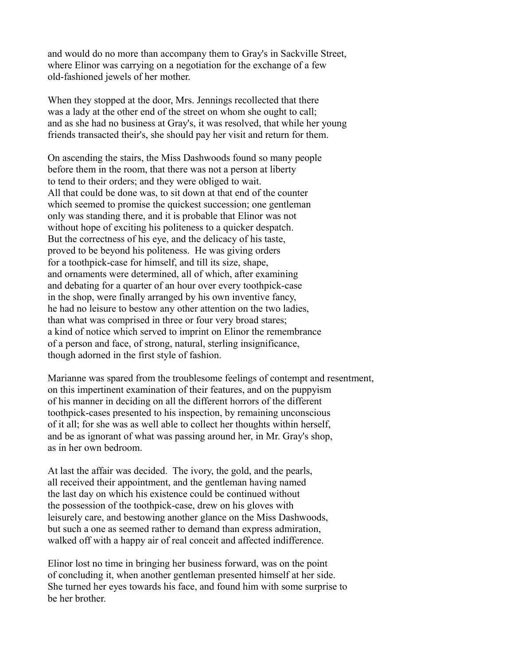and would do no more than accompany them to Gray's in Sackville Street, where Elinor was carrying on a negotiation for the exchange of a few old-fashioned jewels of her mother.

When they stopped at the door, Mrs. Jennings recollected that there was a lady at the other end of the street on whom she ought to call; and as she had no business at Gray's, it was resolved, that while her young friends transacted their's, she should pay her visit and return for them.

On ascending the stairs, the Miss Dashwoods found so many people before them in the room, that there was not a person at liberty to tend to their orders; and they were obliged to wait. All that could be done was, to sit down at that end of the counter which seemed to promise the quickest succession; one gentleman only was standing there, and it is probable that Elinor was not without hope of exciting his politeness to a quicker despatch. But the correctness of his eye, and the delicacy of his taste, proved to be beyond his politeness. He was giving orders for a toothpick-case for himself, and till its size, shape, and ornaments were determined, all of which, after examining and debating for a quarter of an hour over every toothpick-case in the shop, were finally arranged by his own inventive fancy, he had no leisure to bestow any other attention on the two ladies, than what was comprised in three or four very broad stares; a kind of notice which served to imprint on Elinor the remembrance of a person and face, of strong, natural, sterling insignificance, though adorned in the first style of fashion.

Marianne was spared from the troublesome feelings of contempt and resentment, on this impertinent examination of their features, and on the puppyism of his manner in deciding on all the different horrors of the different toothpick-cases presented to his inspection, by remaining unconscious of it all; for she was as well able to collect her thoughts within herself, and be as ignorant of what was passing around her, in Mr. Gray's shop, as in her own bedroom.

At last the affair was decided. The ivory, the gold, and the pearls, all received their appointment, and the gentleman having named the last day on which his existence could be continued without the possession of the toothpick-case, drew on his gloves with leisurely care, and bestowing another glance on the Miss Dashwoods, but such a one as seemed rather to demand than express admiration, walked off with a happy air of real conceit and affected indifference.

Elinor lost no time in bringing her business forward, was on the point of concluding it, when another gentleman presented himself at her side. She turned her eyes towards his face, and found him with some surprise to be her brother.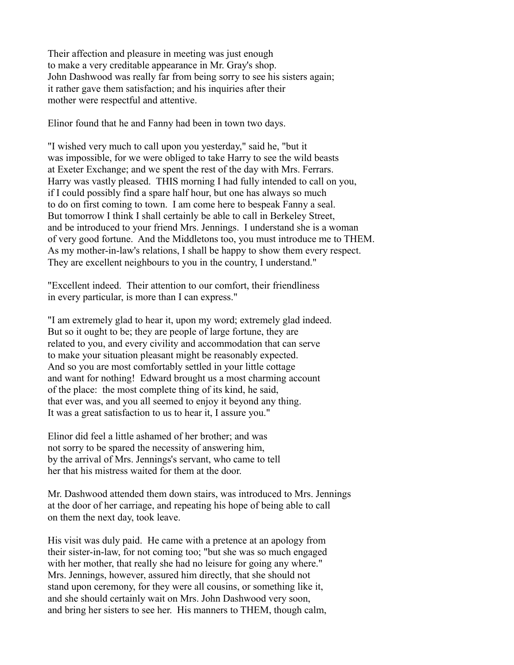Their affection and pleasure in meeting was just enough to make a very creditable appearance in Mr. Gray's shop. John Dashwood was really far from being sorry to see his sisters again; it rather gave them satisfaction; and his inquiries after their mother were respectful and attentive.

Elinor found that he and Fanny had been in town two days.

"I wished very much to call upon you yesterday," said he, "but it was impossible, for we were obliged to take Harry to see the wild beasts at Exeter Exchange; and we spent the rest of the day with Mrs. Ferrars. Harry was vastly pleased. THIS morning I had fully intended to call on you, if I could possibly find a spare half hour, but one has always so much to do on first coming to town. I am come here to bespeak Fanny a seal. But tomorrow I think I shall certainly be able to call in Berkeley Street, and be introduced to your friend Mrs. Jennings. I understand she is a woman of very good fortune. And the Middletons too, you must introduce me to THEM. As my mother-in-law's relations, I shall be happy to show them every respect. They are excellent neighbours to you in the country, I understand."

"Excellent indeed. Their attention to our comfort, their friendliness in every particular, is more than I can express."

"I am extremely glad to hear it, upon my word; extremely glad indeed. But so it ought to be; they are people of large fortune, they are related to you, and every civility and accommodation that can serve to make your situation pleasant might be reasonably expected. And so you are most comfortably settled in your little cottage and want for nothing! Edward brought us a most charming account of the place: the most complete thing of its kind, he said, that ever was, and you all seemed to enjoy it beyond any thing. It was a great satisfaction to us to hear it, I assure you."

Elinor did feel a little ashamed of her brother; and was not sorry to be spared the necessity of answering him, by the arrival of Mrs. Jennings's servant, who came to tell her that his mistress waited for them at the door.

Mr. Dashwood attended them down stairs, was introduced to Mrs. Jennings at the door of her carriage, and repeating his hope of being able to call on them the next day, took leave.

His visit was duly paid. He came with a pretence at an apology from their sister-in-law, for not coming too; "but she was so much engaged with her mother, that really she had no leisure for going any where." Mrs. Jennings, however, assured him directly, that she should not stand upon ceremony, for they were all cousins, or something like it, and she should certainly wait on Mrs. John Dashwood very soon, and bring her sisters to see her. His manners to THEM, though calm,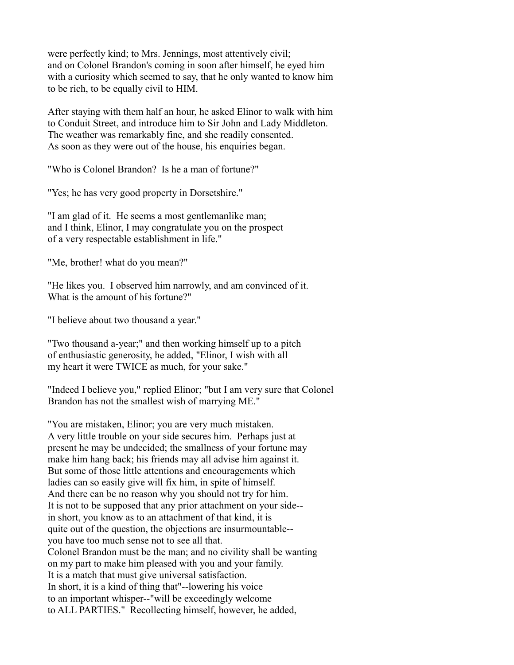were perfectly kind; to Mrs. Jennings, most attentively civil; and on Colonel Brandon's coming in soon after himself, he eyed him with a curiosity which seemed to say, that he only wanted to know him to be rich, to be equally civil to HIM.

After staying with them half an hour, he asked Elinor to walk with him to Conduit Street, and introduce him to Sir John and Lady Middleton. The weather was remarkably fine, and she readily consented. As soon as they were out of the house, his enquiries began.

"Who is Colonel Brandon? Is he a man of fortune?"

"Yes; he has very good property in Dorsetshire."

"I am glad of it. He seems a most gentlemanlike man; and I think, Elinor, I may congratulate you on the prospect of a very respectable establishment in life."

"Me, brother! what do you mean?"

"He likes you. I observed him narrowly, and am convinced of it. What is the amount of his fortune?"

"I believe about two thousand a year."

"Two thousand a-year;" and then working himself up to a pitch of enthusiastic generosity, he added, "Elinor, I wish with all my heart it were TWICE as much, for your sake."

"Indeed I believe you," replied Elinor; "but I am very sure that Colonel Brandon has not the smallest wish of marrying ME."

"You are mistaken, Elinor; you are very much mistaken. A very little trouble on your side secures him. Perhaps just at present he may be undecided; the smallness of your fortune may make him hang back; his friends may all advise him against it. But some of those little attentions and encouragements which ladies can so easily give will fix him, in spite of himself. And there can be no reason why you should not try for him. It is not to be supposed that any prior attachment on your side- in short, you know as to an attachment of that kind, it is quite out of the question, the objections are insurmountable- you have too much sense not to see all that. Colonel Brandon must be the man; and no civility shall be wanting on my part to make him pleased with you and your family. It is a match that must give universal satisfaction. In short, it is a kind of thing that"--lowering his voice to an important whisper--"will be exceedingly welcome to ALL PARTIES." Recollecting himself, however, he added,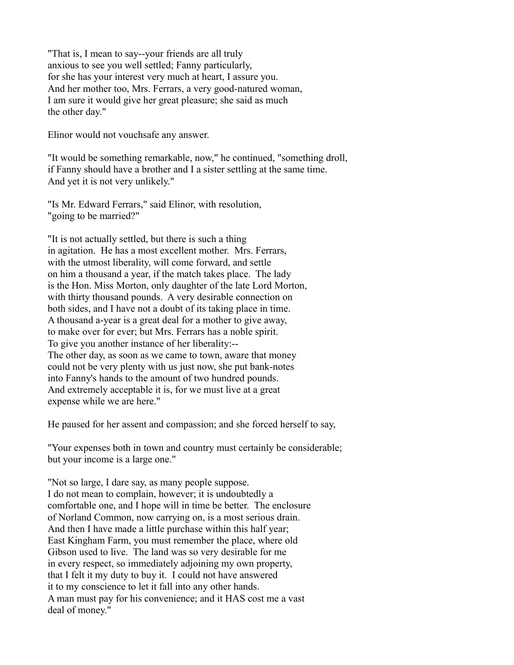"That is, I mean to say--your friends are all truly anxious to see you well settled; Fanny particularly, for she has your interest very much at heart, I assure you. And her mother too, Mrs. Ferrars, a very good-natured woman, I am sure it would give her great pleasure; she said as much the other day."

Elinor would not vouchsafe any answer.

"It would be something remarkable, now," he continued, "something droll, if Fanny should have a brother and I a sister settling at the same time. And yet it is not very unlikely."

"Is Mr. Edward Ferrars," said Elinor, with resolution, "going to be married?"

"It is not actually settled, but there is such a thing in agitation. He has a most excellent mother. Mrs. Ferrars, with the utmost liberality, will come forward, and settle on him a thousand a year, if the match takes place. The lady is the Hon. Miss Morton, only daughter of the late Lord Morton, with thirty thousand pounds. A very desirable connection on both sides, and I have not a doubt of its taking place in time. A thousand a-year is a great deal for a mother to give away, to make over for ever; but Mrs. Ferrars has a noble spirit. To give you another instance of her liberality:-- The other day, as soon as we came to town, aware that money could not be very plenty with us just now, she put bank-notes into Fanny's hands to the amount of two hundred pounds. And extremely acceptable it is, for we must live at a great expense while we are here."

He paused for her assent and compassion; and she forced herself to say,

"Your expenses both in town and country must certainly be considerable; but your income is a large one."

"Not so large, I dare say, as many people suppose. I do not mean to complain, however; it is undoubtedly a comfortable one, and I hope will in time be better. The enclosure of Norland Common, now carrying on, is a most serious drain. And then I have made a little purchase within this half year; East Kingham Farm, you must remember the place, where old Gibson used to live. The land was so very desirable for me in every respect, so immediately adjoining my own property, that I felt it my duty to buy it. I could not have answered it to my conscience to let it fall into any other hands. A man must pay for his convenience; and it HAS cost me a vast deal of money."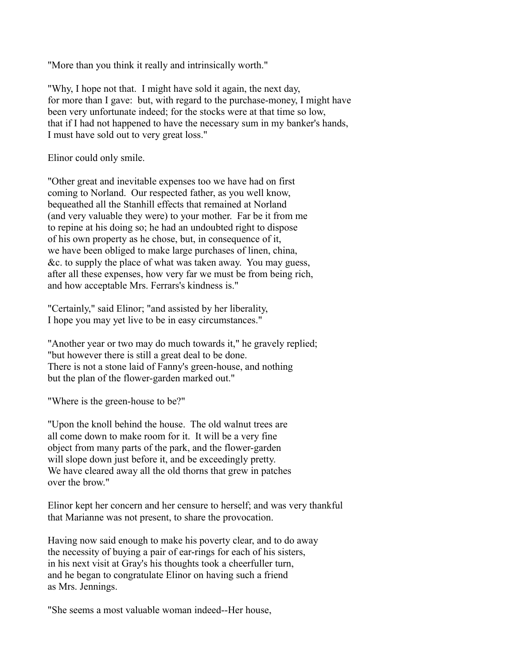"More than you think it really and intrinsically worth."

"Why, I hope not that. I might have sold it again, the next day, for more than I gave: but, with regard to the purchase-money, I might have been very unfortunate indeed; for the stocks were at that time so low, that if I had not happened to have the necessary sum in my banker's hands, I must have sold out to very great loss."

Elinor could only smile.

"Other great and inevitable expenses too we have had on first coming to Norland. Our respected father, as you well know, bequeathed all the Stanhill effects that remained at Norland (and very valuable they were) to your mother. Far be it from me to repine at his doing so; he had an undoubted right to dispose of his own property as he chose, but, in consequence of it, we have been obliged to make large purchases of linen, china, &c. to supply the place of what was taken away. You may guess, after all these expenses, how very far we must be from being rich, and how acceptable Mrs. Ferrars's kindness is."

"Certainly," said Elinor; "and assisted by her liberality, I hope you may yet live to be in easy circumstances."

"Another year or two may do much towards it," he gravely replied; "but however there is still a great deal to be done. There is not a stone laid of Fanny's green-house, and nothing but the plan of the flower-garden marked out."

"Where is the green-house to be?"

"Upon the knoll behind the house. The old walnut trees are all come down to make room for it. It will be a very fine object from many parts of the park, and the flower-garden will slope down just before it, and be exceedingly pretty. We have cleared away all the old thorns that grew in patches over the brow."

Elinor kept her concern and her censure to herself; and was very thankful that Marianne was not present, to share the provocation.

Having now said enough to make his poverty clear, and to do away the necessity of buying a pair of ear-rings for each of his sisters, in his next visit at Gray's his thoughts took a cheerfuller turn, and he began to congratulate Elinor on having such a friend as Mrs. Jennings.

"She seems a most valuable woman indeed--Her house,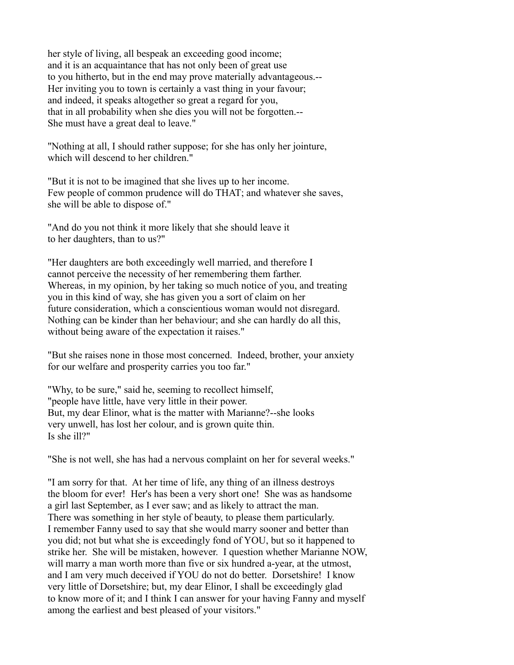her style of living, all bespeak an exceeding good income; and it is an acquaintance that has not only been of great use to you hitherto, but in the end may prove materially advantageous.-- Her inviting you to town is certainly a vast thing in your favour; and indeed, it speaks altogether so great a regard for you, that in all probability when she dies you will not be forgotten.-- She must have a great deal to leave."

"Nothing at all, I should rather suppose; for she has only her jointure, which will descend to her children."

"But it is not to be imagined that she lives up to her income. Few people of common prudence will do THAT; and whatever she saves, she will be able to dispose of."

"And do you not think it more likely that she should leave it to her daughters, than to us?"

"Her daughters are both exceedingly well married, and therefore I cannot perceive the necessity of her remembering them farther. Whereas, in my opinion, by her taking so much notice of you, and treating you in this kind of way, she has given you a sort of claim on her future consideration, which a conscientious woman would not disregard. Nothing can be kinder than her behaviour; and she can hardly do all this, without being aware of the expectation it raises."

"But she raises none in those most concerned. Indeed, brother, your anxiety for our welfare and prosperity carries you too far."

"Why, to be sure," said he, seeming to recollect himself, "people have little, have very little in their power. But, my dear Elinor, what is the matter with Marianne?--she looks very unwell, has lost her colour, and is grown quite thin. Is she ill?"

"She is not well, she has had a nervous complaint on her for several weeks."

"I am sorry for that. At her time of life, any thing of an illness destroys the bloom for ever! Her's has been a very short one! She was as handsome a girl last September, as I ever saw; and as likely to attract the man. There was something in her style of beauty, to please them particularly. I remember Fanny used to say that she would marry sooner and better than you did; not but what she is exceedingly fond of YOU, but so it happened to strike her. She will be mistaken, however. I question whether Marianne NOW, will marry a man worth more than five or six hundred a-year, at the utmost, and I am very much deceived if YOU do not do better. Dorsetshire! I know very little of Dorsetshire; but, my dear Elinor, I shall be exceedingly glad to know more of it; and I think I can answer for your having Fanny and myself among the earliest and best pleased of your visitors."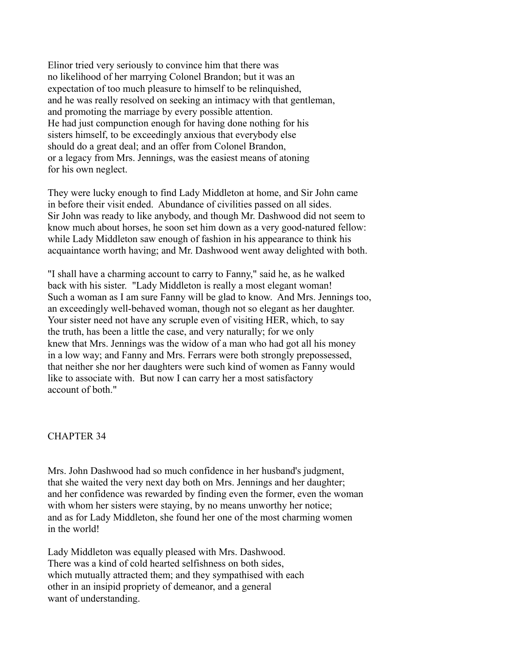Elinor tried very seriously to convince him that there was no likelihood of her marrying Colonel Brandon; but it was an expectation of too much pleasure to himself to be relinquished, and he was really resolved on seeking an intimacy with that gentleman, and promoting the marriage by every possible attention. He had just compunction enough for having done nothing for his sisters himself, to be exceedingly anxious that everybody else should do a great deal; and an offer from Colonel Brandon, or a legacy from Mrs. Jennings, was the easiest means of atoning for his own neglect.

They were lucky enough to find Lady Middleton at home, and Sir John came in before their visit ended. Abundance of civilities passed on all sides. Sir John was ready to like anybody, and though Mr. Dashwood did not seem to know much about horses, he soon set him down as a very good-natured fellow: while Lady Middleton saw enough of fashion in his appearance to think his acquaintance worth having; and Mr. Dashwood went away delighted with both.

"I shall have a charming account to carry to Fanny," said he, as he walked back with his sister. "Lady Middleton is really a most elegant woman! Such a woman as I am sure Fanny will be glad to know. And Mrs. Jennings too, an exceedingly well-behaved woman, though not so elegant as her daughter. Your sister need not have any scruple even of visiting HER, which, to say the truth, has been a little the case, and very naturally; for we only knew that Mrs. Jennings was the widow of a man who had got all his money in a low way; and Fanny and Mrs. Ferrars were both strongly prepossessed, that neither she nor her daughters were such kind of women as Fanny would like to associate with. But now I can carry her a most satisfactory account of both."

### CHAPTER 34

Mrs. John Dashwood had so much confidence in her husband's judgment, that she waited the very next day both on Mrs. Jennings and her daughter; and her confidence was rewarded by finding even the former, even the woman with whom her sisters were staying, by no means unworthy her notice; and as for Lady Middleton, she found her one of the most charming women in the world!

Lady Middleton was equally pleased with Mrs. Dashwood. There was a kind of cold hearted selfishness on both sides, which mutually attracted them; and they sympathised with each other in an insipid propriety of demeanor, and a general want of understanding.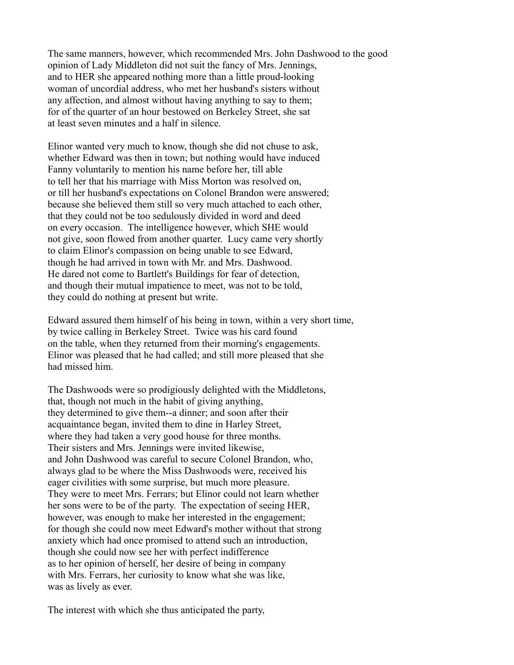The same manners, however, which recommended Mrs. John Dashwood to the good opinion of Lady Middleton did not suit the fancy of Mrs. Jennings, and to HER she appeared nothing more than a little proud-looking woman of uncordial address, who met her husband's sisters without any affection, and almost without having anything to say to them; for of the quarter of an hour bestowed on Berkeley Street, she sat at least seven minutes and a half in silence.

Elinor wanted very much to know, though she did not chuse to ask, whether Edward was then in town; but nothing would have induced Fanny voluntarily to mention his name before her, till able to tell her that his marriage with Miss Morton was resolved on, or till her husband's expectations on Colonel Brandon were answered; because she believed them still so very much attached to each other, that they could not be too sedulously divided in word and deed on every occasion. The intelligence however, which SHE would not give, soon flowed from another quarter. Lucy came very shortly to claim Elinor's compassion on being unable to see Edward, though he had arrived in town with Mr. and Mrs. Dashwood. He dared not come to Bartlett's Buildings for fear of detection, and though their mutual impatience to meet, was not to be told, they could do nothing at present but write.

Edward assured them himself of his being in town, within a very short time, by twice calling in Berkeley Street. Twice was his card found on the table, when they returned from their morning's engagements. Elinor was pleased that he had called; and still more pleased that she had missed him.

The Dashwoods were so prodigiously delighted with the Middletons, that, though not much in the habit of giving anything, they determined to give them--a dinner; and soon after their acquaintance began, invited them to dine in Harley Street, where they had taken a very good house for three months. Their sisters and Mrs. Jennings were invited likewise, and John Dashwood was careful to secure Colonel Brandon, who, always glad to be where the Miss Dashwoods were, received his eager civilities with some surprise, but much more pleasure. They were to meet Mrs. Ferrars; but Elinor could not learn whether her sons were to be of the party. The expectation of seeing HER, however, was enough to make her interested in the engagement; for though she could now meet Edward's mother without that strong anxiety which had once promised to attend such an introduction, though she could now see her with perfect indifference as to her opinion of herself, her desire of being in company with Mrs. Ferrars, her curiosity to know what she was like, was as lively as ever.

The interest with which she thus anticipated the party,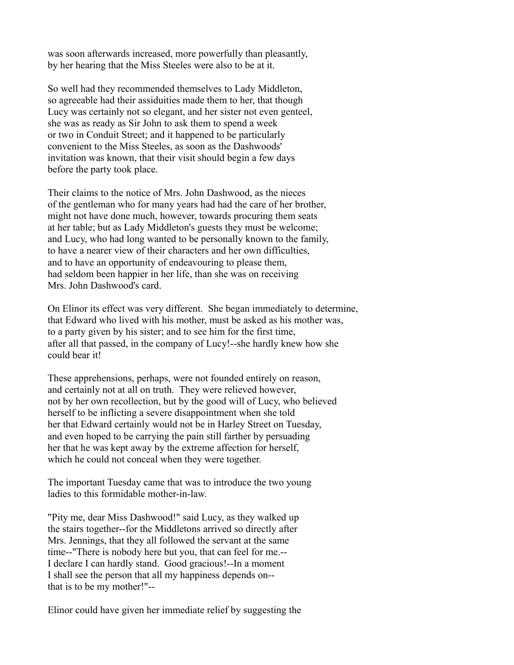was soon afterwards increased, more powerfully than pleasantly, by her hearing that the Miss Steeles were also to be at it.

So well had they recommended themselves to Lady Middleton, so agreeable had their assiduities made them to her, that though Lucy was certainly not so elegant, and her sister not even genteel, she was as ready as Sir John to ask them to spend a week or two in Conduit Street; and it happened to be particularly convenient to the Miss Steeles, as soon as the Dashwoods' invitation was known, that their visit should begin a few days before the party took place.

Their claims to the notice of Mrs. John Dashwood, as the nieces of the gentleman who for many years had had the care of her brother, might not have done much, however, towards procuring them seats at her table; but as Lady Middleton's guests they must be welcome; and Lucy, who had long wanted to be personally known to the family, to have a nearer view of their characters and her own difficulties, and to have an opportunity of endeavouring to please them, had seldom been happier in her life, than she was on receiving Mrs. John Dashwood's card.

On Elinor its effect was very different. She began immediately to determine, that Edward who lived with his mother, must be asked as his mother was, to a party given by his sister; and to see him for the first time, after all that passed, in the company of Lucy!--she hardly knew how she could bear it!

These apprehensions, perhaps, were not founded entirely on reason, and certainly not at all on truth. They were relieved however, not by her own recollection, but by the good will of Lucy, who believed herself to be inflicting a severe disappointment when she told her that Edward certainly would not be in Harley Street on Tuesday, and even hoped to be carrying the pain still farther by persuading her that he was kept away by the extreme affection for herself, which he could not conceal when they were together.

The important Tuesday came that was to introduce the two young ladies to this formidable mother-in-law.

"Pity me, dear Miss Dashwood!" said Lucy, as they walked up the stairs together--for the Middletons arrived so directly after Mrs. Jennings, that they all followed the servant at the same time--"There is nobody here but you, that can feel for me.-- I declare I can hardly stand. Good gracious!--In a moment I shall see the person that all my happiness depends on- that is to be my mother!"--

Elinor could have given her immediate relief by suggesting the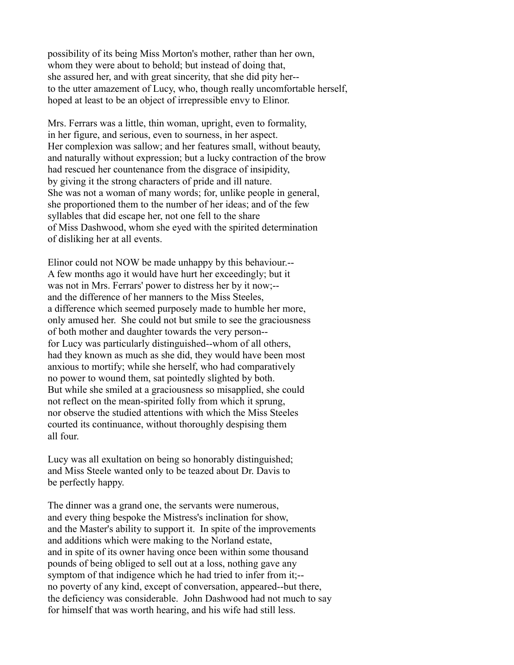possibility of its being Miss Morton's mother, rather than her own, whom they were about to behold; but instead of doing that, she assured her, and with great sincerity, that she did pity her- to the utter amazement of Lucy, who, though really uncomfortable herself, hoped at least to be an object of irrepressible envy to Elinor.

Mrs. Ferrars was a little, thin woman, upright, even to formality, in her figure, and serious, even to sourness, in her aspect. Her complexion was sallow; and her features small, without beauty, and naturally without expression; but a lucky contraction of the brow had rescued her countenance from the disgrace of insipidity, by giving it the strong characters of pride and ill nature. She was not a woman of many words; for, unlike people in general, she proportioned them to the number of her ideas; and of the few syllables that did escape her, not one fell to the share of Miss Dashwood, whom she eyed with the spirited determination of disliking her at all events.

Elinor could not NOW be made unhappy by this behaviour.-- A few months ago it would have hurt her exceedingly; but it was not in Mrs. Ferrars' power to distress her by it now;- and the difference of her manners to the Miss Steeles, a difference which seemed purposely made to humble her more, only amused her. She could not but smile to see the graciousness of both mother and daughter towards the very person- for Lucy was particularly distinguished--whom of all others, had they known as much as she did, they would have been most anxious to mortify; while she herself, who had comparatively no power to wound them, sat pointedly slighted by both. But while she smiled at a graciousness so misapplied, she could not reflect on the mean-spirited folly from which it sprung, nor observe the studied attentions with which the Miss Steeles courted its continuance, without thoroughly despising them all four.

Lucy was all exultation on being so honorably distinguished; and Miss Steele wanted only to be teazed about Dr. Davis to be perfectly happy.

The dinner was a grand one, the servants were numerous, and every thing bespoke the Mistress's inclination for show, and the Master's ability to support it. In spite of the improvements and additions which were making to the Norland estate, and in spite of its owner having once been within some thousand pounds of being obliged to sell out at a loss, nothing gave any symptom of that indigence which he had tried to infer from it;- no poverty of any kind, except of conversation, appeared--but there, the deficiency was considerable. John Dashwood had not much to say for himself that was worth hearing, and his wife had still less.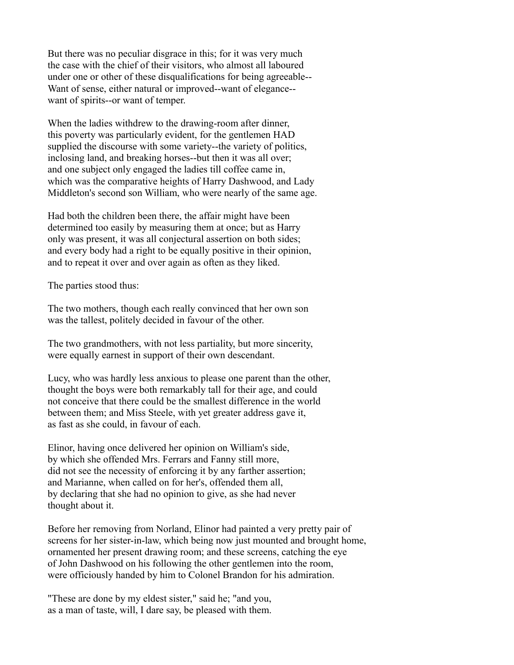But there was no peculiar disgrace in this; for it was very much the case with the chief of their visitors, who almost all laboured under one or other of these disqualifications for being agreeable-- Want of sense, either natural or improved--want of elegance- want of spirits--or want of temper.

When the ladies withdrew to the drawing-room after dinner, this poverty was particularly evident, for the gentlemen HAD supplied the discourse with some variety--the variety of politics, inclosing land, and breaking horses--but then it was all over; and one subject only engaged the ladies till coffee came in, which was the comparative heights of Harry Dashwood, and Lady Middleton's second son William, who were nearly of the same age.

Had both the children been there, the affair might have been determined too easily by measuring them at once; but as Harry only was present, it was all conjectural assertion on both sides; and every body had a right to be equally positive in their opinion, and to repeat it over and over again as often as they liked.

The parties stood thus:

The two mothers, though each really convinced that her own son was the tallest, politely decided in favour of the other.

The two grandmothers, with not less partiality, but more sincerity, were equally earnest in support of their own descendant.

Lucy, who was hardly less anxious to please one parent than the other, thought the boys were both remarkably tall for their age, and could not conceive that there could be the smallest difference in the world between them; and Miss Steele, with yet greater address gave it, as fast as she could, in favour of each.

Elinor, having once delivered her opinion on William's side, by which she offended Mrs. Ferrars and Fanny still more, did not see the necessity of enforcing it by any farther assertion; and Marianne, when called on for her's, offended them all, by declaring that she had no opinion to give, as she had never thought about it.

Before her removing from Norland, Elinor had painted a very pretty pair of screens for her sister-in-law, which being now just mounted and brought home, ornamented her present drawing room; and these screens, catching the eye of John Dashwood on his following the other gentlemen into the room, were officiously handed by him to Colonel Brandon for his admiration.

"These are done by my eldest sister," said he; "and you, as a man of taste, will, I dare say, be pleased with them.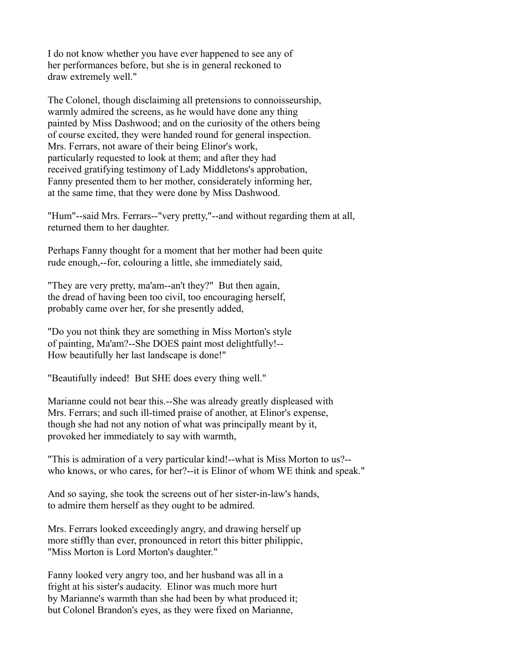I do not know whether you have ever happened to see any of her performances before, but she is in general reckoned to draw extremely well."

The Colonel, though disclaiming all pretensions to connoisseurship, warmly admired the screens, as he would have done any thing painted by Miss Dashwood; and on the curiosity of the others being of course excited, they were handed round for general inspection. Mrs. Ferrars, not aware of their being Elinor's work, particularly requested to look at them; and after they had received gratifying testimony of Lady Middletons's approbation, Fanny presented them to her mother, considerately informing her, at the same time, that they were done by Miss Dashwood.

"Hum"--said Mrs. Ferrars--"very pretty,"--and without regarding them at all, returned them to her daughter.

Perhaps Fanny thought for a moment that her mother had been quite rude enough,--for, colouring a little, she immediately said,

"They are very pretty, ma'am--an't they?" But then again, the dread of having been too civil, too encouraging herself, probably came over her, for she presently added,

"Do you not think they are something in Miss Morton's style of painting, Ma'am?--She DOES paint most delightfully!-- How beautifully her last landscape is done!"

"Beautifully indeed! But SHE does every thing well."

Marianne could not bear this.--She was already greatly displeased with Mrs. Ferrars; and such ill-timed praise of another, at Elinor's expense, though she had not any notion of what was principally meant by it, provoked her immediately to say with warmth,

"This is admiration of a very particular kind!--what is Miss Morton to us?- who knows, or who cares, for her?--it is Elinor of whom WE think and speak."

And so saying, she took the screens out of her sister-in-law's hands, to admire them herself as they ought to be admired.

Mrs. Ferrars looked exceedingly angry, and drawing herself up more stiffly than ever, pronounced in retort this bitter philippic, "Miss Morton is Lord Morton's daughter."

Fanny looked very angry too, and her husband was all in a fright at his sister's audacity. Elinor was much more hurt by Marianne's warmth than she had been by what produced it; but Colonel Brandon's eyes, as they were fixed on Marianne,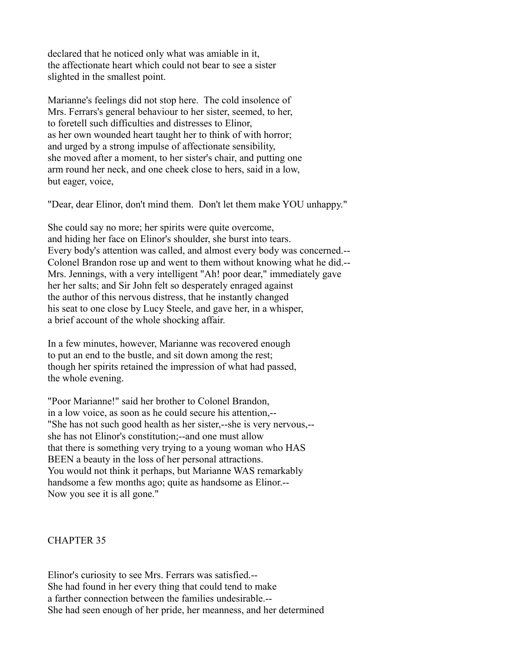declared that he noticed only what was amiable in it, the affectionate heart which could not bear to see a sister slighted in the smallest point.

Marianne's feelings did not stop here. The cold insolence of Mrs. Ferrars's general behaviour to her sister, seemed, to her, to foretell such difficulties and distresses to Elinor, as her own wounded heart taught her to think of with horror; and urged by a strong impulse of affectionate sensibility, she moved after a moment, to her sister's chair, and putting one arm round her neck, and one cheek close to hers, said in a low, but eager, voice,

"Dear, dear Elinor, don't mind them. Don't let them make YOU unhappy."

She could say no more; her spirits were quite overcome, and hiding her face on Elinor's shoulder, she burst into tears. Every body's attention was called, and almost every body was concerned.-- Colonel Brandon rose up and went to them without knowing what he did.-- Mrs. Jennings, with a very intelligent "Ah! poor dear," immediately gave her her salts; and Sir John felt so desperately enraged against the author of this nervous distress, that he instantly changed his seat to one close by Lucy Steele, and gave her, in a whisper, a brief account of the whole shocking affair.

In a few minutes, however, Marianne was recovered enough to put an end to the bustle, and sit down among the rest; though her spirits retained the impression of what had passed, the whole evening.

"Poor Marianne!" said her brother to Colonel Brandon, in a low voice, as soon as he could secure his attention,-- "She has not such good health as her sister,--she is very nervous,- she has not Elinor's constitution;--and one must allow that there is something very trying to a young woman who HAS BEEN a beauty in the loss of her personal attractions. You would not think it perhaps, but Marianne WAS remarkably handsome a few months ago; quite as handsome as Elinor.--Now you see it is all gone."

### CHAPTER 35

Elinor's curiosity to see Mrs. Ferrars was satisfied.-- She had found in her every thing that could tend to make a farther connection between the families undesirable.-- She had seen enough of her pride, her meanness, and her determined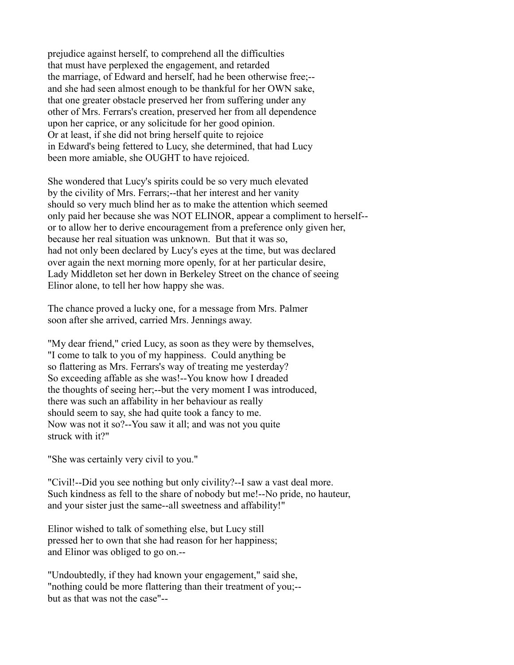prejudice against herself, to comprehend all the difficulties that must have perplexed the engagement, and retarded the marriage, of Edward and herself, had he been otherwise free;- and she had seen almost enough to be thankful for her OWN sake, that one greater obstacle preserved her from suffering under any other of Mrs. Ferrars's creation, preserved her from all dependence upon her caprice, or any solicitude for her good opinion. Or at least, if she did not bring herself quite to rejoice in Edward's being fettered to Lucy, she determined, that had Lucy been more amiable, she OUGHT to have rejoiced.

She wondered that Lucy's spirits could be so very much elevated by the civility of Mrs. Ferrars;--that her interest and her vanity should so very much blind her as to make the attention which seemed only paid her because she was NOT ELINOR, appear a compliment to herself- or to allow her to derive encouragement from a preference only given her, because her real situation was unknown. But that it was so, had not only been declared by Lucy's eyes at the time, but was declared over again the next morning more openly, for at her particular desire, Lady Middleton set her down in Berkeley Street on the chance of seeing Elinor alone, to tell her how happy she was.

The chance proved a lucky one, for a message from Mrs. Palmer soon after she arrived, carried Mrs. Jennings away.

"My dear friend," cried Lucy, as soon as they were by themselves, "I come to talk to you of my happiness. Could anything be so flattering as Mrs. Ferrars's way of treating me yesterday? So exceeding affable as she was!--You know how I dreaded the thoughts of seeing her;--but the very moment I was introduced, there was such an affability in her behaviour as really should seem to say, she had quite took a fancy to me. Now was not it so?--You saw it all; and was not you quite struck with it?"

"She was certainly very civil to you."

"Civil!--Did you see nothing but only civility?--I saw a vast deal more. Such kindness as fell to the share of nobody but me!--No pride, no hauteur, and your sister just the same--all sweetness and affability!"

Elinor wished to talk of something else, but Lucy still pressed her to own that she had reason for her happiness; and Elinor was obliged to go on.--

"Undoubtedly, if they had known your engagement," said she, "nothing could be more flattering than their treatment of you;- but as that was not the case"--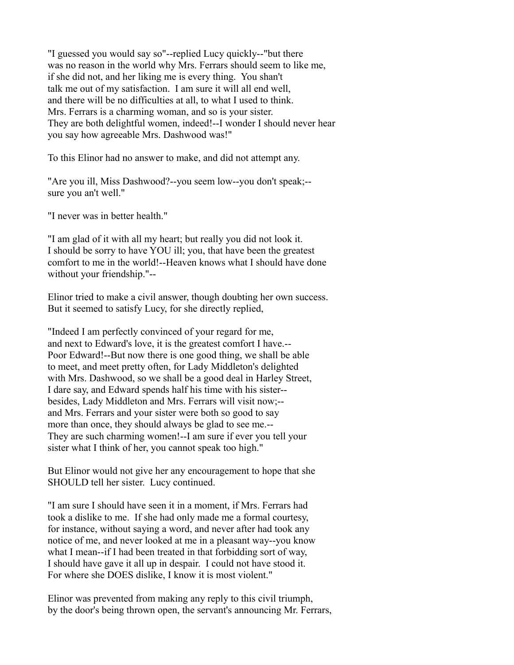"I guessed you would say so"--replied Lucy quickly--"but there was no reason in the world why Mrs. Ferrars should seem to like me, if she did not, and her liking me is every thing. You shan't talk me out of my satisfaction. I am sure it will all end well, and there will be no difficulties at all, to what I used to think. Mrs. Ferrars is a charming woman, and so is your sister. They are both delightful women, indeed!--I wonder I should never hear you say how agreeable Mrs. Dashwood was!"

To this Elinor had no answer to make, and did not attempt any.

"Are you ill, Miss Dashwood?--you seem low--you don't speak;- sure you an't well."

"I never was in better health."

"I am glad of it with all my heart; but really you did not look it. I should be sorry to have YOU ill; you, that have been the greatest comfort to me in the world!--Heaven knows what I should have done without your friendship."--

Elinor tried to make a civil answer, though doubting her own success. But it seemed to satisfy Lucy, for she directly replied,

"Indeed I am perfectly convinced of your regard for me, and next to Edward's love, it is the greatest comfort I have.-- Poor Edward!--But now there is one good thing, we shall be able to meet, and meet pretty often, for Lady Middleton's delighted with Mrs. Dashwood, so we shall be a good deal in Harley Street, I dare say, and Edward spends half his time with his sister- besides, Lady Middleton and Mrs. Ferrars will visit now;- and Mrs. Ferrars and your sister were both so good to say more than once, they should always be glad to see me.-- They are such charming women!--I am sure if ever you tell your sister what I think of her, you cannot speak too high."

But Elinor would not give her any encouragement to hope that she SHOULD tell her sister. Lucy continued.

"I am sure I should have seen it in a moment, if Mrs. Ferrars had took a dislike to me. If she had only made me a formal courtesy, for instance, without saying a word, and never after had took any notice of me, and never looked at me in a pleasant way--you know what I mean--if I had been treated in that forbidding sort of way, I should have gave it all up in despair. I could not have stood it. For where she DOES dislike, I know it is most violent."

Elinor was prevented from making any reply to this civil triumph, by the door's being thrown open, the servant's announcing Mr. Ferrars,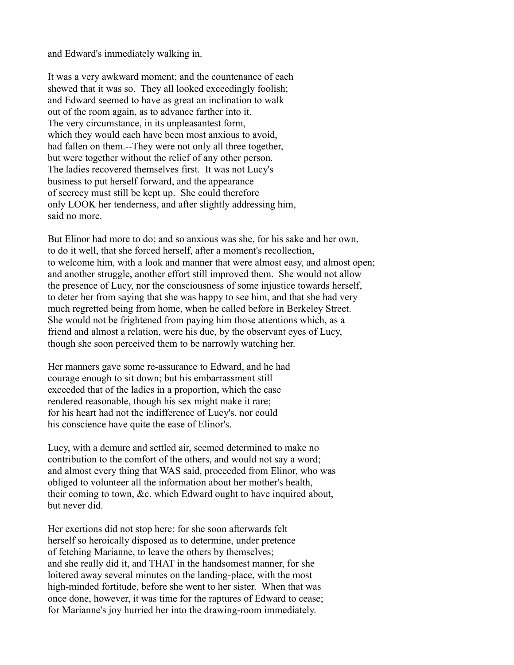and Edward's immediately walking in.

It was a very awkward moment; and the countenance of each shewed that it was so. They all looked exceedingly foolish; and Edward seemed to have as great an inclination to walk out of the room again, as to advance farther into it. The very circumstance, in its unpleasantest form, which they would each have been most anxious to avoid, had fallen on them.--They were not only all three together, but were together without the relief of any other person. The ladies recovered themselves first. It was not Lucy's business to put herself forward, and the appearance of secrecy must still be kept up. She could therefore only LOOK her tenderness, and after slightly addressing him, said no more.

But Elinor had more to do; and so anxious was she, for his sake and her own, to do it well, that she forced herself, after a moment's recollection, to welcome him, with a look and manner that were almost easy, and almost open; and another struggle, another effort still improved them. She would not allow the presence of Lucy, nor the consciousness of some injustice towards herself, to deter her from saying that she was happy to see him, and that she had very much regretted being from home, when he called before in Berkeley Street. She would not be frightened from paying him those attentions which, as a friend and almost a relation, were his due, by the observant eyes of Lucy, though she soon perceived them to be narrowly watching her.

Her manners gave some re-assurance to Edward, and he had courage enough to sit down; but his embarrassment still exceeded that of the ladies in a proportion, which the case rendered reasonable, though his sex might make it rare; for his heart had not the indifference of Lucy's, nor could his conscience have quite the ease of Elinor's.

Lucy, with a demure and settled air, seemed determined to make no contribution to the comfort of the others, and would not say a word; and almost every thing that WAS said, proceeded from Elinor, who was obliged to volunteer all the information about her mother's health, their coming to town, &c. which Edward ought to have inquired about, but never did.

Her exertions did not stop here; for she soon afterwards felt herself so heroically disposed as to determine, under pretence of fetching Marianne, to leave the others by themselves; and she really did it, and THAT in the handsomest manner, for she loitered away several minutes on the landing-place, with the most high-minded fortitude, before she went to her sister. When that was once done, however, it was time for the raptures of Edward to cease; for Marianne's joy hurried her into the drawing-room immediately.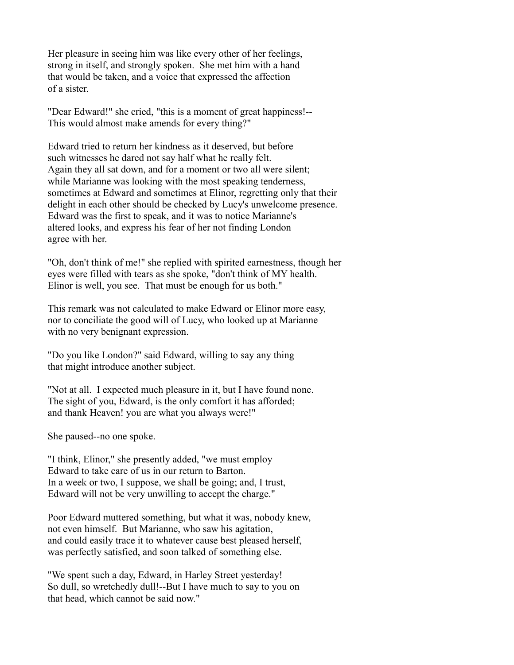Her pleasure in seeing him was like every other of her feelings, strong in itself, and strongly spoken. She met him with a hand that would be taken, and a voice that expressed the affection of a sister.

"Dear Edward!" she cried, "this is a moment of great happiness!-- This would almost make amends for every thing?"

Edward tried to return her kindness as it deserved, but before such witnesses he dared not say half what he really felt. Again they all sat down, and for a moment or two all were silent; while Marianne was looking with the most speaking tenderness, sometimes at Edward and sometimes at Elinor, regretting only that their delight in each other should be checked by Lucy's unwelcome presence. Edward was the first to speak, and it was to notice Marianne's altered looks, and express his fear of her not finding London agree with her.

"Oh, don't think of me!" she replied with spirited earnestness, though her eyes were filled with tears as she spoke, "don't think of MY health. Elinor is well, you see. That must be enough for us both."

This remark was not calculated to make Edward or Elinor more easy, nor to conciliate the good will of Lucy, who looked up at Marianne with no very benignant expression.

"Do you like London?" said Edward, willing to say any thing that might introduce another subject.

"Not at all. I expected much pleasure in it, but I have found none. The sight of you, Edward, is the only comfort it has afforded; and thank Heaven! you are what you always were!"

She paused--no one spoke.

"I think, Elinor," she presently added, "we must employ Edward to take care of us in our return to Barton. In a week or two, I suppose, we shall be going; and, I trust, Edward will not be very unwilling to accept the charge."

Poor Edward muttered something, but what it was, nobody knew, not even himself. But Marianne, who saw his agitation, and could easily trace it to whatever cause best pleased herself, was perfectly satisfied, and soon talked of something else.

"We spent such a day, Edward, in Harley Street yesterday! So dull, so wretchedly dull!--But I have much to say to you on that head, which cannot be said now."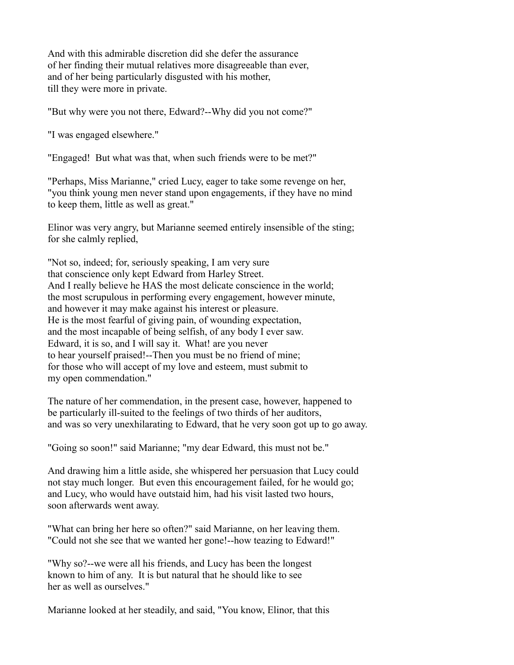And with this admirable discretion did she defer the assurance of her finding their mutual relatives more disagreeable than ever, and of her being particularly disgusted with his mother, till they were more in private.

"But why were you not there, Edward?--Why did you not come?"

"I was engaged elsewhere."

"Engaged! But what was that, when such friends were to be met?"

"Perhaps, Miss Marianne," cried Lucy, eager to take some revenge on her, "you think young men never stand upon engagements, if they have no mind to keep them, little as well as great."

Elinor was very angry, but Marianne seemed entirely insensible of the sting; for she calmly replied,

"Not so, indeed; for, seriously speaking, I am very sure that conscience only kept Edward from Harley Street. And I really believe he HAS the most delicate conscience in the world; the most scrupulous in performing every engagement, however minute, and however it may make against his interest or pleasure. He is the most fearful of giving pain, of wounding expectation, and the most incapable of being selfish, of any body I ever saw. Edward, it is so, and I will say it. What! are you never to hear yourself praised!--Then you must be no friend of mine; for those who will accept of my love and esteem, must submit to my open commendation."

The nature of her commendation, in the present case, however, happened to be particularly ill-suited to the feelings of two thirds of her auditors, and was so very unexhilarating to Edward, that he very soon got up to go away.

"Going so soon!" said Marianne; "my dear Edward, this must not be."

And drawing him a little aside, she whispered her persuasion that Lucy could not stay much longer. But even this encouragement failed, for he would go; and Lucy, who would have outstaid him, had his visit lasted two hours, soon afterwards went away.

"What can bring her here so often?" said Marianne, on her leaving them. "Could not she see that we wanted her gone!--how teazing to Edward!"

"Why so?--we were all his friends, and Lucy has been the longest known to him of any. It is but natural that he should like to see her as well as ourselves."

Marianne looked at her steadily, and said, "You know, Elinor, that this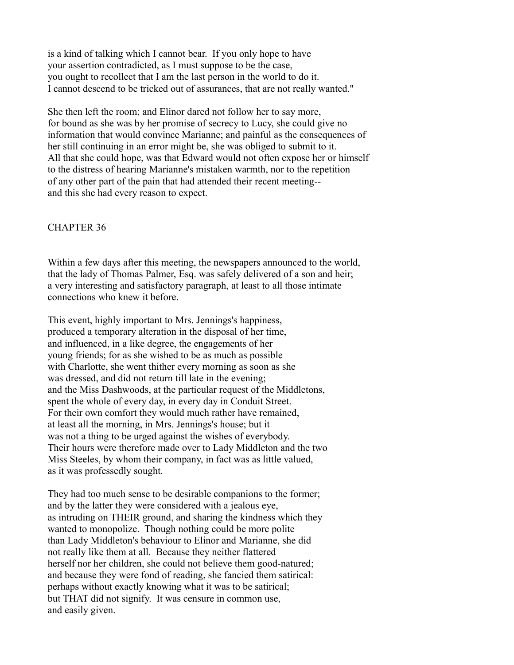is a kind of talking which I cannot bear. If you only hope to have your assertion contradicted, as I must suppose to be the case, you ought to recollect that I am the last person in the world to do it. I cannot descend to be tricked out of assurances, that are not really wanted."

She then left the room; and Elinor dared not follow her to say more, for bound as she was by her promise of secrecy to Lucy, she could give no information that would convince Marianne; and painful as the consequences of her still continuing in an error might be, she was obliged to submit to it. All that she could hope, was that Edward would not often expose her or himself to the distress of hearing Marianne's mistaken warmth, nor to the repetition of any other part of the pain that had attended their recent meeting- and this she had every reason to expect.

## CHAPTER 36

Within a few days after this meeting, the newspapers announced to the world, that the lady of Thomas Palmer, Esq. was safely delivered of a son and heir; a very interesting and satisfactory paragraph, at least to all those intimate connections who knew it before.

This event, highly important to Mrs. Jennings's happiness, produced a temporary alteration in the disposal of her time, and influenced, in a like degree, the engagements of her young friends; for as she wished to be as much as possible with Charlotte, she went thither every morning as soon as she was dressed, and did not return till late in the evening; and the Miss Dashwoods, at the particular request of the Middletons, spent the whole of every day, in every day in Conduit Street. For their own comfort they would much rather have remained, at least all the morning, in Mrs. Jennings's house; but it was not a thing to be urged against the wishes of everybody. Their hours were therefore made over to Lady Middleton and the two Miss Steeles, by whom their company, in fact was as little valued, as it was professedly sought.

They had too much sense to be desirable companions to the former; and by the latter they were considered with a jealous eye, as intruding on THEIR ground, and sharing the kindness which they wanted to monopolize. Though nothing could be more polite than Lady Middleton's behaviour to Elinor and Marianne, she did not really like them at all. Because they neither flattered herself nor her children, she could not believe them good-natured; and because they were fond of reading, she fancied them satirical: perhaps without exactly knowing what it was to be satirical; but THAT did not signify. It was censure in common use, and easily given.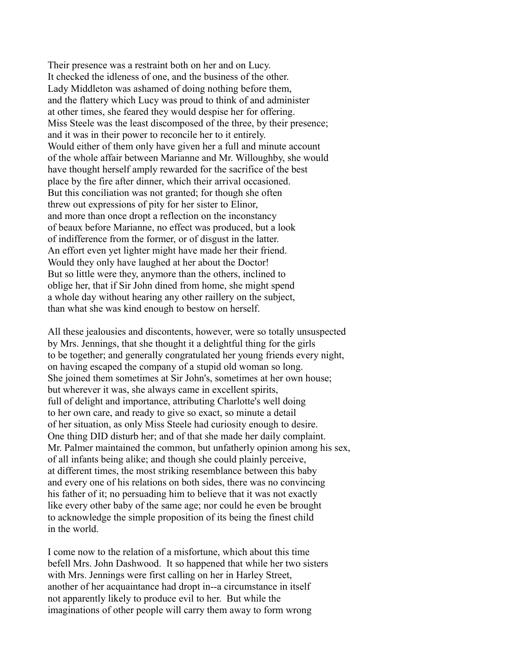Their presence was a restraint both on her and on Lucy. It checked the idleness of one, and the business of the other. Lady Middleton was ashamed of doing nothing before them, and the flattery which Lucy was proud to think of and administer at other times, she feared they would despise her for offering. Miss Steele was the least discomposed of the three, by their presence; and it was in their power to reconcile her to it entirely. Would either of them only have given her a full and minute account of the whole affair between Marianne and Mr. Willoughby, she would have thought herself amply rewarded for the sacrifice of the best place by the fire after dinner, which their arrival occasioned. But this conciliation was not granted; for though she often threw out expressions of pity for her sister to Elinor, and more than once dropt a reflection on the inconstancy of beaux before Marianne, no effect was produced, but a look of indifference from the former, or of disgust in the latter. An effort even yet lighter might have made her their friend. Would they only have laughed at her about the Doctor! But so little were they, anymore than the others, inclined to oblige her, that if Sir John dined from home, she might spend a whole day without hearing any other raillery on the subject, than what she was kind enough to bestow on herself.

All these jealousies and discontents, however, were so totally unsuspected by Mrs. Jennings, that she thought it a delightful thing for the girls to be together; and generally congratulated her young friends every night, on having escaped the company of a stupid old woman so long. She joined them sometimes at Sir John's, sometimes at her own house; but wherever it was, she always came in excellent spirits, full of delight and importance, attributing Charlotte's well doing to her own care, and ready to give so exact, so minute a detail of her situation, as only Miss Steele had curiosity enough to desire. One thing DID disturb her; and of that she made her daily complaint. Mr. Palmer maintained the common, but unfatherly opinion among his sex, of all infants being alike; and though she could plainly perceive, at different times, the most striking resemblance between this baby and every one of his relations on both sides, there was no convincing his father of it; no persuading him to believe that it was not exactly like every other baby of the same age; nor could he even be brought to acknowledge the simple proposition of its being the finest child in the world.

I come now to the relation of a misfortune, which about this time befell Mrs. John Dashwood. It so happened that while her two sisters with Mrs. Jennings were first calling on her in Harley Street, another of her acquaintance had dropt in--a circumstance in itself not apparently likely to produce evil to her. But while the imaginations of other people will carry them away to form wrong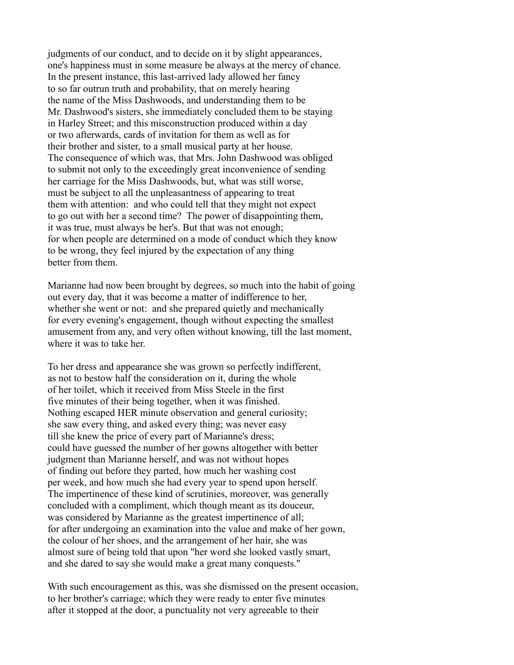judgments of our conduct, and to decide on it by slight appearances, one's happiness must in some measure be always at the mercy of chance. In the present instance, this last-arrived lady allowed her fancy to so far outrun truth and probability, that on merely hearing the name of the Miss Dashwoods, and understanding them to be Mr. Dashwood's sisters, she immediately concluded them to be staying in Harley Street; and this misconstruction produced within a day or two afterwards, cards of invitation for them as well as for their brother and sister, to a small musical party at her house. The consequence of which was, that Mrs. John Dashwood was obliged to submit not only to the exceedingly great inconvenience of sending her carriage for the Miss Dashwoods, but, what was still worse, must be subject to all the unpleasantness of appearing to treat them with attention: and who could tell that they might not expect to go out with her a second time? The power of disappointing them, it was true, must always be her's. But that was not enough; for when people are determined on a mode of conduct which they know to be wrong, they feel injured by the expectation of any thing better from them.

Marianne had now been brought by degrees, so much into the habit of going out every day, that it was become a matter of indifference to her, whether she went or not: and she prepared quietly and mechanically for every evening's engagement, though without expecting the smallest amusement from any, and very often without knowing, till the last moment, where it was to take her.

To her dress and appearance she was grown so perfectly indifferent, as not to bestow half the consideration on it, during the whole of her toilet, which it received from Miss Steele in the first five minutes of their being together, when it was finished. Nothing escaped HER minute observation and general curiosity; she saw every thing, and asked every thing; was never easy till she knew the price of every part of Marianne's dress; could have guessed the number of her gowns altogether with better judgment than Marianne herself, and was not without hopes of finding out before they parted, how much her washing cost per week, and how much she had every year to spend upon herself. The impertinence of these kind of scrutinies, moreover, was generally concluded with a compliment, which though meant as its douceur, was considered by Marianne as the greatest impertinence of all; for after undergoing an examination into the value and make of her gown, the colour of her shoes, and the arrangement of her hair, she was almost sure of being told that upon "her word she looked vastly smart, and she dared to say she would make a great many conquests."

With such encouragement as this, was she dismissed on the present occasion, to her brother's carriage; which they were ready to enter five minutes after it stopped at the door, a punctuality not very agreeable to their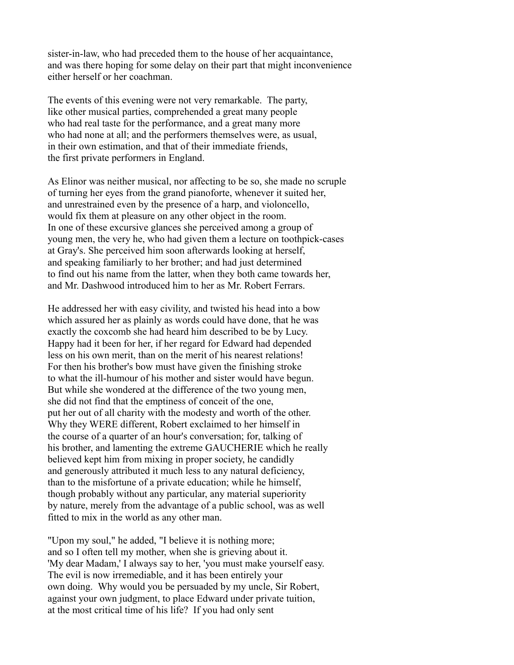sister-in-law, who had preceded them to the house of her acquaintance, and was there hoping for some delay on their part that might inconvenience either herself or her coachman.

The events of this evening were not very remarkable. The party, like other musical parties, comprehended a great many people who had real taste for the performance, and a great many more who had none at all; and the performers themselves were, as usual, in their own estimation, and that of their immediate friends, the first private performers in England.

As Elinor was neither musical, nor affecting to be so, she made no scruple of turning her eyes from the grand pianoforte, whenever it suited her, and unrestrained even by the presence of a harp, and violoncello, would fix them at pleasure on any other object in the room. In one of these excursive glances she perceived among a group of young men, the very he, who had given them a lecture on toothpick-cases at Gray's. She perceived him soon afterwards looking at herself, and speaking familiarly to her brother; and had just determined to find out his name from the latter, when they both came towards her, and Mr. Dashwood introduced him to her as Mr. Robert Ferrars.

He addressed her with easy civility, and twisted his head into a bow which assured her as plainly as words could have done, that he was exactly the coxcomb she had heard him described to be by Lucy. Happy had it been for her, if her regard for Edward had depended less on his own merit, than on the merit of his nearest relations! For then his brother's bow must have given the finishing stroke to what the ill-humour of his mother and sister would have begun. But while she wondered at the difference of the two young men, she did not find that the emptiness of conceit of the one, put her out of all charity with the modesty and worth of the other. Why they WERE different, Robert exclaimed to her himself in the course of a quarter of an hour's conversation; for, talking of his brother, and lamenting the extreme GAUCHERIE which he really believed kept him from mixing in proper society, he candidly and generously attributed it much less to any natural deficiency, than to the misfortune of a private education; while he himself, though probably without any particular, any material superiority by nature, merely from the advantage of a public school, was as well fitted to mix in the world as any other man.

"Upon my soul," he added, "I believe it is nothing more; and so I often tell my mother, when she is grieving about it. 'My dear Madam,' I always say to her, 'you must make yourself easy. The evil is now irremediable, and it has been entirely your own doing. Why would you be persuaded by my uncle, Sir Robert, against your own judgment, to place Edward under private tuition, at the most critical time of his life? If you had only sent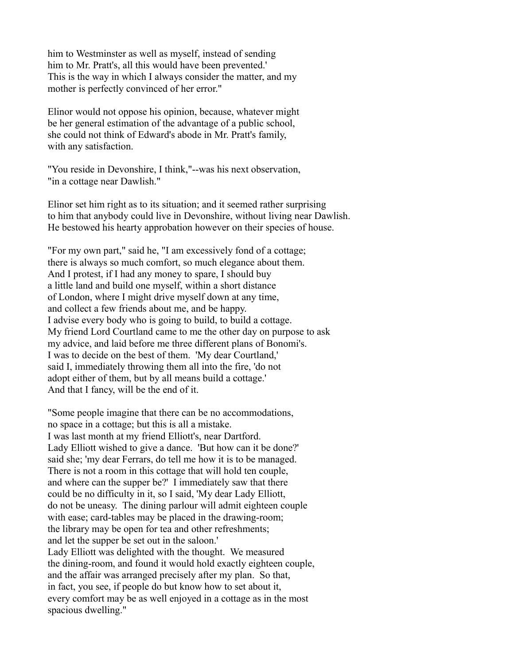him to Westminster as well as myself, instead of sending him to Mr. Pratt's, all this would have been prevented.' This is the way in which I always consider the matter, and my mother is perfectly convinced of her error."

Elinor would not oppose his opinion, because, whatever might be her general estimation of the advantage of a public school, she could not think of Edward's abode in Mr. Pratt's family, with any satisfaction.

"You reside in Devonshire, I think,"--was his next observation, "in a cottage near Dawlish."

Elinor set him right as to its situation; and it seemed rather surprising to him that anybody could live in Devonshire, without living near Dawlish. He bestowed his hearty approbation however on their species of house.

"For my own part," said he, "I am excessively fond of a cottage; there is always so much comfort, so much elegance about them. And I protest, if I had any money to spare, I should buy a little land and build one myself, within a short distance of London, where I might drive myself down at any time, and collect a few friends about me, and be happy. I advise every body who is going to build, to build a cottage. My friend Lord Courtland came to me the other day on purpose to ask my advice, and laid before me three different plans of Bonomi's. I was to decide on the best of them. 'My dear Courtland,' said I, immediately throwing them all into the fire, 'do not adopt either of them, but by all means build a cottage.' And that I fancy, will be the end of it.

"Some people imagine that there can be no accommodations, no space in a cottage; but this is all a mistake. I was last month at my friend Elliott's, near Dartford. Lady Elliott wished to give a dance. 'But how can it be done?' said she; 'my dear Ferrars, do tell me how it is to be managed. There is not a room in this cottage that will hold ten couple, and where can the supper be?' I immediately saw that there could be no difficulty in it, so I said, 'My dear Lady Elliott, do not be uneasy. The dining parlour will admit eighteen couple with ease; card-tables may be placed in the drawing-room; the library may be open for tea and other refreshments; and let the supper be set out in the saloon.' Lady Elliott was delighted with the thought. We measured the dining-room, and found it would hold exactly eighteen couple, and the affair was arranged precisely after my plan. So that, in fact, you see, if people do but know how to set about it, every comfort may be as well enjoyed in a cottage as in the most spacious dwelling."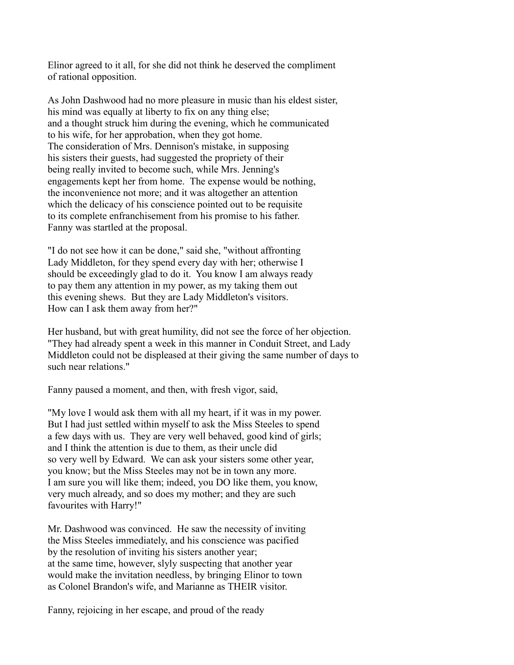Elinor agreed to it all, for she did not think he deserved the compliment of rational opposition.

As John Dashwood had no more pleasure in music than his eldest sister, his mind was equally at liberty to fix on any thing else; and a thought struck him during the evening, which he communicated to his wife, for her approbation, when they got home. The consideration of Mrs. Dennison's mistake, in supposing his sisters their guests, had suggested the propriety of their being really invited to become such, while Mrs. Jenning's engagements kept her from home. The expense would be nothing, the inconvenience not more; and it was altogether an attention which the delicacy of his conscience pointed out to be requisite to its complete enfranchisement from his promise to his father. Fanny was startled at the proposal.

"I do not see how it can be done," said she, "without affronting Lady Middleton, for they spend every day with her; otherwise I should be exceedingly glad to do it. You know I am always ready to pay them any attention in my power, as my taking them out this evening shews. But they are Lady Middleton's visitors. How can I ask them away from her?"

Her husband, but with great humility, did not see the force of her objection. "They had already spent a week in this manner in Conduit Street, and Lady Middleton could not be displeased at their giving the same number of days to such near relations."

Fanny paused a moment, and then, with fresh vigor, said,

"My love I would ask them with all my heart, if it was in my power. But I had just settled within myself to ask the Miss Steeles to spend a few days with us. They are very well behaved, good kind of girls; and I think the attention is due to them, as their uncle did so very well by Edward. We can ask your sisters some other year, you know; but the Miss Steeles may not be in town any more. I am sure you will like them; indeed, you DO like them, you know, very much already, and so does my mother; and they are such favourites with Harry!"

Mr. Dashwood was convinced. He saw the necessity of inviting the Miss Steeles immediately, and his conscience was pacified by the resolution of inviting his sisters another year; at the same time, however, slyly suspecting that another year would make the invitation needless, by bringing Elinor to town as Colonel Brandon's wife, and Marianne as THEIR visitor.

Fanny, rejoicing in her escape, and proud of the ready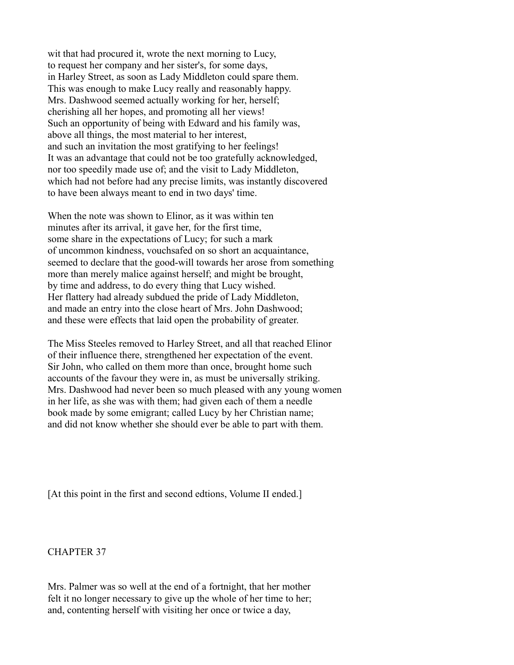wit that had procured it, wrote the next morning to Lucy, to request her company and her sister's, for some days, in Harley Street, as soon as Lady Middleton could spare them. This was enough to make Lucy really and reasonably happy. Mrs. Dashwood seemed actually working for her, herself; cherishing all her hopes, and promoting all her views! Such an opportunity of being with Edward and his family was, above all things, the most material to her interest, and such an invitation the most gratifying to her feelings! It was an advantage that could not be too gratefully acknowledged, nor too speedily made use of; and the visit to Lady Middleton, which had not before had any precise limits, was instantly discovered to have been always meant to end in two days' time.

When the note was shown to Elinor, as it was within ten minutes after its arrival, it gave her, for the first time, some share in the expectations of Lucy; for such a mark of uncommon kindness, vouchsafed on so short an acquaintance, seemed to declare that the good-will towards her arose from something more than merely malice against herself; and might be brought, by time and address, to do every thing that Lucy wished. Her flattery had already subdued the pride of Lady Middleton, and made an entry into the close heart of Mrs. John Dashwood; and these were effects that laid open the probability of greater.

The Miss Steeles removed to Harley Street, and all that reached Elinor of their influence there, strengthened her expectation of the event. Sir John, who called on them more than once, brought home such accounts of the favour they were in, as must be universally striking. Mrs. Dashwood had never been so much pleased with any young women in her life, as she was with them; had given each of them a needle book made by some emigrant; called Lucy by her Christian name; and did not know whether she should ever be able to part with them.

[At this point in the first and second edtions, Volume II ended.]

CHAPTER 37

Mrs. Palmer was so well at the end of a fortnight, that her mother felt it no longer necessary to give up the whole of her time to her; and, contenting herself with visiting her once or twice a day,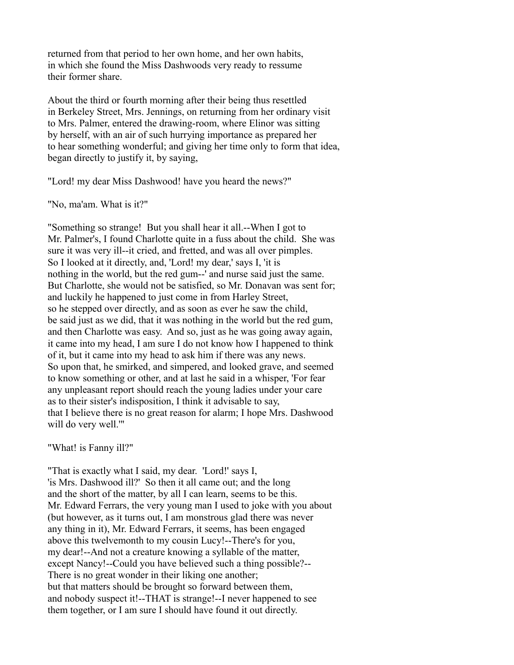returned from that period to her own home, and her own habits, in which she found the Miss Dashwoods very ready to ressume their former share.

About the third or fourth morning after their being thus resettled in Berkeley Street, Mrs. Jennings, on returning from her ordinary visit to Mrs. Palmer, entered the drawing-room, where Elinor was sitting by herself, with an air of such hurrying importance as prepared her to hear something wonderful; and giving her time only to form that idea, began directly to justify it, by saying,

"Lord! my dear Miss Dashwood! have you heard the news?"

"No, ma'am. What is it?"

"Something so strange! But you shall hear it all.--When I got to Mr. Palmer's, I found Charlotte quite in a fuss about the child. She was sure it was very ill--it cried, and fretted, and was all over pimples. So I looked at it directly, and, 'Lord! my dear,' says I, 'it is nothing in the world, but the red gum--' and nurse said just the same. But Charlotte, she would not be satisfied, so Mr. Donavan was sent for; and luckily he happened to just come in from Harley Street, so he stepped over directly, and as soon as ever he saw the child, be said just as we did, that it was nothing in the world but the red gum, and then Charlotte was easy. And so, just as he was going away again, it came into my head, I am sure I do not know how I happened to think of it, but it came into my head to ask him if there was any news. So upon that, he smirked, and simpered, and looked grave, and seemed to know something or other, and at last he said in a whisper, 'For fear any unpleasant report should reach the young ladies under your care as to their sister's indisposition, I think it advisable to say, that I believe there is no great reason for alarm; I hope Mrs. Dashwood will do very well.'"

"What! is Fanny ill?"

"That is exactly what I said, my dear. 'Lord!' says I, 'is Mrs. Dashwood ill?' So then it all came out; and the long and the short of the matter, by all I can learn, seems to be this. Mr. Edward Ferrars, the very young man I used to joke with you about (but however, as it turns out, I am monstrous glad there was never any thing in it), Mr. Edward Ferrars, it seems, has been engaged above this twelvemonth to my cousin Lucy!--There's for you, my dear!--And not a creature knowing a syllable of the matter, except Nancy!--Could you have believed such a thing possible?-- There is no great wonder in their liking one another; but that matters should be brought so forward between them, and nobody suspect it!--THAT is strange!--I never happened to see them together, or I am sure I should have found it out directly.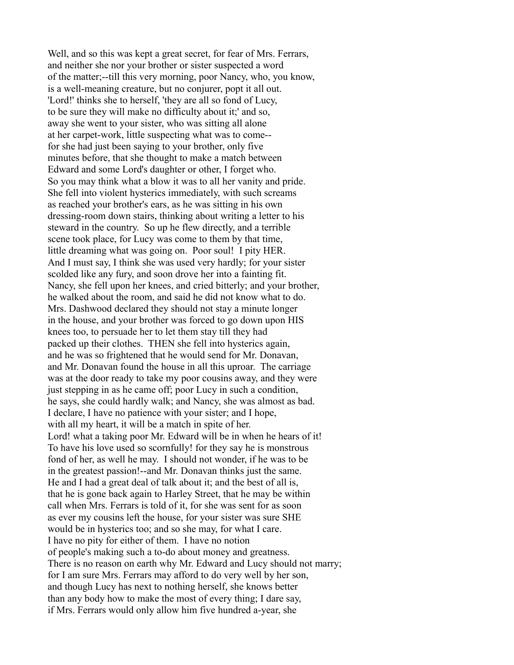Well, and so this was kept a great secret, for fear of Mrs. Ferrars, and neither she nor your brother or sister suspected a word of the matter;--till this very morning, poor Nancy, who, you know, is a well-meaning creature, but no conjurer, popt it all out. 'Lord!' thinks she to herself, 'they are all so fond of Lucy, to be sure they will make no difficulty about it;' and so, away she went to your sister, who was sitting all alone at her carpet-work, little suspecting what was to come- for she had just been saying to your brother, only five minutes before, that she thought to make a match between Edward and some Lord's daughter or other, I forget who. So you may think what a blow it was to all her vanity and pride. She fell into violent hysterics immediately, with such screams as reached your brother's ears, as he was sitting in his own dressing-room down stairs, thinking about writing a letter to his steward in the country. So up he flew directly, and a terrible scene took place, for Lucy was come to them by that time, little dreaming what was going on. Poor soul! I pity HER. And I must say, I think she was used very hardly; for your sister scolded like any fury, and soon drove her into a fainting fit. Nancy, she fell upon her knees, and cried bitterly; and your brother, he walked about the room, and said he did not know what to do. Mrs. Dashwood declared they should not stay a minute longer in the house, and your brother was forced to go down upon HIS knees too, to persuade her to let them stay till they had packed up their clothes. THEN she fell into hysterics again, and he was so frightened that he would send for Mr. Donavan, and Mr. Donavan found the house in all this uproar. The carriage was at the door ready to take my poor cousins away, and they were just stepping in as he came off; poor Lucy in such a condition, he says, she could hardly walk; and Nancy, she was almost as bad. I declare, I have no patience with your sister; and I hope, with all my heart, it will be a match in spite of her. Lord! what a taking poor Mr. Edward will be in when he hears of it! To have his love used so scornfully! for they say he is monstrous fond of her, as well he may. I should not wonder, if he was to be in the greatest passion!--and Mr. Donavan thinks just the same. He and I had a great deal of talk about it; and the best of all is, that he is gone back again to Harley Street, that he may be within call when Mrs. Ferrars is told of it, for she was sent for as soon as ever my cousins left the house, for your sister was sure SHE would be in hysterics too; and so she may, for what I care. I have no pity for either of them. I have no notion of people's making such a to-do about money and greatness. There is no reason on earth why Mr. Edward and Lucy should not marry; for I am sure Mrs. Ferrars may afford to do very well by her son, and though Lucy has next to nothing herself, she knows better than any body how to make the most of every thing; I dare say, if Mrs. Ferrars would only allow him five hundred a-year, she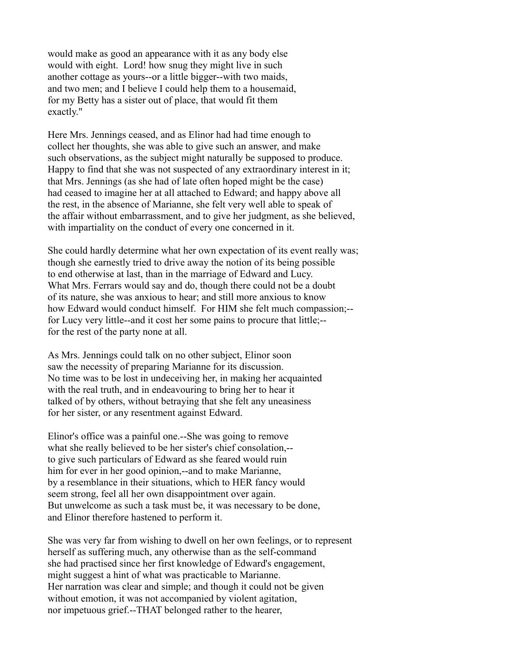would make as good an appearance with it as any body else would with eight. Lord! how snug they might live in such another cottage as yours--or a little bigger--with two maids, and two men; and I believe I could help them to a housemaid, for my Betty has a sister out of place, that would fit them exactly."

Here Mrs. Jennings ceased, and as Elinor had had time enough to collect her thoughts, she was able to give such an answer, and make such observations, as the subject might naturally be supposed to produce. Happy to find that she was not suspected of any extraordinary interest in it; that Mrs. Jennings (as she had of late often hoped might be the case) had ceased to imagine her at all attached to Edward; and happy above all the rest, in the absence of Marianne, she felt very well able to speak of the affair without embarrassment, and to give her judgment, as she believed, with impartiality on the conduct of every one concerned in it.

She could hardly determine what her own expectation of its event really was; though she earnestly tried to drive away the notion of its being possible to end otherwise at last, than in the marriage of Edward and Lucy. What Mrs. Ferrars would say and do, though there could not be a doubt of its nature, she was anxious to hear; and still more anxious to know how Edward would conduct himself. For HIM she felt much compassion;- for Lucy very little--and it cost her some pains to procure that little;- for the rest of the party none at all.

As Mrs. Jennings could talk on no other subject, Elinor soon saw the necessity of preparing Marianne for its discussion. No time was to be lost in undeceiving her, in making her acquainted with the real truth, and in endeavouring to bring her to hear it talked of by others, without betraying that she felt any uneasiness for her sister, or any resentment against Edward.

Elinor's office was a painful one.--She was going to remove what she really believed to be her sister's chief consolation,- to give such particulars of Edward as she feared would ruin him for ever in her good opinion,--and to make Marianne, by a resemblance in their situations, which to HER fancy would seem strong, feel all her own disappointment over again. But unwelcome as such a task must be, it was necessary to be done, and Elinor therefore hastened to perform it.

She was very far from wishing to dwell on her own feelings, or to represent herself as suffering much, any otherwise than as the self-command she had practised since her first knowledge of Edward's engagement, might suggest a hint of what was practicable to Marianne. Her narration was clear and simple; and though it could not be given without emotion, it was not accompanied by violent agitation, nor impetuous grief.--THAT belonged rather to the hearer,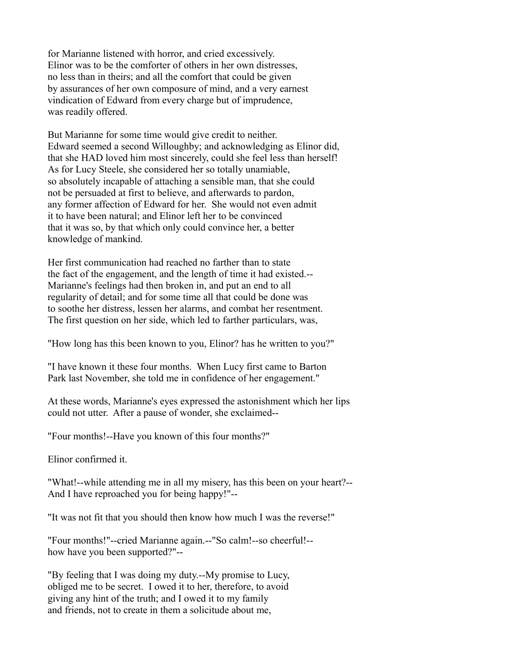for Marianne listened with horror, and cried excessively. Elinor was to be the comforter of others in her own distresses, no less than in theirs; and all the comfort that could be given by assurances of her own composure of mind, and a very earnest vindication of Edward from every charge but of imprudence, was readily offered.

But Marianne for some time would give credit to neither. Edward seemed a second Willoughby; and acknowledging as Elinor did, that she HAD loved him most sincerely, could she feel less than herself! As for Lucy Steele, she considered her so totally unamiable, so absolutely incapable of attaching a sensible man, that she could not be persuaded at first to believe, and afterwards to pardon, any former affection of Edward for her. She would not even admit it to have been natural; and Elinor left her to be convinced that it was so, by that which only could convince her, a better knowledge of mankind.

Her first communication had reached no farther than to state the fact of the engagement, and the length of time it had existed.-- Marianne's feelings had then broken in, and put an end to all regularity of detail; and for some time all that could be done was to soothe her distress, lessen her alarms, and combat her resentment. The first question on her side, which led to farther particulars, was,

"How long has this been known to you, Elinor? has he written to you?"

"I have known it these four months. When Lucy first came to Barton Park last November, she told me in confidence of her engagement."

At these words, Marianne's eyes expressed the astonishment which her lips could not utter. After a pause of wonder, she exclaimed--

"Four months!--Have you known of this four months?"

Elinor confirmed it.

"What!--while attending me in all my misery, has this been on your heart?-- And I have reproached you for being happy!"--

"It was not fit that you should then know how much I was the reverse!"

"Four months!"--cried Marianne again.--"So calm!--so cheerful!- how have you been supported?"--

"By feeling that I was doing my duty.--My promise to Lucy, obliged me to be secret. I owed it to her, therefore, to avoid giving any hint of the truth; and I owed it to my family and friends, not to create in them a solicitude about me,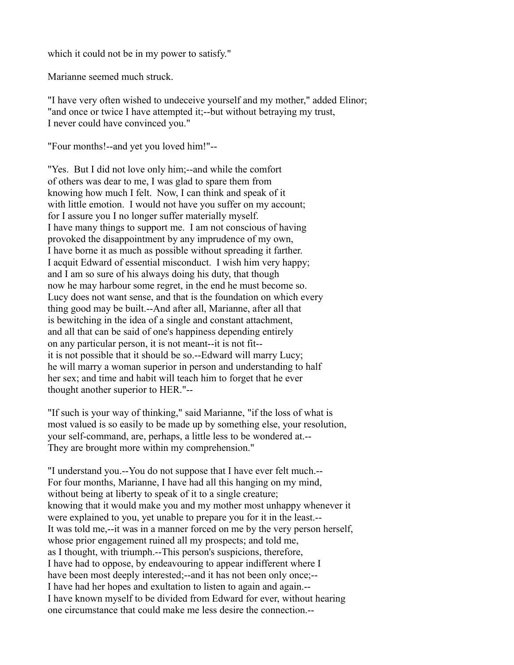which it could not be in my power to satisfy."

Marianne seemed much struck.

"I have very often wished to undeceive yourself and my mother," added Elinor; "and once or twice I have attempted it;--but without betraying my trust, I never could have convinced you."

"Four months!--and yet you loved him!"--

"Yes. But I did not love only him;--and while the comfort of others was dear to me, I was glad to spare them from knowing how much I felt. Now, I can think and speak of it with little emotion. I would not have you suffer on my account; for I assure you I no longer suffer materially myself. I have many things to support me. I am not conscious of having provoked the disappointment by any imprudence of my own, I have borne it as much as possible without spreading it farther. I acquit Edward of essential misconduct. I wish him very happy; and I am so sure of his always doing his duty, that though now he may harbour some regret, in the end he must become so. Lucy does not want sense, and that is the foundation on which every thing good may be built.--And after all, Marianne, after all that is bewitching in the idea of a single and constant attachment, and all that can be said of one's happiness depending entirely on any particular person, it is not meant--it is not fit- it is not possible that it should be so.--Edward will marry Lucy; he will marry a woman superior in person and understanding to half her sex; and time and habit will teach him to forget that he ever thought another superior to HER."--

"If such is your way of thinking," said Marianne, "if the loss of what is most valued is so easily to be made up by something else, your resolution, your self-command, are, perhaps, a little less to be wondered at.-- They are brought more within my comprehension."

"I understand you.--You do not suppose that I have ever felt much.-- For four months, Marianne, I have had all this hanging on my mind, without being at liberty to speak of it to a single creature; knowing that it would make you and my mother most unhappy whenever it were explained to you, yet unable to prepare you for it in the least.-- It was told me,--it was in a manner forced on me by the very person herself, whose prior engagement ruined all my prospects; and told me, as I thought, with triumph.--This person's suspicions, therefore, I have had to oppose, by endeavouring to appear indifferent where I have been most deeply interested;--and it has not been only once;--I have had her hopes and exultation to listen to again and again.-- I have known myself to be divided from Edward for ever, without hearing one circumstance that could make me less desire the connection.--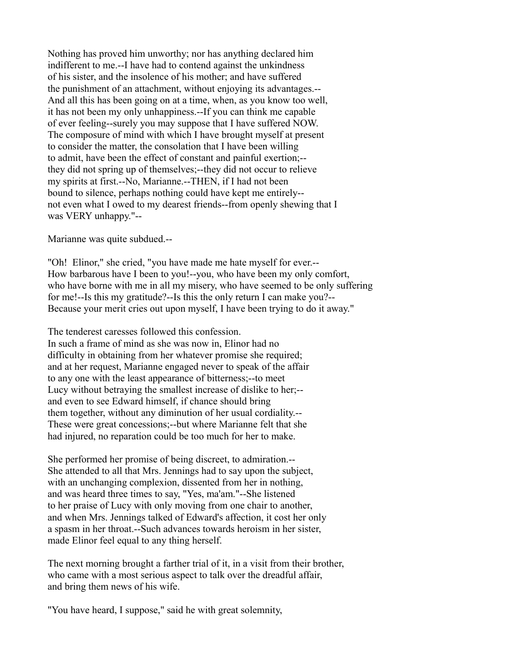Nothing has proved him unworthy; nor has anything declared him indifferent to me.--I have had to contend against the unkindness of his sister, and the insolence of his mother; and have suffered the punishment of an attachment, without enjoying its advantages.-- And all this has been going on at a time, when, as you know too well, it has not been my only unhappiness.--If you can think me capable of ever feeling--surely you may suppose that I have suffered NOW. The composure of mind with which I have brought myself at present to consider the matter, the consolation that I have been willing to admit, have been the effect of constant and painful exertion;- they did not spring up of themselves;--they did not occur to relieve my spirits at first.--No, Marianne.--THEN, if I had not been bound to silence, perhaps nothing could have kept me entirely- not even what I owed to my dearest friends--from openly shewing that I was VERY unhappy."--

Marianne was quite subdued.--

"Oh! Elinor," she cried, "you have made me hate myself for ever.-- How barbarous have I been to you!--you, who have been my only comfort, who have borne with me in all my misery, who have seemed to be only suffering for me!--Is this my gratitude?--Is this the only return I can make you?-- Because your merit cries out upon myself, I have been trying to do it away."

The tenderest caresses followed this confession. In such a frame of mind as she was now in, Elinor had no difficulty in obtaining from her whatever promise she required; and at her request, Marianne engaged never to speak of the affair to any one with the least appearance of bitterness;--to meet Lucy without betraying the smallest increase of dislike to her;- and even to see Edward himself, if chance should bring them together, without any diminution of her usual cordiality.-- These were great concessions;--but where Marianne felt that she had injured, no reparation could be too much for her to make.

She performed her promise of being discreet, to admiration.-- She attended to all that Mrs. Jennings had to say upon the subject, with an unchanging complexion, dissented from her in nothing, and was heard three times to say, "Yes, ma'am."--She listened to her praise of Lucy with only moving from one chair to another, and when Mrs. Jennings talked of Edward's affection, it cost her only a spasm in her throat.--Such advances towards heroism in her sister, made Elinor feel equal to any thing herself.

The next morning brought a farther trial of it, in a visit from their brother, who came with a most serious aspect to talk over the dreadful affair, and bring them news of his wife.

"You have heard, I suppose," said he with great solemnity,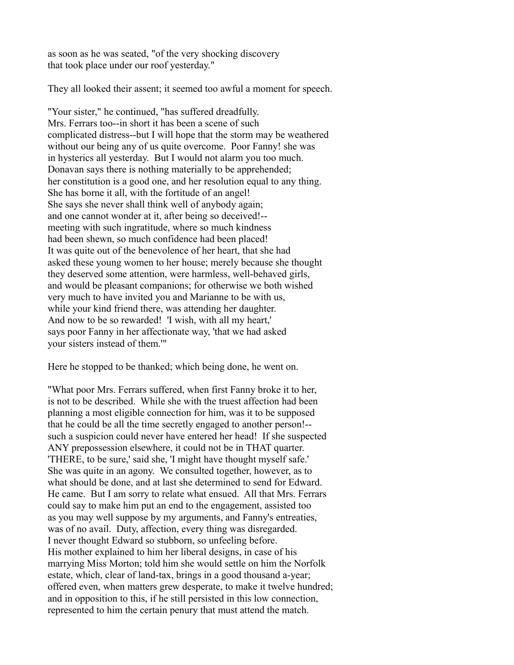as soon as he was seated, "of the very shocking discovery that took place under our roof yesterday."

They all looked their assent; it seemed too awful a moment for speech.

"Your sister," he continued, "has suffered dreadfully. Mrs. Ferrars too--in short it has been a scene of such complicated distress--but I will hope that the storm may be weathered without our being any of us quite overcome. Poor Fanny! she was in hysterics all yesterday. But I would not alarm you too much. Donavan says there is nothing materially to be apprehended; her constitution is a good one, and her resolution equal to any thing. She has borne it all, with the fortitude of an angel! She says she never shall think well of anybody again; and one cannot wonder at it, after being so deceived!- meeting with such ingratitude, where so much kindness had been shewn, so much confidence had been placed! It was quite out of the benevolence of her heart, that she had asked these young women to her house; merely because she thought they deserved some attention, were harmless, well-behaved girls, and would be pleasant companions; for otherwise we both wished very much to have invited you and Marianne to be with us, while your kind friend there, was attending her daughter. And now to be so rewarded! 'I wish, with all my heart,' says poor Fanny in her affectionate way, 'that we had asked your sisters instead of them.'"

Here he stopped to be thanked; which being done, he went on.

"What poor Mrs. Ferrars suffered, when first Fanny broke it to her, is not to be described. While she with the truest affection had been planning a most eligible connection for him, was it to be supposed that he could be all the time secretly engaged to another person!- such a suspicion could never have entered her head! If she suspected ANY prepossession elsewhere, it could not be in THAT quarter. 'THERE, to be sure,' said she, 'I might have thought myself safe.' She was quite in an agony. We consulted together, however, as to what should be done, and at last she determined to send for Edward. He came. But I am sorry to relate what ensued. All that Mrs. Ferrars could say to make him put an end to the engagement, assisted too as you may well suppose by my arguments, and Fanny's entreaties, was of no avail. Duty, affection, every thing was disregarded. I never thought Edward so stubborn, so unfeeling before. His mother explained to him her liberal designs, in case of his marrying Miss Morton; told him she would settle on him the Norfolk estate, which, clear of land-tax, brings in a good thousand a-year; offered even, when matters grew desperate, to make it twelve hundred; and in opposition to this, if he still persisted in this low connection, represented to him the certain penury that must attend the match.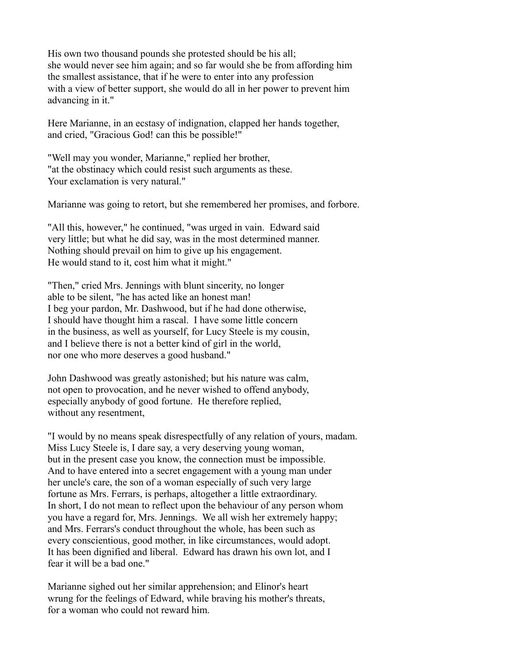His own two thousand pounds she protested should be his all; she would never see him again; and so far would she be from affording him the smallest assistance, that if he were to enter into any profession with a view of better support, she would do all in her power to prevent him advancing in it."

Here Marianne, in an ecstasy of indignation, clapped her hands together, and cried, "Gracious God! can this be possible!"

"Well may you wonder, Marianne," replied her brother, "at the obstinacy which could resist such arguments as these. Your exclamation is very natural."

Marianne was going to retort, but she remembered her promises, and forbore.

"All this, however," he continued, "was urged in vain. Edward said very little; but what he did say, was in the most determined manner. Nothing should prevail on him to give up his engagement. He would stand to it, cost him what it might."

"Then," cried Mrs. Jennings with blunt sincerity, no longer able to be silent, "he has acted like an honest man! I beg your pardon, Mr. Dashwood, but if he had done otherwise, I should have thought him a rascal. I have some little concern in the business, as well as yourself, for Lucy Steele is my cousin, and I believe there is not a better kind of girl in the world, nor one who more deserves a good husband."

John Dashwood was greatly astonished; but his nature was calm, not open to provocation, and he never wished to offend anybody, especially anybody of good fortune. He therefore replied, without any resentment,

"I would by no means speak disrespectfully of any relation of yours, madam. Miss Lucy Steele is, I dare say, a very deserving young woman, but in the present case you know, the connection must be impossible. And to have entered into a secret engagement with a young man under her uncle's care, the son of a woman especially of such very large fortune as Mrs. Ferrars, is perhaps, altogether a little extraordinary. In short, I do not mean to reflect upon the behaviour of any person whom you have a regard for, Mrs. Jennings. We all wish her extremely happy; and Mrs. Ferrars's conduct throughout the whole, has been such as every conscientious, good mother, in like circumstances, would adopt. It has been dignified and liberal. Edward has drawn his own lot, and I fear it will be a bad one."

Marianne sighed out her similar apprehension; and Elinor's heart wrung for the feelings of Edward, while braving his mother's threats, for a woman who could not reward him.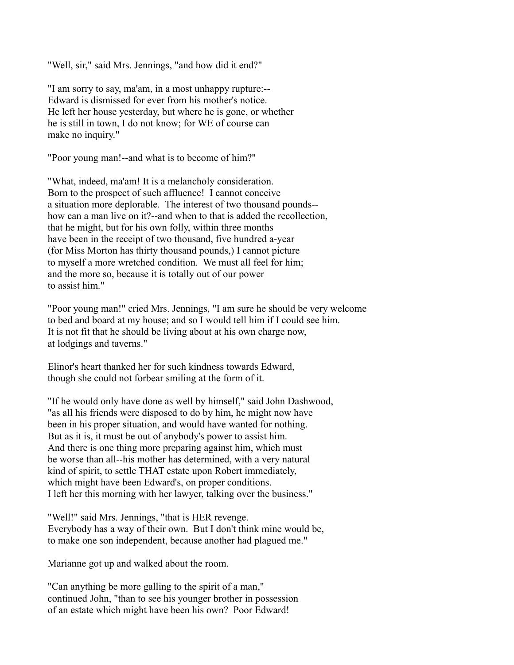"Well, sir," said Mrs. Jennings, "and how did it end?"

"I am sorry to say, ma'am, in a most unhappy rupture:-- Edward is dismissed for ever from his mother's notice. He left her house yesterday, but where he is gone, or whether he is still in town, I do not know; for WE of course can make no inquiry."

"Poor young man!--and what is to become of him?"

"What, indeed, ma'am! It is a melancholy consideration. Born to the prospect of such affluence! I cannot conceive a situation more deplorable. The interest of two thousand pounds- how can a man live on it?--and when to that is added the recollection, that he might, but for his own folly, within three months have been in the receipt of two thousand, five hundred a-year (for Miss Morton has thirty thousand pounds,) I cannot picture to myself a more wretched condition. We must all feel for him; and the more so, because it is totally out of our power to assist him."

"Poor young man!" cried Mrs. Jennings, "I am sure he should be very welcome to bed and board at my house; and so I would tell him if I could see him. It is not fit that he should be living about at his own charge now, at lodgings and taverns."

Elinor's heart thanked her for such kindness towards Edward, though she could not forbear smiling at the form of it.

"If he would only have done as well by himself," said John Dashwood, "as all his friends were disposed to do by him, he might now have been in his proper situation, and would have wanted for nothing. But as it is, it must be out of anybody's power to assist him. And there is one thing more preparing against him, which must be worse than all--his mother has determined, with a very natural kind of spirit, to settle THAT estate upon Robert immediately, which might have been Edward's, on proper conditions. I left her this morning with her lawyer, talking over the business."

"Well!" said Mrs. Jennings, "that is HER revenge. Everybody has a way of their own. But I don't think mine would be, to make one son independent, because another had plagued me."

Marianne got up and walked about the room.

"Can anything be more galling to the spirit of a man," continued John, "than to see his younger brother in possession of an estate which might have been his own? Poor Edward!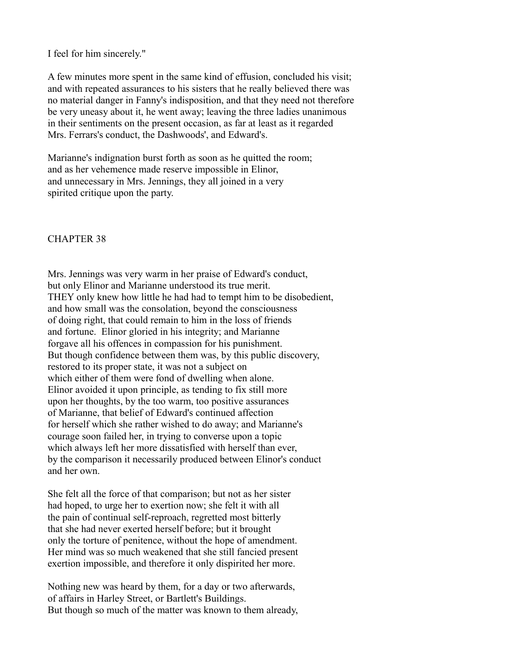I feel for him sincerely."

A few minutes more spent in the same kind of effusion, concluded his visit; and with repeated assurances to his sisters that he really believed there was no material danger in Fanny's indisposition, and that they need not therefore be very uneasy about it, he went away; leaving the three ladies unanimous in their sentiments on the present occasion, as far at least as it regarded Mrs. Ferrars's conduct, the Dashwoods', and Edward's.

Marianne's indignation burst forth as soon as he quitted the room; and as her vehemence made reserve impossible in Elinor, and unnecessary in Mrs. Jennings, they all joined in a very spirited critique upon the party.

#### CHAPTER 38

Mrs. Jennings was very warm in her praise of Edward's conduct, but only Elinor and Marianne understood its true merit. THEY only knew how little he had had to tempt him to be disobedient, and how small was the consolation, beyond the consciousness of doing right, that could remain to him in the loss of friends and fortune. Elinor gloried in his integrity; and Marianne forgave all his offences in compassion for his punishment. But though confidence between them was, by this public discovery, restored to its proper state, it was not a subject on which either of them were fond of dwelling when alone. Elinor avoided it upon principle, as tending to fix still more upon her thoughts, by the too warm, too positive assurances of Marianne, that belief of Edward's continued affection for herself which she rather wished to do away; and Marianne's courage soon failed her, in trying to converse upon a topic which always left her more dissatisfied with herself than ever, by the comparison it necessarily produced between Elinor's conduct and her own.

She felt all the force of that comparison; but not as her sister had hoped, to urge her to exertion now; she felt it with all the pain of continual self-reproach, regretted most bitterly that she had never exerted herself before; but it brought only the torture of penitence, without the hope of amendment. Her mind was so much weakened that she still fancied present exertion impossible, and therefore it only dispirited her more.

Nothing new was heard by them, for a day or two afterwards, of affairs in Harley Street, or Bartlett's Buildings. But though so much of the matter was known to them already,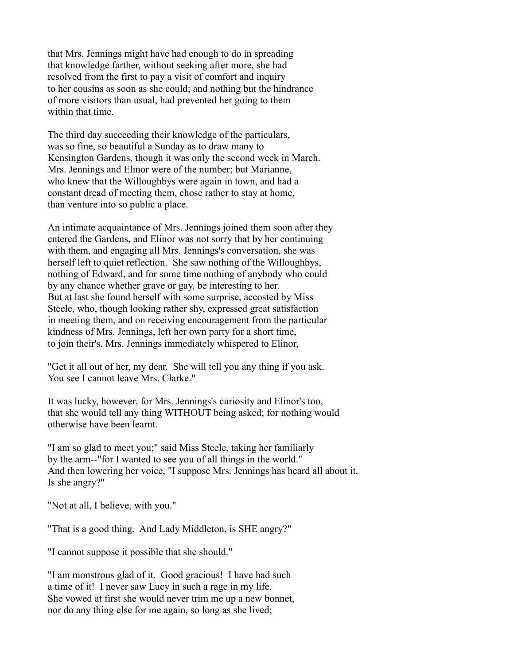that Mrs. Jennings might have had enough to do in spreading that knowledge farther, without seeking after more, she had resolved from the first to pay a visit of comfort and inquiry to her cousins as soon as she could; and nothing but the hindrance of more visitors than usual, had prevented her going to them within that time.

The third day succeeding their knowledge of the particulars, was so fine, so beautiful a Sunday as to draw many to Kensington Gardens, though it was only the second week in March. Mrs. Jennings and Elinor were of the number; but Marianne, who knew that the Willoughbys were again in town, and had a constant dread of meeting them, chose rather to stay at home, than venture into so public a place.

An intimate acquaintance of Mrs. Jennings joined them soon after they entered the Gardens, and Elinor was not sorry that by her continuing with them, and engaging all Mrs. Jennings's conversation, she was herself left to quiet reflection. She saw nothing of the Willoughbys, nothing of Edward, and for some time nothing of anybody who could by any chance whether grave or gay, be interesting to her. But at last she found herself with some surprise, accosted by Miss Steele, who, though looking rather shy, expressed great satisfaction in meeting them, and on receiving encouragement from the particular kindness of Mrs. Jennings, left her own party for a short time, to join their's. Mrs. Jennings immediately whispered to Elinor,

"Get it all out of her, my dear. She will tell you any thing if you ask. You see I cannot leave Mrs. Clarke."

It was lucky, however, for Mrs. Jennings's curiosity and Elinor's too, that she would tell any thing WITHOUT being asked; for nothing would otherwise have been learnt.

"I am so glad to meet you;" said Miss Steele, taking her familiarly by the arm--"for I wanted to see you of all things in the world." And then lowering her voice, "I suppose Mrs. Jennings has heard all about it. Is she angry?"

"Not at all, I believe, with you."

"That is a good thing. And Lady Middleton, is SHE angry?"

"I cannot suppose it possible that she should."

"I am monstrous glad of it. Good gracious! I have had such a time of it! I never saw Lucy in such a rage in my life. She vowed at first she would never trim me up a new bonnet, nor do any thing else for me again, so long as she lived;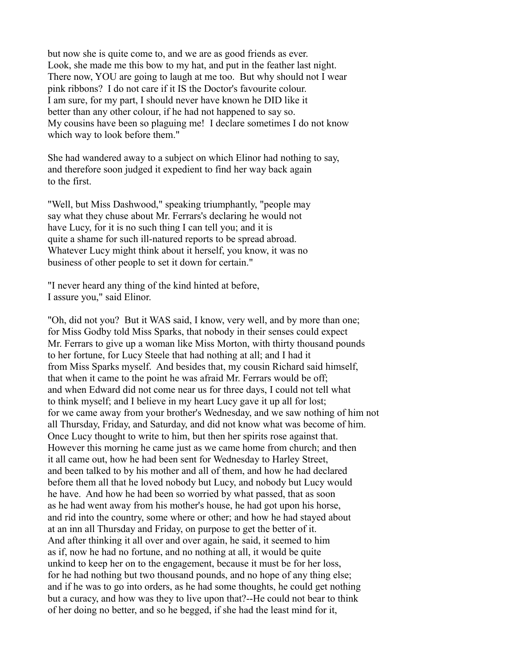but now she is quite come to, and we are as good friends as ever. Look, she made me this bow to my hat, and put in the feather last night. There now, YOU are going to laugh at me too. But why should not I wear pink ribbons? I do not care if it IS the Doctor's favourite colour. I am sure, for my part, I should never have known he DID like it better than any other colour, if he had not happened to say so. My cousins have been so plaguing me! I declare sometimes I do not know which way to look before them."

She had wandered away to a subject on which Elinor had nothing to say, and therefore soon judged it expedient to find her way back again to the first.

"Well, but Miss Dashwood," speaking triumphantly, "people may say what they chuse about Mr. Ferrars's declaring he would not have Lucy, for it is no such thing I can tell you; and it is quite a shame for such ill-natured reports to be spread abroad. Whatever Lucy might think about it herself, you know, it was no business of other people to set it down for certain."

"I never heard any thing of the kind hinted at before, I assure you," said Elinor.

"Oh, did not you? But it WAS said, I know, very well, and by more than one; for Miss Godby told Miss Sparks, that nobody in their senses could expect Mr. Ferrars to give up a woman like Miss Morton, with thirty thousand pounds to her fortune, for Lucy Steele that had nothing at all; and I had it from Miss Sparks myself. And besides that, my cousin Richard said himself, that when it came to the point he was afraid Mr. Ferrars would be off; and when Edward did not come near us for three days, I could not tell what to think myself; and I believe in my heart Lucy gave it up all for lost; for we came away from your brother's Wednesday, and we saw nothing of him not all Thursday, Friday, and Saturday, and did not know what was become of him. Once Lucy thought to write to him, but then her spirits rose against that. However this morning he came just as we came home from church; and then it all came out, how he had been sent for Wednesday to Harley Street, and been talked to by his mother and all of them, and how he had declared before them all that he loved nobody but Lucy, and nobody but Lucy would he have. And how he had been so worried by what passed, that as soon as he had went away from his mother's house, he had got upon his horse, and rid into the country, some where or other; and how he had stayed about at an inn all Thursday and Friday, on purpose to get the better of it. And after thinking it all over and over again, he said, it seemed to him as if, now he had no fortune, and no nothing at all, it would be quite unkind to keep her on to the engagement, because it must be for her loss, for he had nothing but two thousand pounds, and no hope of any thing else; and if he was to go into orders, as he had some thoughts, he could get nothing but a curacy, and how was they to live upon that?--He could not bear to think of her doing no better, and so he begged, if she had the least mind for it,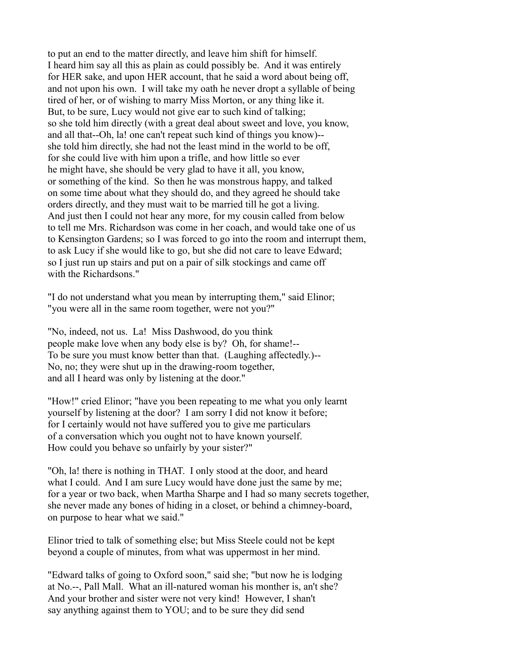to put an end to the matter directly, and leave him shift for himself. I heard him say all this as plain as could possibly be. And it was entirely for HER sake, and upon HER account, that he said a word about being off, and not upon his own. I will take my oath he never dropt a syllable of being tired of her, or of wishing to marry Miss Morton, or any thing like it. But, to be sure, Lucy would not give ear to such kind of talking; so she told him directly (with a great deal about sweet and love, you know, and all that--Oh, la! one can't repeat such kind of things you know)- she told him directly, she had not the least mind in the world to be off, for she could live with him upon a trifle, and how little so ever he might have, she should be very glad to have it all, you know, or something of the kind. So then he was monstrous happy, and talked on some time about what they should do, and they agreed he should take orders directly, and they must wait to be married till he got a living. And just then I could not hear any more, for my cousin called from below to tell me Mrs. Richardson was come in her coach, and would take one of us to Kensington Gardens; so I was forced to go into the room and interrupt them, to ask Lucy if she would like to go, but she did not care to leave Edward; so I just run up stairs and put on a pair of silk stockings and came off with the Richardsons."

"I do not understand what you mean by interrupting them," said Elinor; "you were all in the same room together, were not you?"

"No, indeed, not us. La! Miss Dashwood, do you think people make love when any body else is by? Oh, for shame!-- To be sure you must know better than that. (Laughing affectedly.)-- No, no; they were shut up in the drawing-room together, and all I heard was only by listening at the door."

"How!" cried Elinor; "have you been repeating to me what you only learnt yourself by listening at the door? I am sorry I did not know it before; for I certainly would not have suffered you to give me particulars of a conversation which you ought not to have known yourself. How could you behave so unfairly by your sister?"

"Oh, la! there is nothing in THAT. I only stood at the door, and heard what I could. And I am sure Lucy would have done just the same by me; for a year or two back, when Martha Sharpe and I had so many secrets together, she never made any bones of hiding in a closet, or behind a chimney-board, on purpose to hear what we said."

Elinor tried to talk of something else; but Miss Steele could not be kept beyond a couple of minutes, from what was uppermost in her mind.

"Edward talks of going to Oxford soon," said she; "but now he is lodging at No.--, Pall Mall. What an ill-natured woman his monther is, an't she? And your brother and sister were not very kind! However, I shan't say anything against them to YOU; and to be sure they did send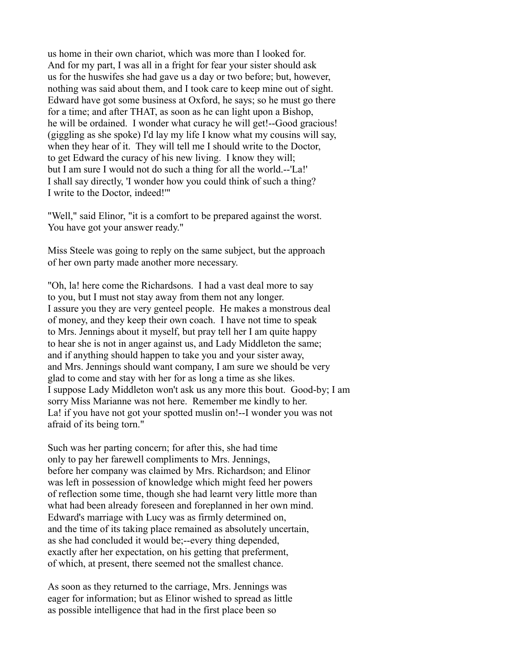us home in their own chariot, which was more than I looked for. And for my part, I was all in a fright for fear your sister should ask us for the huswifes she had gave us a day or two before; but, however, nothing was said about them, and I took care to keep mine out of sight. Edward have got some business at Oxford, he says; so he must go there for a time; and after THAT, as soon as he can light upon a Bishop, he will be ordained. I wonder what curacy he will get!--Good gracious! (giggling as she spoke) I'd lay my life I know what my cousins will say, when they hear of it. They will tell me I should write to the Doctor, to get Edward the curacy of his new living. I know they will; but I am sure I would not do such a thing for all the world.--'La!' I shall say directly, 'I wonder how you could think of such a thing? I write to the Doctor, indeed!'"

"Well," said Elinor, "it is a comfort to be prepared against the worst. You have got your answer ready."

Miss Steele was going to reply on the same subject, but the approach of her own party made another more necessary.

"Oh, la! here come the Richardsons. I had a vast deal more to say to you, but I must not stay away from them not any longer. I assure you they are very genteel people. He makes a monstrous deal of money, and they keep their own coach. I have not time to speak to Mrs. Jennings about it myself, but pray tell her I am quite happy to hear she is not in anger against us, and Lady Middleton the same; and if anything should happen to take you and your sister away, and Mrs. Jennings should want company, I am sure we should be very glad to come and stay with her for as long a time as she likes. I suppose Lady Middleton won't ask us any more this bout. Good-by; I am sorry Miss Marianne was not here. Remember me kindly to her. La! if you have not got your spotted muslin on!--I wonder you was not afraid of its being torn."

Such was her parting concern; for after this, she had time only to pay her farewell compliments to Mrs. Jennings, before her company was claimed by Mrs. Richardson; and Elinor was left in possession of knowledge which might feed her powers of reflection some time, though she had learnt very little more than what had been already foreseen and foreplanned in her own mind. Edward's marriage with Lucy was as firmly determined on, and the time of its taking place remained as absolutely uncertain, as she had concluded it would be;--every thing depended, exactly after her expectation, on his getting that preferment, of which, at present, there seemed not the smallest chance.

As soon as they returned to the carriage, Mrs. Jennings was eager for information; but as Elinor wished to spread as little as possible intelligence that had in the first place been so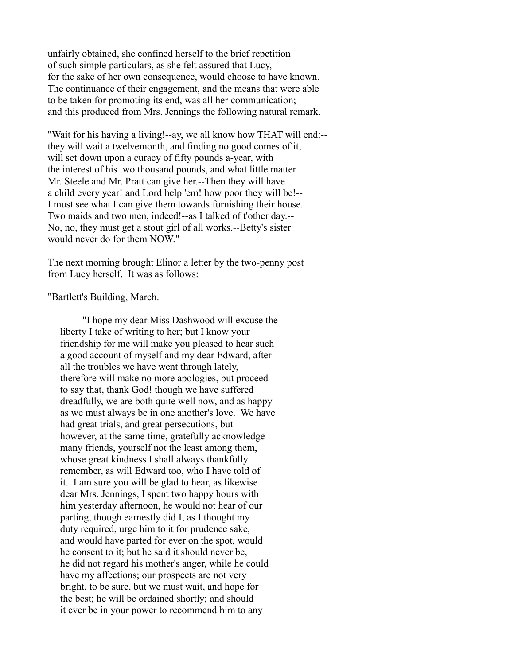unfairly obtained, she confined herself to the brief repetition of such simple particulars, as she felt assured that Lucy, for the sake of her own consequence, would choose to have known. The continuance of their engagement, and the means that were able to be taken for promoting its end, was all her communication; and this produced from Mrs. Jennings the following natural remark.

"Wait for his having a living!--ay, we all know how THAT will end:- they will wait a twelvemonth, and finding no good comes of it, will set down upon a curacy of fifty pounds a-year, with the interest of his two thousand pounds, and what little matter Mr. Steele and Mr. Pratt can give her.--Then they will have a child every year! and Lord help 'em! how poor they will be!-- I must see what I can give them towards furnishing their house. Two maids and two men, indeed!--as I talked of t'other day.-- No, no, they must get a stout girl of all works.--Betty's sister would never do for them NOW."

The next morning brought Elinor a letter by the two-penny post from Lucy herself. It was as follows:

"Bartlett's Building, March.

 "I hope my dear Miss Dashwood will excuse the liberty I take of writing to her; but I know your friendship for me will make you pleased to hear such a good account of myself and my dear Edward, after all the troubles we have went through lately, therefore will make no more apologies, but proceed to say that, thank God! though we have suffered dreadfully, we are both quite well now, and as happy as we must always be in one another's love. We have had great trials, and great persecutions, but however, at the same time, gratefully acknowledge many friends, yourself not the least among them, whose great kindness I shall always thankfully remember, as will Edward too, who I have told of it. I am sure you will be glad to hear, as likewise dear Mrs. Jennings, I spent two happy hours with him yesterday afternoon, he would not hear of our parting, though earnestly did I, as I thought my duty required, urge him to it for prudence sake, and would have parted for ever on the spot, would he consent to it; but he said it should never be, he did not regard his mother's anger, while he could have my affections; our prospects are not very bright, to be sure, but we must wait, and hope for the best; he will be ordained shortly; and should it ever be in your power to recommend him to any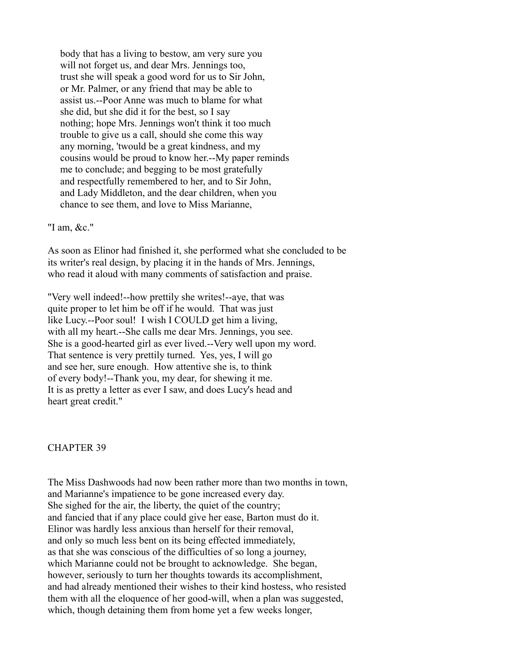body that has a living to bestow, am very sure you will not forget us, and dear Mrs. Jennings too, trust she will speak a good word for us to Sir John, or Mr. Palmer, or any friend that may be able to assist us.--Poor Anne was much to blame for what she did, but she did it for the best, so I say nothing; hope Mrs. Jennings won't think it too much trouble to give us a call, should she come this way any morning, 'twould be a great kindness, and my cousins would be proud to know her.--My paper reminds me to conclude; and begging to be most gratefully and respectfully remembered to her, and to Sir John, and Lady Middleton, and the dear children, when you chance to see them, and love to Miss Marianne,

"I am, &c."

As soon as Elinor had finished it, she performed what she concluded to be its writer's real design, by placing it in the hands of Mrs. Jennings, who read it aloud with many comments of satisfaction and praise.

"Very well indeed!--how prettily she writes!--aye, that was quite proper to let him be off if he would. That was just like Lucy.--Poor soul! I wish I COULD get him a living, with all my heart.--She calls me dear Mrs. Jennings, you see. She is a good-hearted girl as ever lived.--Very well upon my word. That sentence is very prettily turned. Yes, yes, I will go and see her, sure enough. How attentive she is, to think of every body!--Thank you, my dear, for shewing it me. It is as pretty a letter as ever I saw, and does Lucy's head and heart great credit."

#### CHAPTER 39

The Miss Dashwoods had now been rather more than two months in town, and Marianne's impatience to be gone increased every day. She sighed for the air, the liberty, the quiet of the country; and fancied that if any place could give her ease, Barton must do it. Elinor was hardly less anxious than herself for their removal, and only so much less bent on its being effected immediately, as that she was conscious of the difficulties of so long a journey, which Marianne could not be brought to acknowledge. She began, however, seriously to turn her thoughts towards its accomplishment, and had already mentioned their wishes to their kind hostess, who resisted them with all the eloquence of her good-will, when a plan was suggested, which, though detaining them from home yet a few weeks longer,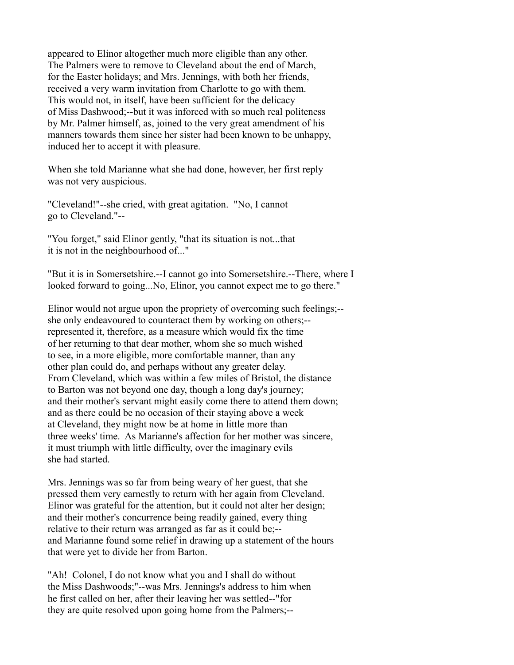appeared to Elinor altogether much more eligible than any other. The Palmers were to remove to Cleveland about the end of March, for the Easter holidays; and Mrs. Jennings, with both her friends, received a very warm invitation from Charlotte to go with them. This would not, in itself, have been sufficient for the delicacy of Miss Dashwood;--but it was inforced with so much real politeness by Mr. Palmer himself, as, joined to the very great amendment of his manners towards them since her sister had been known to be unhappy, induced her to accept it with pleasure.

When she told Marianne what she had done, however, her first reply was not very auspicious.

"Cleveland!"--she cried, with great agitation. "No, I cannot go to Cleveland."--

"You forget," said Elinor gently, "that its situation is not...that it is not in the neighbourhood of..."

"But it is in Somersetshire.--I cannot go into Somersetshire.--There, where I looked forward to going...No, Elinor, you cannot expect me to go there."

Elinor would not argue upon the propriety of overcoming such feelings;- she only endeavoured to counteract them by working on others;- represented it, therefore, as a measure which would fix the time of her returning to that dear mother, whom she so much wished to see, in a more eligible, more comfortable manner, than any other plan could do, and perhaps without any greater delay. From Cleveland, which was within a few miles of Bristol, the distance to Barton was not beyond one day, though a long day's journey; and their mother's servant might easily come there to attend them down; and as there could be no occasion of their staying above a week at Cleveland, they might now be at home in little more than three weeks' time. As Marianne's affection for her mother was sincere, it must triumph with little difficulty, over the imaginary evils she had started.

Mrs. Jennings was so far from being weary of her guest, that she pressed them very earnestly to return with her again from Cleveland. Elinor was grateful for the attention, but it could not alter her design; and their mother's concurrence being readily gained, every thing relative to their return was arranged as far as it could be;- and Marianne found some relief in drawing up a statement of the hours that were yet to divide her from Barton.

"Ah! Colonel, I do not know what you and I shall do without the Miss Dashwoods;"--was Mrs. Jennings's address to him when he first called on her, after their leaving her was settled--"for they are quite resolved upon going home from the Palmers;--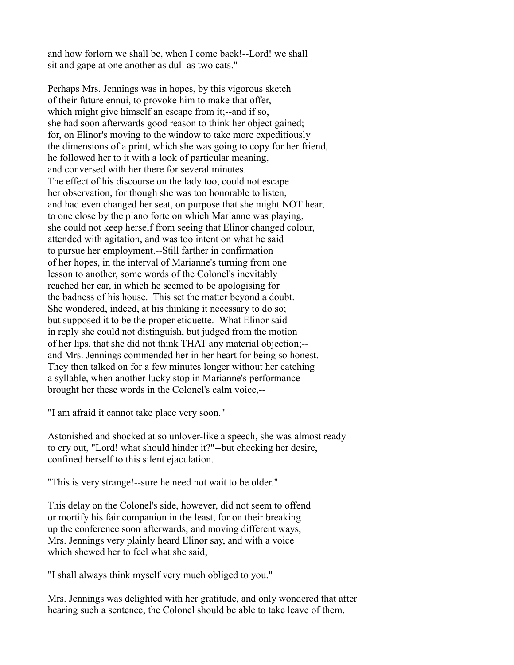and how forlorn we shall be, when I come back!--Lord! we shall sit and gape at one another as dull as two cats."

Perhaps Mrs. Jennings was in hopes, by this vigorous sketch of their future ennui, to provoke him to make that offer, which might give himself an escape from it;--and if so, she had soon afterwards good reason to think her object gained; for, on Elinor's moving to the window to take more expeditiously the dimensions of a print, which she was going to copy for her friend, he followed her to it with a look of particular meaning, and conversed with her there for several minutes. The effect of his discourse on the lady too, could not escape her observation, for though she was too honorable to listen, and had even changed her seat, on purpose that she might NOT hear, to one close by the piano forte on which Marianne was playing, she could not keep herself from seeing that Elinor changed colour, attended with agitation, and was too intent on what he said to pursue her employment.--Still farther in confirmation of her hopes, in the interval of Marianne's turning from one lesson to another, some words of the Colonel's inevitably reached her ear, in which he seemed to be apologising for the badness of his house. This set the matter beyond a doubt. She wondered, indeed, at his thinking it necessary to do so; but supposed it to be the proper etiquette. What Elinor said in reply she could not distinguish, but judged from the motion of her lips, that she did not think THAT any material objection;- and Mrs. Jennings commended her in her heart for being so honest. They then talked on for a few minutes longer without her catching a syllable, when another lucky stop in Marianne's performance brought her these words in the Colonel's calm voice,--

"I am afraid it cannot take place very soon."

Astonished and shocked at so unlover-like a speech, she was almost ready to cry out, "Lord! what should hinder it?"--but checking her desire, confined herself to this silent ejaculation.

"This is very strange!--sure he need not wait to be older."

This delay on the Colonel's side, however, did not seem to offend or mortify his fair companion in the least, for on their breaking up the conference soon afterwards, and moving different ways, Mrs. Jennings very plainly heard Elinor say, and with a voice which shewed her to feel what she said,

"I shall always think myself very much obliged to you."

Mrs. Jennings was delighted with her gratitude, and only wondered that after hearing such a sentence, the Colonel should be able to take leave of them,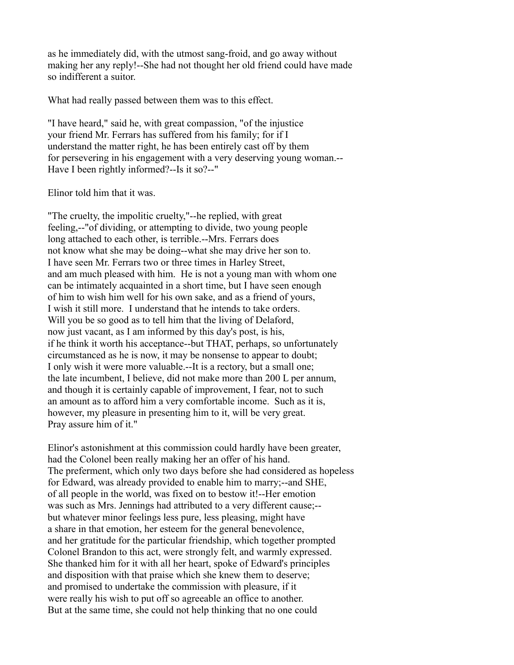as he immediately did, with the utmost sang-froid, and go away without making her any reply!--She had not thought her old friend could have made so indifferent a suitor.

What had really passed between them was to this effect.

"I have heard," said he, with great compassion, "of the injustice your friend Mr. Ferrars has suffered from his family; for if I understand the matter right, he has been entirely cast off by them for persevering in his engagement with a very deserving young woman.-- Have I been rightly informed?--Is it so?--"

Elinor told him that it was.

"The cruelty, the impolitic cruelty,"--he replied, with great feeling,--"of dividing, or attempting to divide, two young people long attached to each other, is terrible.--Mrs. Ferrars does not know what she may be doing--what she may drive her son to. I have seen Mr. Ferrars two or three times in Harley Street, and am much pleased with him. He is not a young man with whom one can be intimately acquainted in a short time, but I have seen enough of him to wish him well for his own sake, and as a friend of yours, I wish it still more. I understand that he intends to take orders. Will you be so good as to tell him that the living of Delaford, now just vacant, as I am informed by this day's post, is his, if he think it worth his acceptance--but THAT, perhaps, so unfortunately circumstanced as he is now, it may be nonsense to appear to doubt; I only wish it were more valuable.--It is a rectory, but a small one; the late incumbent, I believe, did not make more than 200 L per annum, and though it is certainly capable of improvement, I fear, not to such an amount as to afford him a very comfortable income. Such as it is, however, my pleasure in presenting him to it, will be very great. Pray assure him of it."

Elinor's astonishment at this commission could hardly have been greater, had the Colonel been really making her an offer of his hand. The preferment, which only two days before she had considered as hopeless for Edward, was already provided to enable him to marry;--and SHE, of all people in the world, was fixed on to bestow it!--Her emotion was such as Mrs. Jennings had attributed to a very different cause;- but whatever minor feelings less pure, less pleasing, might have a share in that emotion, her esteem for the general benevolence, and her gratitude for the particular friendship, which together prompted Colonel Brandon to this act, were strongly felt, and warmly expressed. She thanked him for it with all her heart, spoke of Edward's principles and disposition with that praise which she knew them to deserve; and promised to undertake the commission with pleasure, if it were really his wish to put off so agreeable an office to another. But at the same time, she could not help thinking that no one could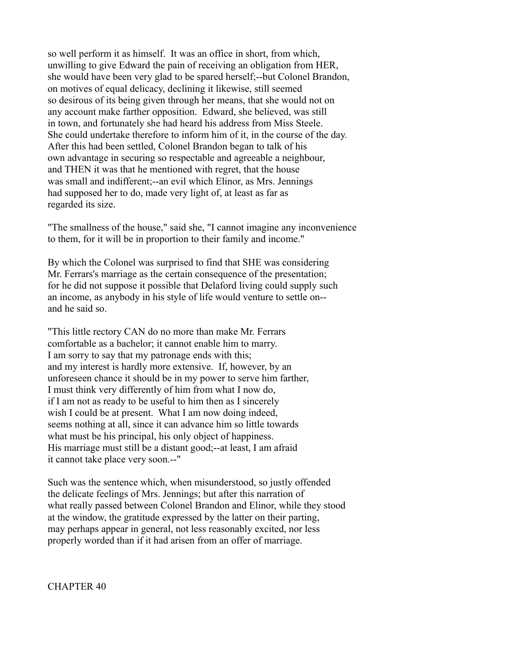so well perform it as himself. It was an office in short, from which, unwilling to give Edward the pain of receiving an obligation from HER, she would have been very glad to be spared herself;--but Colonel Brandon, on motives of equal delicacy, declining it likewise, still seemed so desirous of its being given through her means, that she would not on any account make farther opposition. Edward, she believed, was still in town, and fortunately she had heard his address from Miss Steele. She could undertake therefore to inform him of it, in the course of the day. After this had been settled, Colonel Brandon began to talk of his own advantage in securing so respectable and agreeable a neighbour, and THEN it was that he mentioned with regret, that the house was small and indifferent;--an evil which Elinor, as Mrs. Jennings had supposed her to do, made very light of, at least as far as regarded its size.

"The smallness of the house," said she, "I cannot imagine any inconvenience to them, for it will be in proportion to their family and income."

By which the Colonel was surprised to find that SHE was considering Mr. Ferrars's marriage as the certain consequence of the presentation; for he did not suppose it possible that Delaford living could supply such an income, as anybody in his style of life would venture to settle on- and he said so.

"This little rectory CAN do no more than make Mr. Ferrars comfortable as a bachelor; it cannot enable him to marry. I am sorry to say that my patronage ends with this; and my interest is hardly more extensive. If, however, by an unforeseen chance it should be in my power to serve him farther, I must think very differently of him from what I now do, if I am not as ready to be useful to him then as I sincerely wish I could be at present. What I am now doing indeed, seems nothing at all, since it can advance him so little towards what must be his principal, his only object of happiness. His marriage must still be a distant good;--at least, I am afraid it cannot take place very soon.--"

Such was the sentence which, when misunderstood, so justly offended the delicate feelings of Mrs. Jennings; but after this narration of what really passed between Colonel Brandon and Elinor, while they stood at the window, the gratitude expressed by the latter on their parting, may perhaps appear in general, not less reasonably excited, nor less properly worded than if it had arisen from an offer of marriage.

CHAPTER 40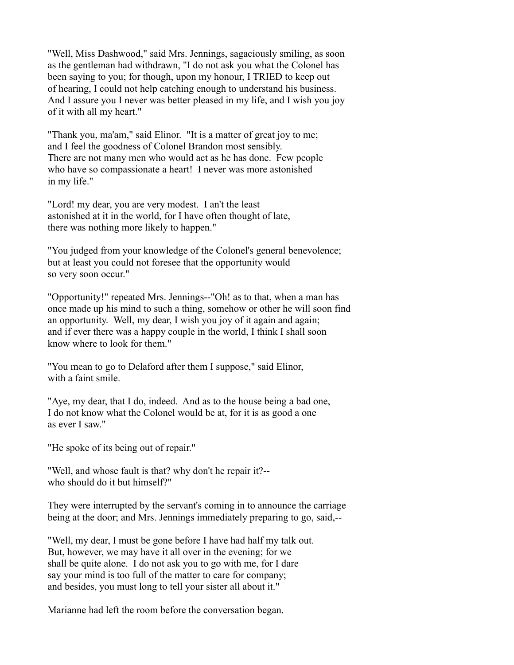"Well, Miss Dashwood," said Mrs. Jennings, sagaciously smiling, as soon as the gentleman had withdrawn, "I do not ask you what the Colonel has been saying to you; for though, upon my honour, I TRIED to keep out of hearing, I could not help catching enough to understand his business. And I assure you I never was better pleased in my life, and I wish you joy of it with all my heart."

"Thank you, ma'am," said Elinor. "It is a matter of great joy to me; and I feel the goodness of Colonel Brandon most sensibly. There are not many men who would act as he has done. Few people who have so compassionate a heart! I never was more astonished in my life."

"Lord! my dear, you are very modest. I an't the least astonished at it in the world, for I have often thought of late, there was nothing more likely to happen."

"You judged from your knowledge of the Colonel's general benevolence; but at least you could not foresee that the opportunity would so very soon occur."

"Opportunity!" repeated Mrs. Jennings--"Oh! as to that, when a man has once made up his mind to such a thing, somehow or other he will soon find an opportunity. Well, my dear, I wish you joy of it again and again; and if ever there was a happy couple in the world, I think I shall soon know where to look for them."

"You mean to go to Delaford after them I suppose," said Elinor, with a faint smile.

"Aye, my dear, that I do, indeed. And as to the house being a bad one, I do not know what the Colonel would be at, for it is as good a one as ever I saw."

"He spoke of its being out of repair."

"Well, and whose fault is that? why don't he repair it?- who should do it but himself?"

They were interrupted by the servant's coming in to announce the carriage being at the door; and Mrs. Jennings immediately preparing to go, said,--

"Well, my dear, I must be gone before I have had half my talk out. But, however, we may have it all over in the evening; for we shall be quite alone. I do not ask you to go with me, for I dare say your mind is too full of the matter to care for company; and besides, you must long to tell your sister all about it."

Marianne had left the room before the conversation began.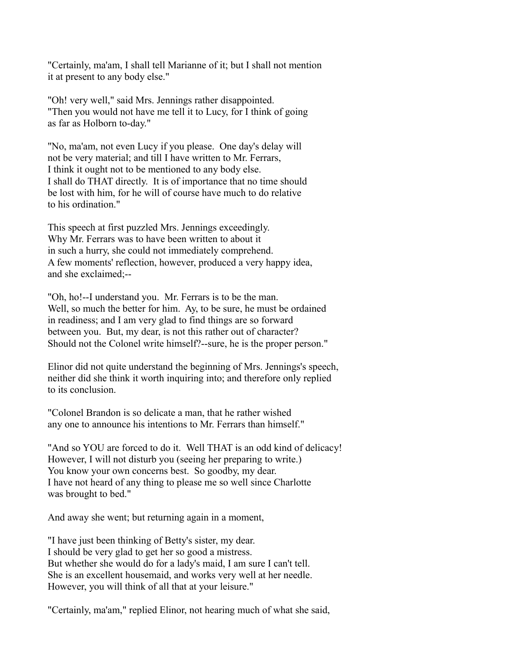"Certainly, ma'am, I shall tell Marianne of it; but I shall not mention it at present to any body else."

"Oh! very well," said Mrs. Jennings rather disappointed. "Then you would not have me tell it to Lucy, for I think of going as far as Holborn to-day."

"No, ma'am, not even Lucy if you please. One day's delay will not be very material; and till I have written to Mr. Ferrars, I think it ought not to be mentioned to any body else. I shall do THAT directly. It is of importance that no time should be lost with him, for he will of course have much to do relative to his ordination."

This speech at first puzzled Mrs. Jennings exceedingly. Why Mr. Ferrars was to have been written to about it in such a hurry, she could not immediately comprehend. A few moments' reflection, however, produced a very happy idea, and she exclaimed;--

"Oh, ho!--I understand you. Mr. Ferrars is to be the man. Well, so much the better for him. Ay, to be sure, he must be ordained in readiness; and I am very glad to find things are so forward between you. But, my dear, is not this rather out of character? Should not the Colonel write himself?--sure, he is the proper person."

Elinor did not quite understand the beginning of Mrs. Jennings's speech, neither did she think it worth inquiring into; and therefore only replied to its conclusion.

"Colonel Brandon is so delicate a man, that he rather wished any one to announce his intentions to Mr. Ferrars than himself."

"And so YOU are forced to do it. Well THAT is an odd kind of delicacy! However, I will not disturb you (seeing her preparing to write.) You know your own concerns best. So goodby, my dear. I have not heard of any thing to please me so well since Charlotte was brought to bed."

And away she went; but returning again in a moment,

"I have just been thinking of Betty's sister, my dear. I should be very glad to get her so good a mistress. But whether she would do for a lady's maid, I am sure I can't tell. She is an excellent housemaid, and works very well at her needle. However, you will think of all that at your leisure."

"Certainly, ma'am," replied Elinor, not hearing much of what she said,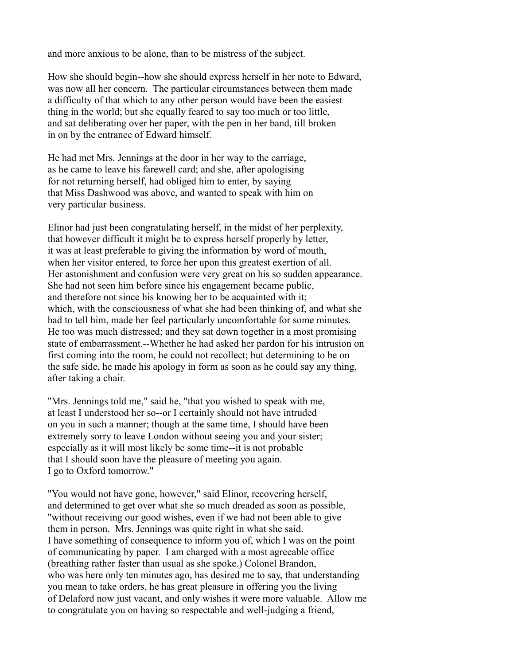and more anxious to be alone, than to be mistress of the subject.

How she should begin--how she should express herself in her note to Edward, was now all her concern. The particular circumstances between them made a difficulty of that which to any other person would have been the easiest thing in the world; but she equally feared to say too much or too little, and sat deliberating over her paper, with the pen in her band, till broken in on by the entrance of Edward himself.

He had met Mrs. Jennings at the door in her way to the carriage, as he came to leave his farewell card; and she, after apologising for not returning herself, had obliged him to enter, by saying that Miss Dashwood was above, and wanted to speak with him on very particular business.

Elinor had just been congratulating herself, in the midst of her perplexity, that however difficult it might be to express herself properly by letter, it was at least preferable to giving the information by word of mouth, when her visitor entered, to force her upon this greatest exertion of all. Her astonishment and confusion were very great on his so sudden appearance. She had not seen him before since his engagement became public, and therefore not since his knowing her to be acquainted with it; which, with the consciousness of what she had been thinking of, and what she had to tell him, made her feel particularly uncomfortable for some minutes. He too was much distressed; and they sat down together in a most promising state of embarrassment.--Whether he had asked her pardon for his intrusion on first coming into the room, he could not recollect; but determining to be on the safe side, he made his apology in form as soon as he could say any thing, after taking a chair.

"Mrs. Jennings told me," said he, "that you wished to speak with me, at least I understood her so--or I certainly should not have intruded on you in such a manner; though at the same time, I should have been extremely sorry to leave London without seeing you and your sister; especially as it will most likely be some time--it is not probable that I should soon have the pleasure of meeting you again. I go to Oxford tomorrow."

"You would not have gone, however," said Elinor, recovering herself, and determined to get over what she so much dreaded as soon as possible, "without receiving our good wishes, even if we had not been able to give them in person. Mrs. Jennings was quite right in what she said. I have something of consequence to inform you of, which I was on the point of communicating by paper. I am charged with a most agreeable office (breathing rather faster than usual as she spoke.) Colonel Brandon, who was here only ten minutes ago, has desired me to say, that understanding you mean to take orders, he has great pleasure in offering you the living of Delaford now just vacant, and only wishes it were more valuable. Allow me to congratulate you on having so respectable and well-judging a friend,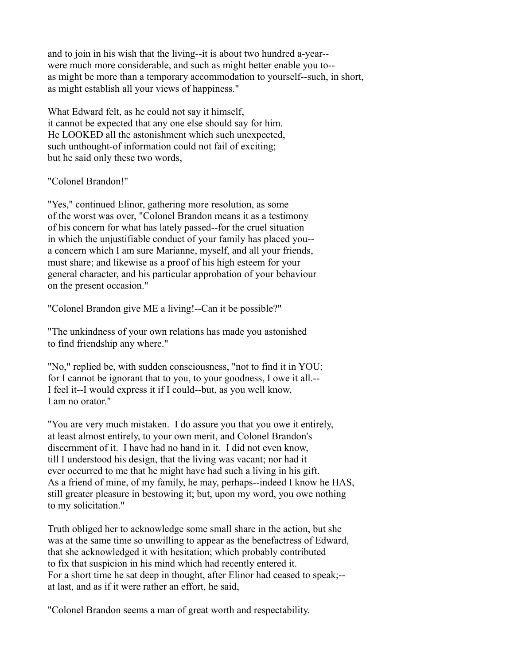and to join in his wish that the living--it is about two hundred a-year- were much more considerable, and such as might better enable you to- as might be more than a temporary accommodation to yourself--such, in short, as might establish all your views of happiness."

What Edward felt, as he could not say it himself, it cannot be expected that any one else should say for him. He LOOKED all the astonishment which such unexpected, such unthought-of information could not fail of exciting; but he said only these two words,

### "Colonel Brandon!"

"Yes," continued Elinor, gathering more resolution, as some of the worst was over, "Colonel Brandon means it as a testimony of his concern for what has lately passed--for the cruel situation in which the unjustifiable conduct of your family has placed you- a concern which I am sure Marianne, myself, and all your friends, must share; and likewise as a proof of his high esteem for your general character, and his particular approbation of your behaviour on the present occasion."

"Colonel Brandon give ME a living!--Can it be possible?"

"The unkindness of your own relations has made you astonished to find friendship any where."

"No," replied be, with sudden consciousness, "not to find it in YOU; for I cannot be ignorant that to you, to your goodness, I owe it all.-- I feel it--I would express it if I could--but, as you well know, I am no orator."

"You are very much mistaken. I do assure you that you owe it entirely, at least almost entirely, to your own merit, and Colonel Brandon's discernment of it. I have had no hand in it. I did not even know, till I understood his design, that the living was vacant; nor had it ever occurred to me that he might have had such a living in his gift. As a friend of mine, of my family, he may, perhaps--indeed I know he HAS, still greater pleasure in bestowing it; but, upon my word, you owe nothing to my solicitation."

Truth obliged her to acknowledge some small share in the action, but she was at the same time so unwilling to appear as the benefactress of Edward, that she acknowledged it with hesitation; which probably contributed to fix that suspicion in his mind which had recently entered it. For a short time he sat deep in thought, after Elinor had ceased to speak;- at last, and as if it were rather an effort, he said,

"Colonel Brandon seems a man of great worth and respectability.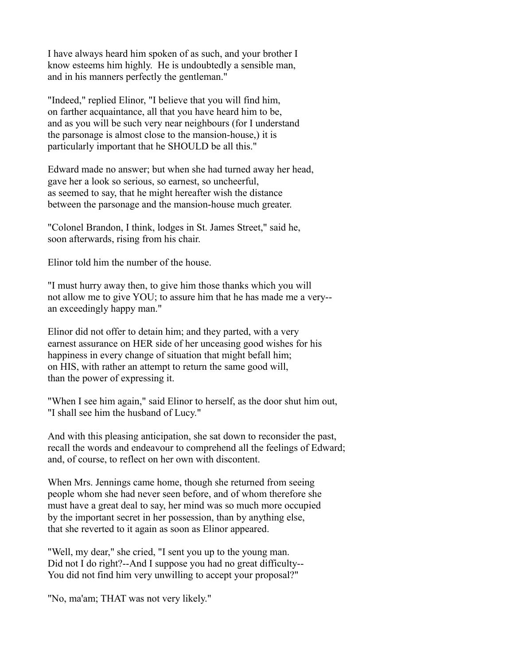I have always heard him spoken of as such, and your brother I know esteems him highly. He is undoubtedly a sensible man, and in his manners perfectly the gentleman."

"Indeed," replied Elinor, "I believe that you will find him, on farther acquaintance, all that you have heard him to be, and as you will be such very near neighbours (for I understand the parsonage is almost close to the mansion-house,) it is particularly important that he SHOULD be all this."

Edward made no answer; but when she had turned away her head, gave her a look so serious, so earnest, so uncheerful, as seemed to say, that he might hereafter wish the distance between the parsonage and the mansion-house much greater.

"Colonel Brandon, I think, lodges in St. James Street," said he, soon afterwards, rising from his chair.

Elinor told him the number of the house.

"I must hurry away then, to give him those thanks which you will not allow me to give YOU; to assure him that he has made me a very- an exceedingly happy man."

Elinor did not offer to detain him; and they parted, with a very earnest assurance on HER side of her unceasing good wishes for his happiness in every change of situation that might befall him; on HIS, with rather an attempt to return the same good will, than the power of expressing it.

"When I see him again," said Elinor to herself, as the door shut him out, "I shall see him the husband of Lucy."

And with this pleasing anticipation, she sat down to reconsider the past, recall the words and endeavour to comprehend all the feelings of Edward; and, of course, to reflect on her own with discontent.

When Mrs. Jennings came home, though she returned from seeing people whom she had never seen before, and of whom therefore she must have a great deal to say, her mind was so much more occupied by the important secret in her possession, than by anything else, that she reverted to it again as soon as Elinor appeared.

"Well, my dear," she cried, "I sent you up to the young man. Did not I do right?--And I suppose you had no great difficulty-- You did not find him very unwilling to accept your proposal?"

"No, ma'am; THAT was not very likely."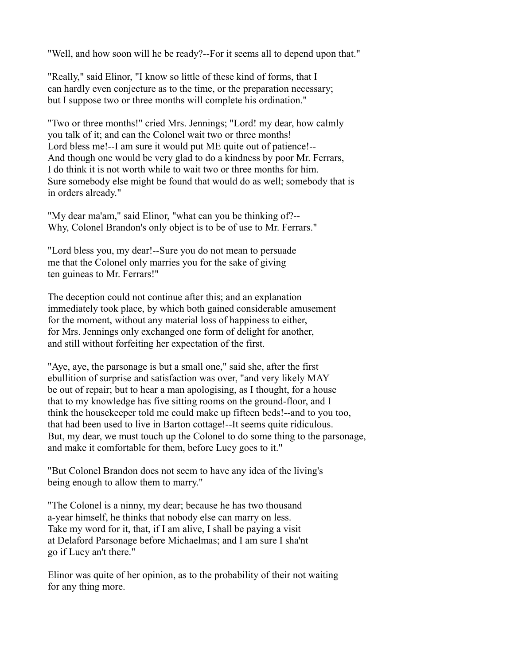"Well, and how soon will he be ready?--For it seems all to depend upon that."

"Really," said Elinor, "I know so little of these kind of forms, that I can hardly even conjecture as to the time, or the preparation necessary; but I suppose two or three months will complete his ordination."

"Two or three months!" cried Mrs. Jennings; "Lord! my dear, how calmly you talk of it; and can the Colonel wait two or three months! Lord bless me!--I am sure it would put ME quite out of patience!-- And though one would be very glad to do a kindness by poor Mr. Ferrars, I do think it is not worth while to wait two or three months for him. Sure somebody else might be found that would do as well; somebody that is in orders already."

"My dear ma'am," said Elinor, "what can you be thinking of?-- Why, Colonel Brandon's only object is to be of use to Mr. Ferrars."

"Lord bless you, my dear!--Sure you do not mean to persuade me that the Colonel only marries you for the sake of giving ten guineas to Mr. Ferrars!"

The deception could not continue after this; and an explanation immediately took place, by which both gained considerable amusement for the moment, without any material loss of happiness to either, for Mrs. Jennings only exchanged one form of delight for another, and still without forfeiting her expectation of the first.

"Aye, aye, the parsonage is but a small one," said she, after the first ebullition of surprise and satisfaction was over, "and very likely MAY be out of repair; but to hear a man apologising, as I thought, for a house that to my knowledge has five sitting rooms on the ground-floor, and I think the housekeeper told me could make up fifteen beds!--and to you too, that had been used to live in Barton cottage!--It seems quite ridiculous. But, my dear, we must touch up the Colonel to do some thing to the parsonage, and make it comfortable for them, before Lucy goes to it."

"But Colonel Brandon does not seem to have any idea of the living's being enough to allow them to marry."

"The Colonel is a ninny, my dear; because he has two thousand a-year himself, he thinks that nobody else can marry on less. Take my word for it, that, if I am alive, I shall be paying a visit at Delaford Parsonage before Michaelmas; and I am sure I sha'nt go if Lucy an't there."

Elinor was quite of her opinion, as to the probability of their not waiting for any thing more.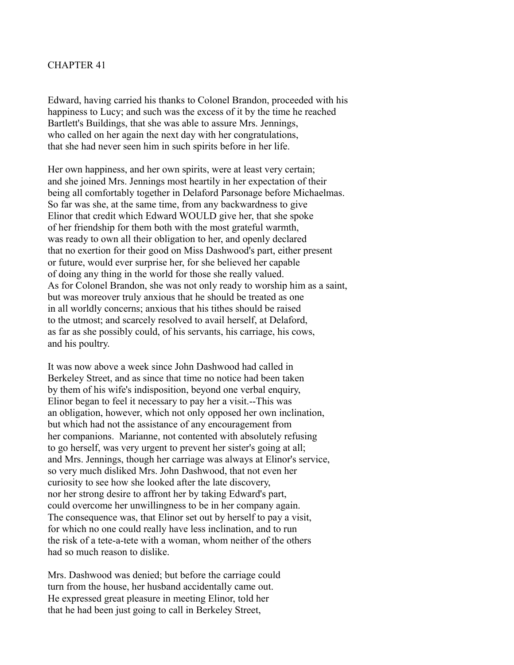## CHAPTER 41

Edward, having carried his thanks to Colonel Brandon, proceeded with his happiness to Lucy; and such was the excess of it by the time he reached Bartlett's Buildings, that she was able to assure Mrs. Jennings, who called on her again the next day with her congratulations, that she had never seen him in such spirits before in her life.

Her own happiness, and her own spirits, were at least very certain; and she joined Mrs. Jennings most heartily in her expectation of their being all comfortably together in Delaford Parsonage before Michaelmas. So far was she, at the same time, from any backwardness to give Elinor that credit which Edward WOULD give her, that she spoke of her friendship for them both with the most grateful warmth, was ready to own all their obligation to her, and openly declared that no exertion for their good on Miss Dashwood's part, either present or future, would ever surprise her, for she believed her capable of doing any thing in the world for those she really valued. As for Colonel Brandon, she was not only ready to worship him as a saint, but was moreover truly anxious that he should be treated as one in all worldly concerns; anxious that his tithes should be raised to the utmost; and scarcely resolved to avail herself, at Delaford, as far as she possibly could, of his servants, his carriage, his cows, and his poultry.

It was now above a week since John Dashwood had called in Berkeley Street, and as since that time no notice had been taken by them of his wife's indisposition, beyond one verbal enquiry, Elinor began to feel it necessary to pay her a visit.--This was an obligation, however, which not only opposed her own inclination, but which had not the assistance of any encouragement from her companions. Marianne, not contented with absolutely refusing to go herself, was very urgent to prevent her sister's going at all; and Mrs. Jennings, though her carriage was always at Elinor's service, so very much disliked Mrs. John Dashwood, that not even her curiosity to see how she looked after the late discovery, nor her strong desire to affront her by taking Edward's part, could overcome her unwillingness to be in her company again. The consequence was, that Elinor set out by herself to pay a visit, for which no one could really have less inclination, and to run the risk of a tete-a-tete with a woman, whom neither of the others had so much reason to dislike.

Mrs. Dashwood was denied; but before the carriage could turn from the house, her husband accidentally came out. He expressed great pleasure in meeting Elinor, told her that he had been just going to call in Berkeley Street,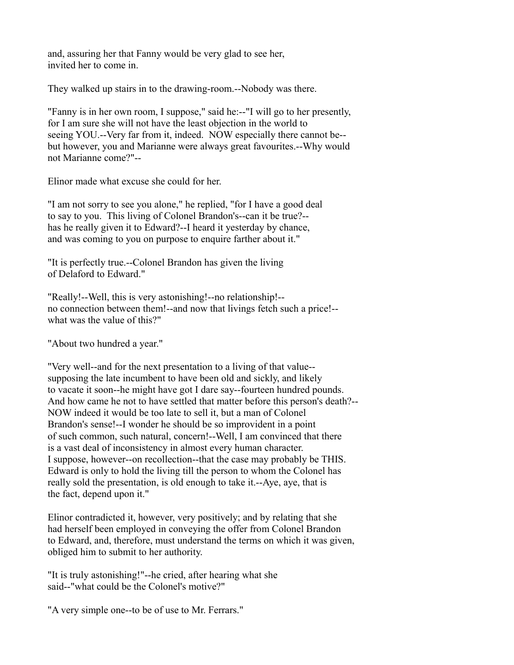and, assuring her that Fanny would be very glad to see her, invited her to come in.

They walked up stairs in to the drawing-room.--Nobody was there.

"Fanny is in her own room, I suppose," said he:--"I will go to her presently, for I am sure she will not have the least objection in the world to seeing YOU.--Very far from it, indeed. NOW especially there cannot be- but however, you and Marianne were always great favourites.--Why would not Marianne come?"--

Elinor made what excuse she could for her.

"I am not sorry to see you alone," he replied, "for I have a good deal to say to you. This living of Colonel Brandon's--can it be true?- has he really given it to Edward?--I heard it yesterday by chance, and was coming to you on purpose to enquire farther about it."

"It is perfectly true.--Colonel Brandon has given the living of Delaford to Edward."

"Really!--Well, this is very astonishing!--no relationship!- no connection between them!--and now that livings fetch such a price!- what was the value of this?"

"About two hundred a year."

"Very well--and for the next presentation to a living of that value- supposing the late incumbent to have been old and sickly, and likely to vacate it soon--he might have got I dare say--fourteen hundred pounds. And how came he not to have settled that matter before this person's death?-- NOW indeed it would be too late to sell it, but a man of Colonel Brandon's sense!--I wonder he should be so improvident in a point of such common, such natural, concern!--Well, I am convinced that there is a vast deal of inconsistency in almost every human character. I suppose, however--on recollection--that the case may probably be THIS. Edward is only to hold the living till the person to whom the Colonel has really sold the presentation, is old enough to take it.--Aye, aye, that is the fact, depend upon it."

Elinor contradicted it, however, very positively; and by relating that she had herself been employed in conveying the offer from Colonel Brandon to Edward, and, therefore, must understand the terms on which it was given, obliged him to submit to her authority.

"It is truly astonishing!"--he cried, after hearing what she said--"what could be the Colonel's motive?"

"A very simple one--to be of use to Mr. Ferrars."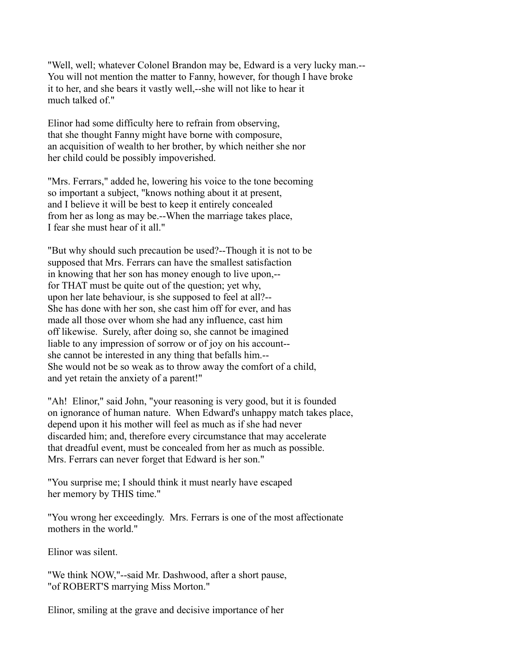"Well, well; whatever Colonel Brandon may be, Edward is a very lucky man.-- You will not mention the matter to Fanny, however, for though I have broke it to her, and she bears it vastly well,--she will not like to hear it much talked of "

Elinor had some difficulty here to refrain from observing, that she thought Fanny might have borne with composure, an acquisition of wealth to her brother, by which neither she nor her child could be possibly impoverished.

"Mrs. Ferrars," added he, lowering his voice to the tone becoming so important a subject, "knows nothing about it at present, and I believe it will be best to keep it entirely concealed from her as long as may be.--When the marriage takes place, I fear she must hear of it all."

"But why should such precaution be used?--Though it is not to be supposed that Mrs. Ferrars can have the smallest satisfaction in knowing that her son has money enough to live upon,- for THAT must be quite out of the question; yet why, upon her late behaviour, is she supposed to feel at all?-- She has done with her son, she cast him off for ever, and has made all those over whom she had any influence, cast him off likewise. Surely, after doing so, she cannot be imagined liable to any impression of sorrow or of joy on his account- she cannot be interested in any thing that befalls him.-- She would not be so weak as to throw away the comfort of a child, and yet retain the anxiety of a parent!"

"Ah! Elinor," said John, "your reasoning is very good, but it is founded on ignorance of human nature. When Edward's unhappy match takes place, depend upon it his mother will feel as much as if she had never discarded him; and, therefore every circumstance that may accelerate that dreadful event, must be concealed from her as much as possible. Mrs. Ferrars can never forget that Edward is her son."

"You surprise me; I should think it must nearly have escaped her memory by THIS time."

"You wrong her exceedingly. Mrs. Ferrars is one of the most affectionate mothers in the world."

Elinor was silent.

"We think NOW,"--said Mr. Dashwood, after a short pause, "of ROBERT'S marrying Miss Morton."

Elinor, smiling at the grave and decisive importance of her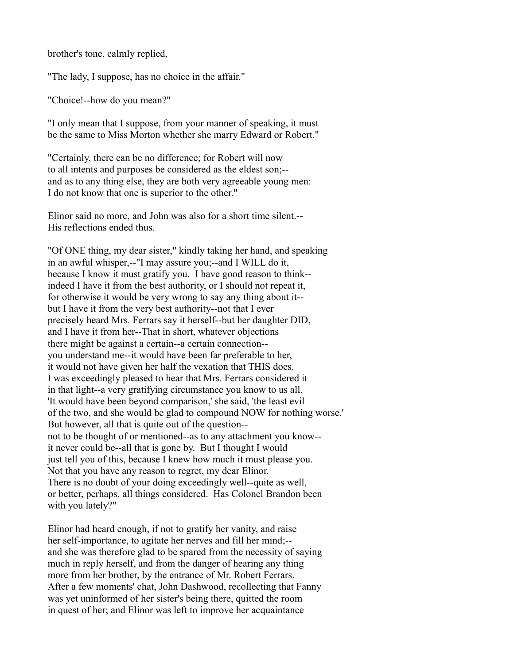brother's tone, calmly replied,

"The lady, I suppose, has no choice in the affair."

"Choice!--how do you mean?"

"I only mean that I suppose, from your manner of speaking, it must be the same to Miss Morton whether she marry Edward or Robert."

"Certainly, there can be no difference; for Robert will now to all intents and purposes be considered as the eldest son;- and as to any thing else, they are both very agreeable young men: I do not know that one is superior to the other."

Elinor said no more, and John was also for a short time silent.-- His reflections ended thus.

"Of ONE thing, my dear sister," kindly taking her hand, and speaking in an awful whisper,--"I may assure you;--and I WILL do it, because I know it must gratify you. I have good reason to think- indeed I have it from the best authority, or I should not repeat it, for otherwise it would be very wrong to say any thing about it- but I have it from the very best authority--not that I ever precisely heard Mrs. Ferrars say it herself--but her daughter DID, and I have it from her--That in short, whatever objections there might be against a certain--a certain connection- you understand me--it would have been far preferable to her, it would not have given her half the vexation that THIS does. I was exceedingly pleased to hear that Mrs. Ferrars considered it in that light--a very gratifying circumstance you know to us all. 'It would have been beyond comparison,' she said, 'the least evil of the two, and she would be glad to compound NOW for nothing worse.' But however, all that is quite out of the question- not to be thought of or mentioned--as to any attachment you know- it never could be--all that is gone by. But I thought I would just tell you of this, because I knew how much it must please you. Not that you have any reason to regret, my dear Elinor. There is no doubt of your doing exceedingly well--quite as well, or better, perhaps, all things considered. Has Colonel Brandon been with you lately?"

Elinor had heard enough, if not to gratify her vanity, and raise her self-importance, to agitate her nerves and fill her mind;- and she was therefore glad to be spared from the necessity of saying much in reply herself, and from the danger of hearing any thing more from her brother, by the entrance of Mr. Robert Ferrars. After a few moments' chat, John Dashwood, recollecting that Fanny was yet uninformed of her sister's being there, quitted the room in quest of her; and Elinor was left to improve her acquaintance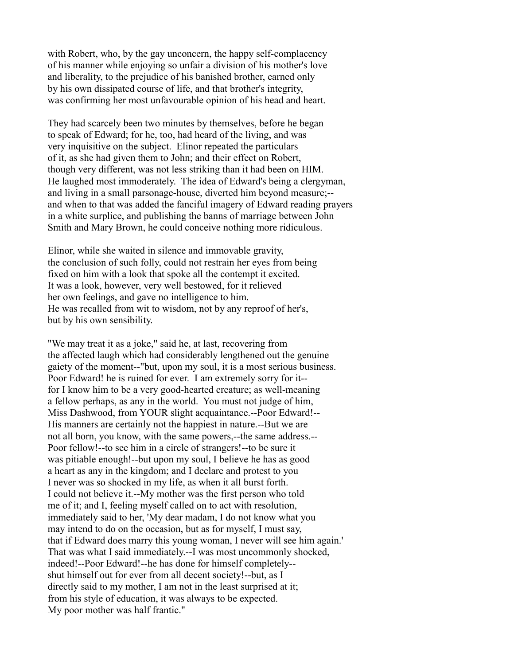with Robert, who, by the gay unconcern, the happy self-complacency of his manner while enjoying so unfair a division of his mother's love and liberality, to the prejudice of his banished brother, earned only by his own dissipated course of life, and that brother's integrity, was confirming her most unfavourable opinion of his head and heart.

They had scarcely been two minutes by themselves, before he began to speak of Edward; for he, too, had heard of the living, and was very inquisitive on the subject. Elinor repeated the particulars of it, as she had given them to John; and their effect on Robert, though very different, was not less striking than it had been on HIM. He laughed most immoderately. The idea of Edward's being a clergyman, and living in a small parsonage-house, diverted him beyond measure;- and when to that was added the fanciful imagery of Edward reading prayers in a white surplice, and publishing the banns of marriage between John Smith and Mary Brown, he could conceive nothing more ridiculous.

Elinor, while she waited in silence and immovable gravity, the conclusion of such folly, could not restrain her eyes from being fixed on him with a look that spoke all the contempt it excited. It was a look, however, very well bestowed, for it relieved her own feelings, and gave no intelligence to him. He was recalled from wit to wisdom, not by any reproof of her's, but by his own sensibility.

"We may treat it as a joke," said he, at last, recovering from the affected laugh which had considerably lengthened out the genuine gaiety of the moment--"but, upon my soul, it is a most serious business. Poor Edward! he is ruined for ever. I am extremely sorry for it- for I know him to be a very good-hearted creature; as well-meaning a fellow perhaps, as any in the world. You must not judge of him, Miss Dashwood, from YOUR slight acquaintance.--Poor Edward!-- His manners are certainly not the happiest in nature.--But we are not all born, you know, with the same powers,--the same address.-- Poor fellow!--to see him in a circle of strangers!--to be sure it was pitiable enough!--but upon my soul, I believe he has as good a heart as any in the kingdom; and I declare and protest to you I never was so shocked in my life, as when it all burst forth. I could not believe it.--My mother was the first person who told me of it; and I, feeling myself called on to act with resolution, immediately said to her, 'My dear madam, I do not know what you may intend to do on the occasion, but as for myself, I must say, that if Edward does marry this young woman, I never will see him again.' That was what I said immediately.--I was most uncommonly shocked, indeed!--Poor Edward!--he has done for himself completely- shut himself out for ever from all decent society!--but, as I directly said to my mother, I am not in the least surprised at it; from his style of education, it was always to be expected. My poor mother was half frantic."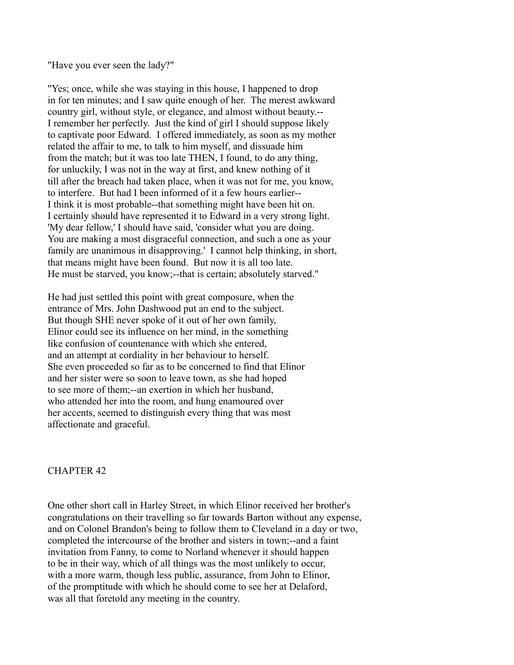"Have you ever seen the lady?"

"Yes; once, while she was staying in this house, I happened to drop in for ten minutes; and I saw quite enough of her. The merest awkward country girl, without style, or elegance, and almost without beauty.-- I remember her perfectly. Just the kind of girl I should suppose likely to captivate poor Edward. I offered immediately, as soon as my mother related the affair to me, to talk to him myself, and dissuade him from the match; but it was too late THEN, I found, to do any thing, for unluckily, I was not in the way at first, and knew nothing of it till after the breach had taken place, when it was not for me, you know, to interfere. But had I been informed of it a few hours earlier-- I think it is most probable--that something might have been hit on. I certainly should have represented it to Edward in a very strong light. 'My dear fellow,' I should have said, 'consider what you are doing. You are making a most disgraceful connection, and such a one as your family are unanimous in disapproving.' I cannot help thinking, in short, that means might have been found. But now it is all too late. He must be starved, you know;--that is certain; absolutely starved."

He had just settled this point with great composure, when the entrance of Mrs. John Dashwood put an end to the subject. But though SHE never spoke of it out of her own family, Elinor could see its influence on her mind, in the something like confusion of countenance with which she entered, and an attempt at cordiality in her behaviour to herself. She even proceeded so far as to be concerned to find that Elinor and her sister were so soon to leave town, as she had hoped to see more of them;--an exertion in which her husband, who attended her into the room, and hung enamoured over her accents, seemed to distinguish every thing that was most affectionate and graceful.

# CHAPTER 42

One other short call in Harley Street, in which Elinor received her brother's congratulations on their travelling so far towards Barton without any expense, and on Colonel Brandon's being to follow them to Cleveland in a day or two, completed the intercourse of the brother and sisters in town;--and a faint invitation from Fanny, to come to Norland whenever it should happen to be in their way, which of all things was the most unlikely to occur, with a more warm, though less public, assurance, from John to Elinor, of the promptitude with which he should come to see her at Delaford, was all that foretold any meeting in the country.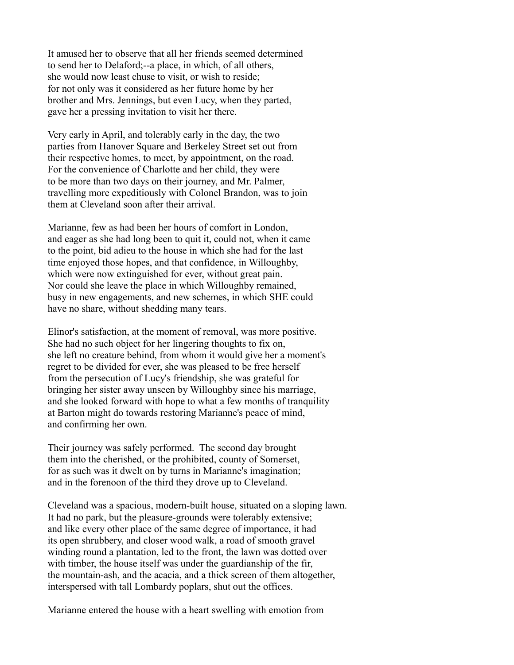It amused her to observe that all her friends seemed determined to send her to Delaford;--a place, in which, of all others, she would now least chuse to visit, or wish to reside; for not only was it considered as her future home by her brother and Mrs. Jennings, but even Lucy, when they parted, gave her a pressing invitation to visit her there.

Very early in April, and tolerably early in the day, the two parties from Hanover Square and Berkeley Street set out from their respective homes, to meet, by appointment, on the road. For the convenience of Charlotte and her child, they were to be more than two days on their journey, and Mr. Palmer, travelling more expeditiously with Colonel Brandon, was to join them at Cleveland soon after their arrival.

Marianne, few as had been her hours of comfort in London, and eager as she had long been to quit it, could not, when it came to the point, bid adieu to the house in which she had for the last time enjoyed those hopes, and that confidence, in Willoughby, which were now extinguished for ever, without great pain. Nor could she leave the place in which Willoughby remained, busy in new engagements, and new schemes, in which SHE could have no share, without shedding many tears.

Elinor's satisfaction, at the moment of removal, was more positive. She had no such object for her lingering thoughts to fix on, she left no creature behind, from whom it would give her a moment's regret to be divided for ever, she was pleased to be free herself from the persecution of Lucy's friendship, she was grateful for bringing her sister away unseen by Willoughby since his marriage, and she looked forward with hope to what a few months of tranquility at Barton might do towards restoring Marianne's peace of mind, and confirming her own.

Their journey was safely performed. The second day brought them into the cherished, or the prohibited, county of Somerset, for as such was it dwelt on by turns in Marianne's imagination; and in the forenoon of the third they drove up to Cleveland.

Cleveland was a spacious, modern-built house, situated on a sloping lawn. It had no park, but the pleasure-grounds were tolerably extensive; and like every other place of the same degree of importance, it had its open shrubbery, and closer wood walk, a road of smooth gravel winding round a plantation, led to the front, the lawn was dotted over with timber, the house itself was under the guardianship of the fir, the mountain-ash, and the acacia, and a thick screen of them altogether, interspersed with tall Lombardy poplars, shut out the offices.

Marianne entered the house with a heart swelling with emotion from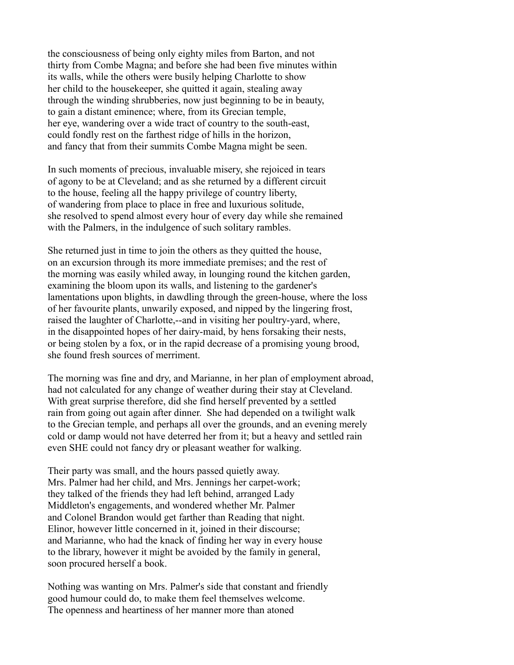the consciousness of being only eighty miles from Barton, and not thirty from Combe Magna; and before she had been five minutes within its walls, while the others were busily helping Charlotte to show her child to the housekeeper, she quitted it again, stealing away through the winding shrubberies, now just beginning to be in beauty, to gain a distant eminence; where, from its Grecian temple, her eye, wandering over a wide tract of country to the south-east, could fondly rest on the farthest ridge of hills in the horizon, and fancy that from their summits Combe Magna might be seen.

In such moments of precious, invaluable misery, she rejoiced in tears of agony to be at Cleveland; and as she returned by a different circuit to the house, feeling all the happy privilege of country liberty, of wandering from place to place in free and luxurious solitude, she resolved to spend almost every hour of every day while she remained with the Palmers, in the indulgence of such solitary rambles.

She returned just in time to join the others as they quitted the house, on an excursion through its more immediate premises; and the rest of the morning was easily whiled away, in lounging round the kitchen garden, examining the bloom upon its walls, and listening to the gardener's lamentations upon blights, in dawdling through the green-house, where the loss of her favourite plants, unwarily exposed, and nipped by the lingering frost, raised the laughter of Charlotte,--and in visiting her poultry-yard, where, in the disappointed hopes of her dairy-maid, by hens forsaking their nests, or being stolen by a fox, or in the rapid decrease of a promising young brood, she found fresh sources of merriment.

The morning was fine and dry, and Marianne, in her plan of employment abroad, had not calculated for any change of weather during their stay at Cleveland. With great surprise therefore, did she find herself prevented by a settled rain from going out again after dinner. She had depended on a twilight walk to the Grecian temple, and perhaps all over the grounds, and an evening merely cold or damp would not have deterred her from it; but a heavy and settled rain even SHE could not fancy dry or pleasant weather for walking.

Their party was small, and the hours passed quietly away. Mrs. Palmer had her child, and Mrs. Jennings her carpet-work; they talked of the friends they had left behind, arranged Lady Middleton's engagements, and wondered whether Mr. Palmer and Colonel Brandon would get farther than Reading that night. Elinor, however little concerned in it, joined in their discourse; and Marianne, who had the knack of finding her way in every house to the library, however it might be avoided by the family in general, soon procured herself a book.

Nothing was wanting on Mrs. Palmer's side that constant and friendly good humour could do, to make them feel themselves welcome. The openness and heartiness of her manner more than atoned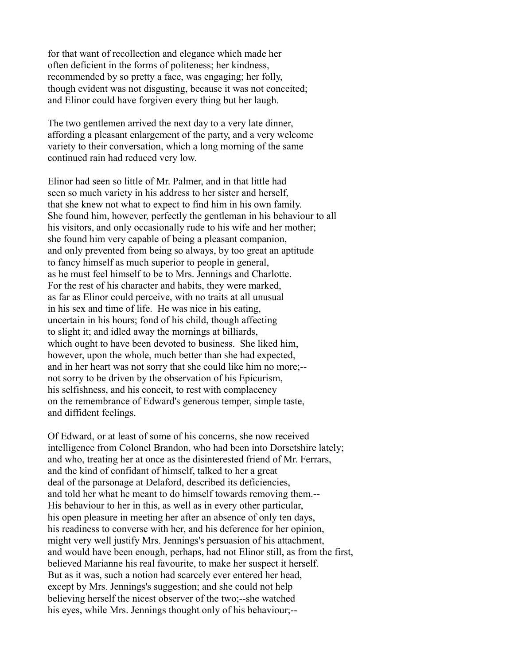for that want of recollection and elegance which made her often deficient in the forms of politeness; her kindness, recommended by so pretty a face, was engaging; her folly, though evident was not disgusting, because it was not conceited; and Elinor could have forgiven every thing but her laugh.

The two gentlemen arrived the next day to a very late dinner, affording a pleasant enlargement of the party, and a very welcome variety to their conversation, which a long morning of the same continued rain had reduced very low.

Elinor had seen so little of Mr. Palmer, and in that little had seen so much variety in his address to her sister and herself, that she knew not what to expect to find him in his own family. She found him, however, perfectly the gentleman in his behaviour to all his visitors, and only occasionally rude to his wife and her mother; she found him very capable of being a pleasant companion, and only prevented from being so always, by too great an aptitude to fancy himself as much superior to people in general, as he must feel himself to be to Mrs. Jennings and Charlotte. For the rest of his character and habits, they were marked, as far as Elinor could perceive, with no traits at all unusual in his sex and time of life. He was nice in his eating, uncertain in his hours; fond of his child, though affecting to slight it; and idled away the mornings at billiards, which ought to have been devoted to business. She liked him, however, upon the whole, much better than she had expected, and in her heart was not sorry that she could like him no more;- not sorry to be driven by the observation of his Epicurism, his selfishness, and his conceit, to rest with complacency on the remembrance of Edward's generous temper, simple taste, and diffident feelings.

Of Edward, or at least of some of his concerns, she now received intelligence from Colonel Brandon, who had been into Dorsetshire lately; and who, treating her at once as the disinterested friend of Mr. Ferrars, and the kind of confidant of himself, talked to her a great deal of the parsonage at Delaford, described its deficiencies, and told her what he meant to do himself towards removing them.-- His behaviour to her in this, as well as in every other particular, his open pleasure in meeting her after an absence of only ten days, his readiness to converse with her, and his deference for her opinion, might very well justify Mrs. Jennings's persuasion of his attachment, and would have been enough, perhaps, had not Elinor still, as from the first, believed Marianne his real favourite, to make her suspect it herself. But as it was, such a notion had scarcely ever entered her head, except by Mrs. Jennings's suggestion; and she could not help believing herself the nicest observer of the two;--she watched his eyes, while Mrs. Jennings thought only of his behaviour;--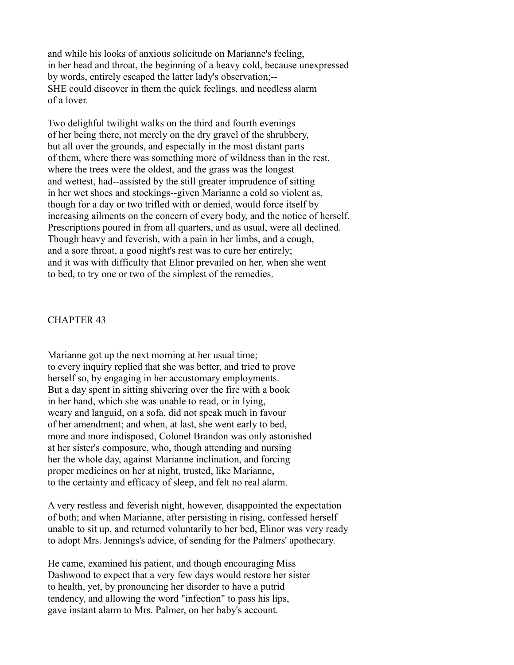and while his looks of anxious solicitude on Marianne's feeling, in her head and throat, the beginning of a heavy cold, because unexpressed by words, entirely escaped the latter lady's observation;-- SHE could discover in them the quick feelings, and needless alarm of a lover.

Two delighful twilight walks on the third and fourth evenings of her being there, not merely on the dry gravel of the shrubbery, but all over the grounds, and especially in the most distant parts of them, where there was something more of wildness than in the rest, where the trees were the oldest, and the grass was the longest and wettest, had--assisted by the still greater imprudence of sitting in her wet shoes and stockings--given Marianne a cold so violent as, though for a day or two trifled with or denied, would force itself by increasing ailments on the concern of every body, and the notice of herself. Prescriptions poured in from all quarters, and as usual, were all declined. Though heavy and feverish, with a pain in her limbs, and a cough, and a sore throat, a good night's rest was to cure her entirely; and it was with difficulty that Elinor prevailed on her, when she went to bed, to try one or two of the simplest of the remedies.

### CHAPTER 43

Marianne got up the next morning at her usual time; to every inquiry replied that she was better, and tried to prove herself so, by engaging in her accustomary employments. But a day spent in sitting shivering over the fire with a book in her hand, which she was unable to read, or in lying, weary and languid, on a sofa, did not speak much in favour of her amendment; and when, at last, she went early to bed, more and more indisposed, Colonel Brandon was only astonished at her sister's composure, who, though attending and nursing her the whole day, against Marianne inclination, and forcing proper medicines on her at night, trusted, like Marianne, to the certainty and efficacy of sleep, and felt no real alarm.

A very restless and feverish night, however, disappointed the expectation of both; and when Marianne, after persisting in rising, confessed herself unable to sit up, and returned voluntarily to her bed, Elinor was very ready to adopt Mrs. Jennings's advice, of sending for the Palmers' apothecary.

He came, examined his patient, and though encouraging Miss Dashwood to expect that a very few days would restore her sister to health, yet, by pronouncing her disorder to have a putrid tendency, and allowing the word "infection" to pass his lips, gave instant alarm to Mrs. Palmer, on her baby's account.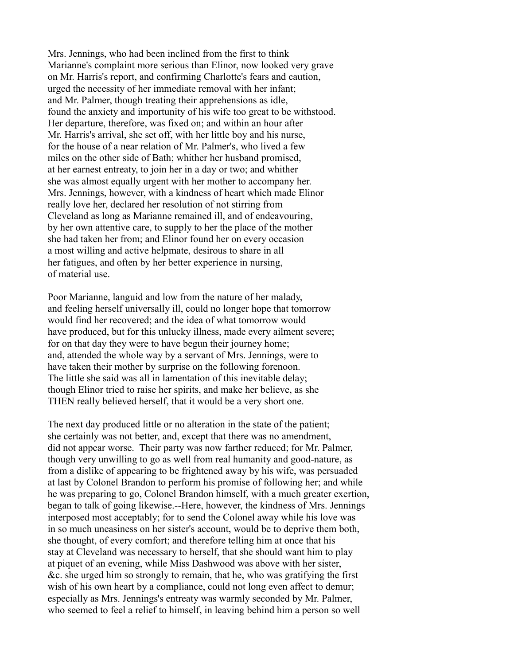Mrs. Jennings, who had been inclined from the first to think Marianne's complaint more serious than Elinor, now looked very grave on Mr. Harris's report, and confirming Charlotte's fears and caution, urged the necessity of her immediate removal with her infant; and Mr. Palmer, though treating their apprehensions as idle, found the anxiety and importunity of his wife too great to be withstood. Her departure, therefore, was fixed on; and within an hour after Mr. Harris's arrival, she set off, with her little boy and his nurse, for the house of a near relation of Mr. Palmer's, who lived a few miles on the other side of Bath; whither her husband promised, at her earnest entreaty, to join her in a day or two; and whither she was almost equally urgent with her mother to accompany her. Mrs. Jennings, however, with a kindness of heart which made Elinor really love her, declared her resolution of not stirring from Cleveland as long as Marianne remained ill, and of endeavouring, by her own attentive care, to supply to her the place of the mother she had taken her from; and Elinor found her on every occasion a most willing and active helpmate, desirous to share in all her fatigues, and often by her better experience in nursing, of material use.

Poor Marianne, languid and low from the nature of her malady, and feeling herself universally ill, could no longer hope that tomorrow would find her recovered; and the idea of what tomorrow would have produced, but for this unlucky illness, made every ailment severe; for on that day they were to have begun their journey home; and, attended the whole way by a servant of Mrs. Jennings, were to have taken their mother by surprise on the following forenoon. The little she said was all in lamentation of this inevitable delay; though Elinor tried to raise her spirits, and make her believe, as she THEN really believed herself, that it would be a very short one.

The next day produced little or no alteration in the state of the patient; she certainly was not better, and, except that there was no amendment, did not appear worse. Their party was now farther reduced; for Mr. Palmer, though very unwilling to go as well from real humanity and good-nature, as from a dislike of appearing to be frightened away by his wife, was persuaded at last by Colonel Brandon to perform his promise of following her; and while he was preparing to go, Colonel Brandon himself, with a much greater exertion, began to talk of going likewise.--Here, however, the kindness of Mrs. Jennings interposed most acceptably; for to send the Colonel away while his love was in so much uneasiness on her sister's account, would be to deprive them both, she thought, of every comfort; and therefore telling him at once that his stay at Cleveland was necessary to herself, that she should want him to play at piquet of an evening, while Miss Dashwood was above with her sister, &c. she urged him so strongly to remain, that he, who was gratifying the first wish of his own heart by a compliance, could not long even affect to demur; especially as Mrs. Jennings's entreaty was warmly seconded by Mr. Palmer, who seemed to feel a relief to himself, in leaving behind him a person so well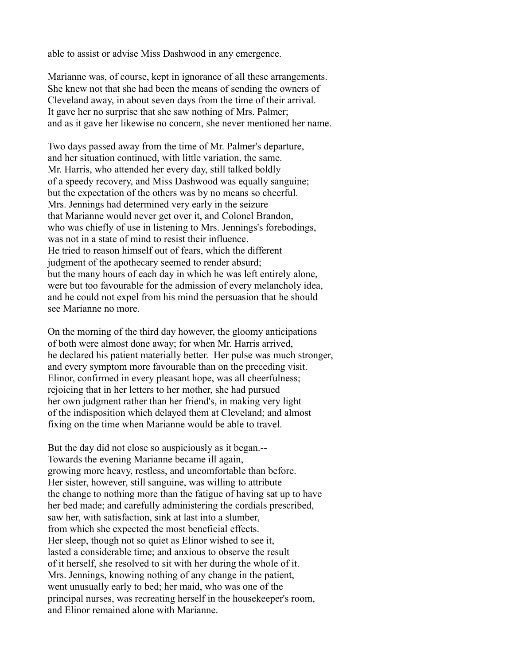able to assist or advise Miss Dashwood in any emergence.

Marianne was, of course, kept in ignorance of all these arrangements. She knew not that she had been the means of sending the owners of Cleveland away, in about seven days from the time of their arrival. It gave her no surprise that she saw nothing of Mrs. Palmer; and as it gave her likewise no concern, she never mentioned her name.

Two days passed away from the time of Mr. Palmer's departure, and her situation continued, with little variation, the same. Mr. Harris, who attended her every day, still talked boldly of a speedy recovery, and Miss Dashwood was equally sanguine; but the expectation of the others was by no means so cheerful. Mrs. Jennings had determined very early in the seizure that Marianne would never get over it, and Colonel Brandon, who was chiefly of use in listening to Mrs. Jennings's forebodings, was not in a state of mind to resist their influence. He tried to reason himself out of fears, which the different judgment of the apothecary seemed to render absurd; but the many hours of each day in which he was left entirely alone, were but too favourable for the admission of every melancholy idea, and he could not expel from his mind the persuasion that he should see Marianne no more.

On the morning of the third day however, the gloomy anticipations of both were almost done away; for when Mr. Harris arrived, he declared his patient materially better. Her pulse was much stronger, and every symptom more favourable than on the preceding visit. Elinor, confirmed in every pleasant hope, was all cheerfulness; rejoicing that in her letters to her mother, she had pursued her own judgment rather than her friend's, in making very light of the indisposition which delayed them at Cleveland; and almost fixing on the time when Marianne would be able to travel.

But the day did not close so auspiciously as it began.-- Towards the evening Marianne became ill again, growing more heavy, restless, and uncomfortable than before. Her sister, however, still sanguine, was willing to attribute the change to nothing more than the fatigue of having sat up to have her bed made; and carefully administering the cordials prescribed, saw her, with satisfaction, sink at last into a slumber, from which she expected the most beneficial effects. Her sleep, though not so quiet as Elinor wished to see it, lasted a considerable time; and anxious to observe the result of it herself, she resolved to sit with her during the whole of it. Mrs. Jennings, knowing nothing of any change in the patient, went unusually early to bed; her maid, who was one of the principal nurses, was recreating herself in the housekeeper's room, and Elinor remained alone with Marianne.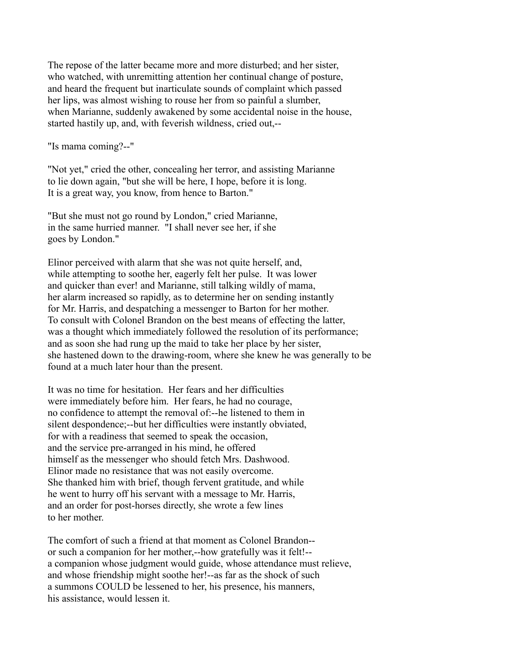The repose of the latter became more and more disturbed; and her sister, who watched, with unremitting attention her continual change of posture, and heard the frequent but inarticulate sounds of complaint which passed her lips, was almost wishing to rouse her from so painful a slumber, when Marianne, suddenly awakened by some accidental noise in the house, started hastily up, and, with feverish wildness, cried out,--

"Is mama coming?--"

"Not yet," cried the other, concealing her terror, and assisting Marianne to lie down again, "but she will be here, I hope, before it is long. It is a great way, you know, from hence to Barton."

"But she must not go round by London," cried Marianne, in the same hurried manner. "I shall never see her, if she goes by London."

Elinor perceived with alarm that she was not quite herself, and, while attempting to soothe her, eagerly felt her pulse. It was lower and quicker than ever! and Marianne, still talking wildly of mama, her alarm increased so rapidly, as to determine her on sending instantly for Mr. Harris, and despatching a messenger to Barton for her mother. To consult with Colonel Brandon on the best means of effecting the latter, was a thought which immediately followed the resolution of its performance; and as soon she had rung up the maid to take her place by her sister, she hastened down to the drawing-room, where she knew he was generally to be found at a much later hour than the present.

It was no time for hesitation. Her fears and her difficulties were immediately before him. Her fears, he had no courage, no confidence to attempt the removal of:--he listened to them in silent despondence;--but her difficulties were instantly obviated, for with a readiness that seemed to speak the occasion, and the service pre-arranged in his mind, he offered himself as the messenger who should fetch Mrs. Dashwood. Elinor made no resistance that was not easily overcome. She thanked him with brief, though fervent gratitude, and while he went to hurry off his servant with a message to Mr. Harris, and an order for post-horses directly, she wrote a few lines to her mother.

The comfort of such a friend at that moment as Colonel Brandon- or such a companion for her mother,--how gratefully was it felt!- a companion whose judgment would guide, whose attendance must relieve, and whose friendship might soothe her!--as far as the shock of such a summons COULD be lessened to her, his presence, his manners, his assistance, would lessen it.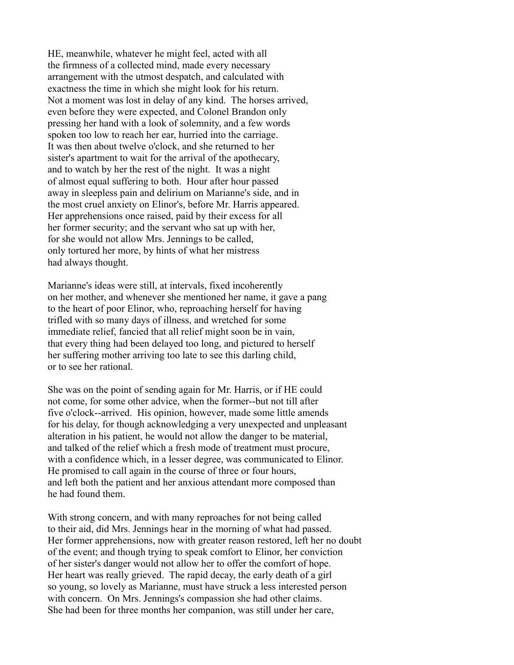HE, meanwhile, whatever he might feel, acted with all the firmness of a collected mind, made every necessary arrangement with the utmost despatch, and calculated with exactness the time in which she might look for his return. Not a moment was lost in delay of any kind. The horses arrived, even before they were expected, and Colonel Brandon only pressing her hand with a look of solemnity, and a few words spoken too low to reach her ear, hurried into the carriage. It was then about twelve o'clock, and she returned to her sister's apartment to wait for the arrival of the apothecary, and to watch by her the rest of the night. It was a night of almost equal suffering to both. Hour after hour passed away in sleepless pain and delirium on Marianne's side, and in the most cruel anxiety on Elinor's, before Mr. Harris appeared. Her apprehensions once raised, paid by their excess for all her former security; and the servant who sat up with her, for she would not allow Mrs. Jennings to be called, only tortured her more, by hints of what her mistress had always thought.

Marianne's ideas were still, at intervals, fixed incoherently on her mother, and whenever she mentioned her name, it gave a pang to the heart of poor Elinor, who, reproaching herself for having trifled with so many days of illness, and wretched for some immediate relief, fancied that all relief might soon be in vain, that every thing had been delayed too long, and pictured to herself her suffering mother arriving too late to see this darling child, or to see her rational.

She was on the point of sending again for Mr. Harris, or if HE could not come, for some other advice, when the former--but not till after five o'clock--arrived. His opinion, however, made some little amends for his delay, for though acknowledging a very unexpected and unpleasant alteration in his patient, he would not allow the danger to be material, and talked of the relief which a fresh mode of treatment must procure, with a confidence which, in a lesser degree, was communicated to Elinor. He promised to call again in the course of three or four hours, and left both the patient and her anxious attendant more composed than he had found them.

With strong concern, and with many reproaches for not being called to their aid, did Mrs. Jennings hear in the morning of what had passed. Her former apprehensions, now with greater reason restored, left her no doubt of the event; and though trying to speak comfort to Elinor, her conviction of her sister's danger would not allow her to offer the comfort of hope. Her heart was really grieved. The rapid decay, the early death of a girl so young, so lovely as Marianne, must have struck a less interested person with concern. On Mrs. Jennings's compassion she had other claims. She had been for three months her companion, was still under her care,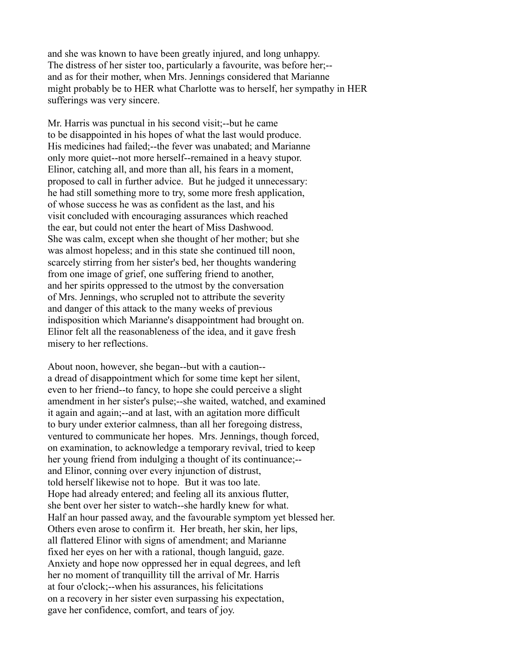and she was known to have been greatly injured, and long unhappy. The distress of her sister too, particularly a favourite, was before her;- and as for their mother, when Mrs. Jennings considered that Marianne might probably be to HER what Charlotte was to herself, her sympathy in HER sufferings was very sincere.

Mr. Harris was punctual in his second visit;--but he came to be disappointed in his hopes of what the last would produce. His medicines had failed;--the fever was unabated; and Marianne only more quiet--not more herself--remained in a heavy stupor. Elinor, catching all, and more than all, his fears in a moment, proposed to call in further advice. But he judged it unnecessary: he had still something more to try, some more fresh application, of whose success he was as confident as the last, and his visit concluded with encouraging assurances which reached the ear, but could not enter the heart of Miss Dashwood. She was calm, except when she thought of her mother; but she was almost hopeless; and in this state she continued till noon, scarcely stirring from her sister's bed, her thoughts wandering from one image of grief, one suffering friend to another, and her spirits oppressed to the utmost by the conversation of Mrs. Jennings, who scrupled not to attribute the severity and danger of this attack to the many weeks of previous indisposition which Marianne's disappointment had brought on. Elinor felt all the reasonableness of the idea, and it gave fresh misery to her reflections.

About noon, however, she began--but with a caution- a dread of disappointment which for some time kept her silent, even to her friend--to fancy, to hope she could perceive a slight amendment in her sister's pulse;--she waited, watched, and examined it again and again;--and at last, with an agitation more difficult to bury under exterior calmness, than all her foregoing distress, ventured to communicate her hopes. Mrs. Jennings, though forced, on examination, to acknowledge a temporary revival, tried to keep her young friend from indulging a thought of its continuance;- and Elinor, conning over every injunction of distrust, told herself likewise not to hope. But it was too late. Hope had already entered; and feeling all its anxious flutter, she bent over her sister to watch--she hardly knew for what. Half an hour passed away, and the favourable symptom yet blessed her. Others even arose to confirm it. Her breath, her skin, her lips, all flattered Elinor with signs of amendment; and Marianne fixed her eyes on her with a rational, though languid, gaze. Anxiety and hope now oppressed her in equal degrees, and left her no moment of tranquillity till the arrival of Mr. Harris at four o'clock;--when his assurances, his felicitations on a recovery in her sister even surpassing his expectation, gave her confidence, comfort, and tears of joy.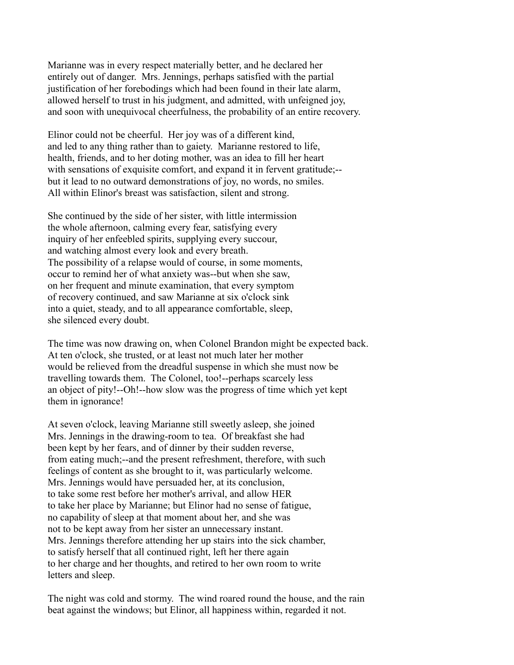Marianne was in every respect materially better, and he declared her entirely out of danger. Mrs. Jennings, perhaps satisfied with the partial justification of her forebodings which had been found in their late alarm, allowed herself to trust in his judgment, and admitted, with unfeigned joy, and soon with unequivocal cheerfulness, the probability of an entire recovery.

Elinor could not be cheerful. Her joy was of a different kind, and led to any thing rather than to gaiety. Marianne restored to life, health, friends, and to her doting mother, was an idea to fill her heart with sensations of exquisite comfort, and expand it in fervent gratitude;-but it lead to no outward demonstrations of joy, no words, no smiles. All within Elinor's breast was satisfaction, silent and strong.

She continued by the side of her sister, with little intermission the whole afternoon, calming every fear, satisfying every inquiry of her enfeebled spirits, supplying every succour, and watching almost every look and every breath. The possibility of a relapse would of course, in some moments, occur to remind her of what anxiety was--but when she saw, on her frequent and minute examination, that every symptom of recovery continued, and saw Marianne at six o'clock sink into a quiet, steady, and to all appearance comfortable, sleep, she silenced every doubt.

The time was now drawing on, when Colonel Brandon might be expected back. At ten o'clock, she trusted, or at least not much later her mother would be relieved from the dreadful suspense in which she must now be travelling towards them. The Colonel, too!--perhaps scarcely less an object of pity!--Oh!--how slow was the progress of time which yet kept them in ignorance!

At seven o'clock, leaving Marianne still sweetly asleep, she joined Mrs. Jennings in the drawing-room to tea. Of breakfast she had been kept by her fears, and of dinner by their sudden reverse, from eating much;--and the present refreshment, therefore, with such feelings of content as she brought to it, was particularly welcome. Mrs. Jennings would have persuaded her, at its conclusion, to take some rest before her mother's arrival, and allow HER to take her place by Marianne; but Elinor had no sense of fatigue, no capability of sleep at that moment about her, and she was not to be kept away from her sister an unnecessary instant. Mrs. Jennings therefore attending her up stairs into the sick chamber, to satisfy herself that all continued right, left her there again to her charge and her thoughts, and retired to her own room to write letters and sleep.

The night was cold and stormy. The wind roared round the house, and the rain beat against the windows; but Elinor, all happiness within, regarded it not.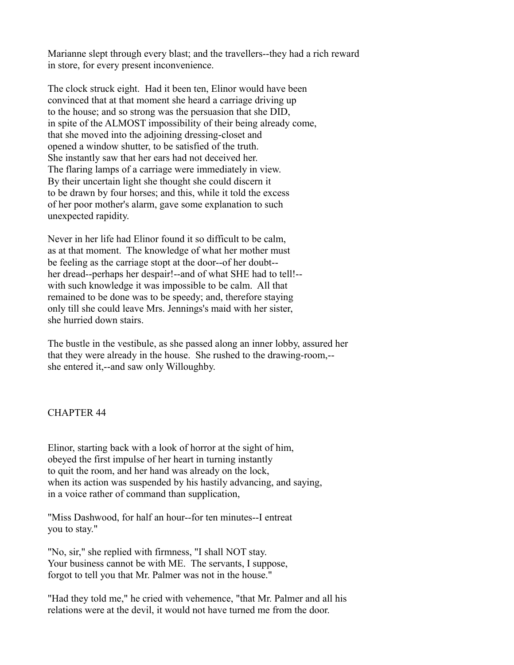Marianne slept through every blast; and the travellers--they had a rich reward in store, for every present inconvenience.

The clock struck eight. Had it been ten, Elinor would have been convinced that at that moment she heard a carriage driving up to the house; and so strong was the persuasion that she DID, in spite of the ALMOST impossibility of their being already come, that she moved into the adjoining dressing-closet and opened a window shutter, to be satisfied of the truth. She instantly saw that her ears had not deceived her. The flaring lamps of a carriage were immediately in view. By their uncertain light she thought she could discern it to be drawn by four horses; and this, while it told the excess of her poor mother's alarm, gave some explanation to such unexpected rapidity.

Never in her life had Elinor found it so difficult to be calm, as at that moment. The knowledge of what her mother must be feeling as the carriage stopt at the door--of her doubt- her dread--perhaps her despair!--and of what SHE had to tell!- with such knowledge it was impossible to be calm. All that remained to be done was to be speedy; and, therefore staying only till she could leave Mrs. Jennings's maid with her sister, she hurried down stairs.

The bustle in the vestibule, as she passed along an inner lobby, assured her that they were already in the house. She rushed to the drawing-room,- she entered it,--and saw only Willoughby.

### CHAPTER 44

Elinor, starting back with a look of horror at the sight of him, obeyed the first impulse of her heart in turning instantly to quit the room, and her hand was already on the lock, when its action was suspended by his hastily advancing, and saying, in a voice rather of command than supplication,

"Miss Dashwood, for half an hour--for ten minutes--I entreat you to stay."

"No, sir," she replied with firmness, "I shall NOT stay. Your business cannot be with ME. The servants, I suppose, forgot to tell you that Mr. Palmer was not in the house."

"Had they told me," he cried with vehemence, "that Mr. Palmer and all his relations were at the devil, it would not have turned me from the door.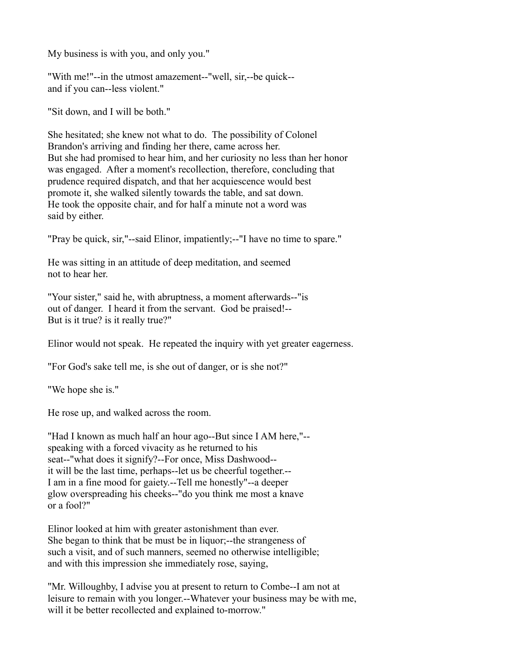My business is with you, and only you."

"With me!"--in the utmost amazement--"well, sir,--be quick- and if you can--less violent."

"Sit down, and I will be both."

She hesitated; she knew not what to do. The possibility of Colonel Brandon's arriving and finding her there, came across her. But she had promised to hear him, and her curiosity no less than her honor was engaged. After a moment's recollection, therefore, concluding that prudence required dispatch, and that her acquiescence would best promote it, she walked silently towards the table, and sat down. He took the opposite chair, and for half a minute not a word was said by either.

"Pray be quick, sir,"--said Elinor, impatiently;--"I have no time to spare."

He was sitting in an attitude of deep meditation, and seemed not to hear her.

"Your sister," said he, with abruptness, a moment afterwards--"is out of danger. I heard it from the servant. God be praised!-- But is it true? is it really true?"

Elinor would not speak. He repeated the inquiry with yet greater eagerness.

"For God's sake tell me, is she out of danger, or is she not?"

"We hope she is."

He rose up, and walked across the room.

"Had I known as much half an hour ago--But since I AM here,"- speaking with a forced vivacity as he returned to his seat--"what does it signify?--For once, Miss Dashwood- it will be the last time, perhaps--let us be cheerful together.-- I am in a fine mood for gaiety.--Tell me honestly"--a deeper glow overspreading his cheeks--"do you think me most a knave or a fool?"

Elinor looked at him with greater astonishment than ever. She began to think that be must be in liquor;--the strangeness of such a visit, and of such manners, seemed no otherwise intelligible; and with this impression she immediately rose, saying,

"Mr. Willoughby, I advise you at present to return to Combe--I am not at leisure to remain with you longer.--Whatever your business may be with me, will it be better recollected and explained to-morrow."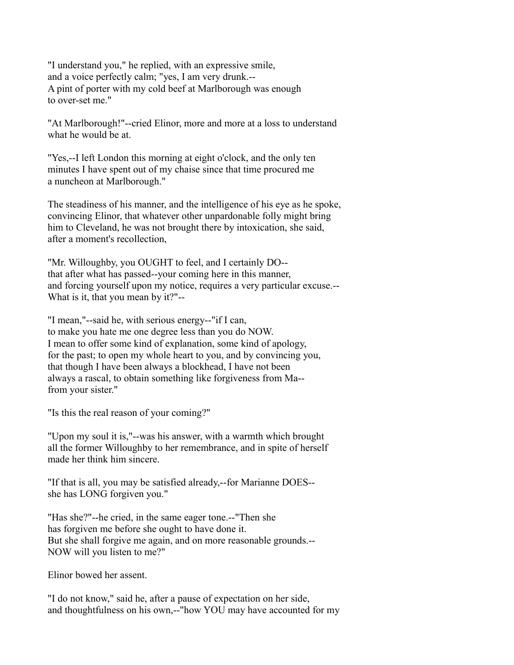"I understand you," he replied, with an expressive smile, and a voice perfectly calm; "yes, I am very drunk.-- A pint of porter with my cold beef at Marlborough was enough to over-set me."

"At Marlborough!"--cried Elinor, more and more at a loss to understand what he would be at.

"Yes,--I left London this morning at eight o'clock, and the only ten minutes I have spent out of my chaise since that time procured me a nuncheon at Marlborough."

The steadiness of his manner, and the intelligence of his eye as he spoke, convincing Elinor, that whatever other unpardonable folly might bring him to Cleveland, he was not brought there by intoxication, she said, after a moment's recollection,

"Mr. Willoughby, you OUGHT to feel, and I certainly DO- that after what has passed--your coming here in this manner, and forcing yourself upon my notice, requires a very particular excuse.-- What is it, that you mean by it?"--

"I mean,"--said he, with serious energy--"if I can, to make you hate me one degree less than you do NOW. I mean to offer some kind of explanation, some kind of apology, for the past; to open my whole heart to you, and by convincing you, that though I have been always a blockhead, I have not been always a rascal, to obtain something like forgiveness from Ma- from your sister."

"Is this the real reason of your coming?"

"Upon my soul it is,"--was his answer, with a warmth which brought all the former Willoughby to her remembrance, and in spite of herself made her think him sincere.

"If that is all, you may be satisfied already,--for Marianne DOES- she has LONG forgiven you."

"Has she?"--he cried, in the same eager tone.--"Then she has forgiven me before she ought to have done it. But she shall forgive me again, and on more reasonable grounds.-- NOW will you listen to me?"

Elinor bowed her assent.

"I do not know," said he, after a pause of expectation on her side, and thoughtfulness on his own,--"how YOU may have accounted for my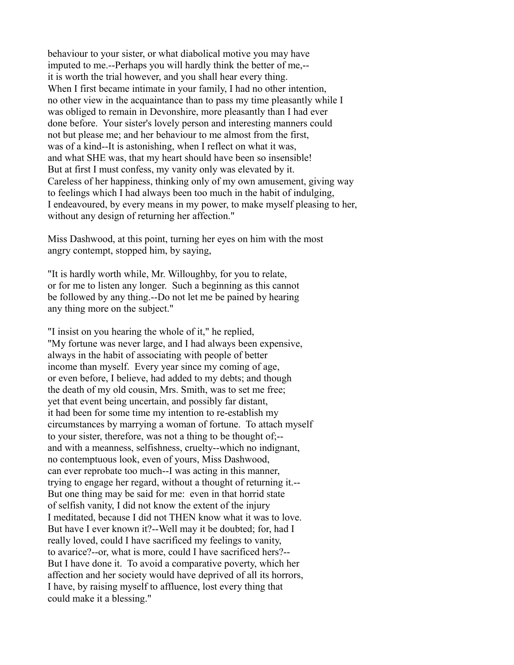behaviour to your sister, or what diabolical motive you may have imputed to me.--Perhaps you will hardly think the better of me,- it is worth the trial however, and you shall hear every thing. When I first became intimate in your family, I had no other intention, no other view in the acquaintance than to pass my time pleasantly while I was obliged to remain in Devonshire, more pleasantly than I had ever done before. Your sister's lovely person and interesting manners could not but please me; and her behaviour to me almost from the first, was of a kind--It is astonishing, when I reflect on what it was, and what SHE was, that my heart should have been so insensible! But at first I must confess, my vanity only was elevated by it. Careless of her happiness, thinking only of my own amusement, giving way to feelings which I had always been too much in the habit of indulging, I endeavoured, by every means in my power, to make myself pleasing to her, without any design of returning her affection."

Miss Dashwood, at this point, turning her eyes on him with the most angry contempt, stopped him, by saying,

"It is hardly worth while, Mr. Willoughby, for you to relate, or for me to listen any longer. Such a beginning as this cannot be followed by any thing.--Do not let me be pained by hearing any thing more on the subject."

"I insist on you hearing the whole of it," he replied, "My fortune was never large, and I had always been expensive, always in the habit of associating with people of better income than myself. Every year since my coming of age, or even before, I believe, had added to my debts; and though the death of my old cousin, Mrs. Smith, was to set me free; yet that event being uncertain, and possibly far distant, it had been for some time my intention to re-establish my circumstances by marrying a woman of fortune. To attach myself to your sister, therefore, was not a thing to be thought of;- and with a meanness, selfishness, cruelty--which no indignant, no contemptuous look, even of yours, Miss Dashwood, can ever reprobate too much--I was acting in this manner, trying to engage her regard, without a thought of returning it.-- But one thing may be said for me: even in that horrid state of selfish vanity, I did not know the extent of the injury I meditated, because I did not THEN know what it was to love. But have I ever known it?--Well may it be doubted; for, had I really loved, could I have sacrificed my feelings to vanity, to avarice?--or, what is more, could I have sacrificed hers?-- But I have done it. To avoid a comparative poverty, which her affection and her society would have deprived of all its horrors, I have, by raising myself to affluence, lost every thing that could make it a blessing."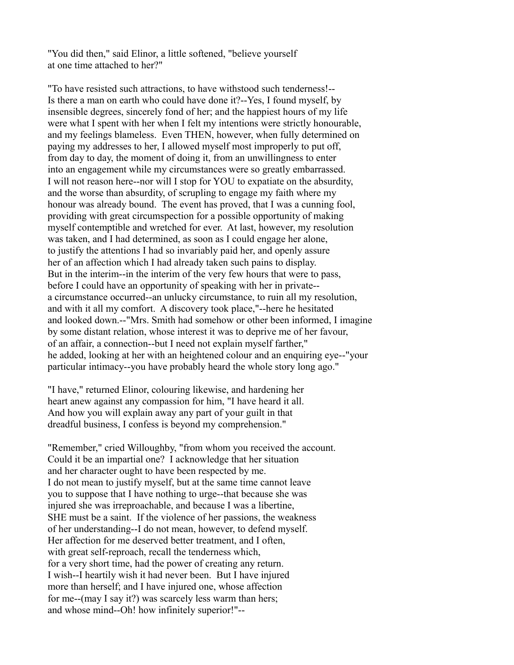"You did then," said Elinor, a little softened, "believe yourself at one time attached to her?"

"To have resisted such attractions, to have withstood such tenderness!-- Is there a man on earth who could have done it?--Yes, I found myself, by insensible degrees, sincerely fond of her; and the happiest hours of my life were what I spent with her when I felt my intentions were strictly honourable, and my feelings blameless. Even THEN, however, when fully determined on paying my addresses to her, I allowed myself most improperly to put off, from day to day, the moment of doing it, from an unwillingness to enter into an engagement while my circumstances were so greatly embarrassed. I will not reason here--nor will I stop for YOU to expatiate on the absurdity, and the worse than absurdity, of scrupling to engage my faith where my honour was already bound. The event has proved, that I was a cunning fool, providing with great circumspection for a possible opportunity of making myself contemptible and wretched for ever. At last, however, my resolution was taken, and I had determined, as soon as I could engage her alone, to justify the attentions I had so invariably paid her, and openly assure her of an affection which I had already taken such pains to display. But in the interim--in the interim of the very few hours that were to pass, before I could have an opportunity of speaking with her in private- a circumstance occurred--an unlucky circumstance, to ruin all my resolution, and with it all my comfort. A discovery took place,"--here he hesitated and looked down.--"Mrs. Smith had somehow or other been informed, I imagine by some distant relation, whose interest it was to deprive me of her favour, of an affair, a connection--but I need not explain myself farther," he added, looking at her with an heightened colour and an enquiring eye--"your particular intimacy--you have probably heard the whole story long ago."

"I have," returned Elinor, colouring likewise, and hardening her heart anew against any compassion for him, "I have heard it all. And how you will explain away any part of your guilt in that dreadful business, I confess is beyond my comprehension."

"Remember," cried Willoughby, "from whom you received the account. Could it be an impartial one? I acknowledge that her situation and her character ought to have been respected by me. I do not mean to justify myself, but at the same time cannot leave you to suppose that I have nothing to urge--that because she was injured she was irreproachable, and because I was a libertine, SHE must be a saint. If the violence of her passions, the weakness of her understanding--I do not mean, however, to defend myself. Her affection for me deserved better treatment, and I often, with great self-reproach, recall the tenderness which, for a very short time, had the power of creating any return. I wish--I heartily wish it had never been. But I have injured more than herself; and I have injured one, whose affection for me--(may I say it?) was scarcely less warm than hers; and whose mind--Oh! how infinitely superior!"--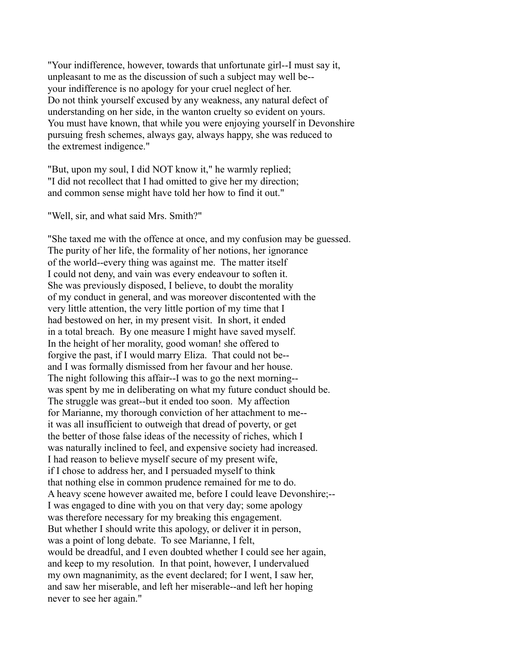"Your indifference, however, towards that unfortunate girl--I must say it, unpleasant to me as the discussion of such a subject may well be- your indifference is no apology for your cruel neglect of her. Do not think yourself excused by any weakness, any natural defect of understanding on her side, in the wanton cruelty so evident on yours. You must have known, that while you were enjoying yourself in Devonshire pursuing fresh schemes, always gay, always happy, she was reduced to the extremest indigence."

"But, upon my soul, I did NOT know it," he warmly replied; "I did not recollect that I had omitted to give her my direction; and common sense might have told her how to find it out."

"Well, sir, and what said Mrs. Smith?"

"She taxed me with the offence at once, and my confusion may be guessed. The purity of her life, the formality of her notions, her ignorance of the world--every thing was against me. The matter itself I could not deny, and vain was every endeavour to soften it. She was previously disposed, I believe, to doubt the morality of my conduct in general, and was moreover discontented with the very little attention, the very little portion of my time that I had bestowed on her, in my present visit. In short, it ended in a total breach. By one measure I might have saved myself. In the height of her morality, good woman! she offered to forgive the past, if I would marry Eliza. That could not be- and I was formally dismissed from her favour and her house. The night following this affair--I was to go the next morning- was spent by me in deliberating on what my future conduct should be. The struggle was great--but it ended too soon. My affection for Marianne, my thorough conviction of her attachment to me- it was all insufficient to outweigh that dread of poverty, or get the better of those false ideas of the necessity of riches, which I was naturally inclined to feel, and expensive society had increased. I had reason to believe myself secure of my present wife, if I chose to address her, and I persuaded myself to think that nothing else in common prudence remained for me to do. A heavy scene however awaited me, before I could leave Devonshire;-- I was engaged to dine with you on that very day; some apology was therefore necessary for my breaking this engagement. But whether I should write this apology, or deliver it in person, was a point of long debate. To see Marianne, I felt, would be dreadful, and I even doubted whether I could see her again, and keep to my resolution. In that point, however, I undervalued my own magnanimity, as the event declared; for I went, I saw her, and saw her miserable, and left her miserable--and left her hoping never to see her again."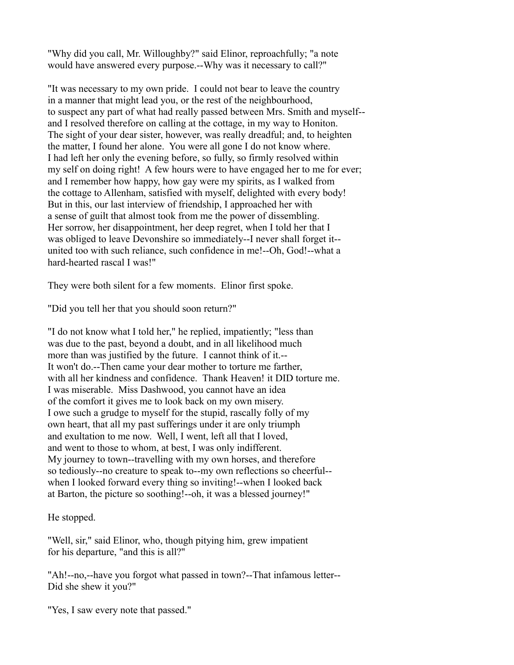"Why did you call, Mr. Willoughby?" said Elinor, reproachfully; "a note would have answered every purpose.--Why was it necessary to call?"

"It was necessary to my own pride. I could not bear to leave the country in a manner that might lead you, or the rest of the neighbourhood, to suspect any part of what had really passed between Mrs. Smith and myself- and I resolved therefore on calling at the cottage, in my way to Honiton. The sight of your dear sister, however, was really dreadful; and, to heighten the matter, I found her alone. You were all gone I do not know where. I had left her only the evening before, so fully, so firmly resolved within my self on doing right! A few hours were to have engaged her to me for ever; and I remember how happy, how gay were my spirits, as I walked from the cottage to Allenham, satisfied with myself, delighted with every body! But in this, our last interview of friendship, I approached her with a sense of guilt that almost took from me the power of dissembling. Her sorrow, her disappointment, her deep regret, when I told her that I was obliged to leave Devonshire so immediately--I never shall forget it- united too with such reliance, such confidence in me!--Oh, God!--what a hard-hearted rascal I was!"

They were both silent for a few moments. Elinor first spoke.

"Did you tell her that you should soon return?"

"I do not know what I told her," he replied, impatiently; "less than was due to the past, beyond a doubt, and in all likelihood much more than was justified by the future. I cannot think of it.-- It won't do.--Then came your dear mother to torture me farther, with all her kindness and confidence. Thank Heaven! it DID torture me. I was miserable. Miss Dashwood, you cannot have an idea of the comfort it gives me to look back on my own misery. I owe such a grudge to myself for the stupid, rascally folly of my own heart, that all my past sufferings under it are only triumph and exultation to me now. Well, I went, left all that I loved, and went to those to whom, at best, I was only indifferent. My journey to town--travelling with my own horses, and therefore so tediously--no creature to speak to--my own reflections so cheerful- when I looked forward every thing so inviting!--when I looked back at Barton, the picture so soothing!--oh, it was a blessed journey!"

He stopped.

"Well, sir," said Elinor, who, though pitying him, grew impatient for his departure, "and this is all?"

"Ah!--no,--have you forgot what passed in town?--That infamous letter-- Did she shew it you?"

"Yes, I saw every note that passed."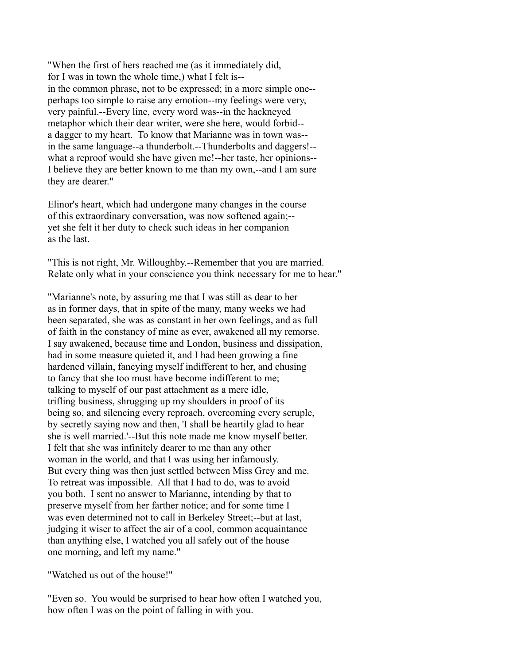"When the first of hers reached me (as it immediately did, for I was in town the whole time,) what I felt is- in the common phrase, not to be expressed; in a more simple one- perhaps too simple to raise any emotion--my feelings were very, very painful.--Every line, every word was--in the hackneyed metaphor which their dear writer, were she here, would forbid- a dagger to my heart. To know that Marianne was in town was- in the same language--a thunderbolt.--Thunderbolts and daggers!- what a reproof would she have given me!--her taste, her opinions--I believe they are better known to me than my own,--and I am sure they are dearer."

Elinor's heart, which had undergone many changes in the course of this extraordinary conversation, was now softened again;- yet she felt it her duty to check such ideas in her companion as the last.

"This is not right, Mr. Willoughby.--Remember that you are married. Relate only what in your conscience you think necessary for me to hear."

"Marianne's note, by assuring me that I was still as dear to her as in former days, that in spite of the many, many weeks we had been separated, she was as constant in her own feelings, and as full of faith in the constancy of mine as ever, awakened all my remorse. I say awakened, because time and London, business and dissipation, had in some measure quieted it, and I had been growing a fine hardened villain, fancying myself indifferent to her, and chusing to fancy that she too must have become indifferent to me; talking to myself of our past attachment as a mere idle, trifling business, shrugging up my shoulders in proof of its being so, and silencing every reproach, overcoming every scruple, by secretly saying now and then, 'I shall be heartily glad to hear she is well married.'--But this note made me know myself better. I felt that she was infinitely dearer to me than any other woman in the world, and that I was using her infamously. But every thing was then just settled between Miss Grey and me. To retreat was impossible. All that I had to do, was to avoid you both. I sent no answer to Marianne, intending by that to preserve myself from her farther notice; and for some time I was even determined not to call in Berkeley Street;--but at last, judging it wiser to affect the air of a cool, common acquaintance than anything else, I watched you all safely out of the house one morning, and left my name."

"Watched us out of the house!"

"Even so. You would be surprised to hear how often I watched you, how often I was on the point of falling in with you.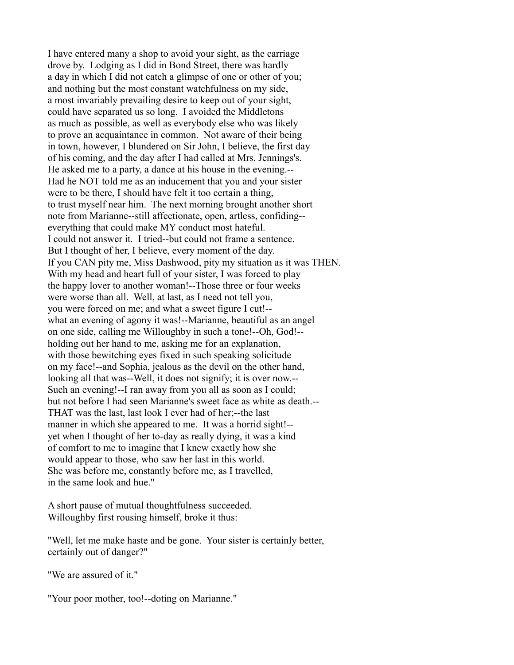I have entered many a shop to avoid your sight, as the carriage drove by. Lodging as I did in Bond Street, there was hardly a day in which I did not catch a glimpse of one or other of you; and nothing but the most constant watchfulness on my side, a most invariably prevailing desire to keep out of your sight, could have separated us so long. I avoided the Middletons as much as possible, as well as everybody else who was likely to prove an acquaintance in common. Not aware of their being in town, however, I blundered on Sir John, I believe, the first day of his coming, and the day after I had called at Mrs. Jennings's. He asked me to a party, a dance at his house in the evening.-- Had he NOT told me as an inducement that you and your sister were to be there, I should have felt it too certain a thing, to trust myself near him. The next morning brought another short note from Marianne--still affectionate, open, artless, confiding- everything that could make MY conduct most hateful. I could not answer it. I tried--but could not frame a sentence. But I thought of her, I believe, every moment of the day. If you CAN pity me, Miss Dashwood, pity my situation as it was THEN. With my head and heart full of your sister, I was forced to play the happy lover to another woman!--Those three or four weeks were worse than all. Well, at last, as I need not tell you, you were forced on me; and what a sweet figure I cut!- what an evening of agony it was!--Marianne, beautiful as an angel on one side, calling me Willoughby in such a tone!--Oh, God!- holding out her hand to me, asking me for an explanation, with those bewitching eyes fixed in such speaking solicitude on my face!--and Sophia, jealous as the devil on the other hand, looking all that was--Well, it does not signify; it is over now.-- Such an evening!--I ran away from you all as soon as I could; but not before I had seen Marianne's sweet face as white as death.-- THAT was the last, last look I ever had of her;--the last manner in which she appeared to me. It was a horrid sight!- yet when I thought of her to-day as really dying, it was a kind of comfort to me to imagine that I knew exactly how she would appear to those, who saw her last in this world. She was before me, constantly before me, as I travelled, in the same look and hue."

A short pause of mutual thoughtfulness succeeded. Willoughby first rousing himself, broke it thus:

"Well, let me make haste and be gone. Your sister is certainly better, certainly out of danger?"

"We are assured of it."

"Your poor mother, too!--doting on Marianne."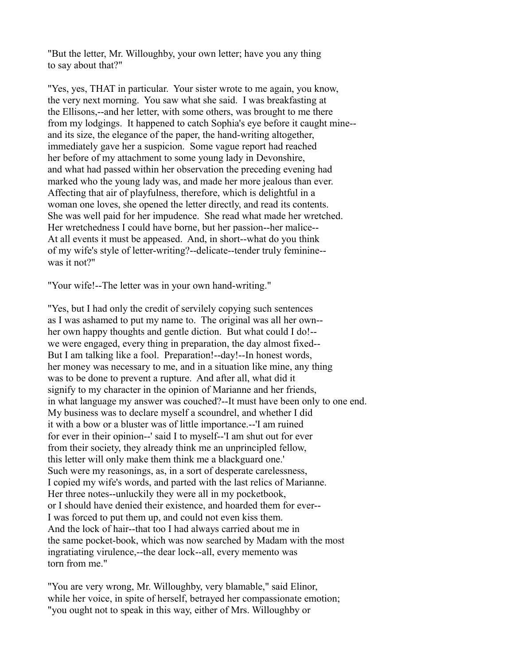"But the letter, Mr. Willoughby, your own letter; have you any thing to say about that?"

"Yes, yes, THAT in particular. Your sister wrote to me again, you know, the very next morning. You saw what she said. I was breakfasting at the Ellisons,--and her letter, with some others, was brought to me there from my lodgings. It happened to catch Sophia's eye before it caught mine- and its size, the elegance of the paper, the hand-writing altogether, immediately gave her a suspicion. Some vague report had reached her before of my attachment to some young lady in Devonshire, and what had passed within her observation the preceding evening had marked who the young lady was, and made her more jealous than ever. Affecting that air of playfulness, therefore, which is delightful in a woman one loves, she opened the letter directly, and read its contents. She was well paid for her impudence. She read what made her wretched. Her wretchedness I could have borne, but her passion--her malice-- At all events it must be appeased. And, in short--what do you think of my wife's style of letter-writing?--delicate--tender truly feminine- was it not?"

"Your wife!--The letter was in your own hand-writing."

"Yes, but I had only the credit of servilely copying such sentences as I was ashamed to put my name to. The original was all her own- her own happy thoughts and gentle diction. But what could I do!- we were engaged, every thing in preparation, the day almost fixed-- But I am talking like a fool. Preparation!--day!--In honest words, her money was necessary to me, and in a situation like mine, any thing was to be done to prevent a rupture. And after all, what did it signify to my character in the opinion of Marianne and her friends, in what language my answer was couched?--It must have been only to one end. My business was to declare myself a scoundrel, and whether I did it with a bow or a bluster was of little importance.--'I am ruined for ever in their opinion--' said I to myself--'I am shut out for ever from their society, they already think me an unprincipled fellow, this letter will only make them think me a blackguard one.' Such were my reasonings, as, in a sort of desperate carelessness, I copied my wife's words, and parted with the last relics of Marianne. Her three notes--unluckily they were all in my pocketbook, or I should have denied their existence, and hoarded them for ever-- I was forced to put them up, and could not even kiss them. And the lock of hair--that too I had always carried about me in the same pocket-book, which was now searched by Madam with the most ingratiating virulence,--the dear lock--all, every memento was torn from me."

"You are very wrong, Mr. Willoughby, very blamable," said Elinor, while her voice, in spite of herself, betrayed her compassionate emotion; "you ought not to speak in this way, either of Mrs. Willoughby or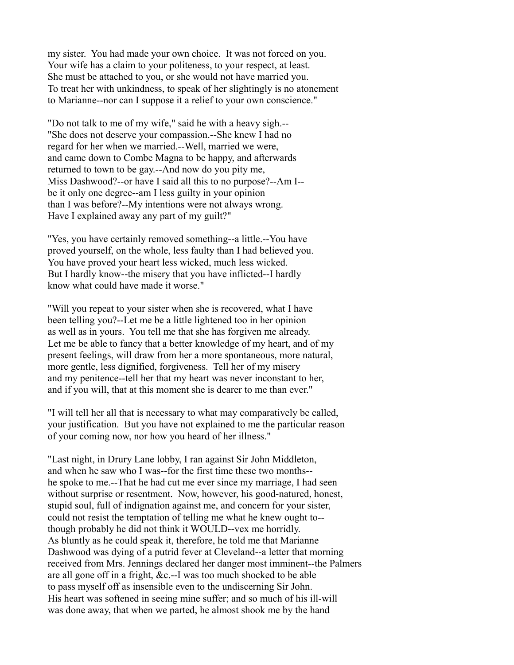my sister. You had made your own choice. It was not forced on you. Your wife has a claim to your politeness, to your respect, at least. She must be attached to you, or she would not have married you. To treat her with unkindness, to speak of her slightingly is no atonement to Marianne--nor can I suppose it a relief to your own conscience."

"Do not talk to me of my wife," said he with a heavy sigh.-- "She does not deserve your compassion.--She knew I had no regard for her when we married.--Well, married we were, and came down to Combe Magna to be happy, and afterwards returned to town to be gay.--And now do you pity me, Miss Dashwood?--or have I said all this to no purpose?--Am I- be it only one degree--am I less guilty in your opinion than I was before?--My intentions were not always wrong. Have I explained away any part of my guilt?"

"Yes, you have certainly removed something--a little.--You have proved yourself, on the whole, less faulty than I had believed you. You have proved your heart less wicked, much less wicked. But I hardly know--the misery that you have inflicted--I hardly know what could have made it worse."

"Will you repeat to your sister when she is recovered, what I have been telling you?--Let me be a little lightened too in her opinion as well as in yours. You tell me that she has forgiven me already. Let me be able to fancy that a better knowledge of my heart, and of my present feelings, will draw from her a more spontaneous, more natural, more gentle, less dignified, forgiveness. Tell her of my misery and my penitence--tell her that my heart was never inconstant to her, and if you will, that at this moment she is dearer to me than ever."

"I will tell her all that is necessary to what may comparatively be called, your justification. But you have not explained to me the particular reason of your coming now, nor how you heard of her illness."

"Last night, in Drury Lane lobby, I ran against Sir John Middleton, and when he saw who I was--for the first time these two months- he spoke to me.--That he had cut me ever since my marriage, I had seen without surprise or resentment. Now, however, his good-natured, honest, stupid soul, full of indignation against me, and concern for your sister, could not resist the temptation of telling me what he knew ought to- though probably he did not think it WOULD--vex me horridly. As bluntly as he could speak it, therefore, he told me that Marianne Dashwood was dying of a putrid fever at Cleveland--a letter that morning received from Mrs. Jennings declared her danger most imminent--the Palmers are all gone off in a fright, &c.--I was too much shocked to be able to pass myself off as insensible even to the undiscerning Sir John. His heart was softened in seeing mine suffer; and so much of his ill-will was done away, that when we parted, he almost shook me by the hand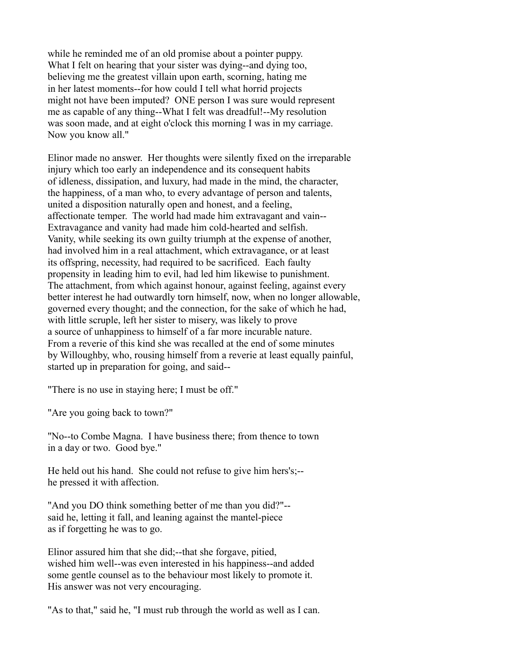while he reminded me of an old promise about a pointer puppy. What I felt on hearing that your sister was dying--and dying too, believing me the greatest villain upon earth, scorning, hating me in her latest moments--for how could I tell what horrid projects might not have been imputed? ONE person I was sure would represent me as capable of any thing--What I felt was dreadful!--My resolution was soon made, and at eight o'clock this morning I was in my carriage. Now you know all."

Elinor made no answer. Her thoughts were silently fixed on the irreparable injury which too early an independence and its consequent habits of idleness, dissipation, and luxury, had made in the mind, the character, the happiness, of a man who, to every advantage of person and talents, united a disposition naturally open and honest, and a feeling, affectionate temper. The world had made him extravagant and vain-- Extravagance and vanity had made him cold-hearted and selfish. Vanity, while seeking its own guilty triumph at the expense of another, had involved him in a real attachment, which extravagance, or at least its offspring, necessity, had required to be sacrificed. Each faulty propensity in leading him to evil, had led him likewise to punishment. The attachment, from which against honour, against feeling, against every better interest he had outwardly torn himself, now, when no longer allowable, governed every thought; and the connection, for the sake of which he had, with little scruple, left her sister to misery, was likely to prove a source of unhappiness to himself of a far more incurable nature. From a reverie of this kind she was recalled at the end of some minutes by Willoughby, who, rousing himself from a reverie at least equally painful, started up in preparation for going, and said--

"There is no use in staying here; I must be off."

"Are you going back to town?"

"No--to Combe Magna. I have business there; from thence to town in a day or two. Good bye."

He held out his hand. She could not refuse to give him hers's;- he pressed it with affection.

"And you DO think something better of me than you did?"- said he, letting it fall, and leaning against the mantel-piece as if forgetting he was to go.

Elinor assured him that she did;--that she forgave, pitied, wished him well--was even interested in his happiness--and added some gentle counsel as to the behaviour most likely to promote it. His answer was not very encouraging.

"As to that," said he, "I must rub through the world as well as I can.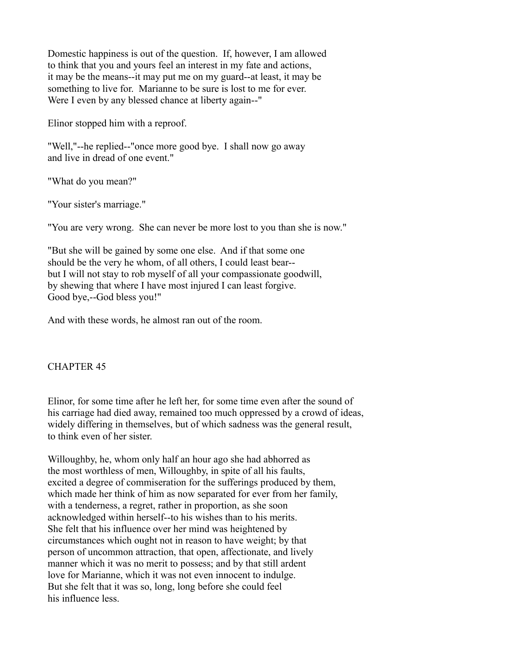Domestic happiness is out of the question. If, however, I am allowed to think that you and yours feel an interest in my fate and actions, it may be the means--it may put me on my guard--at least, it may be something to live for. Marianne to be sure is lost to me for ever. Were I even by any blessed chance at liberty again--"

Elinor stopped him with a reproof.

"Well,"--he replied--"once more good bye. I shall now go away and live in dread of one event."

"What do you mean?"

"Your sister's marriage."

"You are very wrong. She can never be more lost to you than she is now."

"But she will be gained by some one else. And if that some one should be the very he whom, of all others, I could least bear- but I will not stay to rob myself of all your compassionate goodwill, by shewing that where I have most injured I can least forgive. Good bye,--God bless you!"

And with these words, he almost ran out of the room.

# CHAPTER 45

Elinor, for some time after he left her, for some time even after the sound of his carriage had died away, remained too much oppressed by a crowd of ideas, widely differing in themselves, but of which sadness was the general result, to think even of her sister.

Willoughby, he, whom only half an hour ago she had abhorred as the most worthless of men, Willoughby, in spite of all his faults, excited a degree of commiseration for the sufferings produced by them, which made her think of him as now separated for ever from her family, with a tenderness, a regret, rather in proportion, as she soon acknowledged within herself--to his wishes than to his merits. She felt that his influence over her mind was heightened by circumstances which ought not in reason to have weight; by that person of uncommon attraction, that open, affectionate, and lively manner which it was no merit to possess; and by that still ardent love for Marianne, which it was not even innocent to indulge. But she felt that it was so, long, long before she could feel his influence less.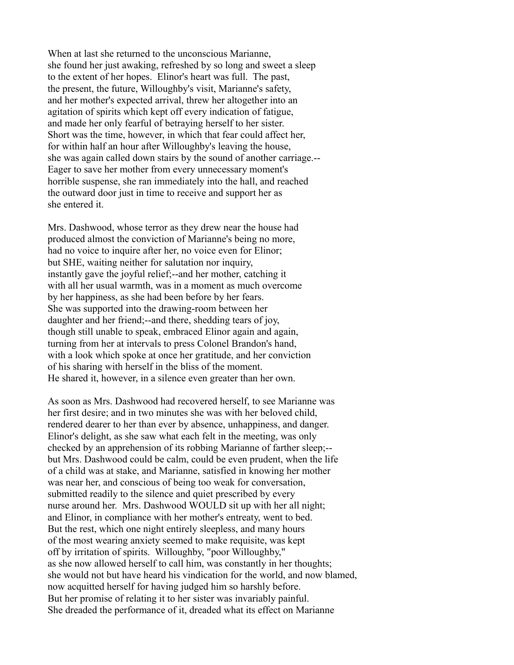When at last she returned to the unconscious Marianne, she found her just awaking, refreshed by so long and sweet a sleep to the extent of her hopes. Elinor's heart was full. The past, the present, the future, Willoughby's visit, Marianne's safety, and her mother's expected arrival, threw her altogether into an agitation of spirits which kept off every indication of fatigue, and made her only fearful of betraying herself to her sister. Short was the time, however, in which that fear could affect her, for within half an hour after Willoughby's leaving the house, she was again called down stairs by the sound of another carriage.-- Eager to save her mother from every unnecessary moment's horrible suspense, she ran immediately into the hall, and reached the outward door just in time to receive and support her as she entered it.

Mrs. Dashwood, whose terror as they drew near the house had produced almost the conviction of Marianne's being no more, had no voice to inquire after her, no voice even for Elinor; but SHE, waiting neither for salutation nor inquiry, instantly gave the joyful relief;--and her mother, catching it with all her usual warmth, was in a moment as much overcome by her happiness, as she had been before by her fears. She was supported into the drawing-room between her daughter and her friend;--and there, shedding tears of joy, though still unable to speak, embraced Elinor again and again, turning from her at intervals to press Colonel Brandon's hand, with a look which spoke at once her gratitude, and her conviction of his sharing with herself in the bliss of the moment. He shared it, however, in a silence even greater than her own.

As soon as Mrs. Dashwood had recovered herself, to see Marianne was her first desire; and in two minutes she was with her beloved child, rendered dearer to her than ever by absence, unhappiness, and danger. Elinor's delight, as she saw what each felt in the meeting, was only checked by an apprehension of its robbing Marianne of farther sleep;- but Mrs. Dashwood could be calm, could be even prudent, when the life of a child was at stake, and Marianne, satisfied in knowing her mother was near her, and conscious of being too weak for conversation, submitted readily to the silence and quiet prescribed by every nurse around her. Mrs. Dashwood WOULD sit up with her all night; and Elinor, in compliance with her mother's entreaty, went to bed. But the rest, which one night entirely sleepless, and many hours of the most wearing anxiety seemed to make requisite, was kept off by irritation of spirits. Willoughby, "poor Willoughby," as she now allowed herself to call him, was constantly in her thoughts; she would not but have heard his vindication for the world, and now blamed, now acquitted herself for having judged him so harshly before. But her promise of relating it to her sister was invariably painful. She dreaded the performance of it, dreaded what its effect on Marianne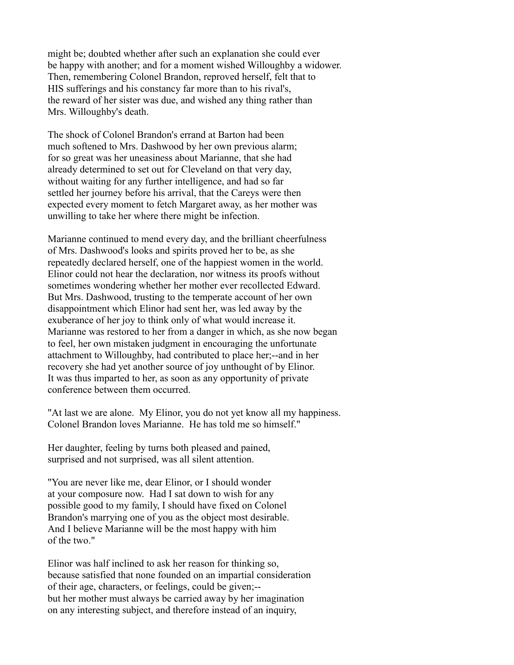might be; doubted whether after such an explanation she could ever be happy with another; and for a moment wished Willoughby a widower. Then, remembering Colonel Brandon, reproved herself, felt that to HIS sufferings and his constancy far more than to his rival's, the reward of her sister was due, and wished any thing rather than Mrs. Willoughby's death.

The shock of Colonel Brandon's errand at Barton had been much softened to Mrs. Dashwood by her own previous alarm; for so great was her uneasiness about Marianne, that she had already determined to set out for Cleveland on that very day, without waiting for any further intelligence, and had so far settled her journey before his arrival, that the Careys were then expected every moment to fetch Margaret away, as her mother was unwilling to take her where there might be infection.

Marianne continued to mend every day, and the brilliant cheerfulness of Mrs. Dashwood's looks and spirits proved her to be, as she repeatedly declared herself, one of the happiest women in the world. Elinor could not hear the declaration, nor witness its proofs without sometimes wondering whether her mother ever recollected Edward. But Mrs. Dashwood, trusting to the temperate account of her own disappointment which Elinor had sent her, was led away by the exuberance of her joy to think only of what would increase it. Marianne was restored to her from a danger in which, as she now began to feel, her own mistaken judgment in encouraging the unfortunate attachment to Willoughby, had contributed to place her;--and in her recovery she had yet another source of joy unthought of by Elinor. It was thus imparted to her, as soon as any opportunity of private conference between them occurred.

"At last we are alone. My Elinor, you do not yet know all my happiness. Colonel Brandon loves Marianne. He has told me so himself."

Her daughter, feeling by turns both pleased and pained, surprised and not surprised, was all silent attention.

"You are never like me, dear Elinor, or I should wonder at your composure now. Had I sat down to wish for any possible good to my family, I should have fixed on Colonel Brandon's marrying one of you as the object most desirable. And I believe Marianne will be the most happy with him of the two."

Elinor was half inclined to ask her reason for thinking so, because satisfied that none founded on an impartial consideration of their age, characters, or feelings, could be given;- but her mother must always be carried away by her imagination on any interesting subject, and therefore instead of an inquiry,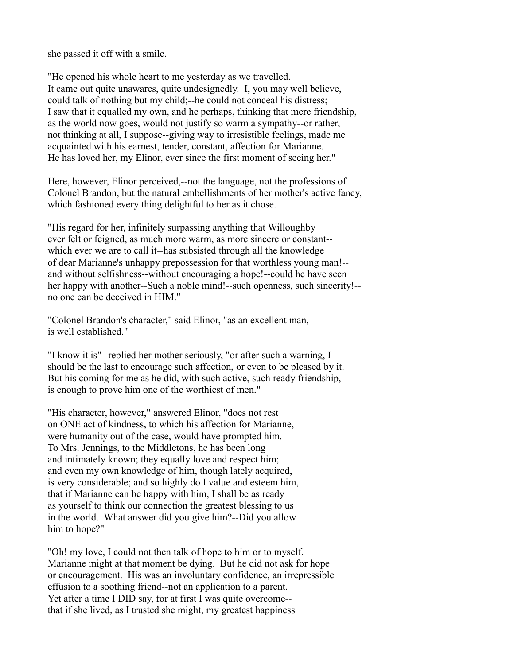she passed it off with a smile.

"He opened his whole heart to me yesterday as we travelled. It came out quite unawares, quite undesignedly. I, you may well believe, could talk of nothing but my child;--he could not conceal his distress; I saw that it equalled my own, and he perhaps, thinking that mere friendship, as the world now goes, would not justify so warm a sympathy--or rather, not thinking at all, I suppose--giving way to irresistible feelings, made me acquainted with his earnest, tender, constant, affection for Marianne. He has loved her, my Elinor, ever since the first moment of seeing her."

Here, however, Elinor perceived,--not the language, not the professions of Colonel Brandon, but the natural embellishments of her mother's active fancy, which fashioned every thing delightful to her as it chose.

"His regard for her, infinitely surpassing anything that Willoughby ever felt or feigned, as much more warm, as more sincere or constant- which ever we are to call it--has subsisted through all the knowledge of dear Marianne's unhappy prepossession for that worthless young man!- and without selfishness--without encouraging a hope!--could he have seen her happy with another--Such a noble mind!--such openness, such sincerity!- no one can be deceived in HIM."

"Colonel Brandon's character," said Elinor, "as an excellent man, is well established."

"I know it is"--replied her mother seriously, "or after such a warning, I should be the last to encourage such affection, or even to be pleased by it. But his coming for me as he did, with such active, such ready friendship, is enough to prove him one of the worthiest of men."

"His character, however," answered Elinor, "does not rest on ONE act of kindness, to which his affection for Marianne, were humanity out of the case, would have prompted him. To Mrs. Jennings, to the Middletons, he has been long and intimately known; they equally love and respect him; and even my own knowledge of him, though lately acquired, is very considerable; and so highly do I value and esteem him, that if Marianne can be happy with him, I shall be as ready as yourself to think our connection the greatest blessing to us in the world. What answer did you give him?--Did you allow him to hope?"

"Oh! my love, I could not then talk of hope to him or to myself. Marianne might at that moment be dying. But he did not ask for hope or encouragement. His was an involuntary confidence, an irrepressible effusion to a soothing friend--not an application to a parent. Yet after a time I DID say, for at first I was quite overcome- that if she lived, as I trusted she might, my greatest happiness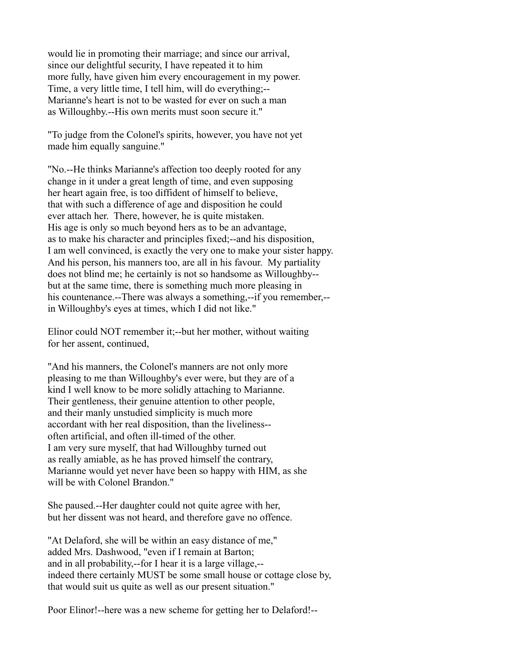would lie in promoting their marriage; and since our arrival, since our delightful security, I have repeated it to him more fully, have given him every encouragement in my power. Time, a very little time, I tell him, will do everything;-- Marianne's heart is not to be wasted for ever on such a man as Willoughby.--His own merits must soon secure it."

"To judge from the Colonel's spirits, however, you have not yet made him equally sanguine."

"No.--He thinks Marianne's affection too deeply rooted for any change in it under a great length of time, and even supposing her heart again free, is too diffident of himself to believe, that with such a difference of age and disposition he could ever attach her. There, however, he is quite mistaken. His age is only so much beyond hers as to be an advantage, as to make his character and principles fixed;--and his disposition, I am well convinced, is exactly the very one to make your sister happy. And his person, his manners too, are all in his favour. My partiality does not blind me; he certainly is not so handsome as Willoughby- but at the same time, there is something much more pleasing in his countenance.--There was always a something,--if you remember,-in Willoughby's eyes at times, which I did not like."

Elinor could NOT remember it;--but her mother, without waiting for her assent, continued,

"And his manners, the Colonel's manners are not only more pleasing to me than Willoughby's ever were, but they are of a kind I well know to be more solidly attaching to Marianne. Their gentleness, their genuine attention to other people, and their manly unstudied simplicity is much more accordant with her real disposition, than the liveliness- often artificial, and often ill-timed of the other. I am very sure myself, that had Willoughby turned out as really amiable, as he has proved himself the contrary, Marianne would yet never have been so happy with HIM, as she will be with Colonel Brandon."

She paused.--Her daughter could not quite agree with her, but her dissent was not heard, and therefore gave no offence.

"At Delaford, she will be within an easy distance of me," added Mrs. Dashwood, "even if I remain at Barton; and in all probability,--for I hear it is a large village,- indeed there certainly MUST be some small house or cottage close by, that would suit us quite as well as our present situation."

Poor Elinor!--here was a new scheme for getting her to Delaford!--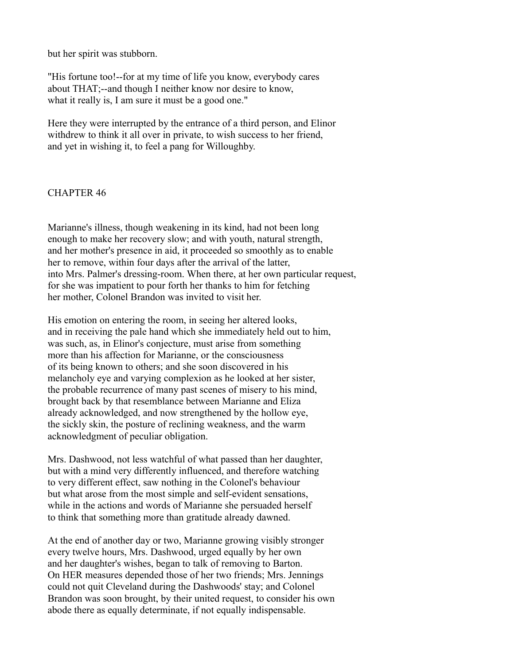but her spirit was stubborn.

"His fortune too!--for at my time of life you know, everybody cares about THAT;--and though I neither know nor desire to know, what it really is, I am sure it must be a good one."

Here they were interrupted by the entrance of a third person, and Elinor withdrew to think it all over in private, to wish success to her friend, and yet in wishing it, to feel a pang for Willoughby.

# CHAPTER 46

Marianne's illness, though weakening in its kind, had not been long enough to make her recovery slow; and with youth, natural strength, and her mother's presence in aid, it proceeded so smoothly as to enable her to remove, within four days after the arrival of the latter, into Mrs. Palmer's dressing-room. When there, at her own particular request, for she was impatient to pour forth her thanks to him for fetching her mother, Colonel Brandon was invited to visit her.

His emotion on entering the room, in seeing her altered looks, and in receiving the pale hand which she immediately held out to him, was such, as, in Elinor's conjecture, must arise from something more than his affection for Marianne, or the consciousness of its being known to others; and she soon discovered in his melancholy eye and varying complexion as he looked at her sister, the probable recurrence of many past scenes of misery to his mind, brought back by that resemblance between Marianne and Eliza already acknowledged, and now strengthened by the hollow eye, the sickly skin, the posture of reclining weakness, and the warm acknowledgment of peculiar obligation.

Mrs. Dashwood, not less watchful of what passed than her daughter, but with a mind very differently influenced, and therefore watching to very different effect, saw nothing in the Colonel's behaviour but what arose from the most simple and self-evident sensations, while in the actions and words of Marianne she persuaded herself to think that something more than gratitude already dawned.

At the end of another day or two, Marianne growing visibly stronger every twelve hours, Mrs. Dashwood, urged equally by her own and her daughter's wishes, began to talk of removing to Barton. On HER measures depended those of her two friends; Mrs. Jennings could not quit Cleveland during the Dashwoods' stay; and Colonel Brandon was soon brought, by their united request, to consider his own abode there as equally determinate, if not equally indispensable.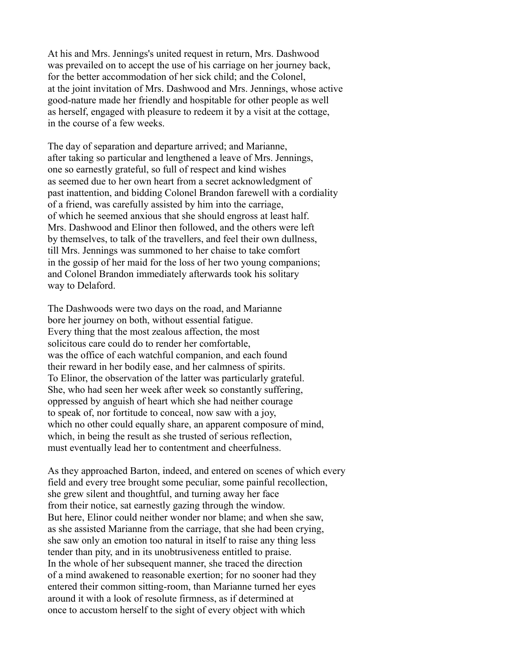At his and Mrs. Jennings's united request in return, Mrs. Dashwood was prevailed on to accept the use of his carriage on her journey back, for the better accommodation of her sick child; and the Colonel, at the joint invitation of Mrs. Dashwood and Mrs. Jennings, whose active good-nature made her friendly and hospitable for other people as well as herself, engaged with pleasure to redeem it by a visit at the cottage, in the course of a few weeks.

The day of separation and departure arrived; and Marianne, after taking so particular and lengthened a leave of Mrs. Jennings, one so earnestly grateful, so full of respect and kind wishes as seemed due to her own heart from a secret acknowledgment of past inattention, and bidding Colonel Brandon farewell with a cordiality of a friend, was carefully assisted by him into the carriage, of which he seemed anxious that she should engross at least half. Mrs. Dashwood and Elinor then followed, and the others were left by themselves, to talk of the travellers, and feel their own dullness, till Mrs. Jennings was summoned to her chaise to take comfort in the gossip of her maid for the loss of her two young companions; and Colonel Brandon immediately afterwards took his solitary way to Delaford.

The Dashwoods were two days on the road, and Marianne bore her journey on both, without essential fatigue. Every thing that the most zealous affection, the most solicitous care could do to render her comfortable, was the office of each watchful companion, and each found their reward in her bodily ease, and her calmness of spirits. To Elinor, the observation of the latter was particularly grateful. She, who had seen her week after week so constantly suffering, oppressed by anguish of heart which she had neither courage to speak of, nor fortitude to conceal, now saw with a joy, which no other could equally share, an apparent composure of mind, which, in being the result as she trusted of serious reflection, must eventually lead her to contentment and cheerfulness.

As they approached Barton, indeed, and entered on scenes of which every field and every tree brought some peculiar, some painful recollection, she grew silent and thoughtful, and turning away her face from their notice, sat earnestly gazing through the window. But here, Elinor could neither wonder nor blame; and when she saw, as she assisted Marianne from the carriage, that she had been crying, she saw only an emotion too natural in itself to raise any thing less tender than pity, and in its unobtrusiveness entitled to praise. In the whole of her subsequent manner, she traced the direction of a mind awakened to reasonable exertion; for no sooner had they entered their common sitting-room, than Marianne turned her eyes around it with a look of resolute firmness, as if determined at once to accustom herself to the sight of every object with which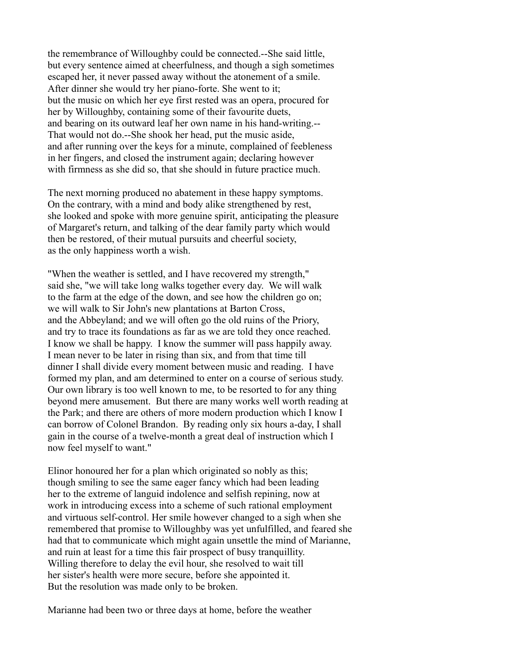the remembrance of Willoughby could be connected.--She said little, but every sentence aimed at cheerfulness, and though a sigh sometimes escaped her, it never passed away without the atonement of a smile. After dinner she would try her piano-forte. She went to it; but the music on which her eye first rested was an opera, procured for her by Willoughby, containing some of their favourite duets, and bearing on its outward leaf her own name in his hand-writing.-- That would not do.--She shook her head, put the music aside, and after running over the keys for a minute, complained of feebleness in her fingers, and closed the instrument again; declaring however with firmness as she did so, that she should in future practice much.

The next morning produced no abatement in these happy symptoms. On the contrary, with a mind and body alike strengthened by rest, she looked and spoke with more genuine spirit, anticipating the pleasure of Margaret's return, and talking of the dear family party which would then be restored, of their mutual pursuits and cheerful society, as the only happiness worth a wish.

"When the weather is settled, and I have recovered my strength," said she, "we will take long walks together every day. We will walk to the farm at the edge of the down, and see how the children go on; we will walk to Sir John's new plantations at Barton Cross, and the Abbeyland; and we will often go the old ruins of the Priory, and try to trace its foundations as far as we are told they once reached. I know we shall be happy. I know the summer will pass happily away. I mean never to be later in rising than six, and from that time till dinner I shall divide every moment between music and reading. I have formed my plan, and am determined to enter on a course of serious study. Our own library is too well known to me, to be resorted to for any thing beyond mere amusement. But there are many works well worth reading at the Park; and there are others of more modern production which I know I can borrow of Colonel Brandon. By reading only six hours a-day, I shall gain in the course of a twelve-month a great deal of instruction which I now feel myself to want."

Elinor honoured her for a plan which originated so nobly as this; though smiling to see the same eager fancy which had been leading her to the extreme of languid indolence and selfish repining, now at work in introducing excess into a scheme of such rational employment and virtuous self-control. Her smile however changed to a sigh when she remembered that promise to Willoughby was yet unfulfilled, and feared she had that to communicate which might again unsettle the mind of Marianne, and ruin at least for a time this fair prospect of busy tranquillity. Willing therefore to delay the evil hour, she resolved to wait till her sister's health were more secure, before she appointed it. But the resolution was made only to be broken.

Marianne had been two or three days at home, before the weather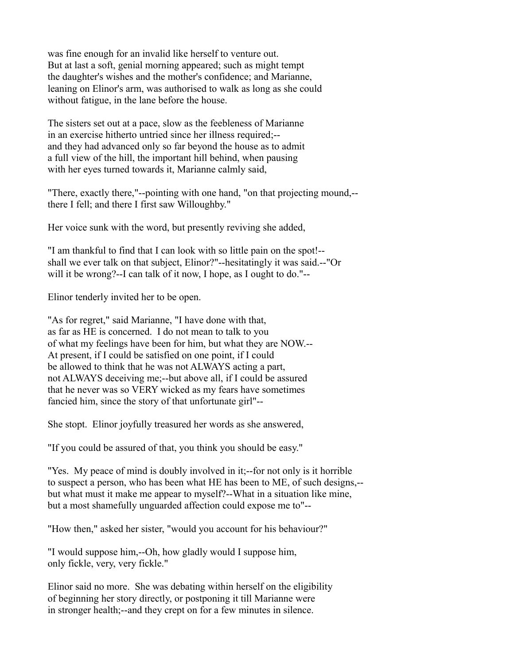was fine enough for an invalid like herself to venture out. But at last a soft, genial morning appeared; such as might tempt the daughter's wishes and the mother's confidence; and Marianne, leaning on Elinor's arm, was authorised to walk as long as she could without fatigue, in the lane before the house.

The sisters set out at a pace, slow as the feebleness of Marianne in an exercise hitherto untried since her illness required;- and they had advanced only so far beyond the house as to admit a full view of the hill, the important hill behind, when pausing with her eyes turned towards it, Marianne calmly said,

"There, exactly there,"--pointing with one hand, "on that projecting mound,- there I fell; and there I first saw Willoughby."

Her voice sunk with the word, but presently reviving she added,

"I am thankful to find that I can look with so little pain on the spot!- shall we ever talk on that subject, Elinor?"--hesitatingly it was said.--"Or will it be wrong?--I can talk of it now, I hope, as I ought to do."--

Elinor tenderly invited her to be open.

"As for regret," said Marianne, "I have done with that, as far as HE is concerned. I do not mean to talk to you of what my feelings have been for him, but what they are NOW.-- At present, if I could be satisfied on one point, if I could be allowed to think that he was not ALWAYS acting a part, not ALWAYS deceiving me;--but above all, if I could be assured that he never was so VERY wicked as my fears have sometimes fancied him, since the story of that unfortunate girl"--

She stopt. Elinor joyfully treasured her words as she answered,

"If you could be assured of that, you think you should be easy."

"Yes. My peace of mind is doubly involved in it;--for not only is it horrible to suspect a person, who has been what HE has been to ME, of such designs,- but what must it make me appear to myself?--What in a situation like mine, but a most shamefully unguarded affection could expose me to"--

"How then," asked her sister, "would you account for his behaviour?"

"I would suppose him,--Oh, how gladly would I suppose him, only fickle, very, very fickle."

Elinor said no more. She was debating within herself on the eligibility of beginning her story directly, or postponing it till Marianne were in stronger health;--and they crept on for a few minutes in silence.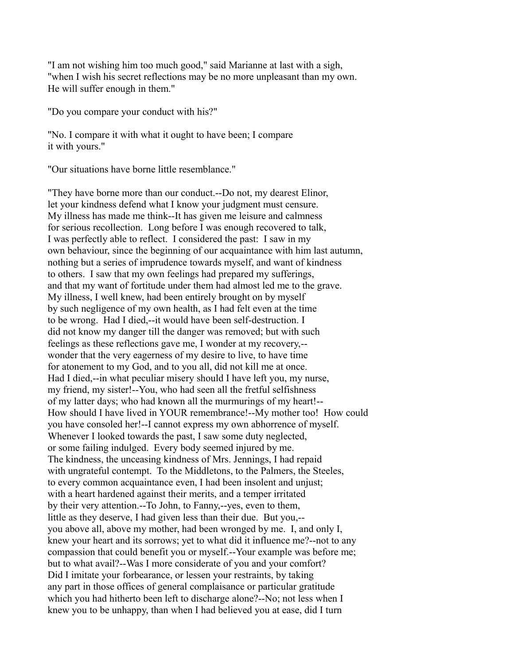"I am not wishing him too much good," said Marianne at last with a sigh, "when I wish his secret reflections may be no more unpleasant than my own. He will suffer enough in them."

"Do you compare your conduct with his?"

"No. I compare it with what it ought to have been; I compare it with yours."

"Our situations have borne little resemblance."

"They have borne more than our conduct.--Do not, my dearest Elinor, let your kindness defend what I know your judgment must censure. My illness has made me think--It has given me leisure and calmness for serious recollection. Long before I was enough recovered to talk, I was perfectly able to reflect. I considered the past: I saw in my own behaviour, since the beginning of our acquaintance with him last autumn, nothing but a series of imprudence towards myself, and want of kindness to others. I saw that my own feelings had prepared my sufferings, and that my want of fortitude under them had almost led me to the grave. My illness, I well knew, had been entirely brought on by myself by such negligence of my own health, as I had felt even at the time to be wrong. Had I died,--it would have been self-destruction. I did not know my danger till the danger was removed; but with such feelings as these reflections gave me, I wonder at my recovery,- wonder that the very eagerness of my desire to live, to have time for atonement to my God, and to you all, did not kill me at once. Had I died,--in what peculiar misery should I have left you, my nurse, my friend, my sister!--You, who had seen all the fretful selfishness of my latter days; who had known all the murmurings of my heart!-- How should I have lived in YOUR remembrance!--My mother too! How could you have consoled her!--I cannot express my own abhorrence of myself. Whenever I looked towards the past, I saw some duty neglected, or some failing indulged. Every body seemed injured by me. The kindness, the unceasing kindness of Mrs. Jennings, I had repaid with ungrateful contempt. To the Middletons, to the Palmers, the Steeles, to every common acquaintance even, I had been insolent and unjust; with a heart hardened against their merits, and a temper irritated by their very attention.--To John, to Fanny,--yes, even to them, little as they deserve, I had given less than their due. But you,- you above all, above my mother, had been wronged by me. I, and only I, knew your heart and its sorrows; yet to what did it influence me?--not to any compassion that could benefit you or myself.--Your example was before me; but to what avail?--Was I more considerate of you and your comfort? Did I imitate your forbearance, or lessen your restraints, by taking any part in those offices of general complaisance or particular gratitude which you had hitherto been left to discharge alone?--No; not less when I knew you to be unhappy, than when I had believed you at ease, did I turn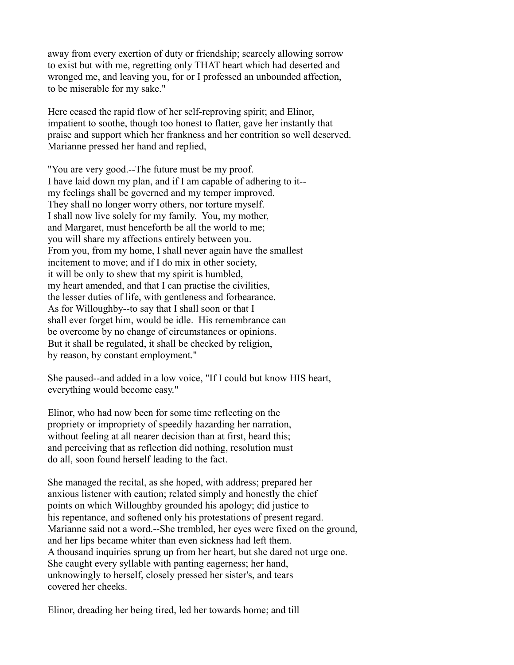away from every exertion of duty or friendship; scarcely allowing sorrow to exist but with me, regretting only THAT heart which had deserted and wronged me, and leaving you, for or I professed an unbounded affection, to be miserable for my sake."

Here ceased the rapid flow of her self-reproving spirit; and Elinor, impatient to soothe, though too honest to flatter, gave her instantly that praise and support which her frankness and her contrition so well deserved. Marianne pressed her hand and replied,

"You are very good.--The future must be my proof. I have laid down my plan, and if I am capable of adhering to it- my feelings shall be governed and my temper improved. They shall no longer worry others, nor torture myself. I shall now live solely for my family. You, my mother, and Margaret, must henceforth be all the world to me; you will share my affections entirely between you. From you, from my home, I shall never again have the smallest incitement to move; and if I do mix in other society, it will be only to shew that my spirit is humbled, my heart amended, and that I can practise the civilities, the lesser duties of life, with gentleness and forbearance. As for Willoughby--to say that I shall soon or that I shall ever forget him, would be idle. His remembrance can be overcome by no change of circumstances or opinions. But it shall be regulated, it shall be checked by religion, by reason, by constant employment."

She paused--and added in a low voice, "If I could but know HIS heart, everything would become easy."

Elinor, who had now been for some time reflecting on the propriety or impropriety of speedily hazarding her narration, without feeling at all nearer decision than at first, heard this; and perceiving that as reflection did nothing, resolution must do all, soon found herself leading to the fact.

She managed the recital, as she hoped, with address; prepared her anxious listener with caution; related simply and honestly the chief points on which Willoughby grounded his apology; did justice to his repentance, and softened only his protestations of present regard. Marianne said not a word.--She trembled, her eyes were fixed on the ground, and her lips became whiter than even sickness had left them. A thousand inquiries sprung up from her heart, but she dared not urge one. She caught every syllable with panting eagerness; her hand, unknowingly to herself, closely pressed her sister's, and tears covered her cheeks.

Elinor, dreading her being tired, led her towards home; and till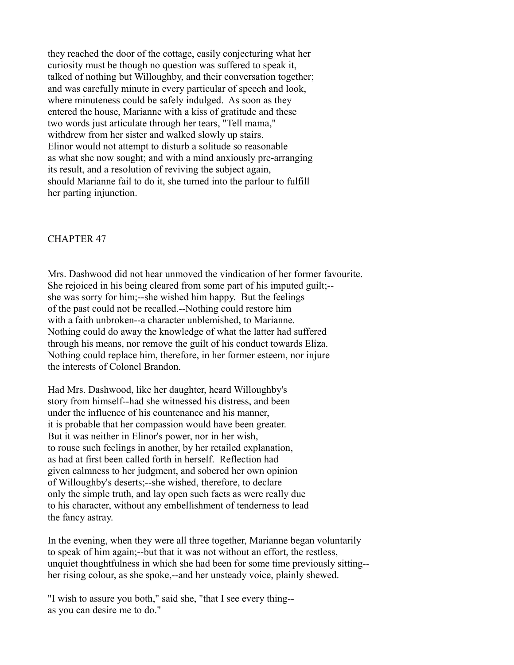they reached the door of the cottage, easily conjecturing what her curiosity must be though no question was suffered to speak it, talked of nothing but Willoughby, and their conversation together; and was carefully minute in every particular of speech and look, where minuteness could be safely indulged. As soon as they entered the house, Marianne with a kiss of gratitude and these two words just articulate through her tears, "Tell mama," withdrew from her sister and walked slowly up stairs. Elinor would not attempt to disturb a solitude so reasonable as what she now sought; and with a mind anxiously pre-arranging its result, and a resolution of reviving the subject again, should Marianne fail to do it, she turned into the parlour to fulfill her parting injunction.

#### CHAPTER 47

Mrs. Dashwood did not hear unmoved the vindication of her former favourite. She rejoiced in his being cleared from some part of his imputed guilt;- she was sorry for him;--she wished him happy. But the feelings of the past could not be recalled.--Nothing could restore him with a faith unbroken--a character unblemished, to Marianne. Nothing could do away the knowledge of what the latter had suffered through his means, nor remove the guilt of his conduct towards Eliza. Nothing could replace him, therefore, in her former esteem, nor injure the interests of Colonel Brandon.

Had Mrs. Dashwood, like her daughter, heard Willoughby's story from himself--had she witnessed his distress, and been under the influence of his countenance and his manner, it is probable that her compassion would have been greater. But it was neither in Elinor's power, nor in her wish, to rouse such feelings in another, by her retailed explanation, as had at first been called forth in herself. Reflection had given calmness to her judgment, and sobered her own opinion of Willoughby's deserts;--she wished, therefore, to declare only the simple truth, and lay open such facts as were really due to his character, without any embellishment of tenderness to lead the fancy astray.

In the evening, when they were all three together, Marianne began voluntarily to speak of him again;--but that it was not without an effort, the restless, unquiet thoughtfulness in which she had been for some time previously sitting- her rising colour, as she spoke,--and her unsteady voice, plainly shewed.

"I wish to assure you both," said she, "that I see every thing- as you can desire me to do."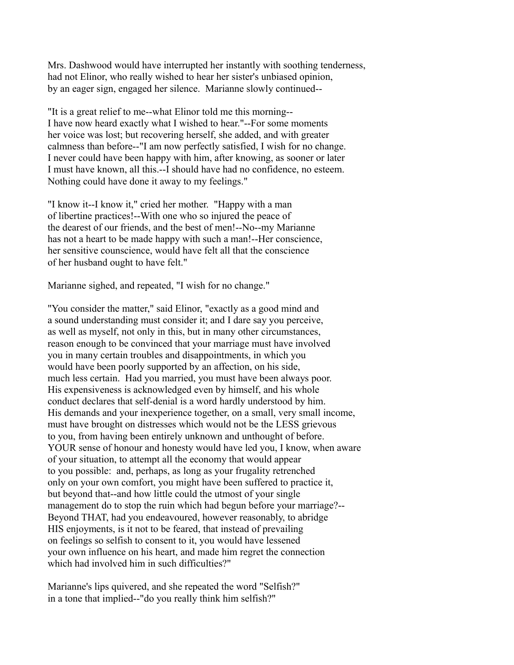Mrs. Dashwood would have interrupted her instantly with soothing tenderness, had not Elinor, who really wished to hear her sister's unbiased opinion, by an eager sign, engaged her silence. Marianne slowly continued--

"It is a great relief to me--what Elinor told me this morning-- I have now heard exactly what I wished to hear."--For some moments her voice was lost; but recovering herself, she added, and with greater calmness than before--"I am now perfectly satisfied, I wish for no change. I never could have been happy with him, after knowing, as sooner or later I must have known, all this.--I should have had no confidence, no esteem. Nothing could have done it away to my feelings."

"I know it--I know it," cried her mother. "Happy with a man of libertine practices!--With one who so injured the peace of the dearest of our friends, and the best of men!--No--my Marianne has not a heart to be made happy with such a man!--Her conscience, her sensitive counscience, would have felt all that the conscience of her husband ought to have felt."

Marianne sighed, and repeated, "I wish for no change."

"You consider the matter," said Elinor, "exactly as a good mind and a sound understanding must consider it; and I dare say you perceive, as well as myself, not only in this, but in many other circumstances, reason enough to be convinced that your marriage must have involved you in many certain troubles and disappointments, in which you would have been poorly supported by an affection, on his side, much less certain. Had you married, you must have been always poor. His expensiveness is acknowledged even by himself, and his whole conduct declares that self-denial is a word hardly understood by him. His demands and your inexperience together, on a small, very small income, must have brought on distresses which would not be the LESS grievous to you, from having been entirely unknown and unthought of before. YOUR sense of honour and honesty would have led you, I know, when aware of your situation, to attempt all the economy that would appear to you possible: and, perhaps, as long as your frugality retrenched only on your own comfort, you might have been suffered to practice it, but beyond that--and how little could the utmost of your single management do to stop the ruin which had begun before your marriage?-- Beyond THAT, had you endeavoured, however reasonably, to abridge HIS enjoyments, is it not to be feared, that instead of prevailing on feelings so selfish to consent to it, you would have lessened your own influence on his heart, and made him regret the connection which had involved him in such difficulties?"

Marianne's lips quivered, and she repeated the word "Selfish?" in a tone that implied--"do you really think him selfish?"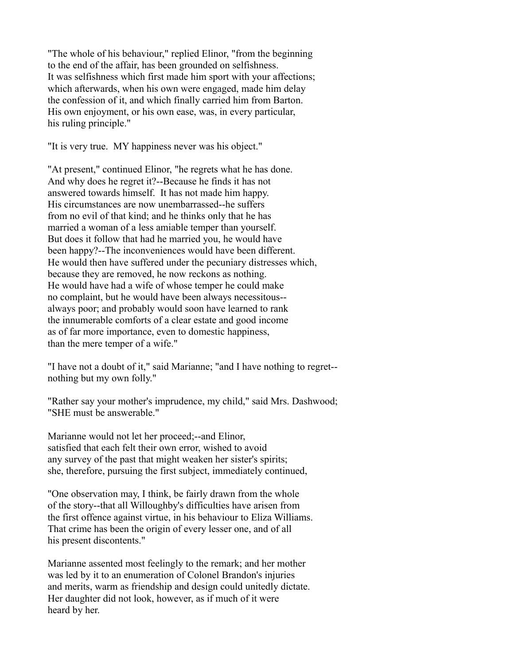"The whole of his behaviour," replied Elinor, "from the beginning to the end of the affair, has been grounded on selfishness. It was selfishness which first made him sport with your affections; which afterwards, when his own were engaged, made him delay the confession of it, and which finally carried him from Barton. His own enjoyment, or his own ease, was, in every particular, his ruling principle."

"It is very true. MY happiness never was his object."

"At present," continued Elinor, "he regrets what he has done. And why does he regret it?--Because he finds it has not answered towards himself. It has not made him happy. His circumstances are now unembarrassed--he suffers from no evil of that kind; and he thinks only that he has married a woman of a less amiable temper than yourself. But does it follow that had he married you, he would have been happy?--The inconveniences would have been different. He would then have suffered under the pecuniary distresses which, because they are removed, he now reckons as nothing. He would have had a wife of whose temper he could make no complaint, but he would have been always necessitous- always poor; and probably would soon have learned to rank the innumerable comforts of a clear estate and good income as of far more importance, even to domestic happiness, than the mere temper of a wife."

"I have not a doubt of it," said Marianne; "and I have nothing to regret- nothing but my own folly."

"Rather say your mother's imprudence, my child," said Mrs. Dashwood; "SHE must be answerable."

Marianne would not let her proceed;--and Elinor, satisfied that each felt their own error, wished to avoid any survey of the past that might weaken her sister's spirits; she, therefore, pursuing the first subject, immediately continued,

"One observation may, I think, be fairly drawn from the whole of the story--that all Willoughby's difficulties have arisen from the first offence against virtue, in his behaviour to Eliza Williams. That crime has been the origin of every lesser one, and of all his present discontents."

Marianne assented most feelingly to the remark; and her mother was led by it to an enumeration of Colonel Brandon's injuries and merits, warm as friendship and design could unitedly dictate. Her daughter did not look, however, as if much of it were heard by her.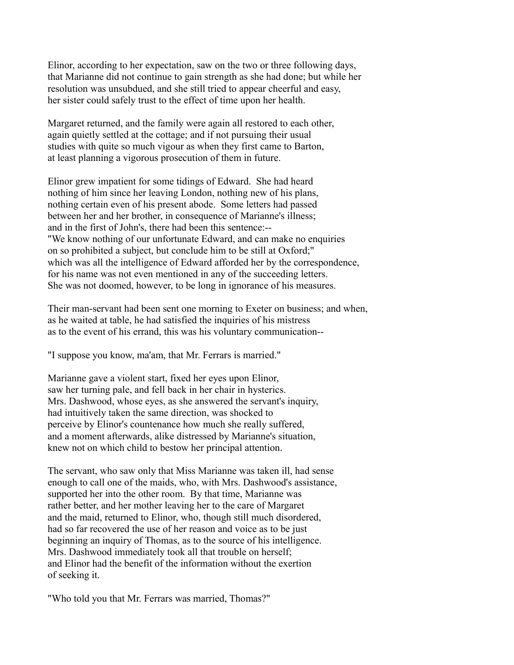Elinor, according to her expectation, saw on the two or three following days, that Marianne did not continue to gain strength as she had done; but while her resolution was unsubdued, and she still tried to appear cheerful and easy, her sister could safely trust to the effect of time upon her health.

Margaret returned, and the family were again all restored to each other, again quietly settled at the cottage; and if not pursuing their usual studies with quite so much vigour as when they first came to Barton, at least planning a vigorous prosecution of them in future.

Elinor grew impatient for some tidings of Edward. She had heard nothing of him since her leaving London, nothing new of his plans, nothing certain even of his present abode. Some letters had passed between her and her brother, in consequence of Marianne's illness; and in the first of John's, there had been this sentence:-- "We know nothing of our unfortunate Edward, and can make no enquiries on so prohibited a subject, but conclude him to be still at Oxford;" which was all the intelligence of Edward afforded her by the correspondence, for his name was not even mentioned in any of the succeeding letters. She was not doomed, however, to be long in ignorance of his measures.

Their man-servant had been sent one morning to Exeter on business; and when, as he waited at table, he had satisfied the inquiries of his mistress as to the event of his errand, this was his voluntary communication--

"I suppose you know, ma'am, that Mr. Ferrars is married."

Marianne gave a violent start, fixed her eyes upon Elinor, saw her turning pale, and fell back in her chair in hysterics. Mrs. Dashwood, whose eyes, as she answered the servant's inquiry, had intuitively taken the same direction, was shocked to perceive by Elinor's countenance how much she really suffered, and a moment afterwards, alike distressed by Marianne's situation, knew not on which child to bestow her principal attention.

The servant, who saw only that Miss Marianne was taken ill, had sense enough to call one of the maids, who, with Mrs. Dashwood's assistance, supported her into the other room. By that time, Marianne was rather better, and her mother leaving her to the care of Margaret and the maid, returned to Elinor, who, though still much disordered, had so far recovered the use of her reason and voice as to be just beginning an inquiry of Thomas, as to the source of his intelligence. Mrs. Dashwood immediately took all that trouble on herself; and Elinor had the benefit of the information without the exertion of seeking it.

"Who told you that Mr. Ferrars was married, Thomas?"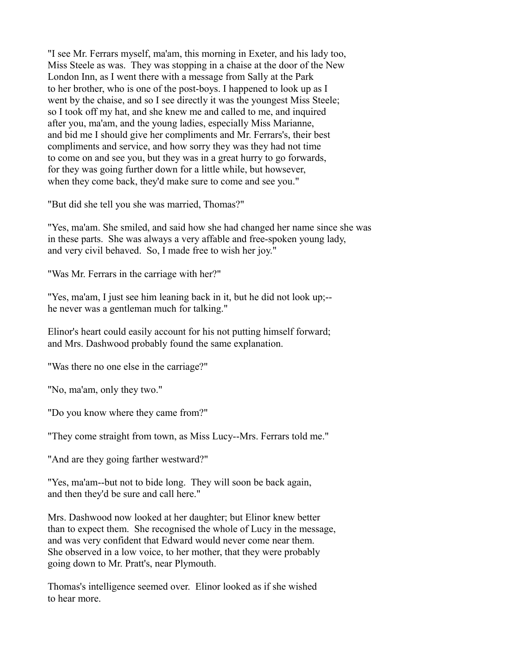"I see Mr. Ferrars myself, ma'am, this morning in Exeter, and his lady too, Miss Steele as was. They was stopping in a chaise at the door of the New London Inn, as I went there with a message from Sally at the Park to her brother, who is one of the post-boys. I happened to look up as I went by the chaise, and so I see directly it was the youngest Miss Steele; so I took off my hat, and she knew me and called to me, and inquired after you, ma'am, and the young ladies, especially Miss Marianne, and bid me I should give her compliments and Mr. Ferrars's, their best compliments and service, and how sorry they was they had not time to come on and see you, but they was in a great hurry to go forwards, for they was going further down for a little while, but howsever, when they come back, they'd make sure to come and see you."

"But did she tell you she was married, Thomas?"

"Yes, ma'am. She smiled, and said how she had changed her name since she was in these parts. She was always a very affable and free-spoken young lady, and very civil behaved. So, I made free to wish her joy."

"Was Mr. Ferrars in the carriage with her?"

"Yes, ma'am, I just see him leaning back in it, but he did not look up;- he never was a gentleman much for talking."

Elinor's heart could easily account for his not putting himself forward; and Mrs. Dashwood probably found the same explanation.

"Was there no one else in the carriage?"

"No, ma'am, only they two."

"Do you know where they came from?"

"They come straight from town, as Miss Lucy--Mrs. Ferrars told me."

"And are they going farther westward?"

"Yes, ma'am--but not to bide long. They will soon be back again, and then they'd be sure and call here."

Mrs. Dashwood now looked at her daughter; but Elinor knew better than to expect them. She recognised the whole of Lucy in the message, and was very confident that Edward would never come near them. She observed in a low voice, to her mother, that they were probably going down to Mr. Pratt's, near Plymouth.

Thomas's intelligence seemed over. Elinor looked as if she wished to hear more.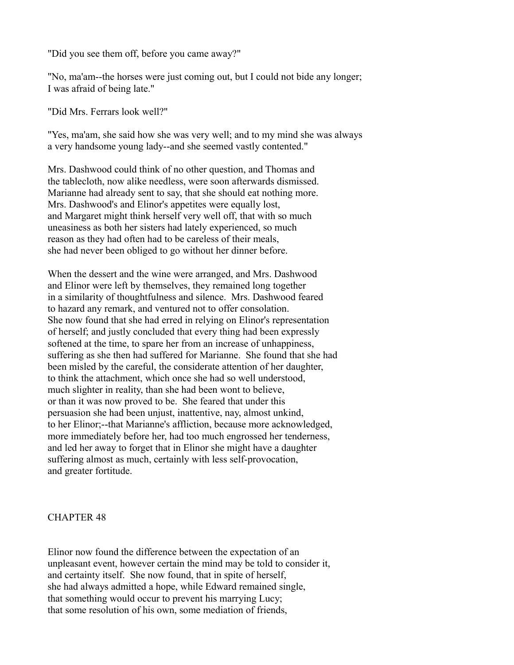"Did you see them off, before you came away?"

"No, ma'am--the horses were just coming out, but I could not bide any longer; I was afraid of being late."

"Did Mrs. Ferrars look well?"

"Yes, ma'am, she said how she was very well; and to my mind she was always a very handsome young lady--and she seemed vastly contented."

Mrs. Dashwood could think of no other question, and Thomas and the tablecloth, now alike needless, were soon afterwards dismissed. Marianne had already sent to say, that she should eat nothing more. Mrs. Dashwood's and Elinor's appetites were equally lost, and Margaret might think herself very well off, that with so much uneasiness as both her sisters had lately experienced, so much reason as they had often had to be careless of their meals, she had never been obliged to go without her dinner before.

When the dessert and the wine were arranged, and Mrs. Dashwood and Elinor were left by themselves, they remained long together in a similarity of thoughtfulness and silence. Mrs. Dashwood feared to hazard any remark, and ventured not to offer consolation. She now found that she had erred in relying on Elinor's representation of herself; and justly concluded that every thing had been expressly softened at the time, to spare her from an increase of unhappiness, suffering as she then had suffered for Marianne. She found that she had been misled by the careful, the considerate attention of her daughter, to think the attachment, which once she had so well understood, much slighter in reality, than she had been wont to believe, or than it was now proved to be. She feared that under this persuasion she had been unjust, inattentive, nay, almost unkind, to her Elinor;--that Marianne's affliction, because more acknowledged, more immediately before her, had too much engrossed her tenderness, and led her away to forget that in Elinor she might have a daughter suffering almost as much, certainly with less self-provocation, and greater fortitude.

### CHAPTER 48

Elinor now found the difference between the expectation of an unpleasant event, however certain the mind may be told to consider it, and certainty itself. She now found, that in spite of herself, she had always admitted a hope, while Edward remained single, that something would occur to prevent his marrying Lucy; that some resolution of his own, some mediation of friends,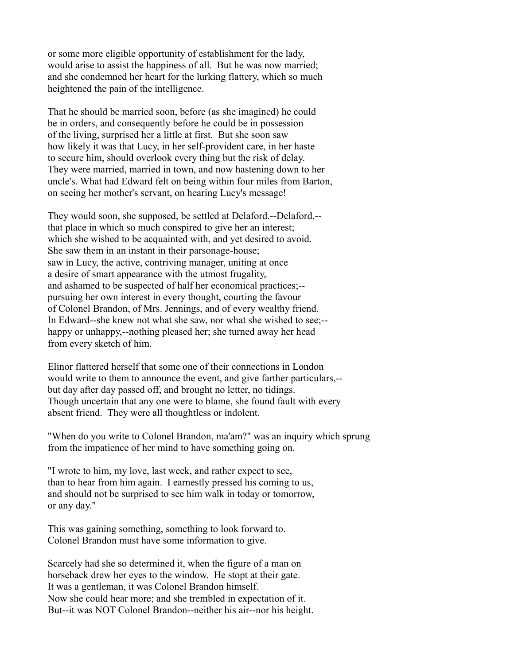or some more eligible opportunity of establishment for the lady, would arise to assist the happiness of all. But he was now married; and she condemned her heart for the lurking flattery, which so much heightened the pain of the intelligence.

That he should be married soon, before (as she imagined) he could be in orders, and consequently before he could be in possession of the living, surprised her a little at first. But she soon saw how likely it was that Lucy, in her self-provident care, in her haste to secure him, should overlook every thing but the risk of delay. They were married, married in town, and now hastening down to her uncle's. What had Edward felt on being within four miles from Barton, on seeing her mother's servant, on hearing Lucy's message!

They would soon, she supposed, be settled at Delaford.--Delaford,- that place in which so much conspired to give her an interest; which she wished to be acquainted with, and yet desired to avoid. She saw them in an instant in their parsonage-house; saw in Lucy, the active, contriving manager, uniting at once a desire of smart appearance with the utmost frugality, and ashamed to be suspected of half her economical practices;- pursuing her own interest in every thought, courting the favour of Colonel Brandon, of Mrs. Jennings, and of every wealthy friend. In Edward--she knew not what she saw, nor what she wished to see;- happy or unhappy,--nothing pleased her; she turned away her head from every sketch of him.

Elinor flattered herself that some one of their connections in London would write to them to announce the event, and give farther particulars,- but day after day passed off, and brought no letter, no tidings. Though uncertain that any one were to blame, she found fault with every absent friend. They were all thoughtless or indolent.

"When do you write to Colonel Brandon, ma'am?" was an inquiry which sprung from the impatience of her mind to have something going on.

"I wrote to him, my love, last week, and rather expect to see, than to hear from him again. I earnestly pressed his coming to us, and should not be surprised to see him walk in today or tomorrow, or any day."

This was gaining something, something to look forward to. Colonel Brandon must have some information to give.

Scarcely had she so determined it, when the figure of a man on horseback drew her eyes to the window. He stopt at their gate. It was a gentleman, it was Colonel Brandon himself. Now she could hear more; and she trembled in expectation of it. But--it was NOT Colonel Brandon--neither his air--nor his height.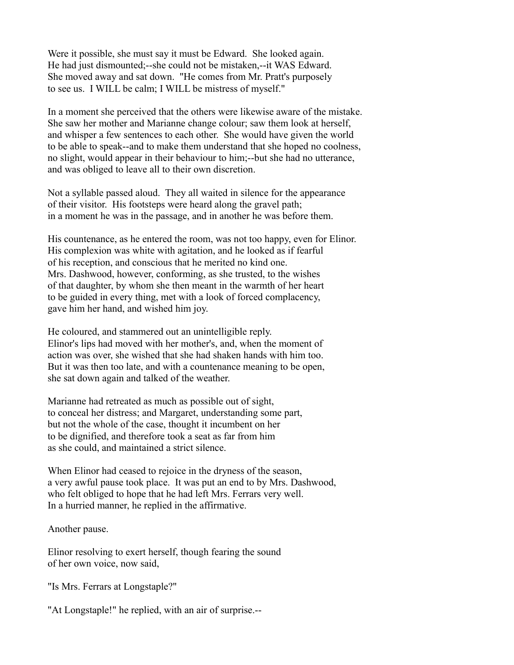Were it possible, she must say it must be Edward. She looked again. He had just dismounted;--she could not be mistaken,--it WAS Edward. She moved away and sat down. "He comes from Mr. Pratt's purposely to see us. I WILL be calm; I WILL be mistress of myself."

In a moment she perceived that the others were likewise aware of the mistake. She saw her mother and Marianne change colour; saw them look at herself, and whisper a few sentences to each other. She would have given the world to be able to speak--and to make them understand that she hoped no coolness, no slight, would appear in their behaviour to him;--but she had no utterance, and was obliged to leave all to their own discretion.

Not a syllable passed aloud. They all waited in silence for the appearance of their visitor. His footsteps were heard along the gravel path; in a moment he was in the passage, and in another he was before them.

His countenance, as he entered the room, was not too happy, even for Elinor. His complexion was white with agitation, and he looked as if fearful of his reception, and conscious that he merited no kind one. Mrs. Dashwood, however, conforming, as she trusted, to the wishes of that daughter, by whom she then meant in the warmth of her heart to be guided in every thing, met with a look of forced complacency, gave him her hand, and wished him joy.

He coloured, and stammered out an unintelligible reply. Elinor's lips had moved with her mother's, and, when the moment of action was over, she wished that she had shaken hands with him too. But it was then too late, and with a countenance meaning to be open, she sat down again and talked of the weather.

Marianne had retreated as much as possible out of sight, to conceal her distress; and Margaret, understanding some part, but not the whole of the case, thought it incumbent on her to be dignified, and therefore took a seat as far from him as she could, and maintained a strict silence.

When Elinor had ceased to rejoice in the dryness of the season, a very awful pause took place. It was put an end to by Mrs. Dashwood, who felt obliged to hope that he had left Mrs. Ferrars very well. In a hurried manner, he replied in the affirmative.

Another pause.

Elinor resolving to exert herself, though fearing the sound of her own voice, now said,

"Is Mrs. Ferrars at Longstaple?"

"At Longstaple!" he replied, with an air of surprise.--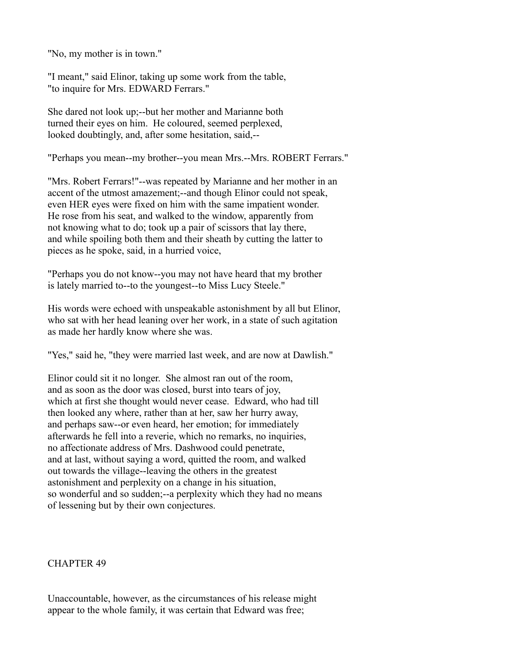"No, my mother is in town."

"I meant," said Elinor, taking up some work from the table, "to inquire for Mrs. EDWARD Ferrars."

She dared not look up;--but her mother and Marianne both turned their eyes on him. He coloured, seemed perplexed, looked doubtingly, and, after some hesitation, said,--

"Perhaps you mean--my brother--you mean Mrs.--Mrs. ROBERT Ferrars."

"Mrs. Robert Ferrars!"--was repeated by Marianne and her mother in an accent of the utmost amazement;--and though Elinor could not speak, even HER eyes were fixed on him with the same impatient wonder. He rose from his seat, and walked to the window, apparently from not knowing what to do; took up a pair of scissors that lay there, and while spoiling both them and their sheath by cutting the latter to pieces as he spoke, said, in a hurried voice,

"Perhaps you do not know--you may not have heard that my brother is lately married to--to the youngest--to Miss Lucy Steele."

His words were echoed with unspeakable astonishment by all but Elinor, who sat with her head leaning over her work, in a state of such agitation as made her hardly know where she was.

"Yes," said he, "they were married last week, and are now at Dawlish."

Elinor could sit it no longer. She almost ran out of the room, and as soon as the door was closed, burst into tears of joy, which at first she thought would never cease. Edward, who had till then looked any where, rather than at her, saw her hurry away, and perhaps saw--or even heard, her emotion; for immediately afterwards he fell into a reverie, which no remarks, no inquiries, no affectionate address of Mrs. Dashwood could penetrate, and at last, without saying a word, quitted the room, and walked out towards the village--leaving the others in the greatest astonishment and perplexity on a change in his situation, so wonderful and so sudden;--a perplexity which they had no means of lessening but by their own conjectures.

# CHAPTER 49

Unaccountable, however, as the circumstances of his release might appear to the whole family, it was certain that Edward was free;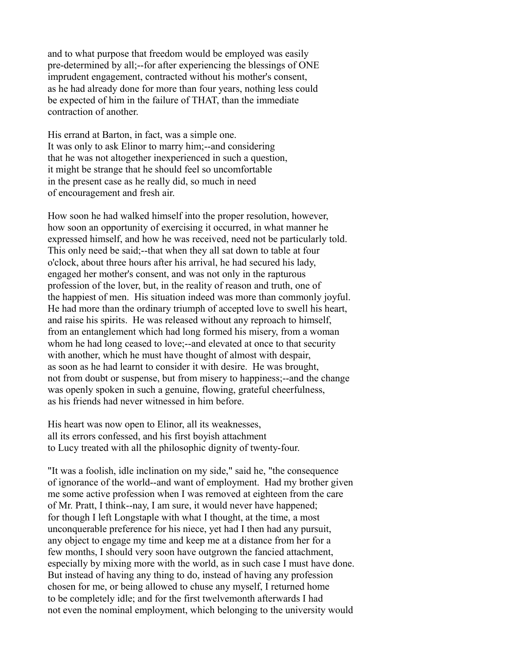and to what purpose that freedom would be employed was easily pre-determined by all;--for after experiencing the blessings of ONE imprudent engagement, contracted without his mother's consent, as he had already done for more than four years, nothing less could be expected of him in the failure of THAT, than the immediate contraction of another.

His errand at Barton, in fact, was a simple one. It was only to ask Elinor to marry him;--and considering that he was not altogether inexperienced in such a question, it might be strange that he should feel so uncomfortable in the present case as he really did, so much in need of encouragement and fresh air.

How soon he had walked himself into the proper resolution, however, how soon an opportunity of exercising it occurred, in what manner he expressed himself, and how he was received, need not be particularly told. This only need be said;--that when they all sat down to table at four o'clock, about three hours after his arrival, he had secured his lady, engaged her mother's consent, and was not only in the rapturous profession of the lover, but, in the reality of reason and truth, one of the happiest of men. His situation indeed was more than commonly joyful. He had more than the ordinary triumph of accepted love to swell his heart, and raise his spirits. He was released without any reproach to himself, from an entanglement which had long formed his misery, from a woman whom he had long ceased to love;--and elevated at once to that security with another, which he must have thought of almost with despair, as soon as he had learnt to consider it with desire. He was brought, not from doubt or suspense, but from misery to happiness;--and the change was openly spoken in such a genuine, flowing, grateful cheerfulness, as his friends had never witnessed in him before.

His heart was now open to Elinor, all its weaknesses, all its errors confessed, and his first boyish attachment to Lucy treated with all the philosophic dignity of twenty-four.

"It was a foolish, idle inclination on my side," said he, "the consequence of ignorance of the world--and want of employment. Had my brother given me some active profession when I was removed at eighteen from the care of Mr. Pratt, I think--nay, I am sure, it would never have happened; for though I left Longstaple with what I thought, at the time, a most unconquerable preference for his niece, yet had I then had any pursuit, any object to engage my time and keep me at a distance from her for a few months, I should very soon have outgrown the fancied attachment, especially by mixing more with the world, as in such case I must have done. But instead of having any thing to do, instead of having any profession chosen for me, or being allowed to chuse any myself, I returned home to be completely idle; and for the first twelvemonth afterwards I had not even the nominal employment, which belonging to the university would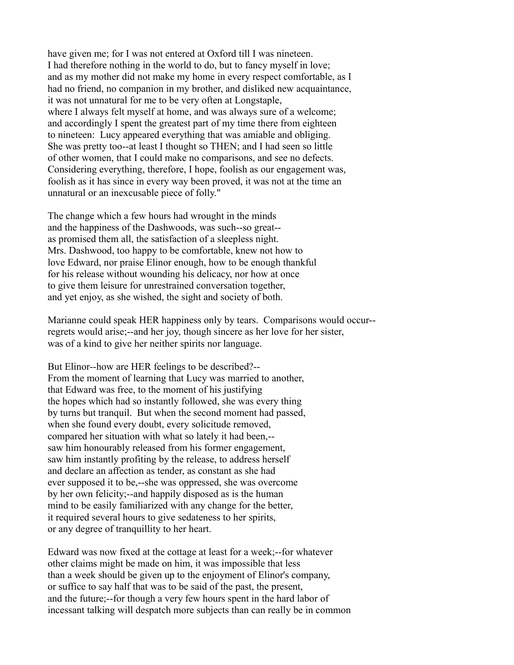have given me; for I was not entered at Oxford till I was nineteen. I had therefore nothing in the world to do, but to fancy myself in love; and as my mother did not make my home in every respect comfortable, as I had no friend, no companion in my brother, and disliked new acquaintance, it was not unnatural for me to be very often at Longstaple, where I always felt myself at home, and was always sure of a welcome; and accordingly I spent the greatest part of my time there from eighteen to nineteen: Lucy appeared everything that was amiable and obliging. She was pretty too--at least I thought so THEN; and I had seen so little of other women, that I could make no comparisons, and see no defects. Considering everything, therefore, I hope, foolish as our engagement was, foolish as it has since in every way been proved, it was not at the time an unnatural or an inexcusable piece of folly."

The change which a few hours had wrought in the minds and the happiness of the Dashwoods, was such--so great- as promised them all, the satisfaction of a sleepless night. Mrs. Dashwood, too happy to be comfortable, knew not how to love Edward, nor praise Elinor enough, how to be enough thankful for his release without wounding his delicacy, nor how at once to give them leisure for unrestrained conversation together, and yet enjoy, as she wished, the sight and society of both.

Marianne could speak HER happiness only by tears. Comparisons would occur- regrets would arise;--and her joy, though sincere as her love for her sister, was of a kind to give her neither spirits nor language.

But Elinor--how are HER feelings to be described?-- From the moment of learning that Lucy was married to another, that Edward was free, to the moment of his justifying the hopes which had so instantly followed, she was every thing by turns but tranquil. But when the second moment had passed, when she found every doubt, every solicitude removed, compared her situation with what so lately it had been,- saw him honourably released from his former engagement, saw him instantly profiting by the release, to address herself and declare an affection as tender, as constant as she had ever supposed it to be,--she was oppressed, she was overcome by her own felicity;--and happily disposed as is the human mind to be easily familiarized with any change for the better, it required several hours to give sedateness to her spirits, or any degree of tranquillity to her heart.

Edward was now fixed at the cottage at least for a week;--for whatever other claims might be made on him, it was impossible that less than a week should be given up to the enjoyment of Elinor's company, or suffice to say half that was to be said of the past, the present, and the future;--for though a very few hours spent in the hard labor of incessant talking will despatch more subjects than can really be in common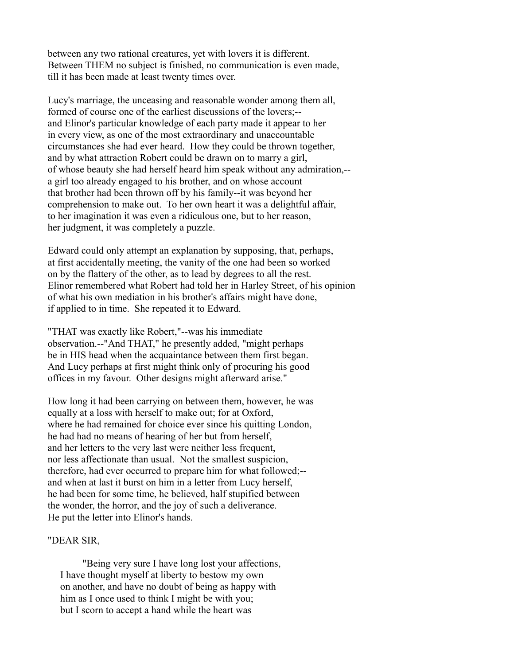between any two rational creatures, yet with lovers it is different. Between THEM no subject is finished, no communication is even made, till it has been made at least twenty times over.

Lucy's marriage, the unceasing and reasonable wonder among them all, formed of course one of the earliest discussions of the lovers;- and Elinor's particular knowledge of each party made it appear to her in every view, as one of the most extraordinary and unaccountable circumstances she had ever heard. How they could be thrown together, and by what attraction Robert could be drawn on to marry a girl, of whose beauty she had herself heard him speak without any admiration,- a girl too already engaged to his brother, and on whose account that brother had been thrown off by his family--it was beyond her comprehension to make out. To her own heart it was a delightful affair, to her imagination it was even a ridiculous one, but to her reason, her judgment, it was completely a puzzle.

Edward could only attempt an explanation by supposing, that, perhaps, at first accidentally meeting, the vanity of the one had been so worked on by the flattery of the other, as to lead by degrees to all the rest. Elinor remembered what Robert had told her in Harley Street, of his opinion of what his own mediation in his brother's affairs might have done, if applied to in time. She repeated it to Edward.

"THAT was exactly like Robert,"--was his immediate observation.--"And THAT," he presently added, "might perhaps be in HIS head when the acquaintance between them first began. And Lucy perhaps at first might think only of procuring his good offices in my favour. Other designs might afterward arise."

How long it had been carrying on between them, however, he was equally at a loss with herself to make out; for at Oxford, where he had remained for choice ever since his quitting London, he had had no means of hearing of her but from herself, and her letters to the very last were neither less frequent, nor less affectionate than usual. Not the smallest suspicion, therefore, had ever occurred to prepare him for what followed;- and when at last it burst on him in a letter from Lucy herself, he had been for some time, he believed, half stupified between the wonder, the horror, and the joy of such a deliverance. He put the letter into Elinor's hands.

## "DEAR SIR,

 "Being very sure I have long lost your affections, I have thought myself at liberty to bestow my own on another, and have no doubt of being as happy with him as I once used to think I might be with you; but I scorn to accept a hand while the heart was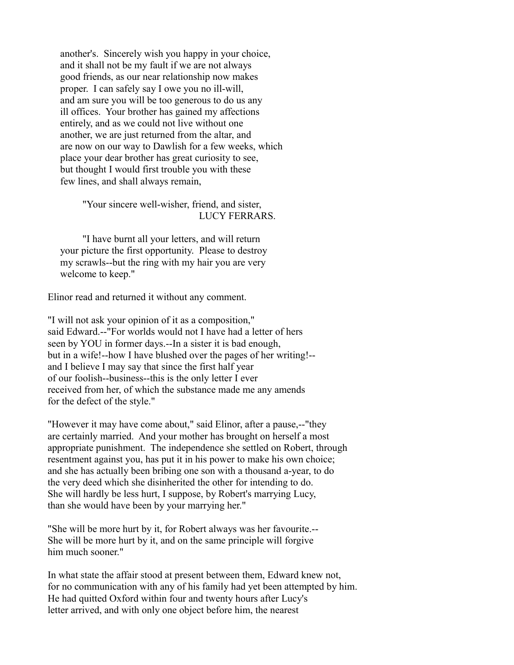another's. Sincerely wish you happy in your choice, and it shall not be my fault if we are not always good friends, as our near relationship now makes proper. I can safely say I owe you no ill-will, and am sure you will be too generous to do us any ill offices. Your brother has gained my affections entirely, and as we could not live without one another, we are just returned from the altar, and are now on our way to Dawlish for a few weeks, which place your dear brother has great curiosity to see, but thought I would first trouble you with these few lines, and shall always remain,

> "Your sincere well-wisher, friend, and sister, LUCY FERRARS.

 "I have burnt all your letters, and will return your picture the first opportunity. Please to destroy my scrawls--but the ring with my hair you are very welcome to keep."

Elinor read and returned it without any comment.

"I will not ask your opinion of it as a composition," said Edward.--"For worlds would not I have had a letter of hers seen by YOU in former days.--In a sister it is bad enough, but in a wife!--how I have blushed over the pages of her writing!- and I believe I may say that since the first half year of our foolish--business--this is the only letter I ever received from her, of which the substance made me any amends for the defect of the style."

"However it may have come about," said Elinor, after a pause,--"they are certainly married. And your mother has brought on herself a most appropriate punishment. The independence she settled on Robert, through resentment against you, has put it in his power to make his own choice; and she has actually been bribing one son with a thousand a-year, to do the very deed which she disinherited the other for intending to do. She will hardly be less hurt, I suppose, by Robert's marrying Lucy, than she would have been by your marrying her."

"She will be more hurt by it, for Robert always was her favourite.-- She will be more hurt by it, and on the same principle will forgive him much sooner."

In what state the affair stood at present between them, Edward knew not, for no communication with any of his family had yet been attempted by him. He had quitted Oxford within four and twenty hours after Lucy's letter arrived, and with only one object before him, the nearest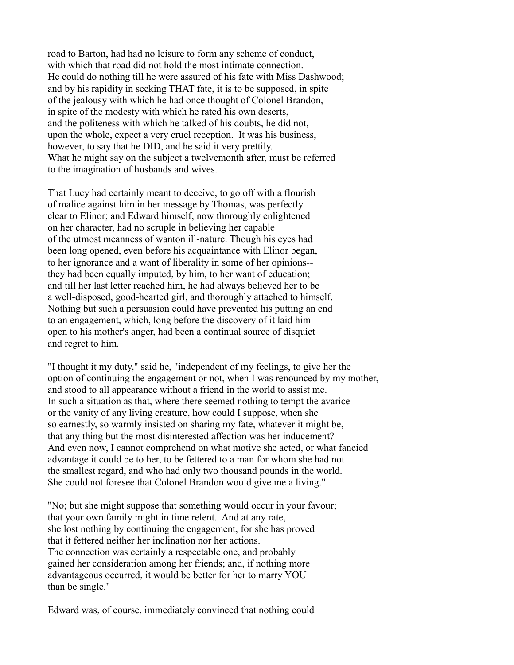road to Barton, had had no leisure to form any scheme of conduct, with which that road did not hold the most intimate connection. He could do nothing till he were assured of his fate with Miss Dashwood; and by his rapidity in seeking THAT fate, it is to be supposed, in spite of the jealousy with which he had once thought of Colonel Brandon, in spite of the modesty with which he rated his own deserts, and the politeness with which he talked of his doubts, he did not, upon the whole, expect a very cruel reception. It was his business, however, to say that he DID, and he said it very prettily. What he might say on the subject a twelvemonth after, must be referred to the imagination of husbands and wives.

That Lucy had certainly meant to deceive, to go off with a flourish of malice against him in her message by Thomas, was perfectly clear to Elinor; and Edward himself, now thoroughly enlightened on her character, had no scruple in believing her capable of the utmost meanness of wanton ill-nature. Though his eyes had been long opened, even before his acquaintance with Elinor began, to her ignorance and a want of liberality in some of her opinions- they had been equally imputed, by him, to her want of education; and till her last letter reached him, he had always believed her to be a well-disposed, good-hearted girl, and thoroughly attached to himself. Nothing but such a persuasion could have prevented his putting an end to an engagement, which, long before the discovery of it laid him open to his mother's anger, had been a continual source of disquiet and regret to him.

"I thought it my duty," said he, "independent of my feelings, to give her the option of continuing the engagement or not, when I was renounced by my mother, and stood to all appearance without a friend in the world to assist me. In such a situation as that, where there seemed nothing to tempt the avarice or the vanity of any living creature, how could I suppose, when she so earnestly, so warmly insisted on sharing my fate, whatever it might be, that any thing but the most disinterested affection was her inducement? And even now, I cannot comprehend on what motive she acted, or what fancied advantage it could be to her, to be fettered to a man for whom she had not the smallest regard, and who had only two thousand pounds in the world. She could not foresee that Colonel Brandon would give me a living."

"No; but she might suppose that something would occur in your favour; that your own family might in time relent. And at any rate, she lost nothing by continuing the engagement, for she has proved that it fettered neither her inclination nor her actions. The connection was certainly a respectable one, and probably gained her consideration among her friends; and, if nothing more advantageous occurred, it would be better for her to marry YOU than be single."

Edward was, of course, immediately convinced that nothing could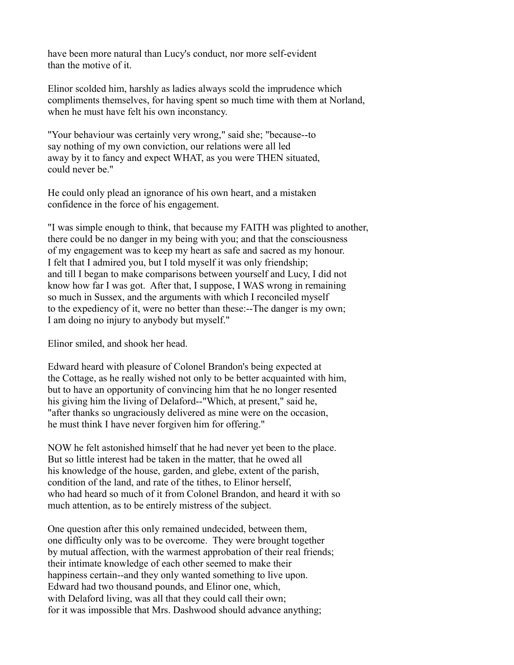have been more natural than Lucy's conduct, nor more self-evident than the motive of it.

Elinor scolded him, harshly as ladies always scold the imprudence which compliments themselves, for having spent so much time with them at Norland, when he must have felt his own inconstancy.

"Your behaviour was certainly very wrong," said she; "because--to say nothing of my own conviction, our relations were all led away by it to fancy and expect WHAT, as you were THEN situated, could never be."

He could only plead an ignorance of his own heart, and a mistaken confidence in the force of his engagement.

"I was simple enough to think, that because my FAITH was plighted to another, there could be no danger in my being with you; and that the consciousness of my engagement was to keep my heart as safe and sacred as my honour. I felt that I admired you, but I told myself it was only friendship; and till I began to make comparisons between yourself and Lucy, I did not know how far I was got. After that, I suppose, I WAS wrong in remaining so much in Sussex, and the arguments with which I reconciled myself to the expediency of it, were no better than these:--The danger is my own; I am doing no injury to anybody but myself."

Elinor smiled, and shook her head.

Edward heard with pleasure of Colonel Brandon's being expected at the Cottage, as he really wished not only to be better acquainted with him, but to have an opportunity of convincing him that he no longer resented his giving him the living of Delaford--"Which, at present," said he, "after thanks so ungraciously delivered as mine were on the occasion, he must think I have never forgiven him for offering."

NOW he felt astonished himself that he had never yet been to the place. But so little interest had be taken in the matter, that he owed all his knowledge of the house, garden, and glebe, extent of the parish, condition of the land, and rate of the tithes, to Elinor herself, who had heard so much of it from Colonel Brandon, and heard it with so much attention, as to be entirely mistress of the subject.

One question after this only remained undecided, between them, one difficulty only was to be overcome. They were brought together by mutual affection, with the warmest approbation of their real friends; their intimate knowledge of each other seemed to make their happiness certain--and they only wanted something to live upon. Edward had two thousand pounds, and Elinor one, which, with Delaford living, was all that they could call their own; for it was impossible that Mrs. Dashwood should advance anything;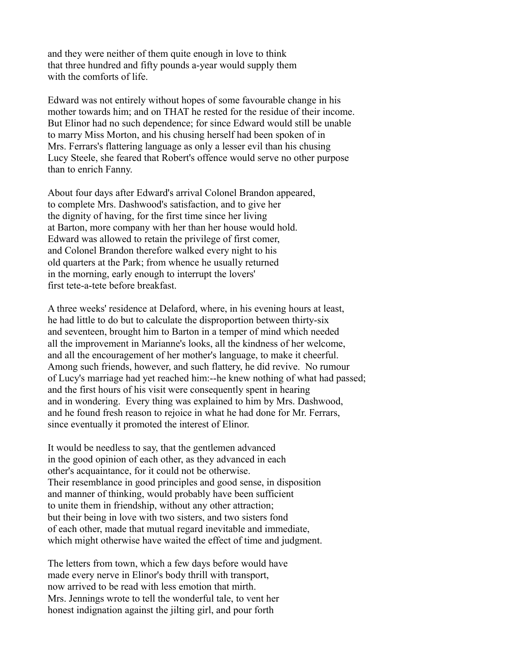and they were neither of them quite enough in love to think that three hundred and fifty pounds a-year would supply them with the comforts of life.

Edward was not entirely without hopes of some favourable change in his mother towards him; and on THAT he rested for the residue of their income. But Elinor had no such dependence; for since Edward would still be unable to marry Miss Morton, and his chusing herself had been spoken of in Mrs. Ferrars's flattering language as only a lesser evil than his chusing Lucy Steele, she feared that Robert's offence would serve no other purpose than to enrich Fanny.

About four days after Edward's arrival Colonel Brandon appeared, to complete Mrs. Dashwood's satisfaction, and to give her the dignity of having, for the first time since her living at Barton, more company with her than her house would hold. Edward was allowed to retain the privilege of first comer, and Colonel Brandon therefore walked every night to his old quarters at the Park; from whence he usually returned in the morning, early enough to interrupt the lovers' first tete-a-tete before breakfast.

A three weeks' residence at Delaford, where, in his evening hours at least, he had little to do but to calculate the disproportion between thirty-six and seventeen, brought him to Barton in a temper of mind which needed all the improvement in Marianne's looks, all the kindness of her welcome, and all the encouragement of her mother's language, to make it cheerful. Among such friends, however, and such flattery, he did revive. No rumour of Lucy's marriage had yet reached him:--he knew nothing of what had passed; and the first hours of his visit were consequently spent in hearing and in wondering. Every thing was explained to him by Mrs. Dashwood, and he found fresh reason to rejoice in what he had done for Mr. Ferrars, since eventually it promoted the interest of Elinor.

It would be needless to say, that the gentlemen advanced in the good opinion of each other, as they advanced in each other's acquaintance, for it could not be otherwise. Their resemblance in good principles and good sense, in disposition and manner of thinking, would probably have been sufficient to unite them in friendship, without any other attraction; but their being in love with two sisters, and two sisters fond of each other, made that mutual regard inevitable and immediate, which might otherwise have waited the effect of time and judgment.

The letters from town, which a few days before would have made every nerve in Elinor's body thrill with transport, now arrived to be read with less emotion that mirth. Mrs. Jennings wrote to tell the wonderful tale, to vent her honest indignation against the jilting girl, and pour forth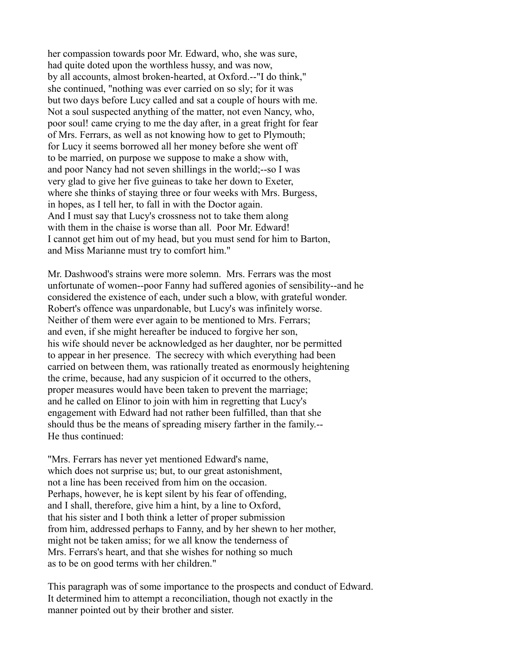her compassion towards poor Mr. Edward, who, she was sure, had quite doted upon the worthless hussy, and was now, by all accounts, almost broken-hearted, at Oxford.--"I do think," she continued, "nothing was ever carried on so sly; for it was but two days before Lucy called and sat a couple of hours with me. Not a soul suspected anything of the matter, not even Nancy, who, poor soul! came crying to me the day after, in a great fright for fear of Mrs. Ferrars, as well as not knowing how to get to Plymouth; for Lucy it seems borrowed all her money before she went off to be married, on purpose we suppose to make a show with, and poor Nancy had not seven shillings in the world;--so I was very glad to give her five guineas to take her down to Exeter, where she thinks of staying three or four weeks with Mrs. Burgess, in hopes, as I tell her, to fall in with the Doctor again. And I must say that Lucy's crossness not to take them along with them in the chaise is worse than all. Poor Mr. Edward! I cannot get him out of my head, but you must send for him to Barton, and Miss Marianne must try to comfort him."

Mr. Dashwood's strains were more solemn. Mrs. Ferrars was the most unfortunate of women--poor Fanny had suffered agonies of sensibility--and he considered the existence of each, under such a blow, with grateful wonder. Robert's offence was unpardonable, but Lucy's was infinitely worse. Neither of them were ever again to be mentioned to Mrs. Ferrars; and even, if she might hereafter be induced to forgive her son, his wife should never be acknowledged as her daughter, nor be permitted to appear in her presence. The secrecy with which everything had been carried on between them, was rationally treated as enormously heightening the crime, because, had any suspicion of it occurred to the others, proper measures would have been taken to prevent the marriage; and he called on Elinor to join with him in regretting that Lucy's engagement with Edward had not rather been fulfilled, than that she should thus be the means of spreading misery farther in the family.-- He thus continued:

"Mrs. Ferrars has never yet mentioned Edward's name, which does not surprise us; but, to our great astonishment, not a line has been received from him on the occasion. Perhaps, however, he is kept silent by his fear of offending, and I shall, therefore, give him a hint, by a line to Oxford, that his sister and I both think a letter of proper submission from him, addressed perhaps to Fanny, and by her shewn to her mother, might not be taken amiss; for we all know the tenderness of Mrs. Ferrars's heart, and that she wishes for nothing so much as to be on good terms with her children."

This paragraph was of some importance to the prospects and conduct of Edward. It determined him to attempt a reconciliation, though not exactly in the manner pointed out by their brother and sister.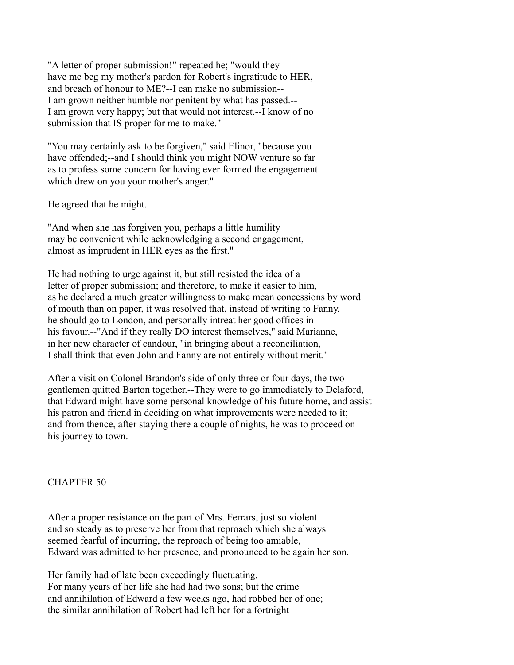"A letter of proper submission!" repeated he; "would they have me beg my mother's pardon for Robert's ingratitude to HER, and breach of honour to ME?--I can make no submission-- I am grown neither humble nor penitent by what has passed.-- I am grown very happy; but that would not interest.--I know of no submission that IS proper for me to make."

"You may certainly ask to be forgiven," said Elinor, "because you have offended;--and I should think you might NOW venture so far as to profess some concern for having ever formed the engagement which drew on you your mother's anger."

He agreed that he might.

"And when she has forgiven you, perhaps a little humility may be convenient while acknowledging a second engagement, almost as imprudent in HER eyes as the first."

He had nothing to urge against it, but still resisted the idea of a letter of proper submission; and therefore, to make it easier to him, as he declared a much greater willingness to make mean concessions by word of mouth than on paper, it was resolved that, instead of writing to Fanny, he should go to London, and personally intreat her good offices in his favour.--"And if they really DO interest themselves," said Marianne, in her new character of candour, "in bringing about a reconciliation, I shall think that even John and Fanny are not entirely without merit."

After a visit on Colonel Brandon's side of only three or four days, the two gentlemen quitted Barton together.--They were to go immediately to Delaford, that Edward might have some personal knowledge of his future home, and assist his patron and friend in deciding on what improvements were needed to it; and from thence, after staying there a couple of nights, he was to proceed on his journey to town.

## CHAPTER 50

After a proper resistance on the part of Mrs. Ferrars, just so violent and so steady as to preserve her from that reproach which she always seemed fearful of incurring, the reproach of being too amiable, Edward was admitted to her presence, and pronounced to be again her son.

Her family had of late been exceedingly fluctuating. For many years of her life she had had two sons; but the crime and annihilation of Edward a few weeks ago, had robbed her of one; the similar annihilation of Robert had left her for a fortnight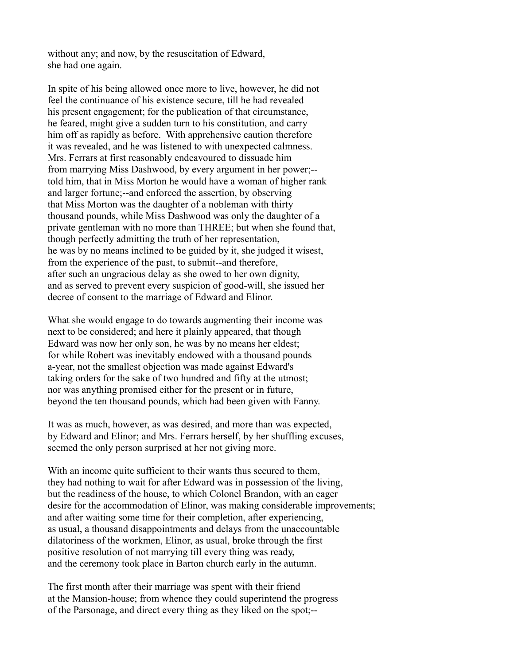without any; and now, by the resuscitation of Edward, she had one again.

In spite of his being allowed once more to live, however, he did not feel the continuance of his existence secure, till he had revealed his present engagement; for the publication of that circumstance, he feared, might give a sudden turn to his constitution, and carry him off as rapidly as before. With apprehensive caution therefore it was revealed, and he was listened to with unexpected calmness. Mrs. Ferrars at first reasonably endeavoured to dissuade him from marrying Miss Dashwood, by every argument in her power;- told him, that in Miss Morton he would have a woman of higher rank and larger fortune;--and enforced the assertion, by observing that Miss Morton was the daughter of a nobleman with thirty thousand pounds, while Miss Dashwood was only the daughter of a private gentleman with no more than THREE; but when she found that, though perfectly admitting the truth of her representation, he was by no means inclined to be guided by it, she judged it wisest, from the experience of the past, to submit--and therefore, after such an ungracious delay as she owed to her own dignity, and as served to prevent every suspicion of good-will, she issued her decree of consent to the marriage of Edward and Elinor.

What she would engage to do towards augmenting their income was next to be considered; and here it plainly appeared, that though Edward was now her only son, he was by no means her eldest; for while Robert was inevitably endowed with a thousand pounds a-year, not the smallest objection was made against Edward's taking orders for the sake of two hundred and fifty at the utmost; nor was anything promised either for the present or in future, beyond the ten thousand pounds, which had been given with Fanny.

It was as much, however, as was desired, and more than was expected, by Edward and Elinor; and Mrs. Ferrars herself, by her shuffling excuses, seemed the only person surprised at her not giving more.

With an income quite sufficient to their wants thus secured to them, they had nothing to wait for after Edward was in possession of the living, but the readiness of the house, to which Colonel Brandon, with an eager desire for the accommodation of Elinor, was making considerable improvements; and after waiting some time for their completion, after experiencing, as usual, a thousand disappointments and delays from the unaccountable dilatoriness of the workmen, Elinor, as usual, broke through the first positive resolution of not marrying till every thing was ready, and the ceremony took place in Barton church early in the autumn.

The first month after their marriage was spent with their friend at the Mansion-house; from whence they could superintend the progress of the Parsonage, and direct every thing as they liked on the spot;--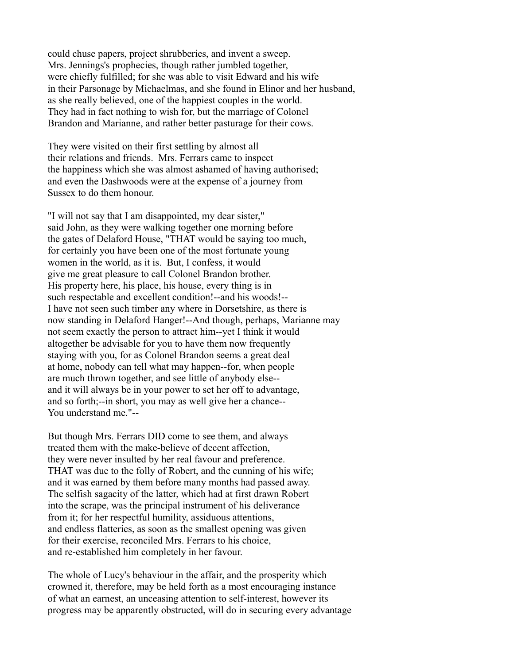could chuse papers, project shrubberies, and invent a sweep. Mrs. Jennings's prophecies, though rather jumbled together, were chiefly fulfilled; for she was able to visit Edward and his wife in their Parsonage by Michaelmas, and she found in Elinor and her husband, as she really believed, one of the happiest couples in the world. They had in fact nothing to wish for, but the marriage of Colonel Brandon and Marianne, and rather better pasturage for their cows.

They were visited on their first settling by almost all their relations and friends. Mrs. Ferrars came to inspect the happiness which she was almost ashamed of having authorised; and even the Dashwoods were at the expense of a journey from Sussex to do them honour.

"I will not say that I am disappointed, my dear sister," said John, as they were walking together one morning before the gates of Delaford House, "THAT would be saying too much, for certainly you have been one of the most fortunate young women in the world, as it is. But, I confess, it would give me great pleasure to call Colonel Brandon brother. His property here, his place, his house, every thing is in such respectable and excellent condition!--and his woods!-- I have not seen such timber any where in Dorsetshire, as there is now standing in Delaford Hanger!--And though, perhaps, Marianne may not seem exactly the person to attract him--yet I think it would altogether be advisable for you to have them now frequently staying with you, for as Colonel Brandon seems a great deal at home, nobody can tell what may happen--for, when people are much thrown together, and see little of anybody else- and it will always be in your power to set her off to advantage, and so forth;--in short, you may as well give her a chance-- You understand me "--

But though Mrs. Ferrars DID come to see them, and always treated them with the make-believe of decent affection, they were never insulted by her real favour and preference. THAT was due to the folly of Robert, and the cunning of his wife; and it was earned by them before many months had passed away. The selfish sagacity of the latter, which had at first drawn Robert into the scrape, was the principal instrument of his deliverance from it; for her respectful humility, assiduous attentions, and endless flatteries, as soon as the smallest opening was given for their exercise, reconciled Mrs. Ferrars to his choice, and re-established him completely in her favour.

The whole of Lucy's behaviour in the affair, and the prosperity which crowned it, therefore, may be held forth as a most encouraging instance of what an earnest, an unceasing attention to self-interest, however its progress may be apparently obstructed, will do in securing every advantage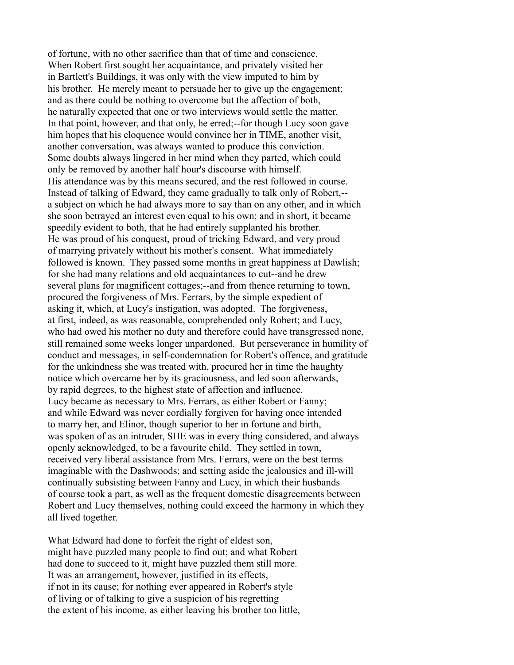of fortune, with no other sacrifice than that of time and conscience. When Robert first sought her acquaintance, and privately visited her in Bartlett's Buildings, it was only with the view imputed to him by his brother. He merely meant to persuade her to give up the engagement; and as there could be nothing to overcome but the affection of both, he naturally expected that one or two interviews would settle the matter. In that point, however, and that only, he erred;--for though Lucy soon gave him hopes that his eloquence would convince her in TIME, another visit, another conversation, was always wanted to produce this conviction. Some doubts always lingered in her mind when they parted, which could only be removed by another half hour's discourse with himself. His attendance was by this means secured, and the rest followed in course. Instead of talking of Edward, they came gradually to talk only of Robert,- a subject on which he had always more to say than on any other, and in which she soon betrayed an interest even equal to his own; and in short, it became speedily evident to both, that he had entirely supplanted his brother. He was proud of his conquest, proud of tricking Edward, and very proud of marrying privately without his mother's consent. What immediately followed is known. They passed some months in great happiness at Dawlish; for she had many relations and old acquaintances to cut--and he drew several plans for magnificent cottages;--and from thence returning to town, procured the forgiveness of Mrs. Ferrars, by the simple expedient of asking it, which, at Lucy's instigation, was adopted. The forgiveness, at first, indeed, as was reasonable, comprehended only Robert; and Lucy, who had owed his mother no duty and therefore could have transgressed none, still remained some weeks longer unpardoned. But perseverance in humility of conduct and messages, in self-condemnation for Robert's offence, and gratitude for the unkindness she was treated with, procured her in time the haughty notice which overcame her by its graciousness, and led soon afterwards, by rapid degrees, to the highest state of affection and influence. Lucy became as necessary to Mrs. Ferrars, as either Robert or Fanny; and while Edward was never cordially forgiven for having once intended to marry her, and Elinor, though superior to her in fortune and birth, was spoken of as an intruder, SHE was in every thing considered, and always openly acknowledged, to be a favourite child. They settled in town, received very liberal assistance from Mrs. Ferrars, were on the best terms imaginable with the Dashwoods; and setting aside the jealousies and ill-will continually subsisting between Fanny and Lucy, in which their husbands of course took a part, as well as the frequent domestic disagreements between Robert and Lucy themselves, nothing could exceed the harmony in which they all lived together.

What Edward had done to forfeit the right of eldest son, might have puzzled many people to find out; and what Robert had done to succeed to it, might have puzzled them still more. It was an arrangement, however, justified in its effects, if not in its cause; for nothing ever appeared in Robert's style of living or of talking to give a suspicion of his regretting the extent of his income, as either leaving his brother too little,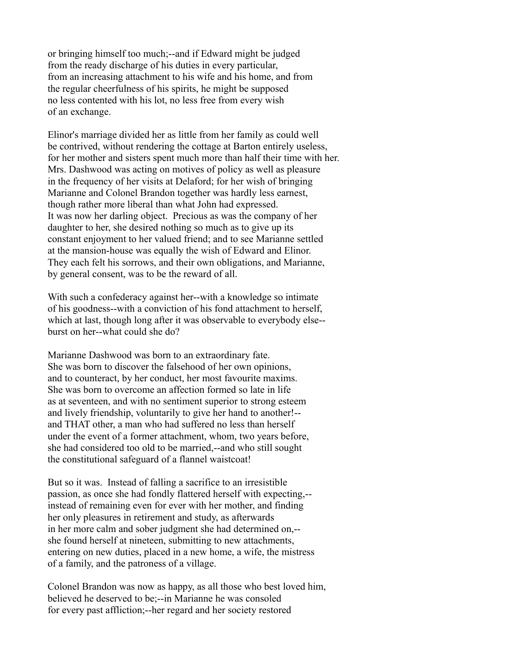or bringing himself too much;--and if Edward might be judged from the ready discharge of his duties in every particular, from an increasing attachment to his wife and his home, and from the regular cheerfulness of his spirits, he might be supposed no less contented with his lot, no less free from every wish of an exchange.

Elinor's marriage divided her as little from her family as could well be contrived, without rendering the cottage at Barton entirely useless, for her mother and sisters spent much more than half their time with her. Mrs. Dashwood was acting on motives of policy as well as pleasure in the frequency of her visits at Delaford; for her wish of bringing Marianne and Colonel Brandon together was hardly less earnest, though rather more liberal than what John had expressed. It was now her darling object. Precious as was the company of her daughter to her, she desired nothing so much as to give up its constant enjoyment to her valued friend; and to see Marianne settled at the mansion-house was equally the wish of Edward and Elinor. They each felt his sorrows, and their own obligations, and Marianne, by general consent, was to be the reward of all.

With such a confederacy against her--with a knowledge so intimate of his goodness--with a conviction of his fond attachment to herself, which at last, though long after it was observable to everybody else- burst on her--what could she do?

Marianne Dashwood was born to an extraordinary fate. She was born to discover the falsehood of her own opinions, and to counteract, by her conduct, her most favourite maxims. She was born to overcome an affection formed so late in life as at seventeen, and with no sentiment superior to strong esteem and lively friendship, voluntarily to give her hand to another!- and THAT other, a man who had suffered no less than herself under the event of a former attachment, whom, two years before, she had considered too old to be married,--and who still sought the constitutional safeguard of a flannel waistcoat!

But so it was. Instead of falling a sacrifice to an irresistible passion, as once she had fondly flattered herself with expecting,- instead of remaining even for ever with her mother, and finding her only pleasures in retirement and study, as afterwards in her more calm and sober judgment she had determined on,- she found herself at nineteen, submitting to new attachments, entering on new duties, placed in a new home, a wife, the mistress of a family, and the patroness of a village.

Colonel Brandon was now as happy, as all those who best loved him, believed he deserved to be;--in Marianne he was consoled for every past affliction;--her regard and her society restored